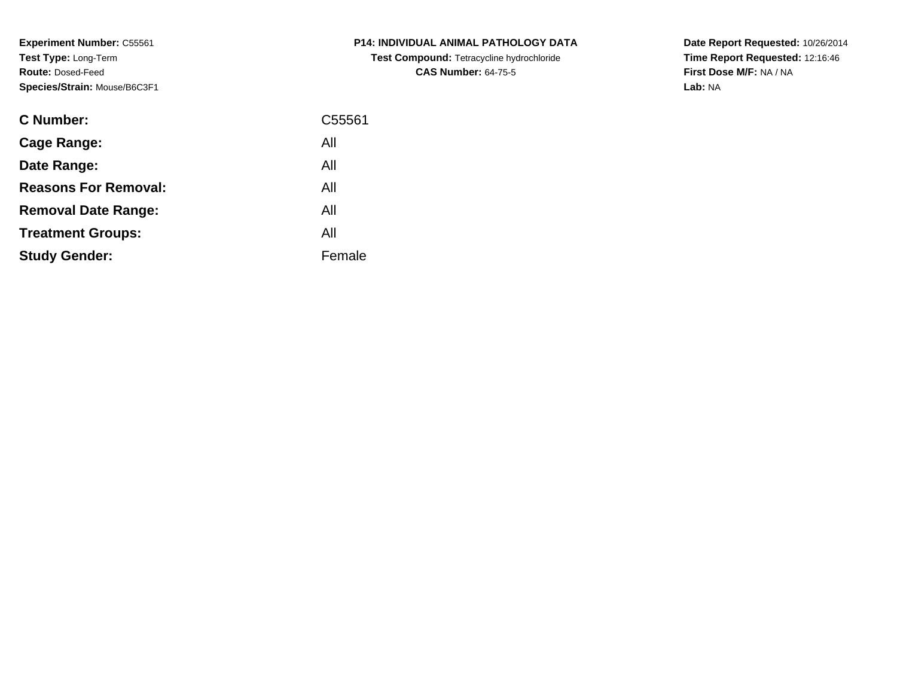**Experiment Number:** C55561**Test Type:** Long-Term**Route:** Dosed-Feed**Species/Strain:** Mouse/B6C3F1

| <b>C Number:</b>            | C55561 |
|-----------------------------|--------|
| <b>Cage Range:</b>          | All    |
| Date Range:                 | All    |
| <b>Reasons For Removal:</b> | All    |
| <b>Removal Date Range:</b>  | All    |
| <b>Treatment Groups:</b>    | All    |
| <b>Study Gender:</b>        | Female |
|                             |        |

**P14: INDIVIDUAL ANIMAL PATHOLOGY DATATest Compound:** Tetracycline hydrochloride**CAS Number:** 64-75-5

**Date Report Requested:** 10/26/2014 **Time Report Requested:** 12:16:46**First Dose M/F:** NA / NA**Lab:** NA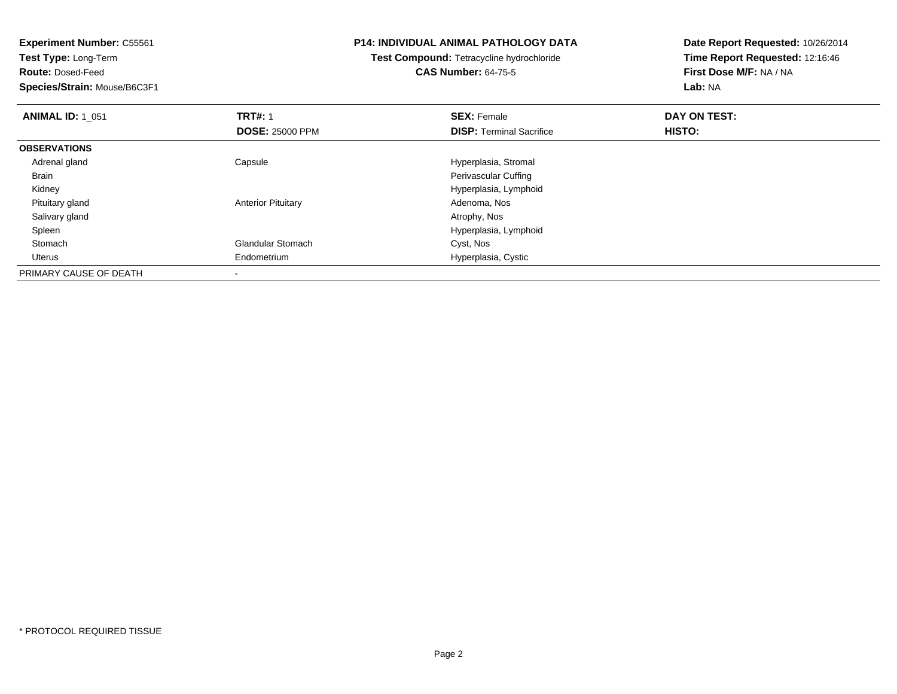**Experiment Number:** C55561**Test Type:** Long-Term**Route:** Dosed-Feed **Species/Strain:** Mouse/B6C3F1**P14: INDIVIDUAL ANIMAL PATHOLOGY DATATest Compound:** Tetracycline hydrochloride**CAS Number:** 64-75-5**Date Report Requested:** 10/26/2014**Time Report Requested:** 12:16:46**First Dose M/F:** NA / NA**Lab:** NA**ANIMAL ID: 1\_051 TRT#:** 1 **SEX:** Female **DAY ON TEST: DOSE:** 25000 PPM**DISP:** Terminal Sacrifice **HISTO: OBSERVATIONS** Adrenal glandCapsule **Capsule Capsule Capsule Capsule Capsule Capsule Capsule Capsule Capsule Capsule Capsule Capsule Capsule Capsule Capsule Capsule Capsule Capsule Capsule Capsule Capsule Cap**  Brain Perivascular Cuffing Kidney Hyperplasia, Lymphoid Pituitary glandAnterior Pituitary **Adenoma, Nos**<br>Atrophy, Nos Salivary glandd and the control of the control of the control of the control of the control of the control of the control of the control of the control of the control of the control of the control of the control of the control of the co Spleen Hyperplasia, Lymphoid StomachGlandular Stomach Uterus Endometrium Hyperplasia, Cystic PRIMARY CAUSE OF DEATH-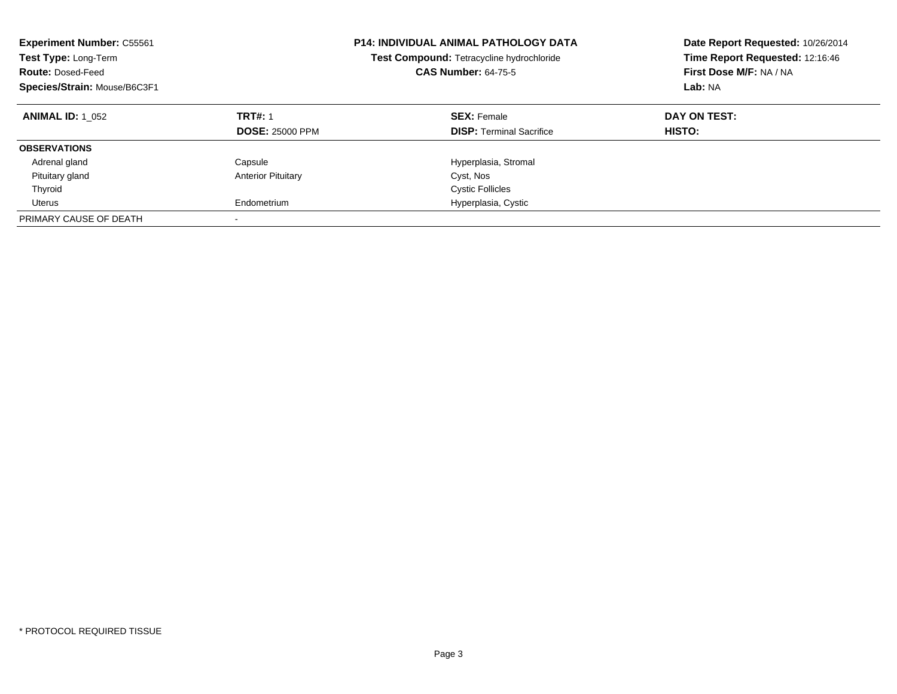| <b>Experiment Number: C55561</b><br>Test Type: Long-Term<br><b>Route: Dosed-Feed</b><br>Species/Strain: Mouse/B6C3F1 |                                          | <b>P14: INDIVIDUAL ANIMAL PATHOLOGY DATA</b><br>Test Compound: Tetracycline hydrochloride<br><b>CAS Number: 64-75-5</b> | Date Report Requested: 10/26/2014<br>Time Report Requested: 12:16:46<br>First Dose M/F: NA / NA<br>Lab: NA |
|----------------------------------------------------------------------------------------------------------------------|------------------------------------------|-------------------------------------------------------------------------------------------------------------------------|------------------------------------------------------------------------------------------------------------|
| <b>ANIMAL ID: 1 052</b>                                                                                              | <b>TRT#: 1</b><br><b>DOSE: 25000 PPM</b> | <b>SEX: Female</b><br><b>DISP:</b> Terminal Sacrifice                                                                   | DAY ON TEST:<br>HISTO:                                                                                     |
| <b>OBSERVATIONS</b>                                                                                                  |                                          |                                                                                                                         |                                                                                                            |
| Adrenal gland                                                                                                        | Capsule                                  | Hyperplasia, Stromal                                                                                                    |                                                                                                            |
| Pituitary gland                                                                                                      | <b>Anterior Pituitary</b>                | Cyst, Nos                                                                                                               |                                                                                                            |
| Thyroid                                                                                                              |                                          | <b>Cystic Follicles</b>                                                                                                 |                                                                                                            |
| Uterus                                                                                                               | Endometrium                              | Hyperplasia, Cystic                                                                                                     |                                                                                                            |
| PRIMARY CAUSE OF DEATH                                                                                               |                                          |                                                                                                                         |                                                                                                            |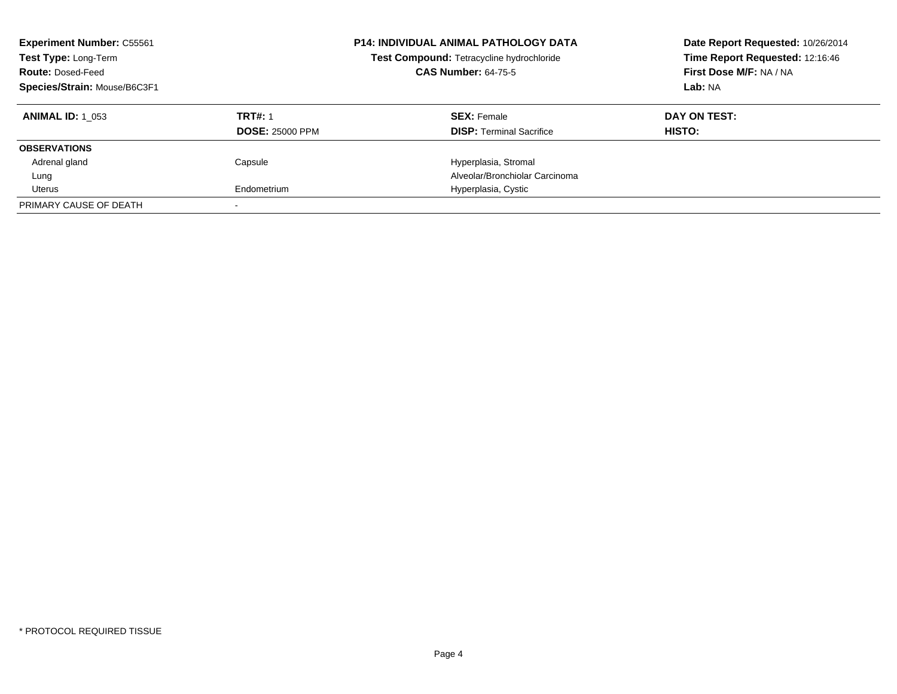| <b>Experiment Number: C55561</b><br>Test Type: Long-Term<br><b>Route: Dosed-Feed</b><br>Species/Strain: Mouse/B6C3F1 |                        | <b>P14: INDIVIDUAL ANIMAL PATHOLOGY DATA</b><br>Test Compound: Tetracycline hydrochloride<br><b>CAS Number: 64-75-5</b> | Date Report Requested: 10/26/2014<br>Time Report Requested: 12:16:46<br>First Dose M/F: NA / NA<br>Lab: NA |
|----------------------------------------------------------------------------------------------------------------------|------------------------|-------------------------------------------------------------------------------------------------------------------------|------------------------------------------------------------------------------------------------------------|
| <b>ANIMAL ID:</b> 1 053                                                                                              | <b>TRT#: 1</b>         | <b>SEX: Female</b>                                                                                                      | DAY ON TEST:                                                                                               |
|                                                                                                                      | <b>DOSE: 25000 PPM</b> | <b>DISP:</b> Terminal Sacrifice                                                                                         | <b>HISTO:</b>                                                                                              |
| <b>OBSERVATIONS</b>                                                                                                  |                        |                                                                                                                         |                                                                                                            |
| Adrenal gland                                                                                                        | Capsule                | Hyperplasia, Stromal                                                                                                    |                                                                                                            |
| Lung                                                                                                                 |                        | Alveolar/Bronchiolar Carcinoma                                                                                          |                                                                                                            |
| Uterus                                                                                                               | Endometrium            | Hyperplasia, Cystic                                                                                                     |                                                                                                            |
| PRIMARY CAUSE OF DEATH                                                                                               |                        |                                                                                                                         |                                                                                                            |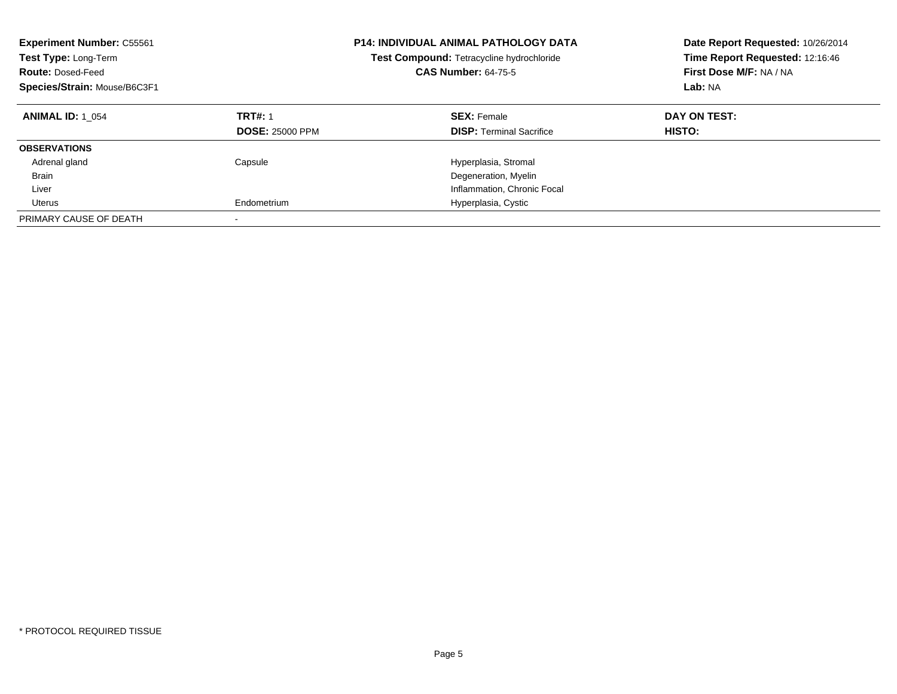| <b>Experiment Number: C55561</b><br>Test Type: Long-Term<br><b>Route: Dosed-Feed</b><br>Species/Strain: Mouse/B6C3F1 |                                          | <b>P14: INDIVIDUAL ANIMAL PATHOLOGY DATA</b><br>Test Compound: Tetracycline hydrochloride<br><b>CAS Number: 64-75-5</b> | Date Report Requested: 10/26/2014<br>Time Report Requested: 12:16:46<br>First Dose M/F: NA / NA<br>Lab: NA |
|----------------------------------------------------------------------------------------------------------------------|------------------------------------------|-------------------------------------------------------------------------------------------------------------------------|------------------------------------------------------------------------------------------------------------|
| <b>ANIMAL ID: 1 054</b>                                                                                              | <b>TRT#: 1</b><br><b>DOSE: 25000 PPM</b> | <b>SEX: Female</b><br><b>DISP:</b> Terminal Sacrifice                                                                   | DAY ON TEST:<br><b>HISTO:</b>                                                                              |
| <b>OBSERVATIONS</b>                                                                                                  |                                          |                                                                                                                         |                                                                                                            |
| Adrenal gland                                                                                                        | Capsule                                  | Hyperplasia, Stromal                                                                                                    |                                                                                                            |
| <b>Brain</b>                                                                                                         |                                          | Degeneration, Myelin                                                                                                    |                                                                                                            |
| Liver                                                                                                                |                                          | Inflammation, Chronic Focal                                                                                             |                                                                                                            |
| Uterus                                                                                                               | Endometrium                              | Hyperplasia, Cystic                                                                                                     |                                                                                                            |
| PRIMARY CAUSE OF DEATH                                                                                               | -                                        |                                                                                                                         |                                                                                                            |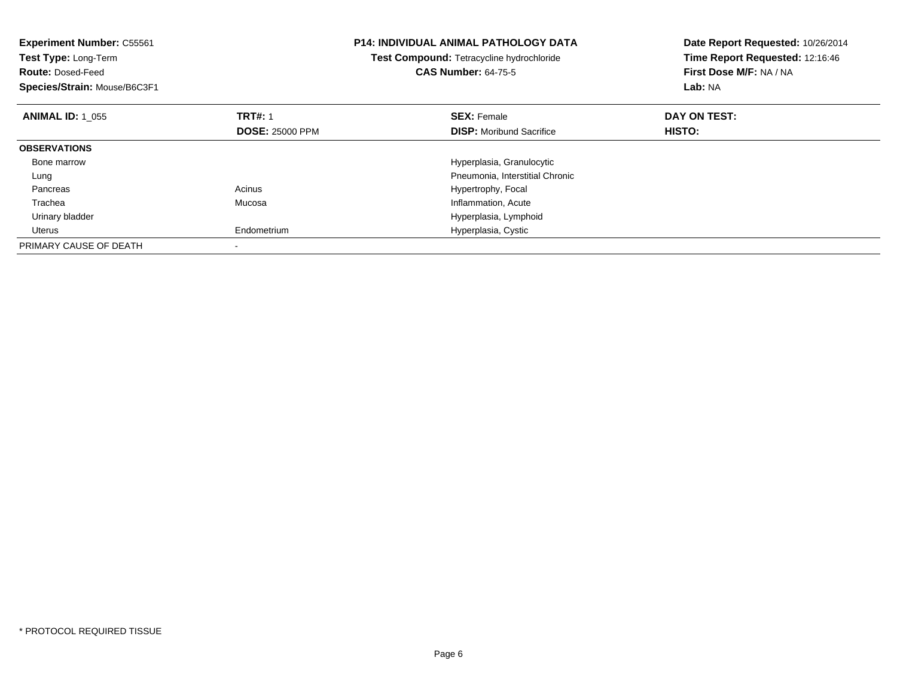| <b>Experiment Number: C55561</b><br>Test Type: Long-Term<br><b>Route: Dosed-Feed</b><br>Species/Strain: Mouse/B6C3F1 |                        | <b>P14: INDIVIDUAL ANIMAL PATHOLOGY DATA</b><br>Test Compound: Tetracycline hydrochloride<br><b>CAS Number: 64-75-5</b> | Date Report Requested: 10/26/2014<br>Time Report Requested: 12:16:46<br>First Dose M/F: NA / NA<br>Lab: NA |
|----------------------------------------------------------------------------------------------------------------------|------------------------|-------------------------------------------------------------------------------------------------------------------------|------------------------------------------------------------------------------------------------------------|
| <b>ANIMAL ID: 1 055</b>                                                                                              | <b>TRT#: 1</b>         | <b>SEX: Female</b>                                                                                                      | DAY ON TEST:                                                                                               |
|                                                                                                                      | <b>DOSE: 25000 PPM</b> | <b>DISP:</b> Moribund Sacrifice                                                                                         | <b>HISTO:</b>                                                                                              |
| <b>OBSERVATIONS</b>                                                                                                  |                        |                                                                                                                         |                                                                                                            |
| Bone marrow                                                                                                          |                        | Hyperplasia, Granulocytic                                                                                               |                                                                                                            |
| Lung                                                                                                                 |                        | Pneumonia, Interstitial Chronic                                                                                         |                                                                                                            |
| Pancreas                                                                                                             | Acinus                 | Hypertrophy, Focal                                                                                                      |                                                                                                            |
| Trachea                                                                                                              | Mucosa                 | Inflammation, Acute                                                                                                     |                                                                                                            |
| Urinary bladder                                                                                                      |                        | Hyperplasia, Lymphoid                                                                                                   |                                                                                                            |
| Uterus                                                                                                               | Endometrium            | Hyperplasia, Cystic                                                                                                     |                                                                                                            |
| PRIMARY CAUSE OF DEATH                                                                                               |                        |                                                                                                                         |                                                                                                            |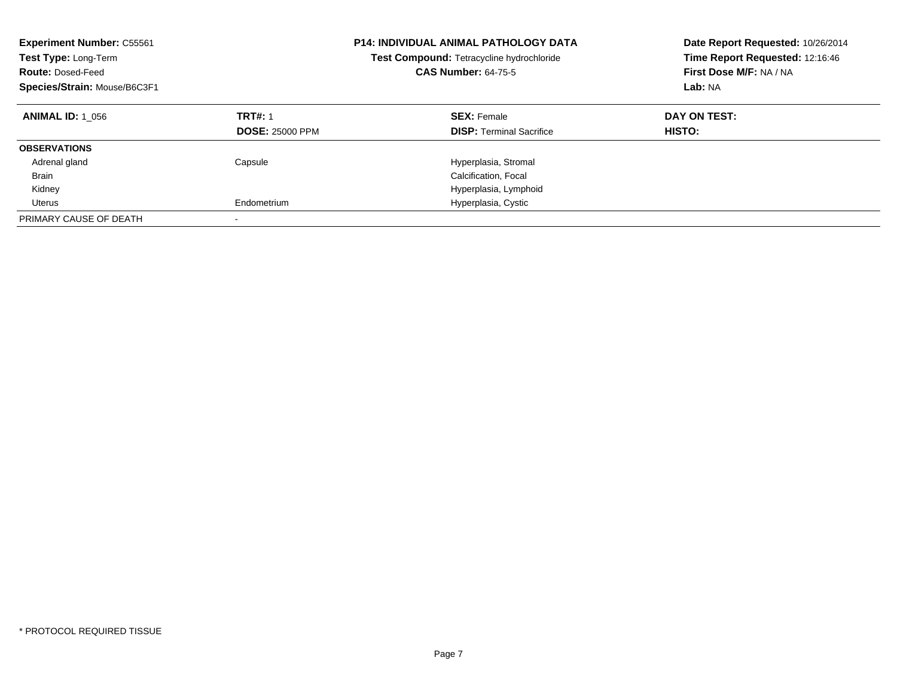| <b>Experiment Number: C55561</b><br>Test Type: Long-Term<br><b>Route: Dosed-Feed</b><br>Species/Strain: Mouse/B6C3F1 |                                          | <b>P14: INDIVIDUAL ANIMAL PATHOLOGY DATA</b><br>Test Compound: Tetracycline hydrochloride<br><b>CAS Number: 64-75-5</b> | Date Report Requested: 10/26/2014<br>Time Report Requested: 12:16:46<br>First Dose M/F: NA / NA<br>Lab: NA |
|----------------------------------------------------------------------------------------------------------------------|------------------------------------------|-------------------------------------------------------------------------------------------------------------------------|------------------------------------------------------------------------------------------------------------|
| <b>ANIMAL ID: 1 056</b>                                                                                              | <b>TRT#: 1</b><br><b>DOSE: 25000 PPM</b> | <b>SEX: Female</b><br><b>DISP:</b> Terminal Sacrifice                                                                   | DAY ON TEST:<br>HISTO:                                                                                     |
| <b>OBSERVATIONS</b>                                                                                                  |                                          |                                                                                                                         |                                                                                                            |
| Adrenal gland                                                                                                        | Capsule                                  | Hyperplasia, Stromal                                                                                                    |                                                                                                            |
| <b>Brain</b>                                                                                                         |                                          | Calcification, Focal                                                                                                    |                                                                                                            |
| Kidney                                                                                                               |                                          | Hyperplasia, Lymphoid                                                                                                   |                                                                                                            |
| Uterus                                                                                                               | Endometrium                              | Hyperplasia, Cystic                                                                                                     |                                                                                                            |
| PRIMARY CAUSE OF DEATH                                                                                               |                                          |                                                                                                                         |                                                                                                            |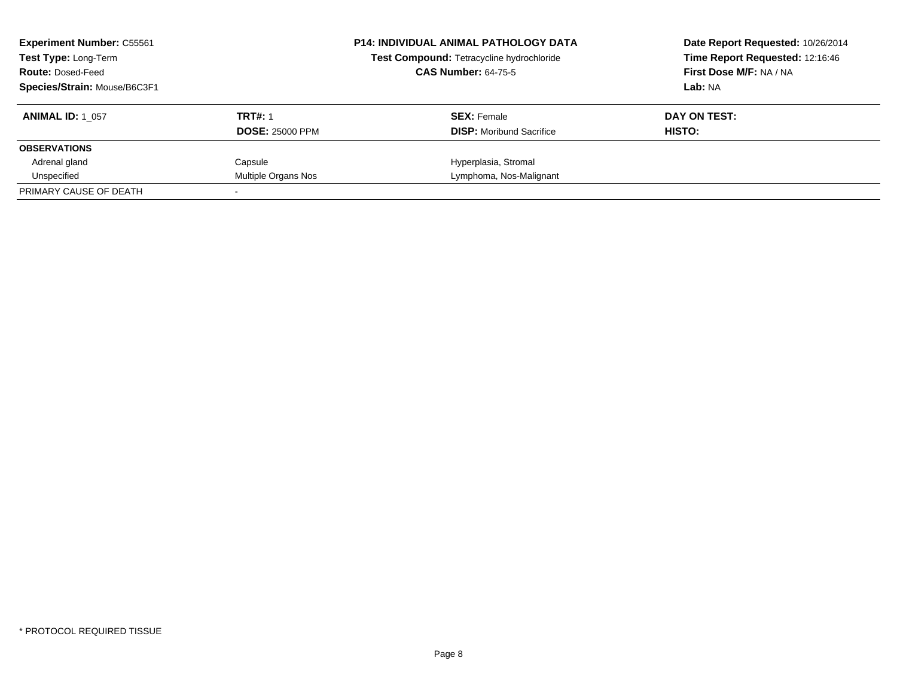| <b>Experiment Number: C55561</b><br>Test Type: Long-Term<br><b>Route: Dosed-Feed</b><br>Species/Strain: Mouse/B6C3F1 |                                          | <b>P14: INDIVIDUAL ANIMAL PATHOLOGY DATA</b><br>Test Compound: Tetracycline hydrochloride<br><b>CAS Number: 64-75-5</b> | Date Report Requested: 10/26/2014<br>Time Report Requested: 12:16:46<br>First Dose M/F: NA / NA<br>Lab: NA |
|----------------------------------------------------------------------------------------------------------------------|------------------------------------------|-------------------------------------------------------------------------------------------------------------------------|------------------------------------------------------------------------------------------------------------|
| <b>ANIMAL ID: 1 057</b>                                                                                              | <b>TRT#: 1</b><br><b>DOSE: 25000 PPM</b> | <b>SEX: Female</b><br><b>DISP:</b> Moribund Sacrifice                                                                   | DAY ON TEST:<br>HISTO:                                                                                     |
| <b>OBSERVATIONS</b>                                                                                                  |                                          |                                                                                                                         |                                                                                                            |
| Adrenal gland                                                                                                        | Capsule                                  | Hyperplasia, Stromal                                                                                                    |                                                                                                            |
| Unspecified                                                                                                          | Multiple Organs Nos                      | Lymphoma, Nos-Malignant                                                                                                 |                                                                                                            |
| PRIMARY CAUSE OF DEATH                                                                                               |                                          |                                                                                                                         |                                                                                                            |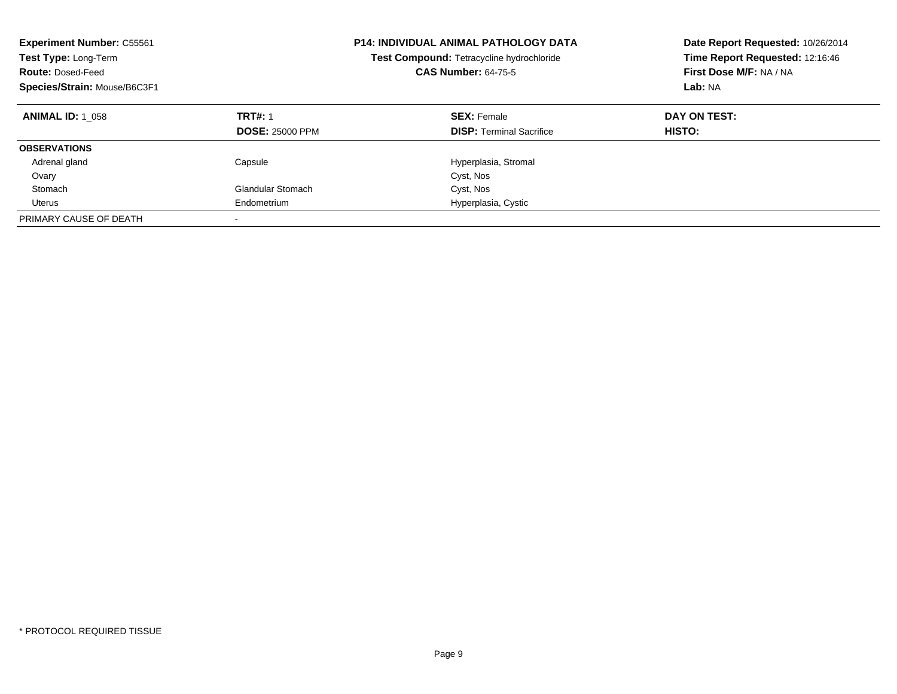| <b>Experiment Number: C55561</b><br>Test Type: Long-Term<br><b>Route: Dosed-Feed</b><br>Species/Strain: Mouse/B6C3F1 |                                          | <b>P14: INDIVIDUAL ANIMAL PATHOLOGY DATA</b><br>Test Compound: Tetracycline hydrochloride<br><b>CAS Number: 64-75-5</b> | Date Report Requested: 10/26/2014<br>Time Report Requested: 12:16:46<br>First Dose M/F: NA / NA<br>Lab: NA |
|----------------------------------------------------------------------------------------------------------------------|------------------------------------------|-------------------------------------------------------------------------------------------------------------------------|------------------------------------------------------------------------------------------------------------|
| <b>ANIMAL ID: 1 058</b>                                                                                              | <b>TRT#: 1</b><br><b>DOSE: 25000 PPM</b> | <b>SEX: Female</b><br><b>DISP:</b> Terminal Sacrifice                                                                   | DAY ON TEST:<br><b>HISTO:</b>                                                                              |
| <b>OBSERVATIONS</b>                                                                                                  |                                          |                                                                                                                         |                                                                                                            |
| Adrenal gland                                                                                                        | Capsule                                  | Hyperplasia, Stromal                                                                                                    |                                                                                                            |
| Ovary                                                                                                                |                                          | Cyst, Nos                                                                                                               |                                                                                                            |
| Stomach                                                                                                              | Glandular Stomach                        | Cyst, Nos                                                                                                               |                                                                                                            |
| Uterus                                                                                                               | Endometrium                              | Hyperplasia, Cystic                                                                                                     |                                                                                                            |
| PRIMARY CAUSE OF DEATH                                                                                               |                                          |                                                                                                                         |                                                                                                            |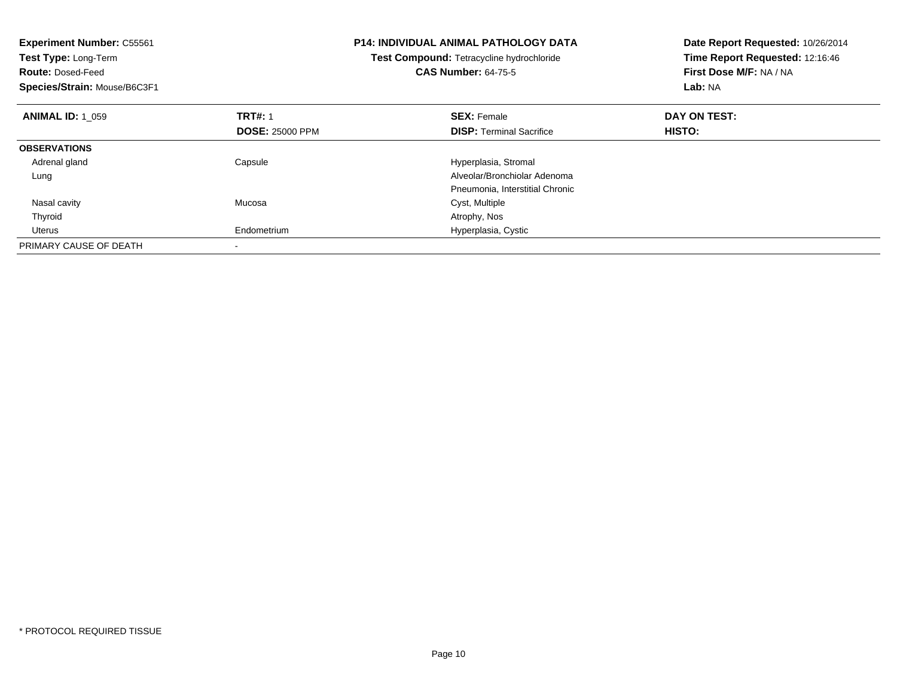| <b>Experiment Number: C55561</b><br>Test Type: Long-Term<br><b>Route: Dosed-Feed</b><br>Species/Strain: Mouse/B6C3F1 |                        | <b>P14: INDIVIDUAL ANIMAL PATHOLOGY DATA</b><br>Test Compound: Tetracycline hydrochloride<br><b>CAS Number: 64-75-5</b> | Date Report Requested: 10/26/2014<br>Time Report Requested: 12:16:46<br>First Dose M/F: NA / NA<br>Lab: NA |
|----------------------------------------------------------------------------------------------------------------------|------------------------|-------------------------------------------------------------------------------------------------------------------------|------------------------------------------------------------------------------------------------------------|
| <b>ANIMAL ID: 1 059</b>                                                                                              | <b>TRT#: 1</b>         | <b>SEX: Female</b>                                                                                                      | DAY ON TEST:                                                                                               |
|                                                                                                                      | <b>DOSE: 25000 PPM</b> | <b>DISP:</b> Terminal Sacrifice                                                                                         | <b>HISTO:</b>                                                                                              |
| <b>OBSERVATIONS</b>                                                                                                  |                        |                                                                                                                         |                                                                                                            |
| Adrenal gland                                                                                                        | Capsule                | Hyperplasia, Stromal                                                                                                    |                                                                                                            |
| Lung                                                                                                                 |                        | Alveolar/Bronchiolar Adenoma                                                                                            |                                                                                                            |
|                                                                                                                      |                        | Pneumonia, Interstitial Chronic                                                                                         |                                                                                                            |
| Nasal cavity                                                                                                         | Mucosa                 | Cyst, Multiple                                                                                                          |                                                                                                            |
| Thyroid                                                                                                              |                        | Atrophy, Nos                                                                                                            |                                                                                                            |
| Uterus                                                                                                               | Endometrium            | Hyperplasia, Cystic                                                                                                     |                                                                                                            |
| PRIMARY CAUSE OF DEATH                                                                                               |                        |                                                                                                                         |                                                                                                            |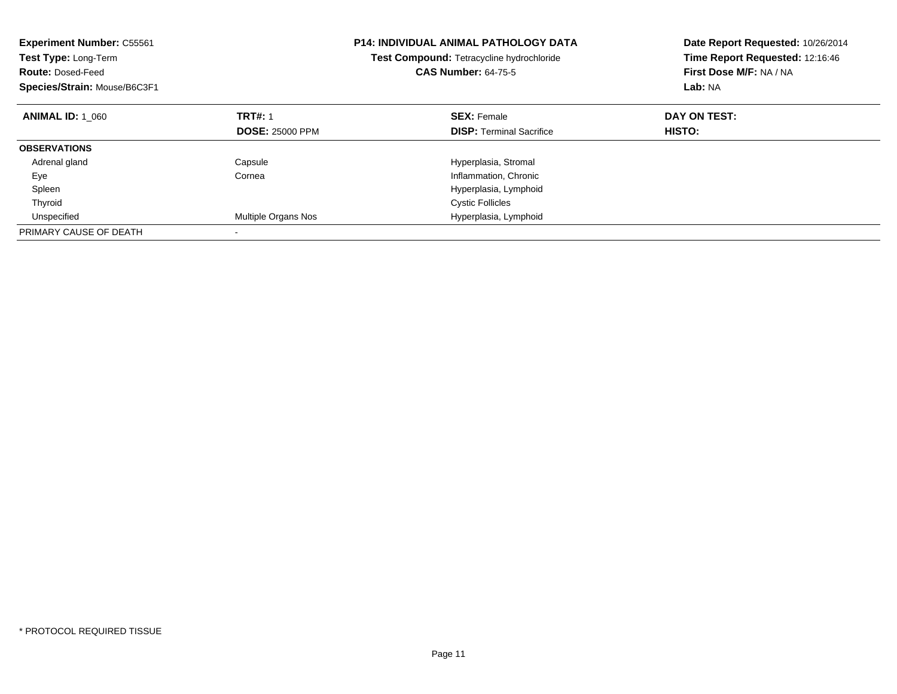| <b>Experiment Number: C55561</b><br>Test Type: Long-Term<br><b>Route: Dosed-Feed</b><br>Species/Strain: Mouse/B6C3F1 |                            | <b>P14: INDIVIDUAL ANIMAL PATHOLOGY DATA</b><br>Test Compound: Tetracycline hydrochloride<br><b>CAS Number: 64-75-5</b> | Date Report Requested: 10/26/2014<br>Time Report Requested: 12:16:46<br>First Dose M/F: NA / NA<br>Lab: NA |
|----------------------------------------------------------------------------------------------------------------------|----------------------------|-------------------------------------------------------------------------------------------------------------------------|------------------------------------------------------------------------------------------------------------|
| <b>ANIMAL ID: 1 060</b>                                                                                              | <b>TRT#: 1</b>             | <b>SEX: Female</b>                                                                                                      | DAY ON TEST:                                                                                               |
|                                                                                                                      | <b>DOSE: 25000 PPM</b>     | <b>DISP:</b> Terminal Sacrifice                                                                                         | HISTO:                                                                                                     |
| <b>OBSERVATIONS</b>                                                                                                  |                            |                                                                                                                         |                                                                                                            |
| Adrenal gland                                                                                                        | Capsule                    | Hyperplasia, Stromal                                                                                                    |                                                                                                            |
| Eye                                                                                                                  | Cornea                     | Inflammation, Chronic                                                                                                   |                                                                                                            |
| Spleen                                                                                                               |                            | Hyperplasia, Lymphoid                                                                                                   |                                                                                                            |
| Thyroid                                                                                                              |                            | <b>Cystic Follicles</b>                                                                                                 |                                                                                                            |
| Unspecified                                                                                                          | <b>Multiple Organs Nos</b> | Hyperplasia, Lymphoid                                                                                                   |                                                                                                            |
| PRIMARY CAUSE OF DEATH                                                                                               |                            |                                                                                                                         |                                                                                                            |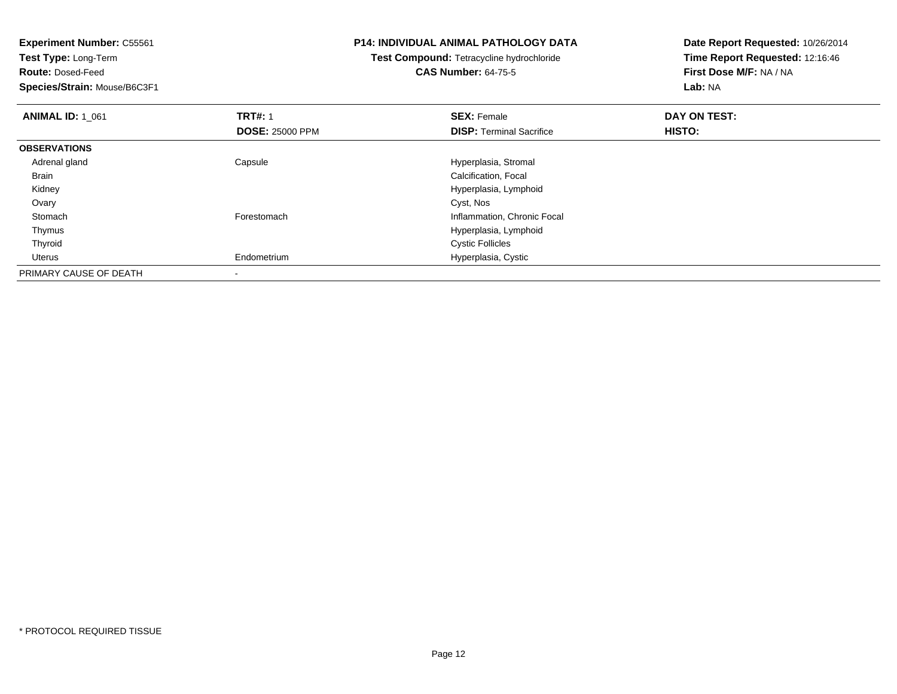**Experiment Number:** C55561**Test Type:** Long-Term**Route:** Dosed-Feed **Species/Strain:** Mouse/B6C3F1**P14: INDIVIDUAL ANIMAL PATHOLOGY DATATest Compound:** Tetracycline hydrochloride**CAS Number:** 64-75-5**Date Report Requested:** 10/26/2014**Time Report Requested:** 12:16:46**First Dose M/F:** NA / NA**Lab:** NA**ANIMAL ID: 1\_061 TRT#:** 1 **SEX:** Female **DAY ON TEST: DOSE:** 25000 PPM**DISP:** Terminal Sacrifice **HISTO: OBSERVATIONS** Adrenal glandCapsule **Capsule Capsule Capsule Capsule Capsule Capsule Capsule Capsule Capsule Capsule Capsule Capsule Capsule Capsule Capsule Capsule Capsule Capsule Capsule Capsule Capsule Cap**  Brain Calcification, Focal Kidney Hyperplasia, Lymphoid Ovaryy and the control of the control of the control of the control of the control of the control of the control of the control of the control of the control of the control of the control of the control of the control of the co StomachForestomach **Inflammation**, Chronic Focal Thymus Hyperplasia, Lymphoid Thyroid Cystic Follicles Uterus Endometrium Hyperplasia, Cystic PRIMARY CAUSE OF DEATH-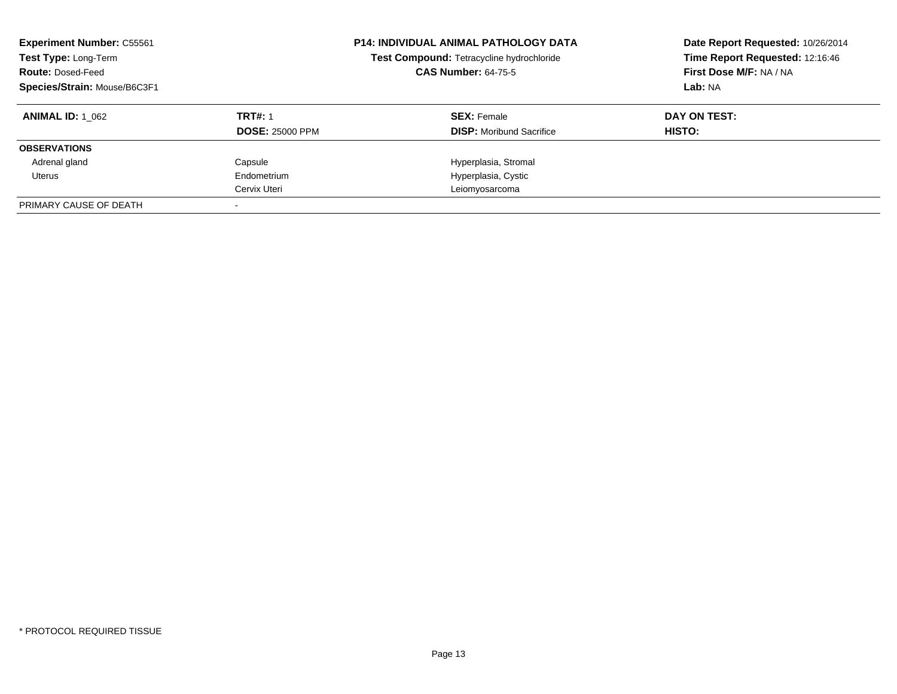| <b>Experiment Number: C55561</b><br>Test Type: Long-Term<br><b>Route: Dosed-Feed</b><br>Species/Strain: Mouse/B6C3F1 |                        | <b>P14: INDIVIDUAL ANIMAL PATHOLOGY DATA</b><br>Test Compound: Tetracycline hydrochloride<br><b>CAS Number: 64-75-5</b> | Date Report Requested: 10/26/2014<br>Time Report Requested: 12:16:46<br>First Dose M/F: NA / NA<br>Lab: NA |
|----------------------------------------------------------------------------------------------------------------------|------------------------|-------------------------------------------------------------------------------------------------------------------------|------------------------------------------------------------------------------------------------------------|
| <b>ANIMAL ID:</b> 1 062                                                                                              | <b>TRT#: 1</b>         | <b>SEX: Female</b>                                                                                                      | DAY ON TEST:                                                                                               |
|                                                                                                                      | <b>DOSE: 25000 PPM</b> | <b>DISP:</b> Moribund Sacrifice                                                                                         | HISTO:                                                                                                     |
| <b>OBSERVATIONS</b>                                                                                                  |                        |                                                                                                                         |                                                                                                            |
| Adrenal gland                                                                                                        | Capsule                | Hyperplasia, Stromal                                                                                                    |                                                                                                            |
| Uterus                                                                                                               | Endometrium            | Hyperplasia, Cystic                                                                                                     |                                                                                                            |
|                                                                                                                      | Cervix Uteri           | Leiomyosarcoma                                                                                                          |                                                                                                            |
| PRIMARY CAUSE OF DEATH                                                                                               |                        |                                                                                                                         |                                                                                                            |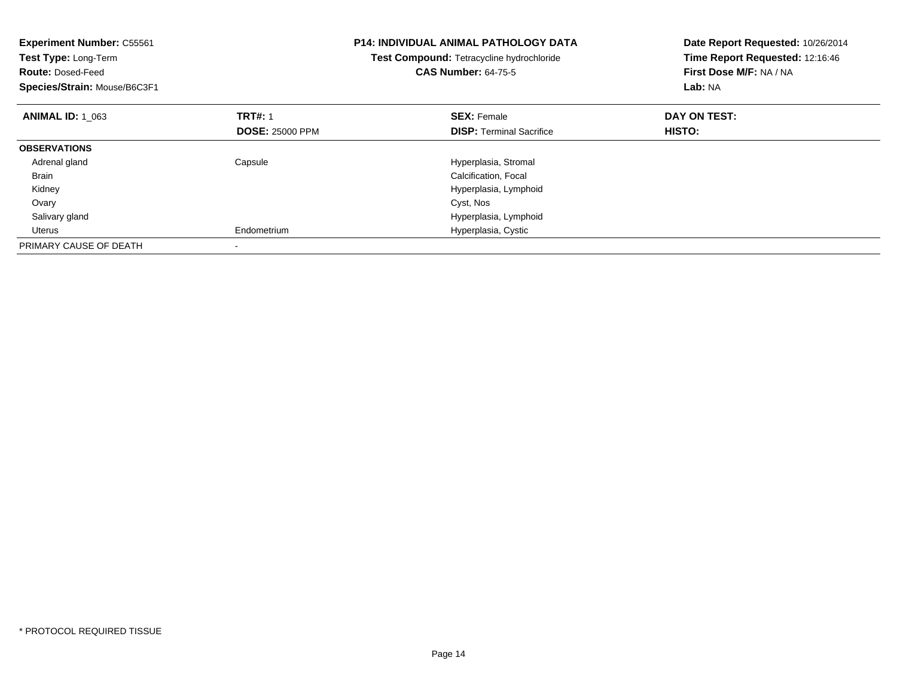| <b>Experiment Number: C55561</b><br>Test Type: Long-Term<br><b>Route: Dosed-Feed</b><br>Species/Strain: Mouse/B6C3F1 |                        | <b>P14: INDIVIDUAL ANIMAL PATHOLOGY DATA</b><br>Test Compound: Tetracycline hydrochloride<br><b>CAS Number: 64-75-5</b> | Date Report Requested: 10/26/2014<br>Time Report Requested: 12:16:46<br>First Dose M/F: NA / NA<br>Lab: NA |
|----------------------------------------------------------------------------------------------------------------------|------------------------|-------------------------------------------------------------------------------------------------------------------------|------------------------------------------------------------------------------------------------------------|
| <b>ANIMAL ID: 1 063</b>                                                                                              | <b>TRT#: 1</b>         | <b>SEX: Female</b>                                                                                                      | DAY ON TEST:                                                                                               |
|                                                                                                                      | <b>DOSE: 25000 PPM</b> | <b>DISP:</b> Terminal Sacrifice                                                                                         | <b>HISTO:</b>                                                                                              |
| <b>OBSERVATIONS</b>                                                                                                  |                        |                                                                                                                         |                                                                                                            |
| Adrenal gland                                                                                                        | Capsule                | Hyperplasia, Stromal                                                                                                    |                                                                                                            |
| <b>Brain</b>                                                                                                         |                        | Calcification, Focal                                                                                                    |                                                                                                            |
| Kidney                                                                                                               |                        | Hyperplasia, Lymphoid                                                                                                   |                                                                                                            |
| Ovary                                                                                                                |                        | Cyst, Nos                                                                                                               |                                                                                                            |
| Salivary gland                                                                                                       |                        | Hyperplasia, Lymphoid                                                                                                   |                                                                                                            |
| Uterus                                                                                                               | Endometrium            | Hyperplasia, Cystic                                                                                                     |                                                                                                            |
| PRIMARY CAUSE OF DEATH                                                                                               |                        |                                                                                                                         |                                                                                                            |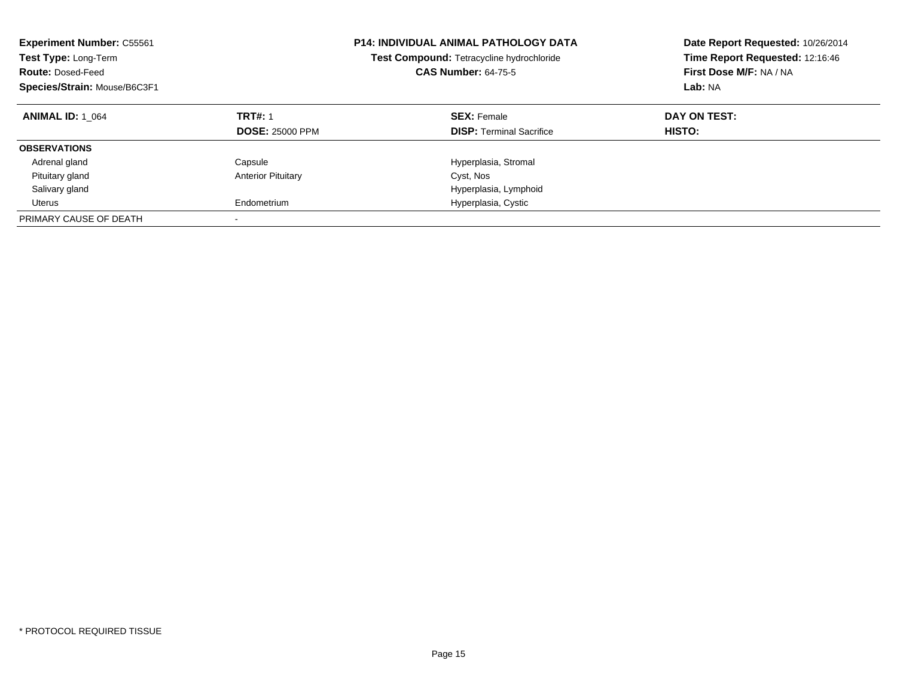| <b>Experiment Number: C55561</b><br>Test Type: Long-Term<br><b>Route: Dosed-Feed</b><br>Species/Strain: Mouse/B6C3F1 |                                          | <b>P14: INDIVIDUAL ANIMAL PATHOLOGY DATA</b><br>Test Compound: Tetracycline hydrochloride<br><b>CAS Number: 64-75-5</b> | Date Report Requested: 10/26/2014<br>Time Report Requested: 12:16:46<br>First Dose M/F: NA / NA<br>Lab: NA |
|----------------------------------------------------------------------------------------------------------------------|------------------------------------------|-------------------------------------------------------------------------------------------------------------------------|------------------------------------------------------------------------------------------------------------|
| <b>ANIMAL ID: 1 064</b>                                                                                              | <b>TRT#: 1</b><br><b>DOSE: 25000 PPM</b> | <b>SEX: Female</b><br><b>DISP:</b> Terminal Sacrifice                                                                   | DAY ON TEST:<br>HISTO:                                                                                     |
| <b>OBSERVATIONS</b>                                                                                                  |                                          |                                                                                                                         |                                                                                                            |
| Adrenal gland                                                                                                        | Capsule                                  | Hyperplasia, Stromal                                                                                                    |                                                                                                            |
| Pituitary gland                                                                                                      | <b>Anterior Pituitary</b>                | Cyst, Nos                                                                                                               |                                                                                                            |
| Salivary gland                                                                                                       |                                          | Hyperplasia, Lymphoid                                                                                                   |                                                                                                            |
| Uterus                                                                                                               | Endometrium                              | Hyperplasia, Cystic                                                                                                     |                                                                                                            |
| PRIMARY CAUSE OF DEATH                                                                                               |                                          |                                                                                                                         |                                                                                                            |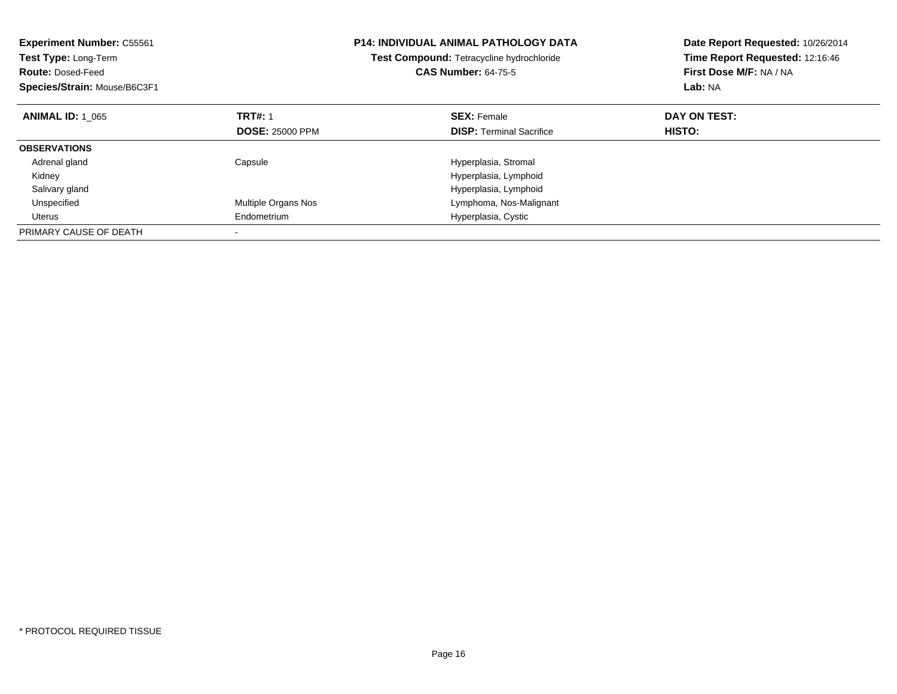| <b>Experiment Number: C55561</b><br>Test Type: Long-Term<br><b>Route: Dosed-Feed</b><br>Species/Strain: Mouse/B6C3F1 |                        | <b>P14: INDIVIDUAL ANIMAL PATHOLOGY DATA</b><br>Test Compound: Tetracycline hydrochloride<br><b>CAS Number: 64-75-5</b> | Date Report Requested: 10/26/2014<br>Time Report Requested: 12:16:46<br>First Dose M/F: NA / NA<br>Lab: NA |
|----------------------------------------------------------------------------------------------------------------------|------------------------|-------------------------------------------------------------------------------------------------------------------------|------------------------------------------------------------------------------------------------------------|
| <b>ANIMAL ID: 1 065</b>                                                                                              | <b>TRT#: 1</b>         | <b>SEX: Female</b>                                                                                                      | DAY ON TEST:                                                                                               |
|                                                                                                                      | <b>DOSE: 25000 PPM</b> | <b>DISP:</b> Terminal Sacrifice                                                                                         | HISTO:                                                                                                     |
| <b>OBSERVATIONS</b>                                                                                                  |                        |                                                                                                                         |                                                                                                            |
| Adrenal gland                                                                                                        | Capsule                | Hyperplasia, Stromal                                                                                                    |                                                                                                            |
| Kidney                                                                                                               |                        | Hyperplasia, Lymphoid                                                                                                   |                                                                                                            |
| Salivary gland                                                                                                       |                        | Hyperplasia, Lymphoid                                                                                                   |                                                                                                            |
| Unspecified                                                                                                          | Multiple Organs Nos    | Lymphoma, Nos-Malignant                                                                                                 |                                                                                                            |
| Uterus                                                                                                               | Endometrium            | Hyperplasia, Cystic                                                                                                     |                                                                                                            |
| PRIMARY CAUSE OF DEATH                                                                                               |                        |                                                                                                                         |                                                                                                            |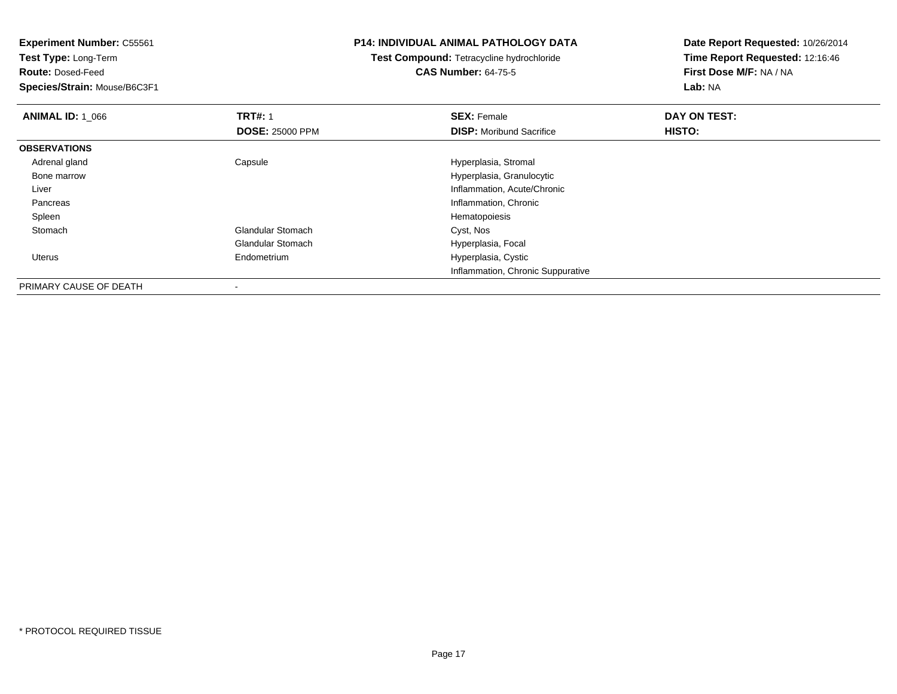**Experiment Number:** C55561

**Test Type:** Long-Term

**Route:** Dosed-Feed

**Species/Strain:** Mouse/B6C3F1

## **P14: INDIVIDUAL ANIMAL PATHOLOGY DATA**

## **Test Compound:** Tetracycline hydrochloride**CAS Number:** 64-75-5

**Date Report Requested:** 10/26/2014**Time Report Requested:** 12:16:46**First Dose M/F:** NA / NA**Lab:** NA

| <b>ANIMAL ID: 1 066</b> | <b>TRT#: 1</b>           | <b>SEX: Female</b>                | DAY ON TEST: |  |
|-------------------------|--------------------------|-----------------------------------|--------------|--|
|                         | <b>DOSE: 25000 PPM</b>   | <b>DISP:</b> Moribund Sacrifice   | HISTO:       |  |
| <b>OBSERVATIONS</b>     |                          |                                   |              |  |
| Adrenal gland           | Capsule                  | Hyperplasia, Stromal              |              |  |
| Bone marrow             |                          | Hyperplasia, Granulocytic         |              |  |
| Liver                   |                          | Inflammation, Acute/Chronic       |              |  |
| Pancreas                |                          | Inflammation, Chronic             |              |  |
| Spleen                  |                          | Hematopoiesis                     |              |  |
| Stomach                 | <b>Glandular Stomach</b> | Cyst, Nos                         |              |  |
|                         | <b>Glandular Stomach</b> | Hyperplasia, Focal                |              |  |
| Uterus                  | Endometrium              | Hyperplasia, Cystic               |              |  |
|                         |                          | Inflammation, Chronic Suppurative |              |  |
| PRIMARY CAUSE OF DEATH  |                          |                                   |              |  |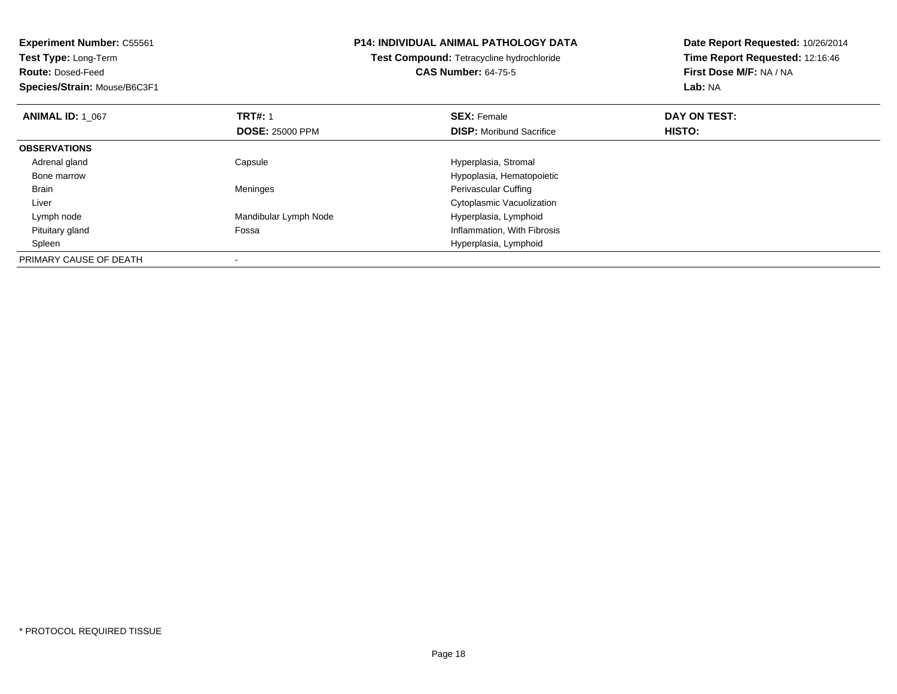| <b>Experiment Number: C55561</b> | <b>P14: INDIVIDUAL ANIMAL PATHOLOGY DATA</b><br><b>Test Compound: Tetracycline hydrochloride</b> |                                 | Date Report Requested: 10/26/2014<br>Time Report Requested: 12:16:46 |
|----------------------------------|--------------------------------------------------------------------------------------------------|---------------------------------|----------------------------------------------------------------------|
| <b>Test Type: Long-Term</b>      |                                                                                                  |                                 |                                                                      |
| <b>Route: Dosed-Feed</b>         |                                                                                                  | <b>CAS Number: 64-75-5</b>      | First Dose M/F: NA / NA                                              |
| Species/Strain: Mouse/B6C3F1     |                                                                                                  |                                 | Lab: NA                                                              |
| <b>ANIMAL ID: 1 067</b>          | <b>TRT#: 1</b>                                                                                   | <b>SEX: Female</b>              | DAY ON TEST:                                                         |
|                                  | <b>DOSE: 25000 PPM</b>                                                                           | <b>DISP:</b> Moribund Sacrifice | HISTO:                                                               |
| <b>OBSERVATIONS</b>              |                                                                                                  |                                 |                                                                      |
| Adrenal gland                    | Capsule                                                                                          | Hyperplasia, Stromal            |                                                                      |
| Bone marrow                      |                                                                                                  | Hypoplasia, Hematopoietic       |                                                                      |
| Brain                            | Meninges                                                                                         | Perivascular Cuffing            |                                                                      |
| Liver                            |                                                                                                  | Cytoplasmic Vacuolization       |                                                                      |
| Lymph node                       | Mandibular Lymph Node                                                                            | Hyperplasia, Lymphoid           |                                                                      |
| Pituitary gland                  | Fossa                                                                                            | Inflammation, With Fibrosis     |                                                                      |
| Spleen                           |                                                                                                  | Hyperplasia, Lymphoid           |                                                                      |
| PRIMARY CAUSE OF DEATH           |                                                                                                  |                                 |                                                                      |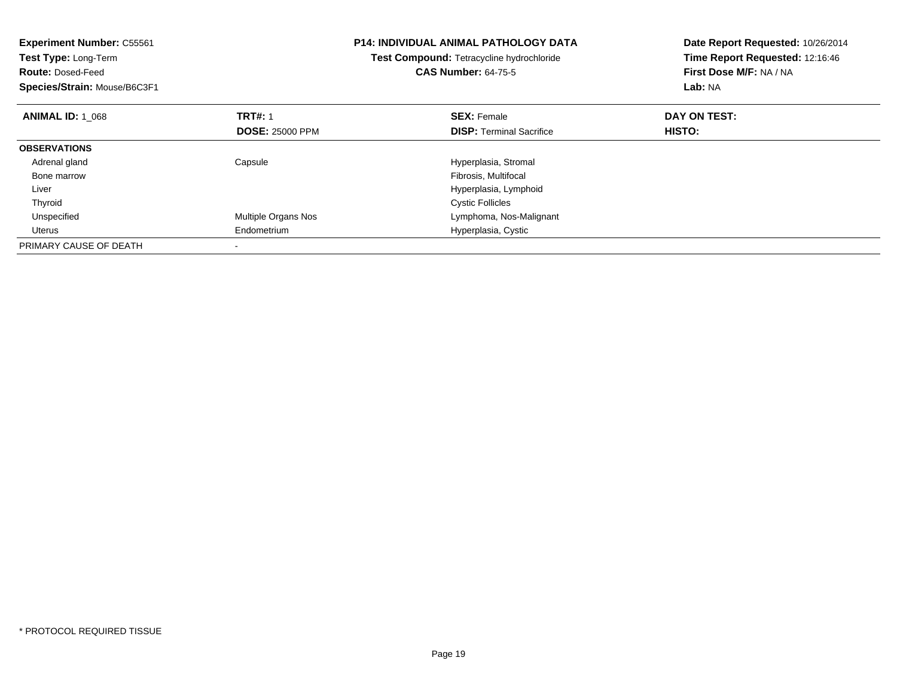| <b>Experiment Number: C55561</b><br>Test Type: Long-Term<br><b>Route: Dosed-Feed</b><br>Species/Strain: Mouse/B6C3F1 |                        | <b>P14: INDIVIDUAL ANIMAL PATHOLOGY DATA</b><br>Test Compound: Tetracycline hydrochloride<br><b>CAS Number: 64-75-5</b> | Date Report Requested: 10/26/2014<br>Time Report Requested: 12:16:46<br>First Dose M/F: NA / NA<br>Lab: NA |
|----------------------------------------------------------------------------------------------------------------------|------------------------|-------------------------------------------------------------------------------------------------------------------------|------------------------------------------------------------------------------------------------------------|
| <b>ANIMAL ID: 1 068</b>                                                                                              | <b>TRT#: 1</b>         | <b>SEX: Female</b>                                                                                                      | DAY ON TEST:                                                                                               |
|                                                                                                                      | <b>DOSE: 25000 PPM</b> | <b>DISP:</b> Terminal Sacrifice                                                                                         | <b>HISTO:</b>                                                                                              |
| <b>OBSERVATIONS</b>                                                                                                  |                        |                                                                                                                         |                                                                                                            |
| Adrenal gland                                                                                                        | Capsule                | Hyperplasia, Stromal                                                                                                    |                                                                                                            |
| Bone marrow                                                                                                          |                        | Fibrosis, Multifocal                                                                                                    |                                                                                                            |
| Liver                                                                                                                |                        | Hyperplasia, Lymphoid                                                                                                   |                                                                                                            |
| Thyroid                                                                                                              |                        | <b>Cystic Follicles</b>                                                                                                 |                                                                                                            |
| Unspecified                                                                                                          | Multiple Organs Nos    | Lymphoma, Nos-Malignant                                                                                                 |                                                                                                            |
| Uterus                                                                                                               | Endometrium            | Hyperplasia, Cystic                                                                                                     |                                                                                                            |
| PRIMARY CAUSE OF DEATH                                                                                               |                        |                                                                                                                         |                                                                                                            |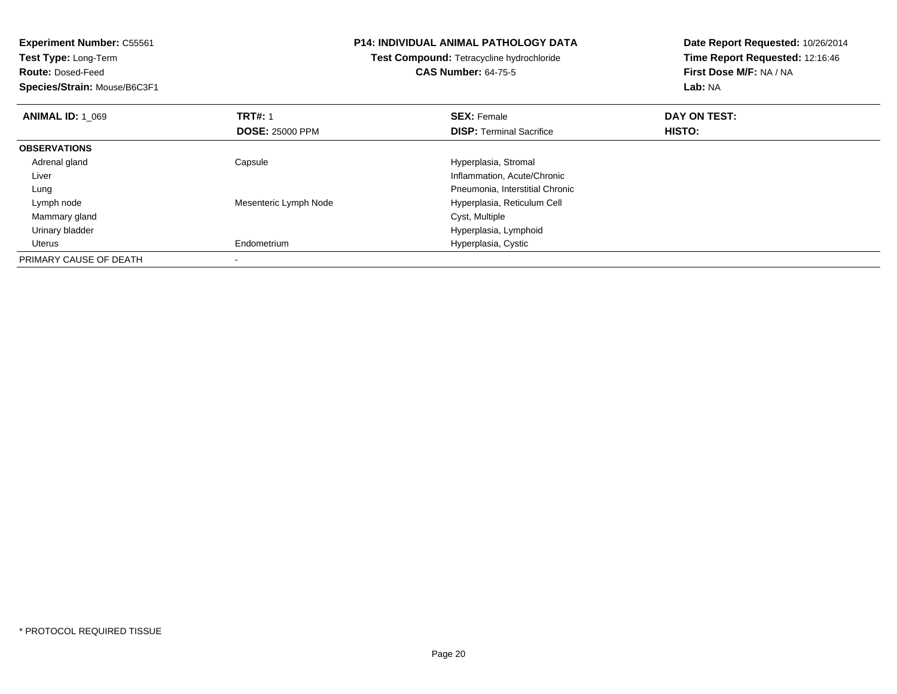| <b>Experiment Number: C55561</b> |                        | <b>P14: INDIVIDUAL ANIMAL PATHOLOGY DATA</b> | Date Report Requested: 10/26/2014 |
|----------------------------------|------------------------|----------------------------------------------|-----------------------------------|
| <b>Test Type: Long-Term</b>      |                        | Test Compound: Tetracycline hydrochloride    | Time Report Requested: 12:16:46   |
| <b>Route: Dosed-Feed</b>         |                        | <b>CAS Number: 64-75-5</b>                   | First Dose M/F: NA / NA           |
| Species/Strain: Mouse/B6C3F1     |                        |                                              | <b>Lab: NA</b>                    |
| <b>ANIMAL ID: 1 069</b>          | <b>TRT#: 1</b>         | <b>SEX: Female</b>                           | DAY ON TEST:                      |
|                                  | <b>DOSE: 25000 PPM</b> | <b>DISP:</b> Terminal Sacrifice              | <b>HISTO:</b>                     |
| <b>OBSERVATIONS</b>              |                        |                                              |                                   |
| Adrenal gland                    | Capsule                | Hyperplasia, Stromal                         |                                   |
| Liver                            |                        | Inflammation, Acute/Chronic                  |                                   |
| Lung                             |                        | Pneumonia, Interstitial Chronic              |                                   |
| Lymph node                       | Mesenteric Lymph Node  | Hyperplasia, Reticulum Cell                  |                                   |
| Mammary gland                    |                        | Cyst, Multiple                               |                                   |
| Urinary bladder                  |                        | Hyperplasia, Lymphoid                        |                                   |
| Uterus                           | Endometrium            | Hyperplasia, Cystic                          |                                   |
| PRIMARY CAUSE OF DEATH           |                        |                                              |                                   |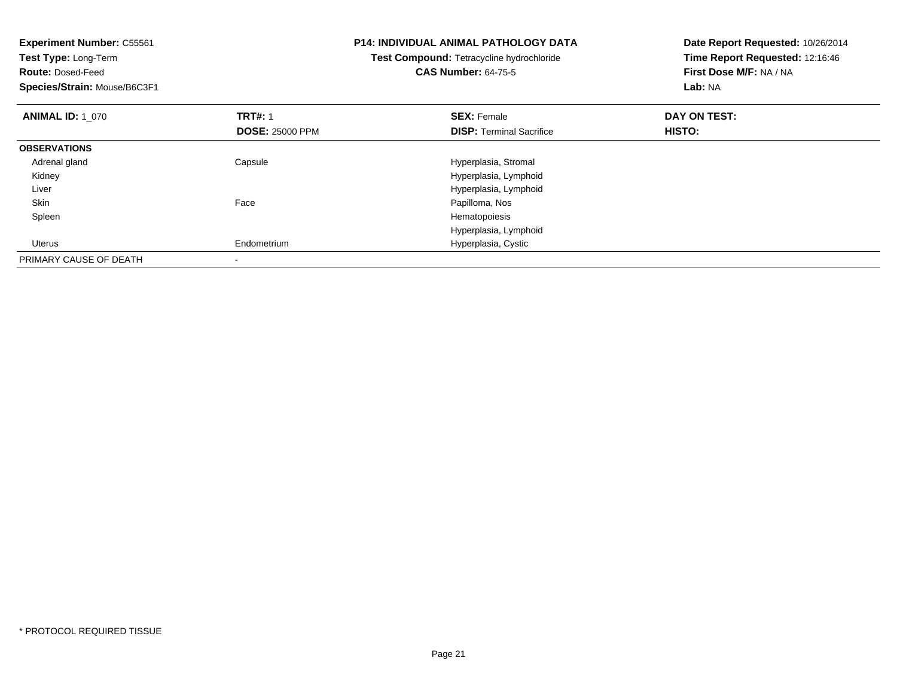| <b>Experiment Number: C55561</b><br>Test Type: Long-Term<br><b>Route: Dosed-Feed</b><br>Species/Strain: Mouse/B6C3F1 |                        | <b>P14: INDIVIDUAL ANIMAL PATHOLOGY DATA</b><br>Test Compound: Tetracycline hydrochloride<br><b>CAS Number: 64-75-5</b> | Date Report Requested: 10/26/2014<br>Time Report Requested: 12:16:46<br>First Dose M/F: NA / NA<br>Lab: NA |
|----------------------------------------------------------------------------------------------------------------------|------------------------|-------------------------------------------------------------------------------------------------------------------------|------------------------------------------------------------------------------------------------------------|
| <b>ANIMAL ID: 1 070</b>                                                                                              | <b>TRT#: 1</b>         | <b>SEX: Female</b>                                                                                                      | DAY ON TEST:                                                                                               |
|                                                                                                                      | <b>DOSE: 25000 PPM</b> | <b>DISP:</b> Terminal Sacrifice                                                                                         | HISTO:                                                                                                     |
| <b>OBSERVATIONS</b>                                                                                                  |                        |                                                                                                                         |                                                                                                            |
| Adrenal gland                                                                                                        | Capsule                | Hyperplasia, Stromal                                                                                                    |                                                                                                            |
| Kidney                                                                                                               |                        | Hyperplasia, Lymphoid                                                                                                   |                                                                                                            |
| Liver                                                                                                                |                        | Hyperplasia, Lymphoid                                                                                                   |                                                                                                            |
| Skin                                                                                                                 | Face                   | Papilloma, Nos                                                                                                          |                                                                                                            |
| Spleen                                                                                                               |                        | Hematopoiesis                                                                                                           |                                                                                                            |
|                                                                                                                      |                        | Hyperplasia, Lymphoid                                                                                                   |                                                                                                            |
| Uterus                                                                                                               | Endometrium            | Hyperplasia, Cystic                                                                                                     |                                                                                                            |
| PRIMARY CAUSE OF DEATH                                                                                               |                        |                                                                                                                         |                                                                                                            |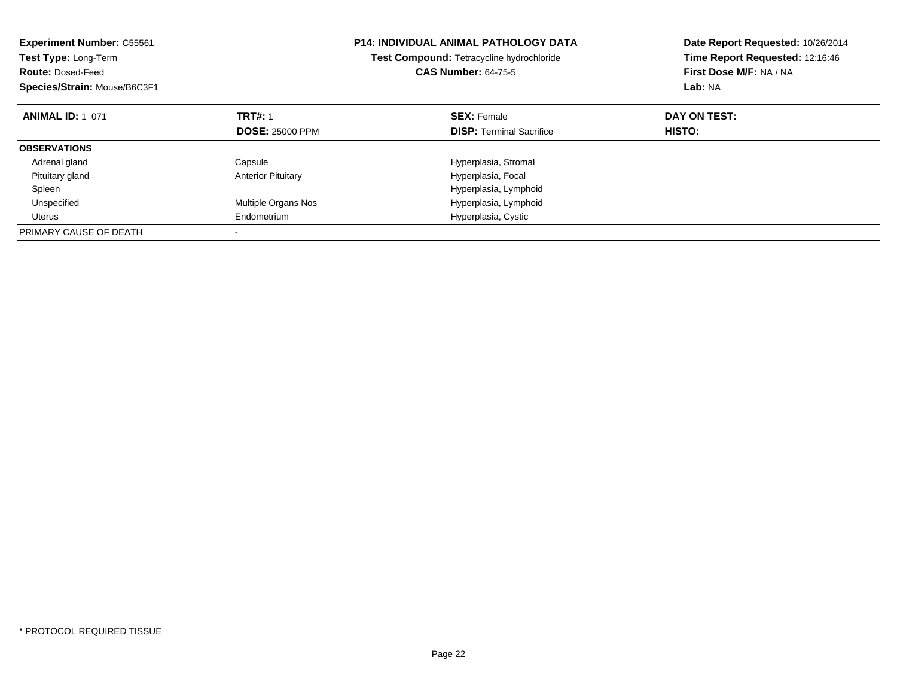| <b>Experiment Number: C55561</b><br>Test Type: Long-Term<br><b>Route: Dosed-Feed</b><br>Species/Strain: Mouse/B6C3F1 |                           | <b>P14: INDIVIDUAL ANIMAL PATHOLOGY DATA</b><br>Test Compound: Tetracycline hydrochloride<br><b>CAS Number: 64-75-5</b> | Date Report Requested: 10/26/2014<br>Time Report Requested: 12:16:46<br>First Dose M/F: NA / NA<br>Lab: NA |
|----------------------------------------------------------------------------------------------------------------------|---------------------------|-------------------------------------------------------------------------------------------------------------------------|------------------------------------------------------------------------------------------------------------|
| <b>ANIMAL ID: 1 071</b>                                                                                              | <b>TRT#: 1</b>            | <b>SEX: Female</b>                                                                                                      | DAY ON TEST:                                                                                               |
|                                                                                                                      | <b>DOSE: 25000 PPM</b>    | <b>DISP:</b> Terminal Sacrifice                                                                                         | HISTO:                                                                                                     |
| <b>OBSERVATIONS</b>                                                                                                  |                           |                                                                                                                         |                                                                                                            |
| Adrenal gland                                                                                                        | Capsule                   | Hyperplasia, Stromal                                                                                                    |                                                                                                            |
| Pituitary gland                                                                                                      | <b>Anterior Pituitary</b> | Hyperplasia, Focal                                                                                                      |                                                                                                            |
| Spleen                                                                                                               |                           | Hyperplasia, Lymphoid                                                                                                   |                                                                                                            |
| Unspecified                                                                                                          | Multiple Organs Nos       | Hyperplasia, Lymphoid                                                                                                   |                                                                                                            |
| Uterus                                                                                                               | Endometrium               | Hyperplasia, Cystic                                                                                                     |                                                                                                            |
| PRIMARY CAUSE OF DEATH                                                                                               |                           |                                                                                                                         |                                                                                                            |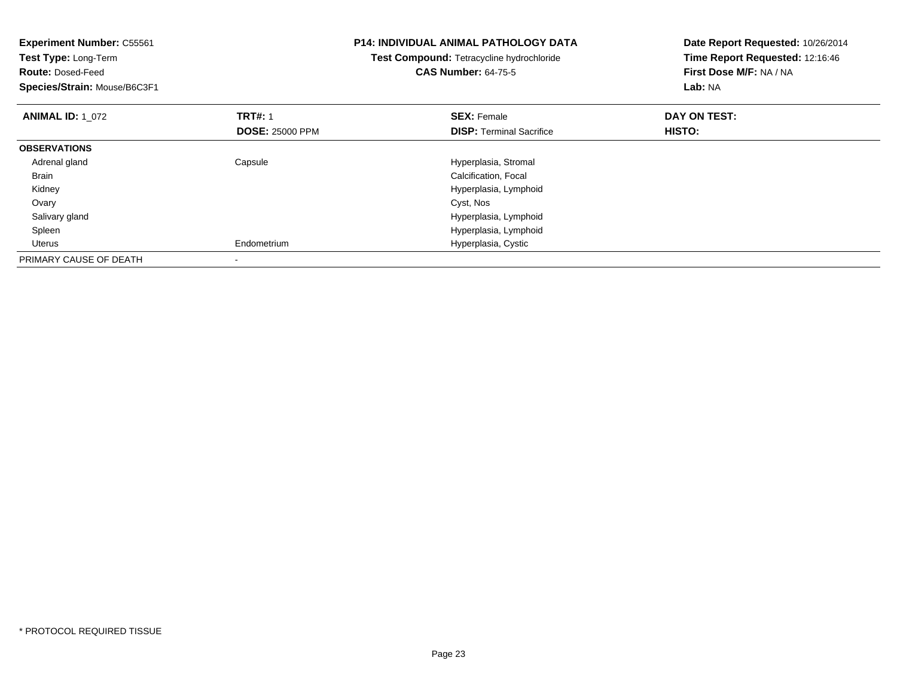| <b>Experiment Number: C55561</b><br>Test Type: Long-Term<br><b>Route: Dosed-Feed</b><br>Species/Strain: Mouse/B6C3F1 |                        | <b>P14: INDIVIDUAL ANIMAL PATHOLOGY DATA</b><br>Test Compound: Tetracycline hydrochloride<br><b>CAS Number: 64-75-5</b> | Date Report Requested: 10/26/2014<br>Time Report Requested: 12:16:46<br>First Dose M/F: NA / NA<br>Lab: NA |
|----------------------------------------------------------------------------------------------------------------------|------------------------|-------------------------------------------------------------------------------------------------------------------------|------------------------------------------------------------------------------------------------------------|
| <b>ANIMAL ID: 1 072</b>                                                                                              | <b>TRT#: 1</b>         | <b>SEX: Female</b>                                                                                                      | DAY ON TEST:                                                                                               |
|                                                                                                                      | <b>DOSE: 25000 PPM</b> | <b>DISP:</b> Terminal Sacrifice                                                                                         | HISTO:                                                                                                     |
| <b>OBSERVATIONS</b>                                                                                                  |                        |                                                                                                                         |                                                                                                            |
| Adrenal gland                                                                                                        | Capsule                | Hyperplasia, Stromal                                                                                                    |                                                                                                            |
| Brain                                                                                                                |                        | Calcification, Focal                                                                                                    |                                                                                                            |
| Kidney                                                                                                               |                        | Hyperplasia, Lymphoid                                                                                                   |                                                                                                            |
| Ovary                                                                                                                |                        | Cyst, Nos                                                                                                               |                                                                                                            |
| Salivary gland                                                                                                       |                        | Hyperplasia, Lymphoid                                                                                                   |                                                                                                            |
| Spleen                                                                                                               |                        | Hyperplasia, Lymphoid                                                                                                   |                                                                                                            |
| Uterus                                                                                                               | Endometrium            | Hyperplasia, Cystic                                                                                                     |                                                                                                            |
| PRIMARY CAUSE OF DEATH                                                                                               |                        |                                                                                                                         |                                                                                                            |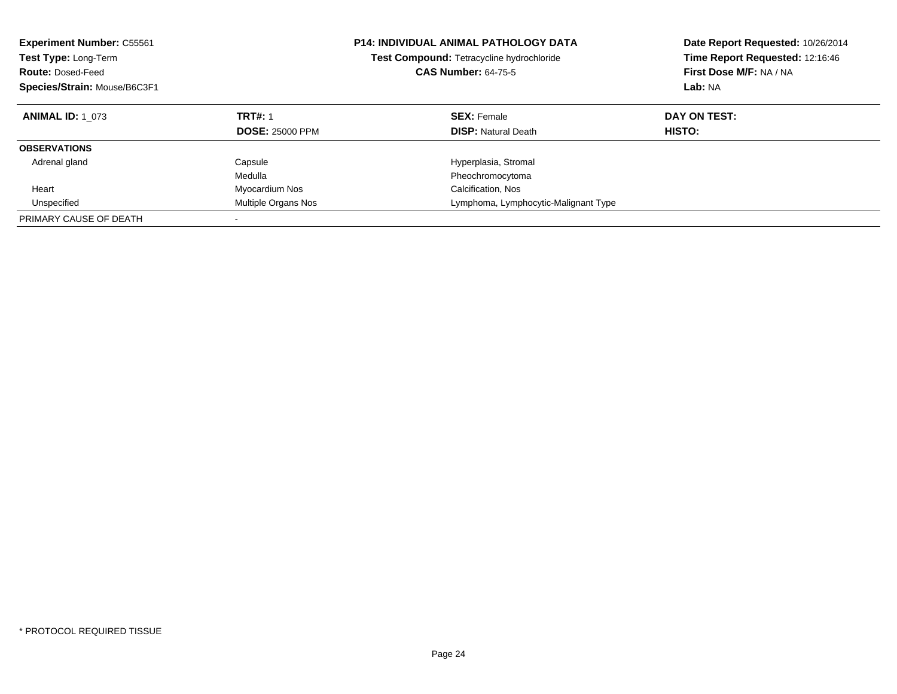| <b>Experiment Number: C55561</b><br><b>Test Type: Long-Term</b><br><b>Route: Dosed-Feed</b><br>Species/Strain: Mouse/B6C3F1 |                                          | <b>P14: INDIVIDUAL ANIMAL PATHOLOGY DATA</b><br><b>Test Compound: Tetracycline hydrochloride</b><br><b>CAS Number: 64-75-5</b> | Date Report Requested: 10/26/2014<br>Time Report Requested: 12:16:46<br>First Dose M/F: NA / NA<br>Lab: NA |
|-----------------------------------------------------------------------------------------------------------------------------|------------------------------------------|--------------------------------------------------------------------------------------------------------------------------------|------------------------------------------------------------------------------------------------------------|
| <b>ANIMAL ID: 1 073</b>                                                                                                     | <b>TRT#: 1</b><br><b>DOSE: 25000 PPM</b> | <b>SEX: Female</b><br><b>DISP:</b> Natural Death                                                                               | DAY ON TEST:<br><b>HISTO:</b>                                                                              |
| <b>OBSERVATIONS</b>                                                                                                         |                                          |                                                                                                                                |                                                                                                            |
| Adrenal gland                                                                                                               | Capsule<br>Medulla                       | Hyperplasia, Stromal<br>Pheochromocytoma                                                                                       |                                                                                                            |
| Heart                                                                                                                       | Myocardium Nos                           | Calcification, Nos                                                                                                             |                                                                                                            |
| Unspecified                                                                                                                 | Multiple Organs Nos                      | Lymphoma, Lymphocytic-Malignant Type                                                                                           |                                                                                                            |
| PRIMARY CAUSE OF DEATH                                                                                                      |                                          |                                                                                                                                |                                                                                                            |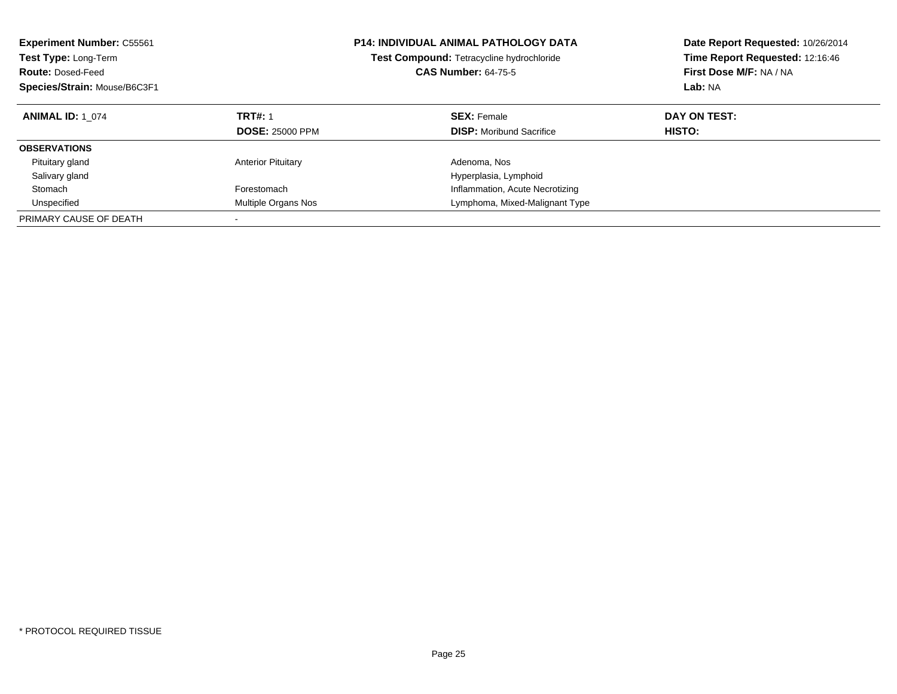| <b>Experiment Number: C55561</b><br>Test Type: Long-Term<br><b>Route: Dosed-Feed</b><br>Species/Strain: Mouse/B6C3F1 |                                          | <b>P14: INDIVIDUAL ANIMAL PATHOLOGY DATA</b><br><b>Test Compound: Tetracycline hydrochloride</b><br><b>CAS Number: 64-75-5</b> | Date Report Requested: 10/26/2014<br>Time Report Requested: 12:16:46<br>First Dose M/F: NA / NA<br>Lab: NA |
|----------------------------------------------------------------------------------------------------------------------|------------------------------------------|--------------------------------------------------------------------------------------------------------------------------------|------------------------------------------------------------------------------------------------------------|
| <b>ANIMAL ID: 1 074</b>                                                                                              | <b>TRT#: 1</b><br><b>DOSE: 25000 PPM</b> | <b>SEX: Female</b><br><b>DISP:</b> Moribund Sacrifice                                                                          | DAY ON TEST:<br>HISTO:                                                                                     |
|                                                                                                                      |                                          |                                                                                                                                |                                                                                                            |
| <b>OBSERVATIONS</b>                                                                                                  |                                          |                                                                                                                                |                                                                                                            |
| Pituitary gland                                                                                                      | <b>Anterior Pituitary</b>                | Adenoma, Nos                                                                                                                   |                                                                                                            |
| Salivary gland                                                                                                       |                                          | Hyperplasia, Lymphoid                                                                                                          |                                                                                                            |
| Stomach                                                                                                              | Forestomach                              | Inflammation, Acute Necrotizing                                                                                                |                                                                                                            |
| Unspecified                                                                                                          | Multiple Organs Nos                      | Lymphoma, Mixed-Malignant Type                                                                                                 |                                                                                                            |
| PRIMARY CAUSE OF DEATH                                                                                               |                                          |                                                                                                                                |                                                                                                            |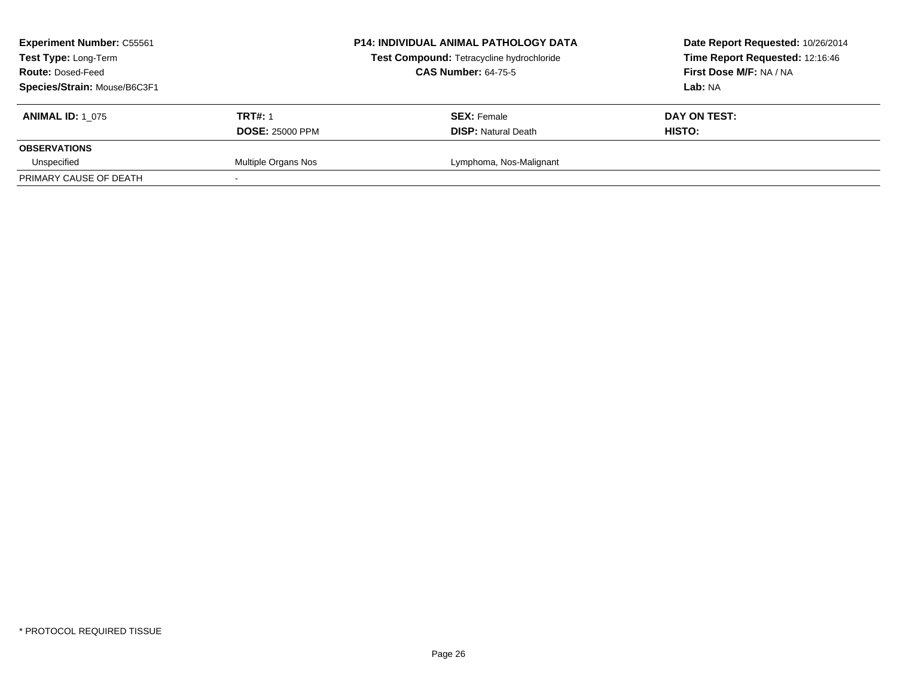| <b>Experiment Number: C55561</b><br>Test Type: Long-Term<br><b>Route: Dosed-Feed</b><br>Species/Strain: Mouse/B6C3F1 |                                          | <b>P14: INDIVIDUAL ANIMAL PATHOLOGY DATA</b><br>Test Compound: Tetracycline hydrochloride<br><b>CAS Number: 64-75-5</b> | Date Report Requested: 10/26/2014<br>Time Report Requested: 12:16:46<br>First Dose M/F: NA / NA<br>Lab: NA |
|----------------------------------------------------------------------------------------------------------------------|------------------------------------------|-------------------------------------------------------------------------------------------------------------------------|------------------------------------------------------------------------------------------------------------|
| <b>ANIMAL ID: 1 075</b>                                                                                              | <b>TRT#: 1</b><br><b>DOSE: 25000 PPM</b> | <b>SEX: Female</b><br><b>DISP:</b> Natural Death                                                                        | DAY ON TEST:<br>HISTO:                                                                                     |
| <b>OBSERVATIONS</b>                                                                                                  |                                          |                                                                                                                         |                                                                                                            |
| Unspecified<br>PRIMARY CAUSE OF DEATH                                                                                | Multiple Organs Nos                      | Lymphoma, Nos-Malignant                                                                                                 |                                                                                                            |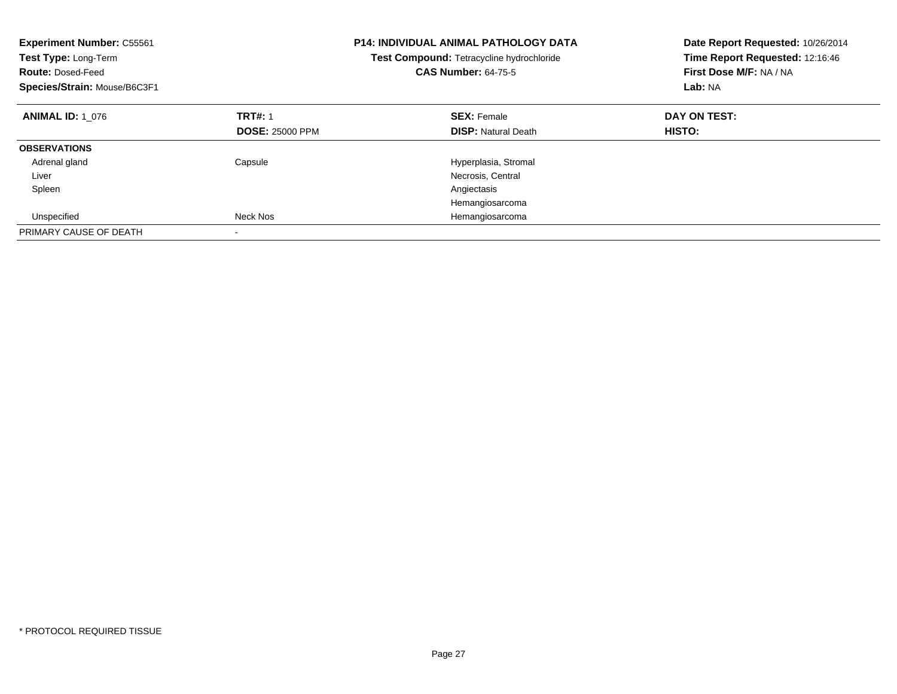| <b>Experiment Number: C55561</b><br><b>Test Type: Long-Term</b><br><b>Route: Dosed-Feed</b><br>Species/Strain: Mouse/B6C3F1 |                                          | <b>P14: INDIVIDUAL ANIMAL PATHOLOGY DATA</b><br>Test Compound: Tetracycline hydrochloride<br><b>CAS Number: 64-75-5</b> | Date Report Requested: 10/26/2014<br>Time Report Requested: 12:16:46<br>First Dose M/F: NA / NA<br>Lab: NA |
|-----------------------------------------------------------------------------------------------------------------------------|------------------------------------------|-------------------------------------------------------------------------------------------------------------------------|------------------------------------------------------------------------------------------------------------|
| <b>ANIMAL ID: 1 076</b>                                                                                                     | <b>TRT#: 1</b><br><b>DOSE: 25000 PPM</b> | <b>SEX: Female</b><br><b>DISP: Natural Death</b>                                                                        | DAY ON TEST:<br>HISTO:                                                                                     |
| <b>OBSERVATIONS</b>                                                                                                         |                                          |                                                                                                                         |                                                                                                            |
|                                                                                                                             |                                          |                                                                                                                         |                                                                                                            |
| Adrenal gland                                                                                                               | Capsule                                  | Hyperplasia, Stromal                                                                                                    |                                                                                                            |
| Liver                                                                                                                       |                                          | Necrosis, Central                                                                                                       |                                                                                                            |
| Spleen                                                                                                                      |                                          | Angiectasis                                                                                                             |                                                                                                            |
|                                                                                                                             |                                          | Hemangiosarcoma                                                                                                         |                                                                                                            |
| Unspecified                                                                                                                 | Neck Nos                                 | Hemangiosarcoma                                                                                                         |                                                                                                            |
| PRIMARY CAUSE OF DEATH                                                                                                      |                                          |                                                                                                                         |                                                                                                            |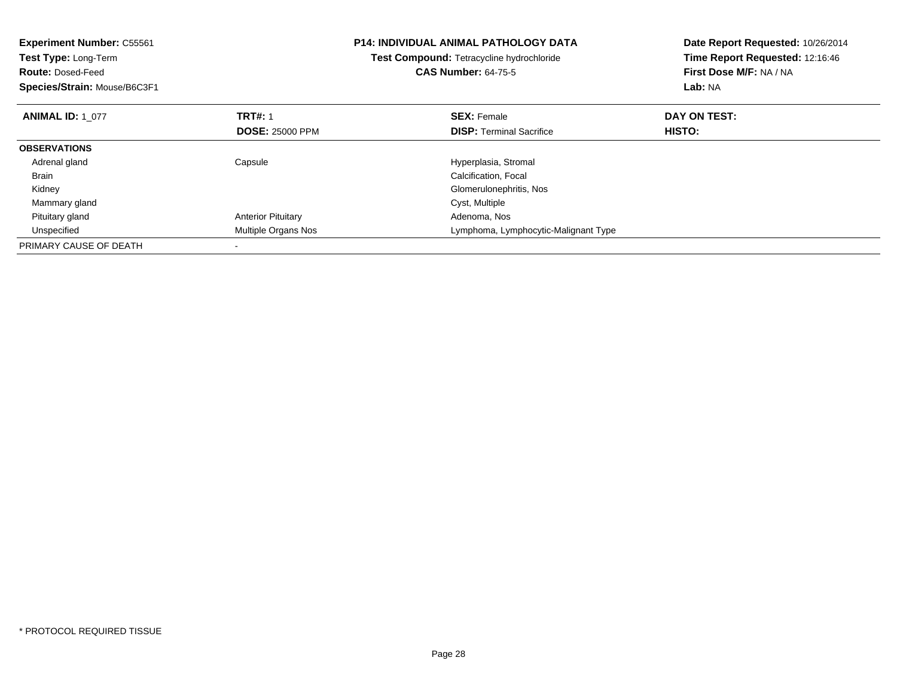| <b>Experiment Number: C55561</b><br>Test Type: Long-Term<br><b>Route: Dosed-Feed</b><br>Species/Strain: Mouse/B6C3F1 |                           | <b>P14: INDIVIDUAL ANIMAL PATHOLOGY DATA</b><br>Test Compound: Tetracycline hydrochloride<br><b>CAS Number: 64-75-5</b> | Date Report Requested: 10/26/2014<br>Time Report Requested: 12:16:46<br>First Dose M/F: NA / NA<br>Lab: NA |
|----------------------------------------------------------------------------------------------------------------------|---------------------------|-------------------------------------------------------------------------------------------------------------------------|------------------------------------------------------------------------------------------------------------|
| <b>ANIMAL ID: 1 077</b>                                                                                              | <b>TRT#: 1</b>            | <b>SEX: Female</b>                                                                                                      | DAY ON TEST:                                                                                               |
|                                                                                                                      | <b>DOSE: 25000 PPM</b>    | <b>DISP:</b> Terminal Sacrifice                                                                                         | <b>HISTO:</b>                                                                                              |
| <b>OBSERVATIONS</b>                                                                                                  |                           |                                                                                                                         |                                                                                                            |
| Adrenal gland                                                                                                        | Capsule                   | Hyperplasia, Stromal                                                                                                    |                                                                                                            |
| <b>Brain</b>                                                                                                         |                           | Calcification, Focal                                                                                                    |                                                                                                            |
| Kidney                                                                                                               |                           | Glomerulonephritis, Nos                                                                                                 |                                                                                                            |
| Mammary gland                                                                                                        |                           | Cyst, Multiple                                                                                                          |                                                                                                            |
| Pituitary gland                                                                                                      | <b>Anterior Pituitary</b> | Adenoma, Nos                                                                                                            |                                                                                                            |
| Unspecified                                                                                                          | Multiple Organs Nos       | Lymphoma, Lymphocytic-Malignant Type                                                                                    |                                                                                                            |
| PRIMARY CAUSE OF DEATH                                                                                               |                           |                                                                                                                         |                                                                                                            |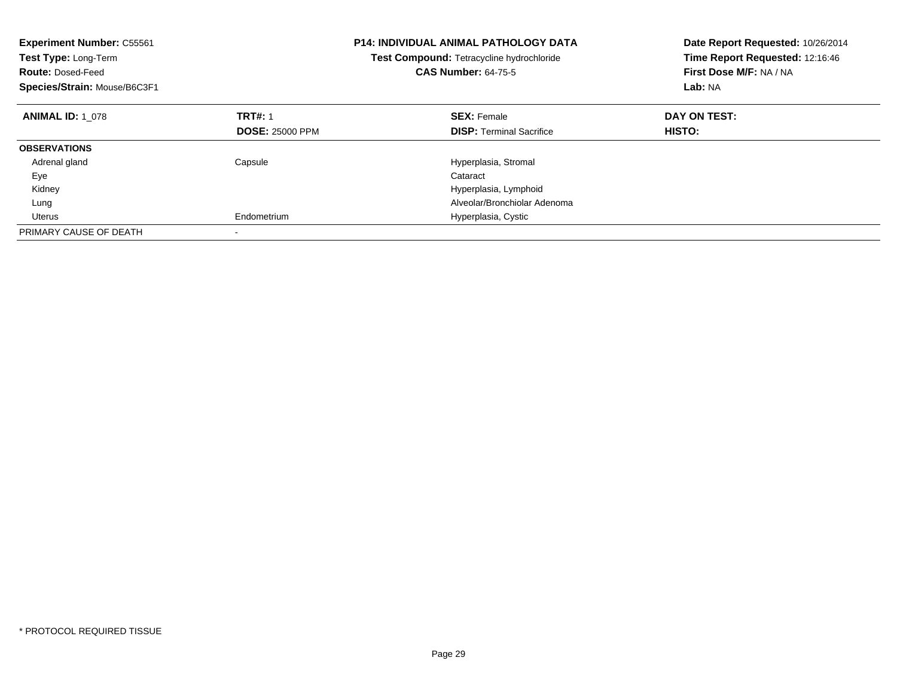| <b>Experiment Number: C55561</b><br>Test Type: Long-Term<br><b>Route: Dosed-Feed</b><br>Species/Strain: Mouse/B6C3F1 |                        | <b>P14: INDIVIDUAL ANIMAL PATHOLOGY DATA</b><br>Test Compound: Tetracycline hydrochloride<br><b>CAS Number: 64-75-5</b> | Date Report Requested: 10/26/2014<br>Time Report Requested: 12:16:46<br>First Dose M/F: NA / NA<br>Lab: NA |
|----------------------------------------------------------------------------------------------------------------------|------------------------|-------------------------------------------------------------------------------------------------------------------------|------------------------------------------------------------------------------------------------------------|
| <b>ANIMAL ID: 1 078</b>                                                                                              | <b>TRT#: 1</b>         | <b>SEX: Female</b>                                                                                                      | DAY ON TEST:                                                                                               |
|                                                                                                                      | <b>DOSE: 25000 PPM</b> | <b>DISP:</b> Terminal Sacrifice                                                                                         | <b>HISTO:</b>                                                                                              |
| <b>OBSERVATIONS</b>                                                                                                  |                        |                                                                                                                         |                                                                                                            |
| Adrenal gland                                                                                                        | Capsule                | Hyperplasia, Stromal                                                                                                    |                                                                                                            |
| Eye                                                                                                                  |                        | Cataract                                                                                                                |                                                                                                            |
| Kidney                                                                                                               |                        | Hyperplasia, Lymphoid                                                                                                   |                                                                                                            |
| Lung                                                                                                                 |                        | Alveolar/Bronchiolar Adenoma                                                                                            |                                                                                                            |
| Uterus                                                                                                               | Endometrium            | Hyperplasia, Cystic                                                                                                     |                                                                                                            |
| PRIMARY CAUSE OF DEATH                                                                                               |                        |                                                                                                                         |                                                                                                            |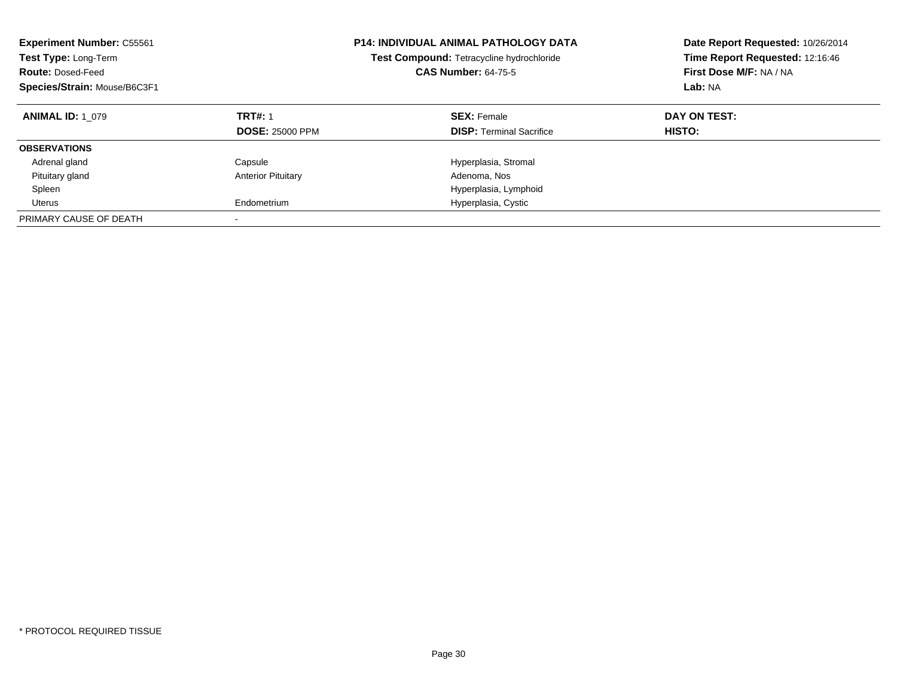| <b>Experiment Number: C55561</b><br>Test Type: Long-Term<br><b>Route: Dosed-Feed</b><br>Species/Strain: Mouse/B6C3F1 |                                          | <b>P14: INDIVIDUAL ANIMAL PATHOLOGY DATA</b><br>Test Compound: Tetracycline hydrochloride<br><b>CAS Number: 64-75-5</b> | Date Report Requested: 10/26/2014<br>Time Report Requested: 12:16:46<br>First Dose M/F: NA / NA<br>Lab: NA |
|----------------------------------------------------------------------------------------------------------------------|------------------------------------------|-------------------------------------------------------------------------------------------------------------------------|------------------------------------------------------------------------------------------------------------|
| <b>ANIMAL ID: 1 079</b>                                                                                              | <b>TRT#: 1</b><br><b>DOSE: 25000 PPM</b> | <b>SEX: Female</b><br><b>DISP: Terminal Sacrifice</b>                                                                   | DAY ON TEST:<br>HISTO:                                                                                     |
| <b>OBSERVATIONS</b>                                                                                                  |                                          |                                                                                                                         |                                                                                                            |
| Adrenal gland                                                                                                        | Capsule                                  | Hyperplasia, Stromal                                                                                                    |                                                                                                            |
| Pituitary gland                                                                                                      | <b>Anterior Pituitary</b>                | Adenoma, Nos                                                                                                            |                                                                                                            |
| Spleen                                                                                                               |                                          | Hyperplasia, Lymphoid                                                                                                   |                                                                                                            |
| Uterus                                                                                                               | Endometrium                              | Hyperplasia, Cystic                                                                                                     |                                                                                                            |
| PRIMARY CAUSE OF DEATH                                                                                               |                                          |                                                                                                                         |                                                                                                            |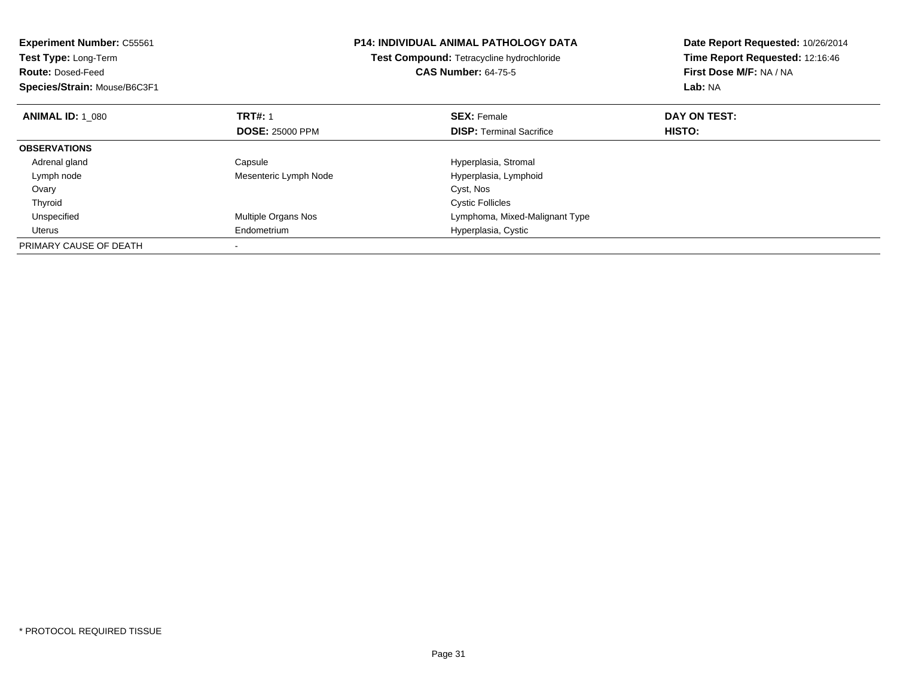| <b>Experiment Number: C55561</b><br>Test Type: Long-Term<br><b>Route: Dosed-Feed</b><br>Species/Strain: Mouse/B6C3F1 |                        | <b>P14: INDIVIDUAL ANIMAL PATHOLOGY DATA</b><br>Test Compound: Tetracycline hydrochloride<br><b>CAS Number: 64-75-5</b> | Date Report Requested: 10/26/2014<br>Time Report Requested: 12:16:46<br>First Dose M/F: NA / NA<br>Lab: NA |
|----------------------------------------------------------------------------------------------------------------------|------------------------|-------------------------------------------------------------------------------------------------------------------------|------------------------------------------------------------------------------------------------------------|
| <b>ANIMAL ID: 1 080</b>                                                                                              | <b>TRT#: 1</b>         | <b>SEX: Female</b>                                                                                                      | DAY ON TEST:                                                                                               |
|                                                                                                                      | <b>DOSE: 25000 PPM</b> | <b>DISP:</b> Terminal Sacrifice                                                                                         | HISTO:                                                                                                     |
| <b>OBSERVATIONS</b>                                                                                                  |                        |                                                                                                                         |                                                                                                            |
| Adrenal gland                                                                                                        | Capsule                | Hyperplasia, Stromal                                                                                                    |                                                                                                            |
| Lymph node                                                                                                           | Mesenteric Lymph Node  | Hyperplasia, Lymphoid                                                                                                   |                                                                                                            |
| Ovary                                                                                                                |                        | Cyst, Nos                                                                                                               |                                                                                                            |
| Thyroid                                                                                                              |                        | <b>Cystic Follicles</b>                                                                                                 |                                                                                                            |
| Unspecified                                                                                                          | Multiple Organs Nos    | Lymphoma, Mixed-Malignant Type                                                                                          |                                                                                                            |
| Uterus                                                                                                               | Endometrium            | Hyperplasia, Cystic                                                                                                     |                                                                                                            |
| PRIMARY CAUSE OF DEATH                                                                                               |                        |                                                                                                                         |                                                                                                            |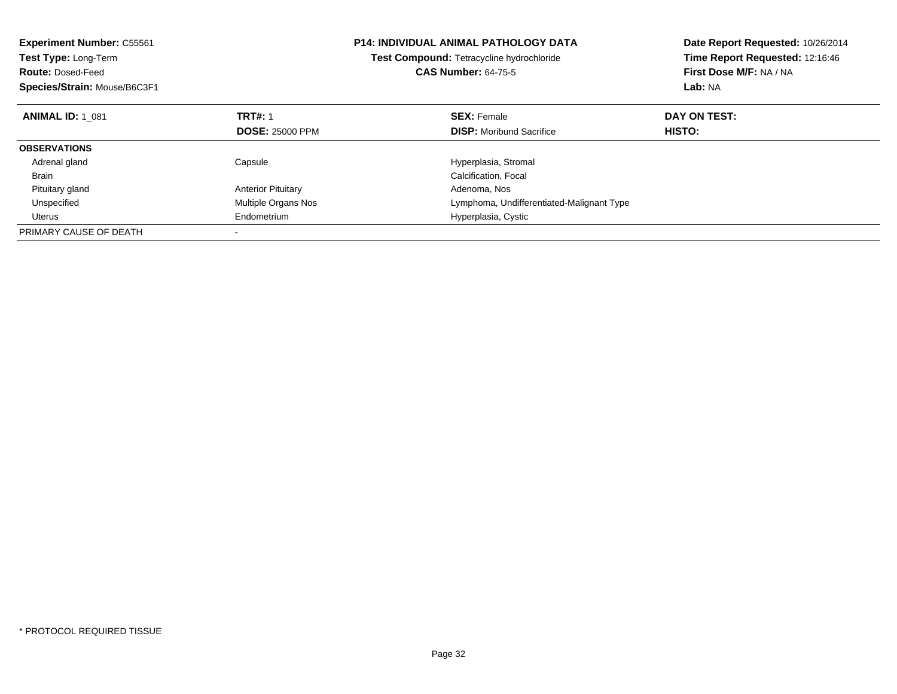| <b>Experiment Number: C55561</b><br>Test Type: Long-Term<br><b>Route: Dosed-Feed</b><br>Species/Strain: Mouse/B6C3F1 |                            | <b>P14: INDIVIDUAL ANIMAL PATHOLOGY DATA</b><br>Test Compound: Tetracycline hydrochloride<br><b>CAS Number: 64-75-5</b> | Date Report Requested: 10/26/2014<br>Time Report Requested: 12:16:46<br>First Dose M/F: NA / NA<br><b>Lab: NA</b> |
|----------------------------------------------------------------------------------------------------------------------|----------------------------|-------------------------------------------------------------------------------------------------------------------------|-------------------------------------------------------------------------------------------------------------------|
| <b>ANIMAL ID: 1 081</b>                                                                                              | <b>TRT#: 1</b>             | <b>SEX: Female</b>                                                                                                      | DAY ON TEST:                                                                                                      |
|                                                                                                                      | <b>DOSE: 25000 PPM</b>     | <b>DISP:</b> Moribund Sacrifice                                                                                         | HISTO:                                                                                                            |
| <b>OBSERVATIONS</b>                                                                                                  |                            |                                                                                                                         |                                                                                                                   |
| Adrenal gland                                                                                                        | Capsule                    | Hyperplasia, Stromal                                                                                                    |                                                                                                                   |
| <b>Brain</b>                                                                                                         |                            | Calcification, Focal                                                                                                    |                                                                                                                   |
| Pituitary gland                                                                                                      | <b>Anterior Pituitary</b>  | Adenoma, Nos                                                                                                            |                                                                                                                   |
| Unspecified                                                                                                          | <b>Multiple Organs Nos</b> | Lymphoma, Undifferentiated-Malignant Type                                                                               |                                                                                                                   |
| Uterus                                                                                                               | Endometrium                | Hyperplasia, Cystic                                                                                                     |                                                                                                                   |
| PRIMARY CAUSE OF DEATH                                                                                               |                            |                                                                                                                         |                                                                                                                   |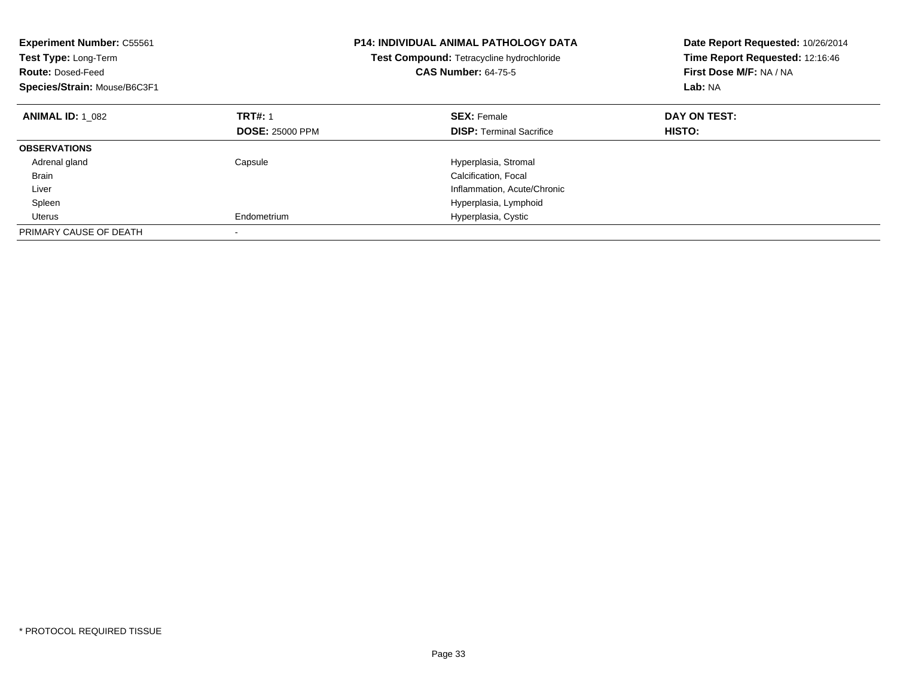| <b>Experiment Number: C55561</b><br>Test Type: Long-Term<br><b>Route: Dosed-Feed</b><br>Species/Strain: Mouse/B6C3F1 |                        | <b>P14: INDIVIDUAL ANIMAL PATHOLOGY DATA</b><br>Test Compound: Tetracycline hydrochloride<br><b>CAS Number: 64-75-5</b> | Date Report Requested: 10/26/2014<br>Time Report Requested: 12:16:46<br>First Dose M/F: NA / NA<br>Lab: NA |
|----------------------------------------------------------------------------------------------------------------------|------------------------|-------------------------------------------------------------------------------------------------------------------------|------------------------------------------------------------------------------------------------------------|
| <b>ANIMAL ID: 1 082</b>                                                                                              | <b>TRT#: 1</b>         | <b>SEX: Female</b>                                                                                                      | DAY ON TEST:                                                                                               |
|                                                                                                                      | <b>DOSE: 25000 PPM</b> | <b>DISP:</b> Terminal Sacrifice                                                                                         | HISTO:                                                                                                     |
| <b>OBSERVATIONS</b>                                                                                                  |                        |                                                                                                                         |                                                                                                            |
| Adrenal gland                                                                                                        | Capsule                | Hyperplasia, Stromal                                                                                                    |                                                                                                            |
| <b>Brain</b>                                                                                                         |                        | Calcification, Focal                                                                                                    |                                                                                                            |
| Liver                                                                                                                |                        | Inflammation, Acute/Chronic                                                                                             |                                                                                                            |
| Spleen                                                                                                               |                        | Hyperplasia, Lymphoid                                                                                                   |                                                                                                            |
| Uterus                                                                                                               | Endometrium            | Hyperplasia, Cystic                                                                                                     |                                                                                                            |
| PRIMARY CAUSE OF DEATH                                                                                               |                        |                                                                                                                         |                                                                                                            |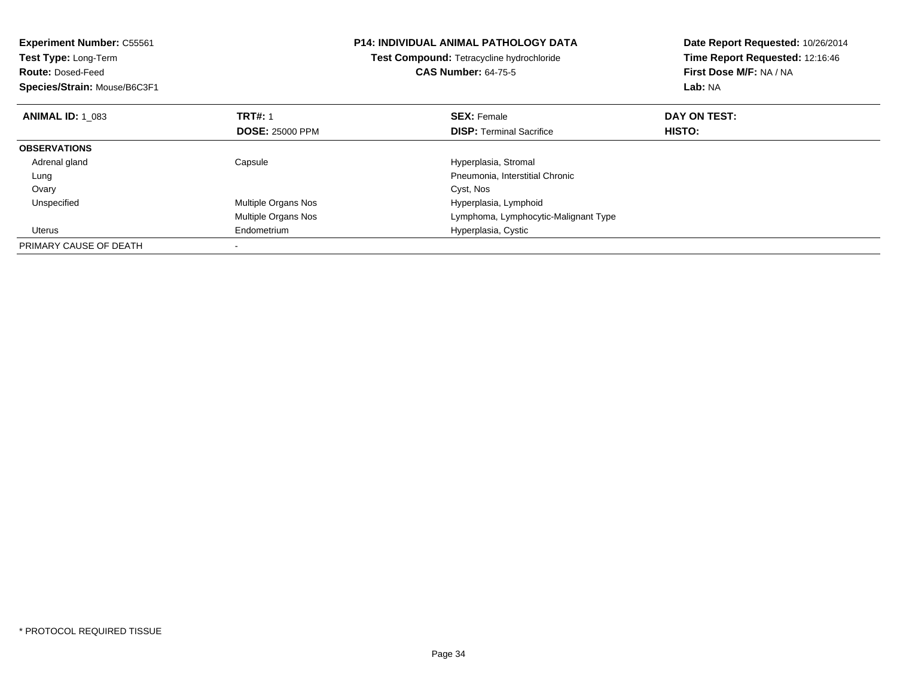| <b>Experiment Number: C55561</b><br>Test Type: Long-Term<br><b>Route: Dosed-Feed</b><br>Species/Strain: Mouse/B6C3F1 |                        | <b>P14: INDIVIDUAL ANIMAL PATHOLOGY DATA</b><br>Test Compound: Tetracycline hydrochloride<br><b>CAS Number: 64-75-5</b> | Date Report Requested: 10/26/2014<br>Time Report Requested: 12:16:46<br>First Dose M/F: NA / NA<br>Lab: NA |
|----------------------------------------------------------------------------------------------------------------------|------------------------|-------------------------------------------------------------------------------------------------------------------------|------------------------------------------------------------------------------------------------------------|
| <b>ANIMAL ID: 1 083</b>                                                                                              | <b>TRT#: 1</b>         | <b>SEX: Female</b>                                                                                                      | DAY ON TEST:                                                                                               |
|                                                                                                                      | <b>DOSE: 25000 PPM</b> | <b>DISP:</b> Terminal Sacrifice                                                                                         | <b>HISTO:</b>                                                                                              |
| <b>OBSERVATIONS</b>                                                                                                  |                        |                                                                                                                         |                                                                                                            |
| Adrenal gland                                                                                                        | Capsule                | Hyperplasia, Stromal                                                                                                    |                                                                                                            |
| Lung                                                                                                                 |                        | Pneumonia, Interstitial Chronic                                                                                         |                                                                                                            |
| Ovary                                                                                                                |                        | Cyst, Nos                                                                                                               |                                                                                                            |
| Unspecified                                                                                                          | Multiple Organs Nos    | Hyperplasia, Lymphoid                                                                                                   |                                                                                                            |
|                                                                                                                      | Multiple Organs Nos    | Lymphoma, Lymphocytic-Malignant Type                                                                                    |                                                                                                            |
| Uterus                                                                                                               | Endometrium            | Hyperplasia, Cystic                                                                                                     |                                                                                                            |
| PRIMARY CAUSE OF DEATH                                                                                               |                        |                                                                                                                         |                                                                                                            |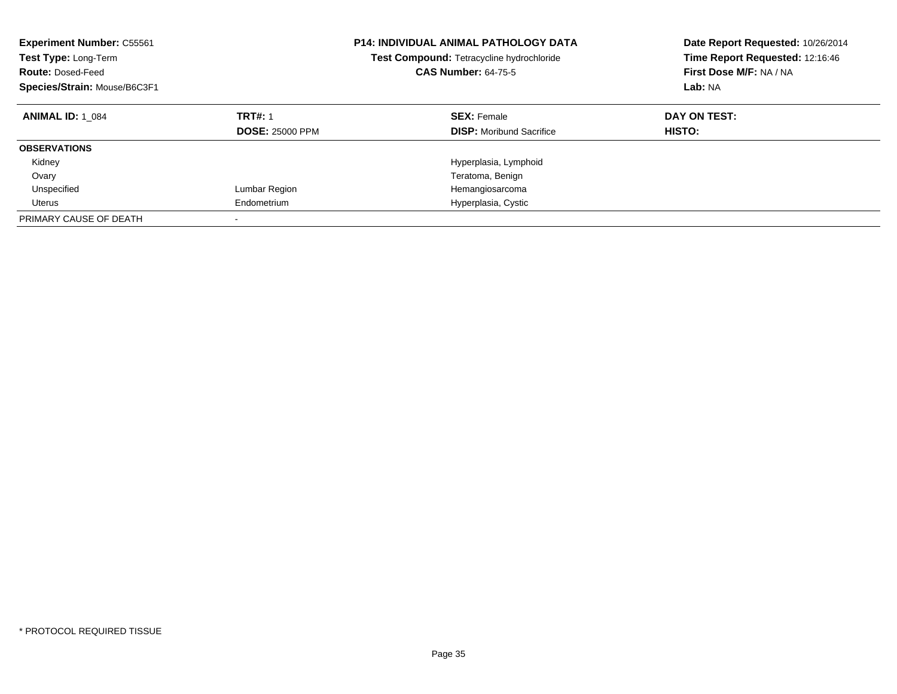| <b>Experiment Number: C55561</b><br>Test Type: Long-Term<br><b>Route: Dosed-Feed</b><br>Species/Strain: Mouse/B6C3F1 |                                          | P14: INDIVIDUAL ANIMAL PATHOLOGY DATA<br>Test Compound: Tetracycline hydrochloride<br><b>CAS Number: 64-75-5</b> | Date Report Requested: 10/26/2014<br>Time Report Requested: 12:16:46<br>First Dose M/F: NA / NA<br>Lab: NA |
|----------------------------------------------------------------------------------------------------------------------|------------------------------------------|------------------------------------------------------------------------------------------------------------------|------------------------------------------------------------------------------------------------------------|
| <b>ANIMAL ID: 1 084</b>                                                                                              | <b>TRT#: 1</b><br><b>DOSE: 25000 PPM</b> | <b>SEX: Female</b><br><b>DISP:</b> Moribund Sacrifice                                                            | DAY ON TEST:<br><b>HISTO:</b>                                                                              |
| <b>OBSERVATIONS</b>                                                                                                  |                                          |                                                                                                                  |                                                                                                            |
| Kidney                                                                                                               |                                          | Hyperplasia, Lymphoid                                                                                            |                                                                                                            |
| Ovary                                                                                                                |                                          | Teratoma, Benign                                                                                                 |                                                                                                            |
| Unspecified                                                                                                          | Lumbar Region                            | Hemangiosarcoma                                                                                                  |                                                                                                            |
| Uterus                                                                                                               | Endometrium                              | Hyperplasia, Cystic                                                                                              |                                                                                                            |
| PRIMARY CAUSE OF DEATH                                                                                               | -                                        |                                                                                                                  |                                                                                                            |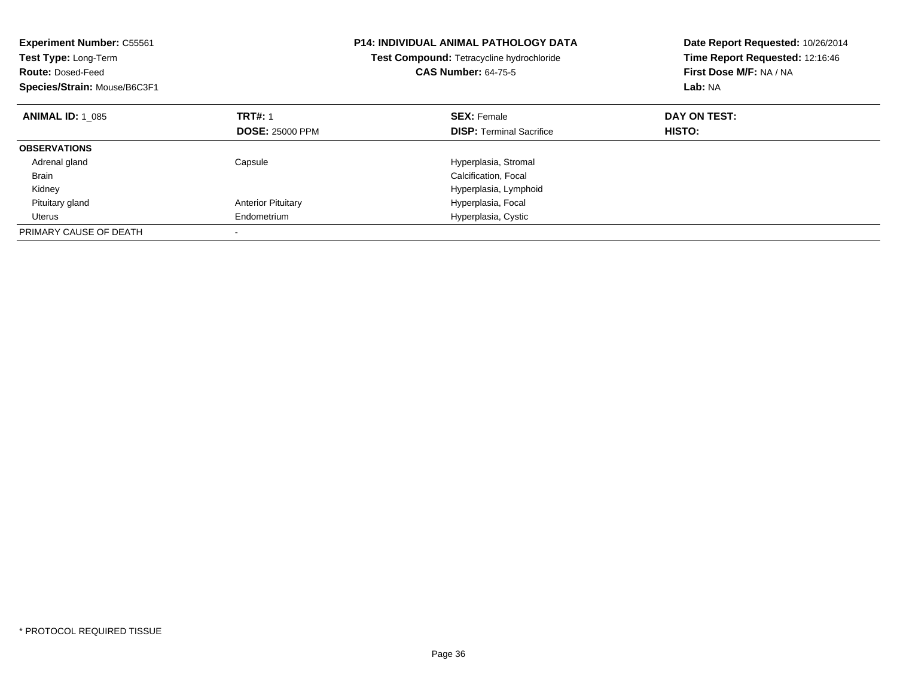| <b>Experiment Number: C55561</b><br>Test Type: Long-Term<br><b>Route: Dosed-Feed</b><br>Species/Strain: Mouse/B6C3F1 |                           | <b>P14: INDIVIDUAL ANIMAL PATHOLOGY DATA</b><br>Test Compound: Tetracycline hydrochloride<br><b>CAS Number: 64-75-5</b> | Date Report Requested: 10/26/2014<br>Time Report Requested: 12:16:46<br>First Dose M/F: NA / NA<br>Lab: NA |
|----------------------------------------------------------------------------------------------------------------------|---------------------------|-------------------------------------------------------------------------------------------------------------------------|------------------------------------------------------------------------------------------------------------|
| <b>ANIMAL ID: 1 085</b>                                                                                              | <b>TRT#: 1</b>            | <b>SEX: Female</b>                                                                                                      | DAY ON TEST:                                                                                               |
|                                                                                                                      | <b>DOSE: 25000 PPM</b>    | <b>DISP:</b> Terminal Sacrifice                                                                                         | HISTO:                                                                                                     |
| <b>OBSERVATIONS</b>                                                                                                  |                           |                                                                                                                         |                                                                                                            |
| Adrenal gland                                                                                                        | Capsule                   | Hyperplasia, Stromal                                                                                                    |                                                                                                            |
| <b>Brain</b>                                                                                                         |                           | Calcification, Focal                                                                                                    |                                                                                                            |
| Kidney                                                                                                               |                           | Hyperplasia, Lymphoid                                                                                                   |                                                                                                            |
| Pituitary gland                                                                                                      | <b>Anterior Pituitary</b> | Hyperplasia, Focal                                                                                                      |                                                                                                            |
| Uterus                                                                                                               | Endometrium               | Hyperplasia, Cystic                                                                                                     |                                                                                                            |
| PRIMARY CAUSE OF DEATH                                                                                               |                           |                                                                                                                         |                                                                                                            |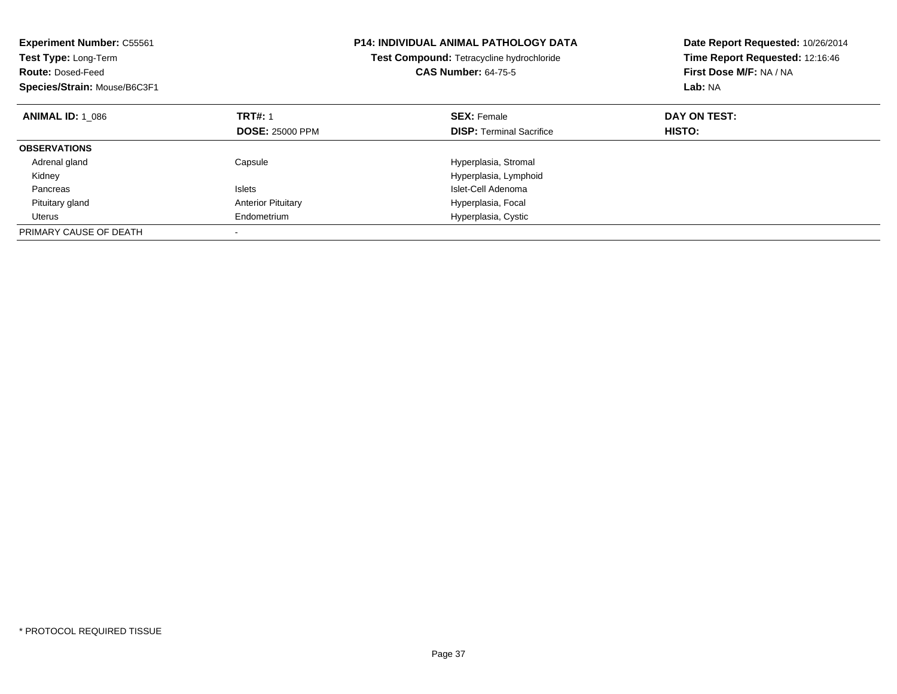| <b>Experiment Number: C55561</b><br>Test Type: Long-Term<br><b>Route: Dosed-Feed</b><br>Species/Strain: Mouse/B6C3F1 |                           | <b>P14: INDIVIDUAL ANIMAL PATHOLOGY DATA</b><br>Test Compound: Tetracycline hydrochloride<br><b>CAS Number: 64-75-5</b> | Date Report Requested: 10/26/2014<br>Time Report Requested: 12:16:46<br>First Dose M/F: NA / NA<br>Lab: NA |
|----------------------------------------------------------------------------------------------------------------------|---------------------------|-------------------------------------------------------------------------------------------------------------------------|------------------------------------------------------------------------------------------------------------|
| <b>ANIMAL ID: 1 086</b>                                                                                              | <b>TRT#: 1</b>            | <b>SEX: Female</b>                                                                                                      | DAY ON TEST:                                                                                               |
|                                                                                                                      | <b>DOSE: 25000 PPM</b>    | <b>DISP:</b> Terminal Sacrifice                                                                                         | HISTO:                                                                                                     |
| <b>OBSERVATIONS</b>                                                                                                  |                           |                                                                                                                         |                                                                                                            |
| Adrenal gland                                                                                                        | Capsule                   | Hyperplasia, Stromal                                                                                                    |                                                                                                            |
| Kidney                                                                                                               |                           | Hyperplasia, Lymphoid                                                                                                   |                                                                                                            |
| Pancreas                                                                                                             | <b>Islets</b>             | Islet-Cell Adenoma                                                                                                      |                                                                                                            |
| Pituitary gland                                                                                                      | <b>Anterior Pituitary</b> | Hyperplasia, Focal                                                                                                      |                                                                                                            |
| Uterus                                                                                                               | Endometrium               | Hyperplasia, Cystic                                                                                                     |                                                                                                            |
| PRIMARY CAUSE OF DEATH                                                                                               |                           |                                                                                                                         |                                                                                                            |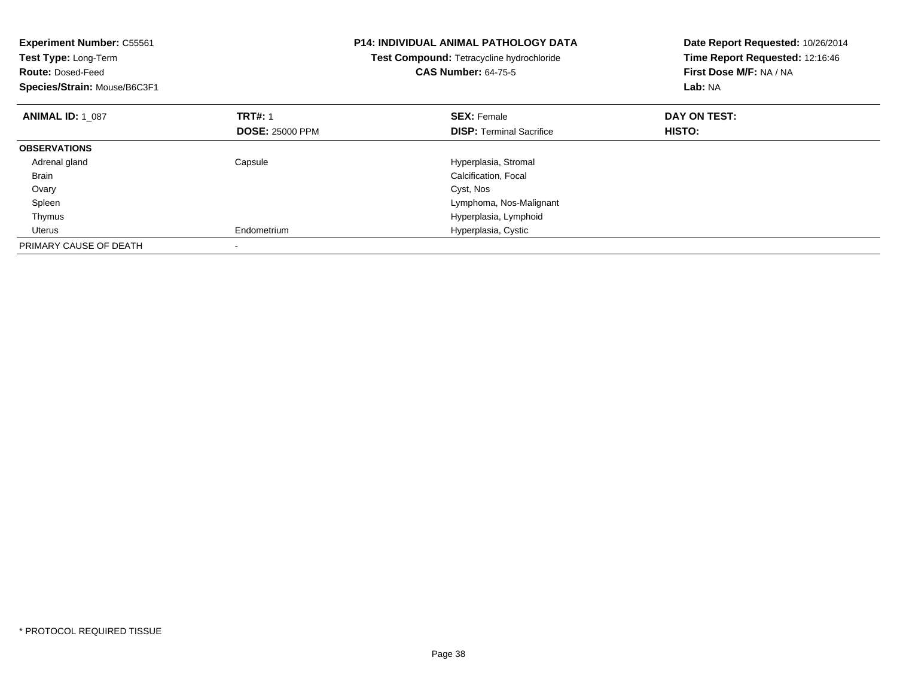| <b>Experiment Number: C55561</b><br>Test Type: Long-Term<br><b>Route: Dosed-Feed</b><br>Species/Strain: Mouse/B6C3F1 |                        | <b>P14: INDIVIDUAL ANIMAL PATHOLOGY DATA</b><br>Test Compound: Tetracycline hydrochloride<br><b>CAS Number: 64-75-5</b> | Date Report Requested: 10/26/2014<br>Time Report Requested: 12:16:46<br>First Dose M/F: NA / NA<br>Lab: NA |
|----------------------------------------------------------------------------------------------------------------------|------------------------|-------------------------------------------------------------------------------------------------------------------------|------------------------------------------------------------------------------------------------------------|
| <b>ANIMAL ID: 1 087</b>                                                                                              | <b>TRT#: 1</b>         | <b>SEX: Female</b>                                                                                                      | DAY ON TEST:                                                                                               |
|                                                                                                                      | <b>DOSE: 25000 PPM</b> | <b>DISP:</b> Terminal Sacrifice                                                                                         | <b>HISTO:</b>                                                                                              |
| <b>OBSERVATIONS</b>                                                                                                  |                        |                                                                                                                         |                                                                                                            |
| Adrenal gland                                                                                                        | Capsule                | Hyperplasia, Stromal                                                                                                    |                                                                                                            |
| <b>Brain</b>                                                                                                         |                        | Calcification, Focal                                                                                                    |                                                                                                            |
| Ovary                                                                                                                |                        | Cyst, Nos                                                                                                               |                                                                                                            |
| Spleen                                                                                                               |                        | Lymphoma, Nos-Malignant                                                                                                 |                                                                                                            |
| Thymus                                                                                                               |                        | Hyperplasia, Lymphoid                                                                                                   |                                                                                                            |
| Uterus                                                                                                               | Endometrium            | Hyperplasia, Cystic                                                                                                     |                                                                                                            |
| PRIMARY CAUSE OF DEATH                                                                                               |                        |                                                                                                                         |                                                                                                            |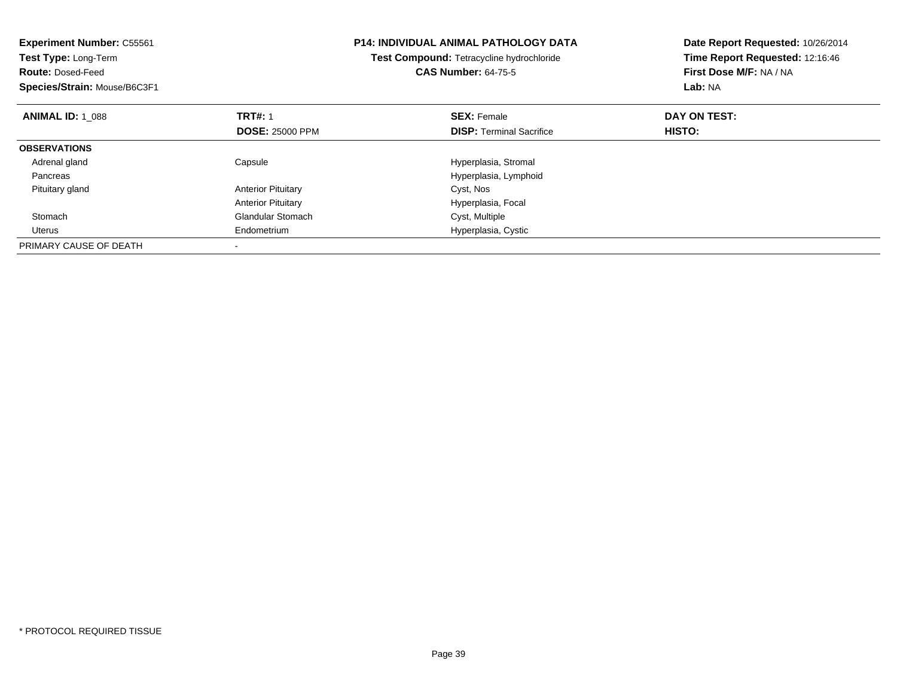| <b>Experiment Number: C55561</b><br>Test Type: Long-Term<br><b>Route: Dosed-Feed</b><br>Species/Strain: Mouse/B6C3F1 |                           | <b>P14: INDIVIDUAL ANIMAL PATHOLOGY DATA</b><br>Test Compound: Tetracycline hydrochloride<br><b>CAS Number: 64-75-5</b> | Date Report Requested: 10/26/2014<br>Time Report Requested: 12:16:46<br>First Dose M/F: NA / NA<br>Lab: NA |
|----------------------------------------------------------------------------------------------------------------------|---------------------------|-------------------------------------------------------------------------------------------------------------------------|------------------------------------------------------------------------------------------------------------|
| <b>ANIMAL ID: 1 088</b>                                                                                              | <b>TRT#: 1</b>            | <b>SEX: Female</b>                                                                                                      | DAY ON TEST:                                                                                               |
|                                                                                                                      | <b>DOSE: 25000 PPM</b>    | <b>DISP:</b> Terminal Sacrifice                                                                                         | HISTO:                                                                                                     |
| <b>OBSERVATIONS</b>                                                                                                  |                           |                                                                                                                         |                                                                                                            |
| Adrenal gland                                                                                                        | Capsule                   | Hyperplasia, Stromal                                                                                                    |                                                                                                            |
| Pancreas                                                                                                             |                           | Hyperplasia, Lymphoid                                                                                                   |                                                                                                            |
| Pituitary gland                                                                                                      | <b>Anterior Pituitary</b> | Cyst, Nos                                                                                                               |                                                                                                            |
|                                                                                                                      | <b>Anterior Pituitary</b> | Hyperplasia, Focal                                                                                                      |                                                                                                            |
| Stomach                                                                                                              | <b>Glandular Stomach</b>  | Cyst, Multiple                                                                                                          |                                                                                                            |
| Uterus                                                                                                               | Endometrium               | Hyperplasia, Cystic                                                                                                     |                                                                                                            |
| PRIMARY CAUSE OF DEATH                                                                                               |                           |                                                                                                                         |                                                                                                            |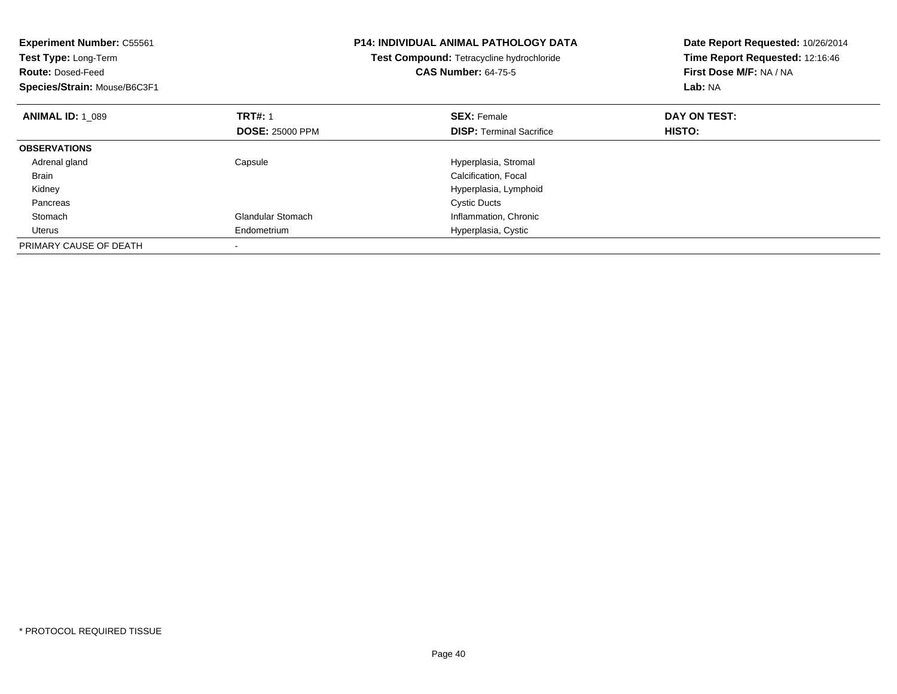| <b>Experiment Number: C55561</b><br><b>Test Type: Long-Term</b><br><b>Route: Dosed-Feed</b><br>Species/Strain: Mouse/B6C3F1 |                          | <b>P14: INDIVIDUAL ANIMAL PATHOLOGY DATA</b><br>Test Compound: Tetracycline hydrochloride<br><b>CAS Number: 64-75-5</b> | Date Report Requested: 10/26/2014<br>Time Report Requested: 12:16:46<br>First Dose M/F: NA / NA<br>Lab: NA |
|-----------------------------------------------------------------------------------------------------------------------------|--------------------------|-------------------------------------------------------------------------------------------------------------------------|------------------------------------------------------------------------------------------------------------|
| <b>ANIMAL ID: 1 089</b>                                                                                                     | <b>TRT#: 1</b>           | <b>SEX: Female</b>                                                                                                      | DAY ON TEST:                                                                                               |
|                                                                                                                             | <b>DOSE: 25000 PPM</b>   | <b>DISP:</b> Terminal Sacrifice                                                                                         | <b>HISTO:</b>                                                                                              |
| <b>OBSERVATIONS</b>                                                                                                         |                          |                                                                                                                         |                                                                                                            |
| Adrenal gland                                                                                                               | Capsule                  | Hyperplasia, Stromal                                                                                                    |                                                                                                            |
| <b>Brain</b>                                                                                                                |                          | Calcification, Focal                                                                                                    |                                                                                                            |
| Kidney                                                                                                                      |                          | Hyperplasia, Lymphoid                                                                                                   |                                                                                                            |
| Pancreas                                                                                                                    |                          | <b>Cystic Ducts</b>                                                                                                     |                                                                                                            |
| Stomach                                                                                                                     | <b>Glandular Stomach</b> | Inflammation, Chronic                                                                                                   |                                                                                                            |
| Uterus                                                                                                                      | Endometrium              | Hyperplasia, Cystic                                                                                                     |                                                                                                            |
| PRIMARY CAUSE OF DEATH                                                                                                      |                          |                                                                                                                         |                                                                                                            |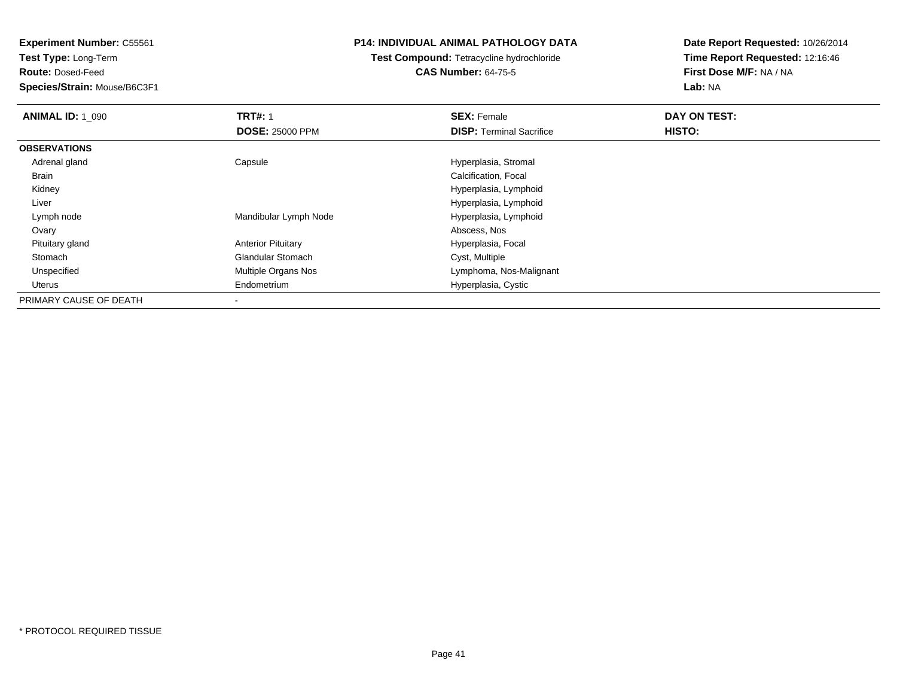**Experiment Number:** C55561

**Test Type:** Long-Term

**Route:** Dosed-Feed

**Species/Strain:** Mouse/B6C3F1

## **P14: INDIVIDUAL ANIMAL PATHOLOGY DATA**

## **Test Compound:** Tetracycline hydrochloride**CAS Number:** 64-75-5

**Date Report Requested:** 10/26/2014**Time Report Requested:** 12:16:46**First Dose M/F:** NA / NA**Lab:** NA

| <b>ANIMAL ID: 1 090</b> | <b>TRT#: 1</b>            | <b>SEX: Female</b>              | DAY ON TEST: |
|-------------------------|---------------------------|---------------------------------|--------------|
|                         | <b>DOSE: 25000 PPM</b>    | <b>DISP: Terminal Sacrifice</b> | HISTO:       |
| <b>OBSERVATIONS</b>     |                           |                                 |              |
| Adrenal gland           | Capsule                   | Hyperplasia, Stromal            |              |
| Brain                   |                           | Calcification, Focal            |              |
| Kidney                  |                           | Hyperplasia, Lymphoid           |              |
| Liver                   |                           | Hyperplasia, Lymphoid           |              |
| Lymph node              | Mandibular Lymph Node     | Hyperplasia, Lymphoid           |              |
| Ovary                   |                           | Abscess, Nos                    |              |
| Pituitary gland         | <b>Anterior Pituitary</b> | Hyperplasia, Focal              |              |
| Stomach                 | <b>Glandular Stomach</b>  | Cyst, Multiple                  |              |
| Unspecified             | Multiple Organs Nos       | Lymphoma, Nos-Malignant         |              |
| Uterus                  | Endometrium               | Hyperplasia, Cystic             |              |
| PRIMARY CAUSE OF DEATH  | $\,$                      |                                 |              |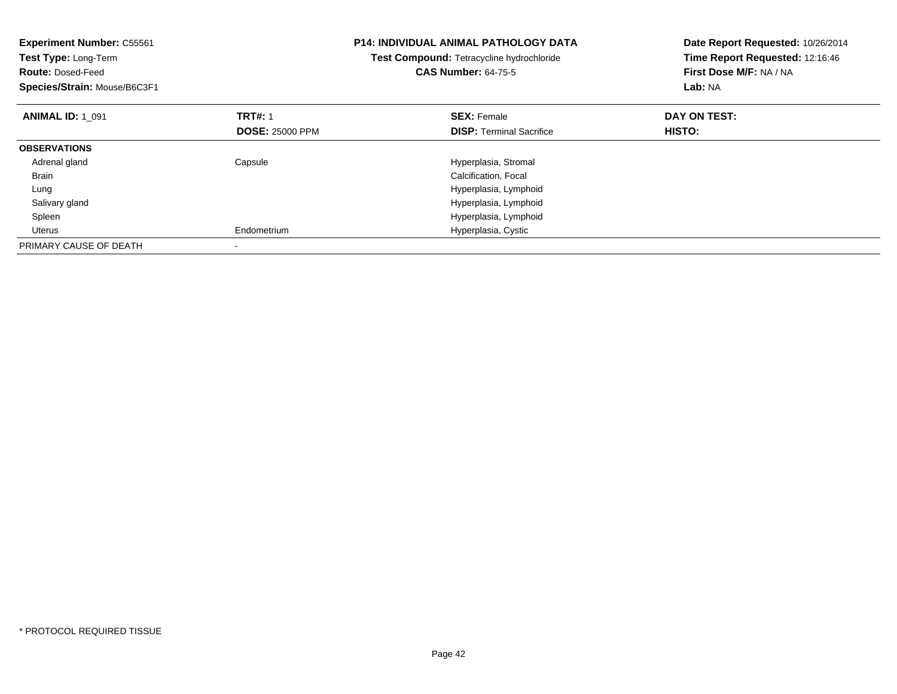| <b>Experiment Number: C55561</b><br>Test Type: Long-Term<br><b>Route: Dosed-Feed</b><br>Species/Strain: Mouse/B6C3F1 |                        | <b>P14: INDIVIDUAL ANIMAL PATHOLOGY DATA</b><br><b>Test Compound: Tetracycline hydrochloride</b><br><b>CAS Number: 64-75-5</b> | Date Report Requested: 10/26/2014<br>Time Report Requested: 12:16:46<br>First Dose M/F: NA / NA<br>Lab: NA |
|----------------------------------------------------------------------------------------------------------------------|------------------------|--------------------------------------------------------------------------------------------------------------------------------|------------------------------------------------------------------------------------------------------------|
| <b>ANIMAL ID: 1 091</b>                                                                                              | <b>TRT#: 1</b>         | <b>SEX: Female</b>                                                                                                             | DAY ON TEST:                                                                                               |
|                                                                                                                      | <b>DOSE: 25000 PPM</b> | <b>DISP:</b> Terminal Sacrifice                                                                                                | HISTO:                                                                                                     |
| <b>OBSERVATIONS</b>                                                                                                  |                        |                                                                                                                                |                                                                                                            |
| Adrenal gland                                                                                                        | Capsule                | Hyperplasia, Stromal                                                                                                           |                                                                                                            |
| Brain                                                                                                                |                        | Calcification, Focal                                                                                                           |                                                                                                            |
| Lung                                                                                                                 |                        | Hyperplasia, Lymphoid                                                                                                          |                                                                                                            |
| Salivary gland                                                                                                       |                        | Hyperplasia, Lymphoid                                                                                                          |                                                                                                            |
| Spleen                                                                                                               |                        | Hyperplasia, Lymphoid                                                                                                          |                                                                                                            |
| Uterus                                                                                                               | Endometrium            | Hyperplasia, Cystic                                                                                                            |                                                                                                            |
| PRIMARY CAUSE OF DEATH                                                                                               |                        |                                                                                                                                |                                                                                                            |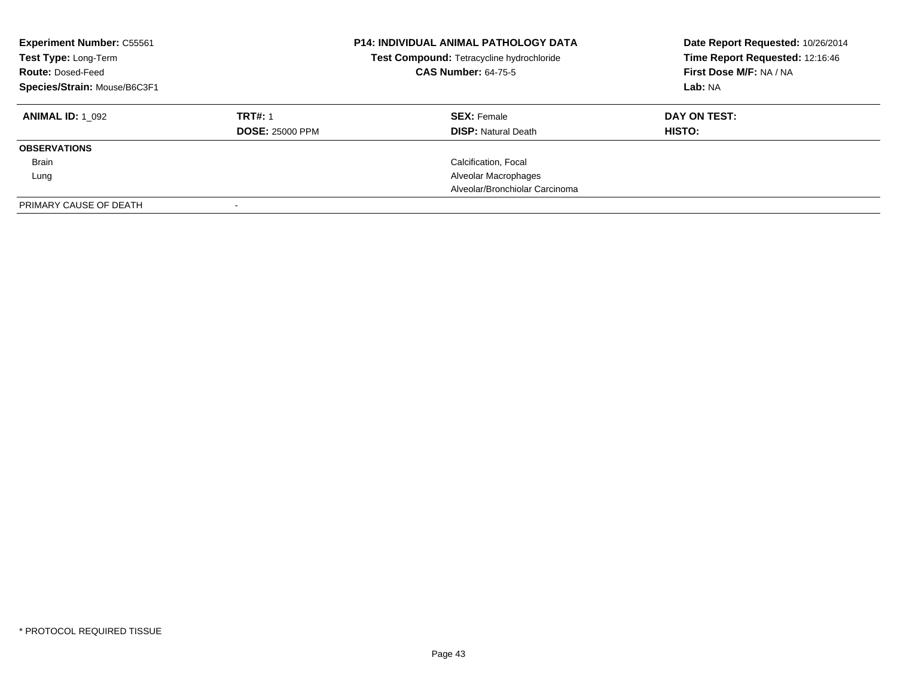| <b>Experiment Number: C55561</b><br>Test Type: Long-Term<br><b>Route: Dosed-Feed</b><br>Species/Strain: Mouse/B6C3F1 |                        | <b>P14: INDIVIDUAL ANIMAL PATHOLOGY DATA</b><br>Test Compound: Tetracycline hydrochloride<br><b>CAS Number: 64-75-5</b> | Date Report Requested: 10/26/2014<br>Time Report Requested: 12:16:46<br>First Dose M/F: NA / NA<br>Lab: NA |
|----------------------------------------------------------------------------------------------------------------------|------------------------|-------------------------------------------------------------------------------------------------------------------------|------------------------------------------------------------------------------------------------------------|
| <b>ANIMAL ID: 1 092</b>                                                                                              | <b>TRT#: 1</b>         | <b>SEX: Female</b>                                                                                                      | DAY ON TEST:                                                                                               |
|                                                                                                                      | <b>DOSE: 25000 PPM</b> | <b>DISP:</b> Natural Death                                                                                              | <b>HISTO:</b>                                                                                              |
| <b>OBSERVATIONS</b>                                                                                                  |                        |                                                                                                                         |                                                                                                            |
| Brain                                                                                                                |                        | Calcification, Focal                                                                                                    |                                                                                                            |
| Lung                                                                                                                 |                        | Alveolar Macrophages                                                                                                    |                                                                                                            |
|                                                                                                                      |                        | Alveolar/Bronchiolar Carcinoma                                                                                          |                                                                                                            |
| PRIMARY CAUSE OF DEATH                                                                                               |                        |                                                                                                                         |                                                                                                            |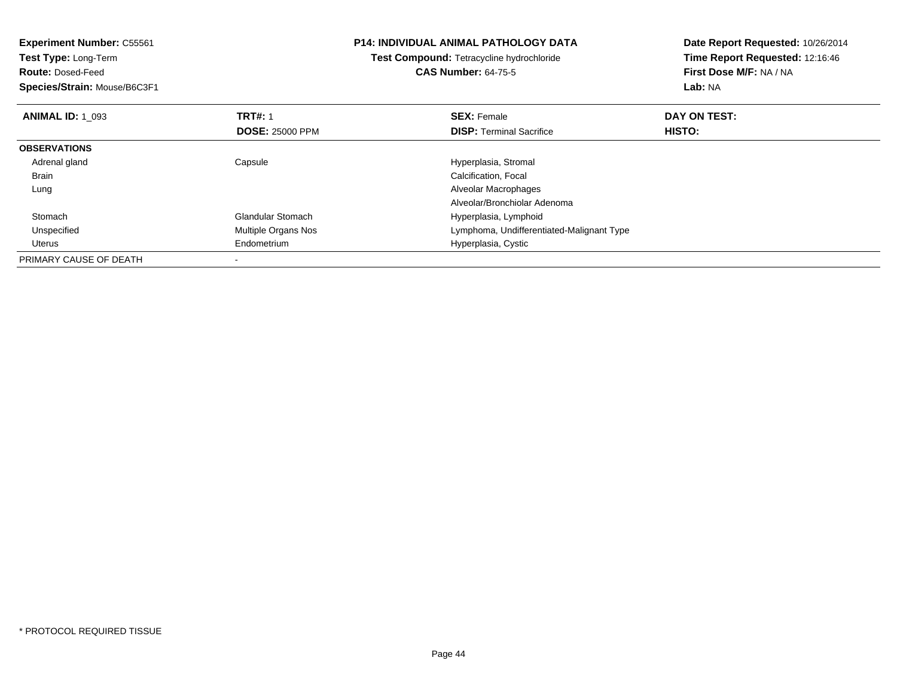| <b>Experiment Number: C55561</b><br>Test Type: Long-Term<br><b>Route: Dosed-Feed</b><br>Species/Strain: Mouse/B6C3F1 |                                          | <b>P14: INDIVIDUAL ANIMAL PATHOLOGY DATA</b><br>Test Compound: Tetracycline hydrochloride<br><b>CAS Number: 64-75-5</b> | Date Report Requested: 10/26/2014<br>Time Report Requested: 12:16:46<br>First Dose M/F: NA / NA<br>Lab: NA |
|----------------------------------------------------------------------------------------------------------------------|------------------------------------------|-------------------------------------------------------------------------------------------------------------------------|------------------------------------------------------------------------------------------------------------|
| <b>ANIMAL ID: 1 093</b>                                                                                              | <b>TRT#: 1</b><br><b>DOSE: 25000 PPM</b> | <b>SEX: Female</b><br><b>DISP:</b> Terminal Sacrifice                                                                   | DAY ON TEST:<br>HISTO:                                                                                     |
| <b>OBSERVATIONS</b>                                                                                                  |                                          |                                                                                                                         |                                                                                                            |
| Adrenal gland                                                                                                        | Capsule                                  | Hyperplasia, Stromal                                                                                                    |                                                                                                            |
| Brain                                                                                                                |                                          | Calcification, Focal                                                                                                    |                                                                                                            |
| Lung                                                                                                                 |                                          | Alveolar Macrophages                                                                                                    |                                                                                                            |
|                                                                                                                      |                                          | Alveolar/Bronchiolar Adenoma                                                                                            |                                                                                                            |
| Stomach                                                                                                              | <b>Glandular Stomach</b>                 | Hyperplasia, Lymphoid                                                                                                   |                                                                                                            |
| Unspecified                                                                                                          | Multiple Organs Nos                      | Lymphoma, Undifferentiated-Malignant Type                                                                               |                                                                                                            |
| Uterus                                                                                                               | Endometrium                              | Hyperplasia, Cystic                                                                                                     |                                                                                                            |
| PRIMARY CAUSE OF DEATH                                                                                               |                                          |                                                                                                                         |                                                                                                            |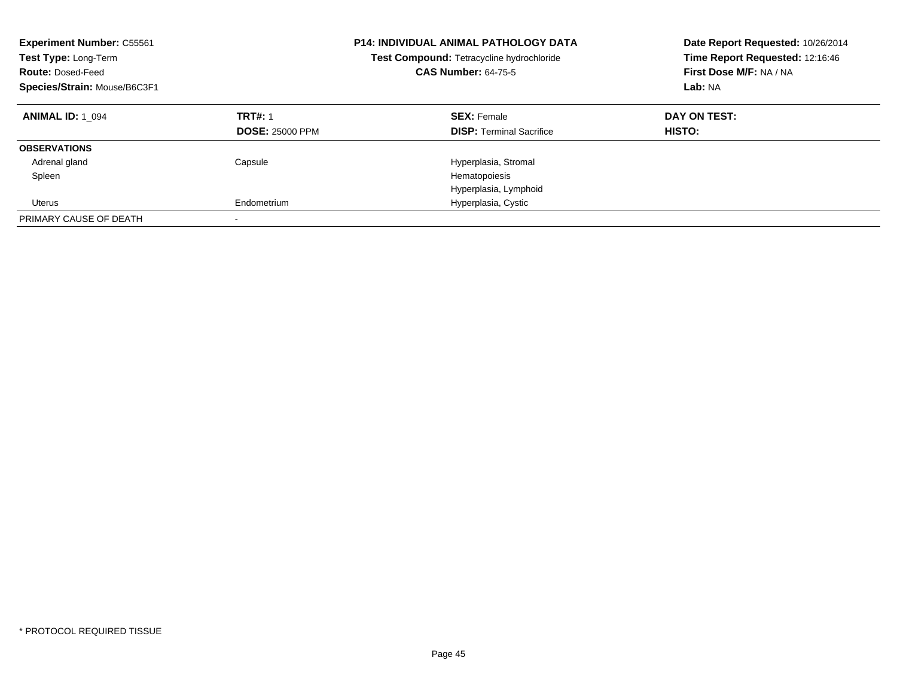| <b>Experiment Number: C55561</b><br>Test Type: Long-Term<br><b>Route: Dosed-Feed</b><br>Species/Strain: Mouse/B6C3F1 |                                          | <b>P14: INDIVIDUAL ANIMAL PATHOLOGY DATA</b><br>Test Compound: Tetracycline hydrochloride<br><b>CAS Number: 64-75-5</b> | Date Report Requested: 10/26/2014<br>Time Report Requested: 12:16:46<br>First Dose M/F: NA / NA<br>Lab: NA |
|----------------------------------------------------------------------------------------------------------------------|------------------------------------------|-------------------------------------------------------------------------------------------------------------------------|------------------------------------------------------------------------------------------------------------|
| <b>ANIMAL ID: 1 094</b>                                                                                              | <b>TRT#: 1</b><br><b>DOSE: 25000 PPM</b> | <b>SEX: Female</b><br><b>DISP:</b> Terminal Sacrifice                                                                   | DAY ON TEST:<br>HISTO:                                                                                     |
| <b>OBSERVATIONS</b>                                                                                                  |                                          |                                                                                                                         |                                                                                                            |
| Adrenal gland                                                                                                        | Capsule                                  | Hyperplasia, Stromal                                                                                                    |                                                                                                            |
| Spleen                                                                                                               |                                          | Hematopoiesis                                                                                                           |                                                                                                            |
|                                                                                                                      |                                          | Hyperplasia, Lymphoid                                                                                                   |                                                                                                            |
| Uterus                                                                                                               | Endometrium                              | Hyperplasia, Cystic                                                                                                     |                                                                                                            |
| PRIMARY CAUSE OF DEATH                                                                                               |                                          |                                                                                                                         |                                                                                                            |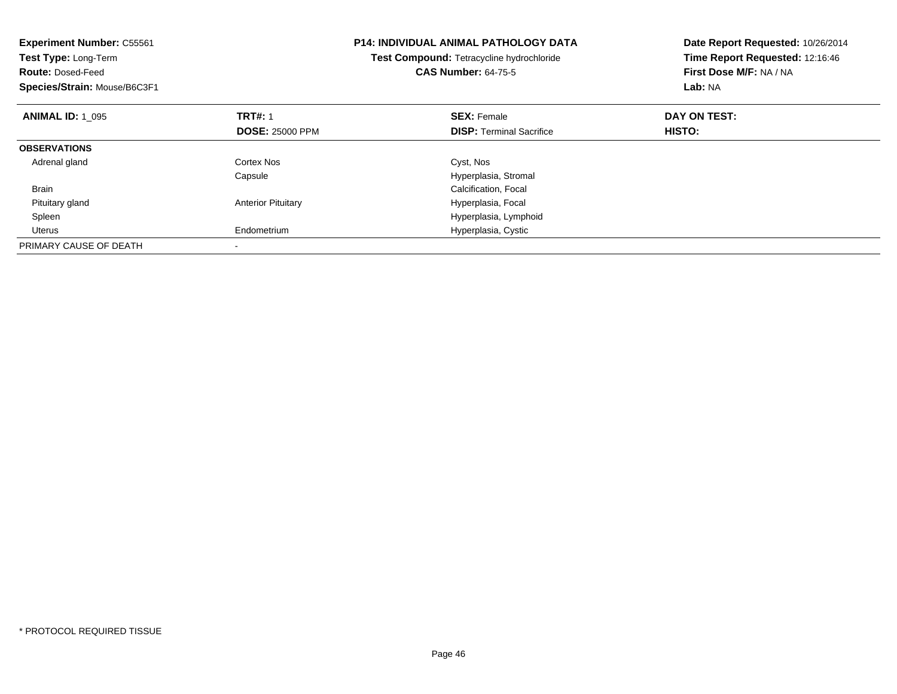| <b>Experiment Number: C55561</b><br>Test Type: Long-Term<br><b>Route: Dosed-Feed</b><br>Species/Strain: Mouse/B6C3F1 |                           | <b>P14: INDIVIDUAL ANIMAL PATHOLOGY DATA</b><br><b>Test Compound: Tetracycline hydrochloride</b><br><b>CAS Number: 64-75-5</b> | Date Report Requested: 10/26/2014<br>Time Report Requested: 12:16:46<br>First Dose M/F: NA / NA<br>Lab: NA |
|----------------------------------------------------------------------------------------------------------------------|---------------------------|--------------------------------------------------------------------------------------------------------------------------------|------------------------------------------------------------------------------------------------------------|
| <b>ANIMAL ID: 1 095</b>                                                                                              | <b>TRT#: 1</b>            | <b>SEX: Female</b>                                                                                                             | DAY ON TEST:                                                                                               |
|                                                                                                                      | <b>DOSE: 25000 PPM</b>    | <b>DISP:</b> Terminal Sacrifice                                                                                                | HISTO:                                                                                                     |
| <b>OBSERVATIONS</b>                                                                                                  |                           |                                                                                                                                |                                                                                                            |
| Adrenal gland                                                                                                        | Cortex Nos                | Cyst, Nos                                                                                                                      |                                                                                                            |
|                                                                                                                      | Capsule                   | Hyperplasia, Stromal                                                                                                           |                                                                                                            |
| <b>Brain</b>                                                                                                         |                           | Calcification, Focal                                                                                                           |                                                                                                            |
| Pituitary gland                                                                                                      | <b>Anterior Pituitary</b> | Hyperplasia, Focal                                                                                                             |                                                                                                            |
| Spleen                                                                                                               |                           | Hyperplasia, Lymphoid                                                                                                          |                                                                                                            |
| Uterus                                                                                                               | Endometrium               | Hyperplasia, Cystic                                                                                                            |                                                                                                            |
| PRIMARY CAUSE OF DEATH                                                                                               |                           |                                                                                                                                |                                                                                                            |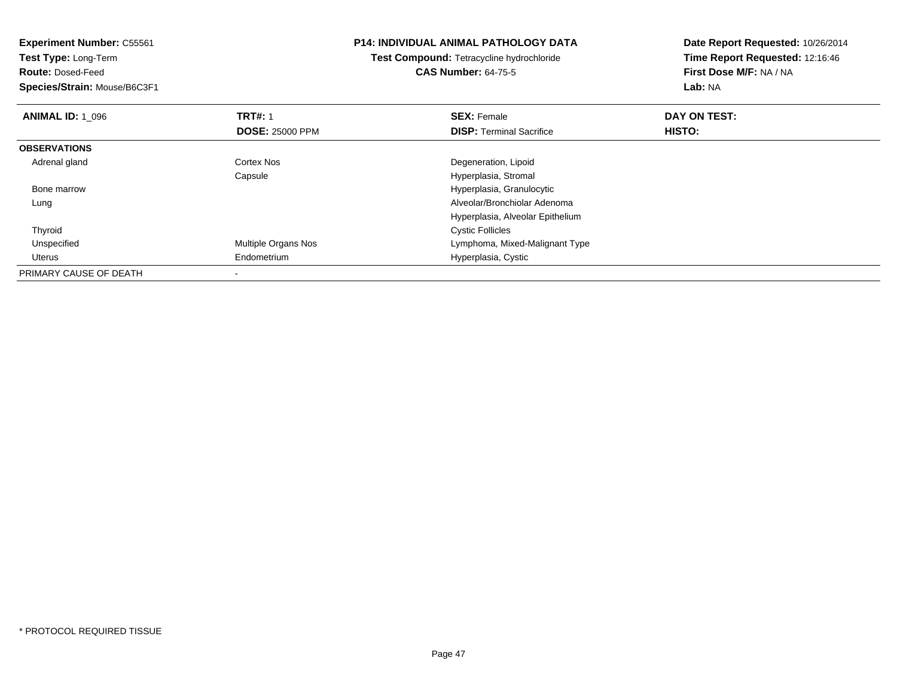| <b>Experiment Number: C55561</b> |                        | <b>P14: INDIVIDUAL ANIMAL PATHOLOGY DATA</b> | Date Report Requested: 10/26/2014<br>Time Report Requested: 12:16:46 |
|----------------------------------|------------------------|----------------------------------------------|----------------------------------------------------------------------|
| Test Type: Long-Term             |                        | Test Compound: Tetracycline hydrochloride    |                                                                      |
| <b>Route: Dosed-Feed</b>         |                        | <b>CAS Number: 64-75-5</b>                   | First Dose M/F: NA / NA                                              |
| Species/Strain: Mouse/B6C3F1     |                        |                                              | Lab: NA                                                              |
| <b>ANIMAL ID: 1 096</b>          | <b>TRT#: 1</b>         | <b>SEX: Female</b>                           | DAY ON TEST:                                                         |
|                                  | <b>DOSE: 25000 PPM</b> | <b>DISP:</b> Terminal Sacrifice              | HISTO:                                                               |
| <b>OBSERVATIONS</b>              |                        |                                              |                                                                      |
| Adrenal gland                    | <b>Cortex Nos</b>      | Degeneration, Lipoid                         |                                                                      |
|                                  | Capsule                | Hyperplasia, Stromal                         |                                                                      |
| Bone marrow                      |                        | Hyperplasia, Granulocytic                    |                                                                      |
| Lung                             |                        | Alveolar/Bronchiolar Adenoma                 |                                                                      |
|                                  |                        | Hyperplasia, Alveolar Epithelium             |                                                                      |
| Thyroid                          |                        | <b>Cystic Follicles</b>                      |                                                                      |
| Unspecified                      | Multiple Organs Nos    | Lymphoma, Mixed-Malignant Type               |                                                                      |
| <b>Uterus</b>                    | Endometrium            | Hyperplasia, Cystic                          |                                                                      |
| PRIMARY CAUSE OF DEATH           |                        |                                              |                                                                      |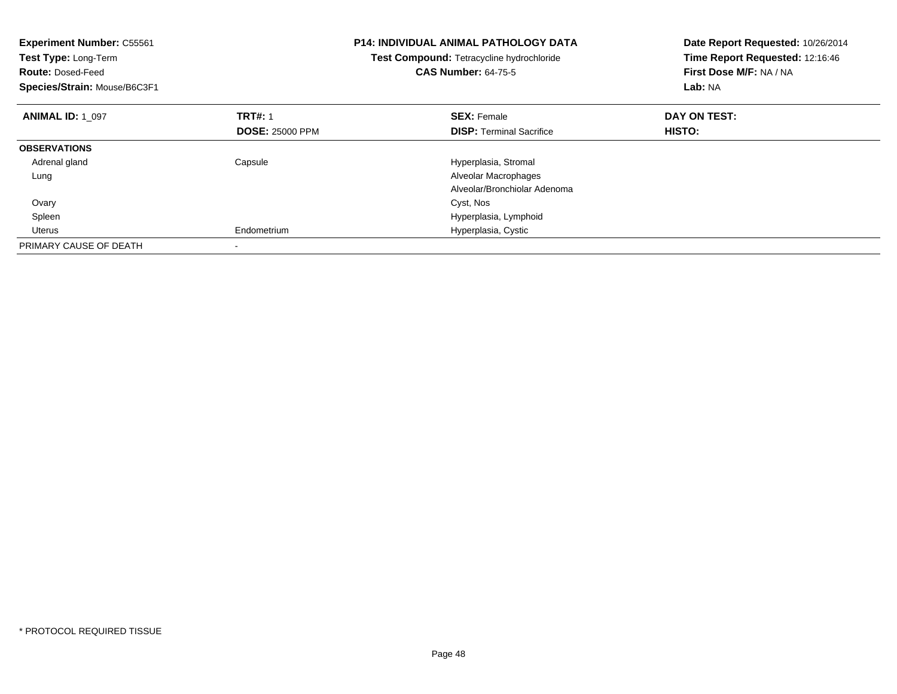| <b>Experiment Number: C55561</b><br>Test Type: Long-Term<br><b>Route: Dosed-Feed</b><br>Species/Strain: Mouse/B6C3F1 |                        | <b>P14: INDIVIDUAL ANIMAL PATHOLOGY DATA</b><br><b>Test Compound: Tetracycline hydrochloride</b><br><b>CAS Number: 64-75-5</b> | Date Report Requested: 10/26/2014<br>Time Report Requested: 12:16:46<br>First Dose M/F: NA / NA<br>Lab: NA |
|----------------------------------------------------------------------------------------------------------------------|------------------------|--------------------------------------------------------------------------------------------------------------------------------|------------------------------------------------------------------------------------------------------------|
| <b>ANIMAL ID: 1 097</b>                                                                                              | <b>TRT#: 1</b>         | <b>SEX: Female</b>                                                                                                             | DAY ON TEST:                                                                                               |
|                                                                                                                      | <b>DOSE: 25000 PPM</b> | <b>DISP:</b> Terminal Sacrifice                                                                                                | HISTO:                                                                                                     |
| <b>OBSERVATIONS</b>                                                                                                  |                        |                                                                                                                                |                                                                                                            |
| Adrenal gland                                                                                                        | Capsule                | Hyperplasia, Stromal                                                                                                           |                                                                                                            |
| Lung                                                                                                                 |                        | Alveolar Macrophages                                                                                                           |                                                                                                            |
|                                                                                                                      |                        | Alveolar/Bronchiolar Adenoma                                                                                                   |                                                                                                            |
| Ovary                                                                                                                |                        | Cyst, Nos                                                                                                                      |                                                                                                            |
| Spleen                                                                                                               |                        | Hyperplasia, Lymphoid                                                                                                          |                                                                                                            |
| Uterus                                                                                                               | Endometrium            | Hyperplasia, Cystic                                                                                                            |                                                                                                            |
| PRIMARY CAUSE OF DEATH                                                                                               |                        |                                                                                                                                |                                                                                                            |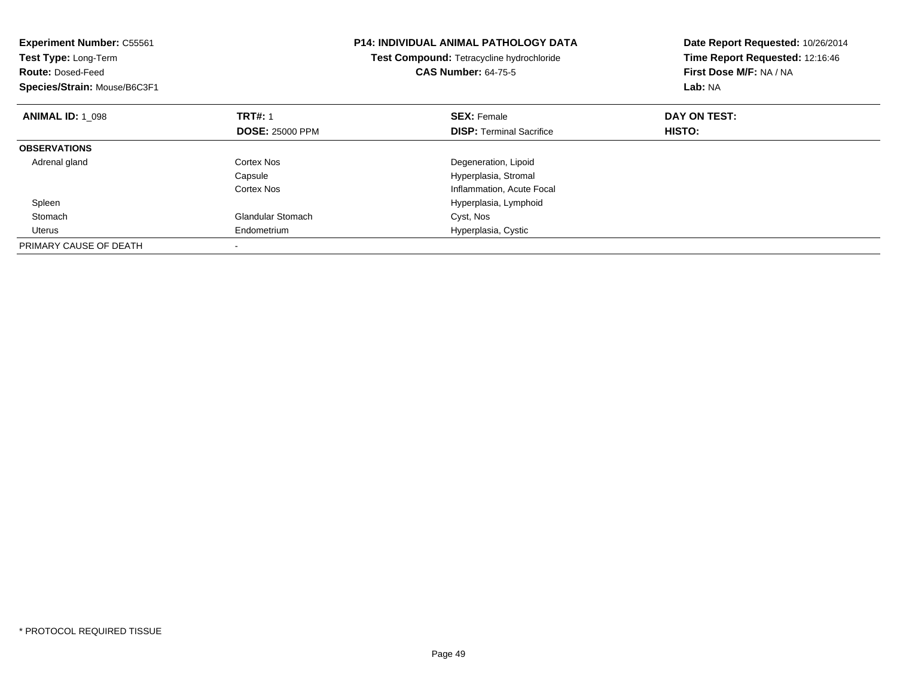| <b>Experiment Number: C55561</b><br>Test Type: Long-Term<br><b>Route: Dosed-Feed</b><br>Species/Strain: Mouse/B6C3F1 |                          | <b>P14: INDIVIDUAL ANIMAL PATHOLOGY DATA</b><br>Test Compound: Tetracycline hydrochloride<br><b>CAS Number: 64-75-5</b> | Date Report Requested: 10/26/2014<br>Time Report Requested: 12:16:46<br>First Dose M/F: NA / NA<br>Lab: NA |
|----------------------------------------------------------------------------------------------------------------------|--------------------------|-------------------------------------------------------------------------------------------------------------------------|------------------------------------------------------------------------------------------------------------|
| <b>ANIMAL ID: 1 098</b>                                                                                              | <b>TRT#: 1</b>           | <b>SEX: Female</b>                                                                                                      | DAY ON TEST:                                                                                               |
|                                                                                                                      | <b>DOSE: 25000 PPM</b>   | <b>DISP:</b> Terminal Sacrifice                                                                                         | HISTO:                                                                                                     |
| <b>OBSERVATIONS</b>                                                                                                  |                          |                                                                                                                         |                                                                                                            |
| Adrenal gland                                                                                                        | Cortex Nos               | Degeneration, Lipoid                                                                                                    |                                                                                                            |
|                                                                                                                      | Capsule                  | Hyperplasia, Stromal                                                                                                    |                                                                                                            |
|                                                                                                                      | Cortex Nos               | Inflammation, Acute Focal                                                                                               |                                                                                                            |
| Spleen                                                                                                               |                          | Hyperplasia, Lymphoid                                                                                                   |                                                                                                            |
| Stomach                                                                                                              | <b>Glandular Stomach</b> | Cyst, Nos                                                                                                               |                                                                                                            |
| Uterus                                                                                                               | Endometrium              | Hyperplasia, Cystic                                                                                                     |                                                                                                            |
| PRIMARY CAUSE OF DEATH                                                                                               |                          |                                                                                                                         |                                                                                                            |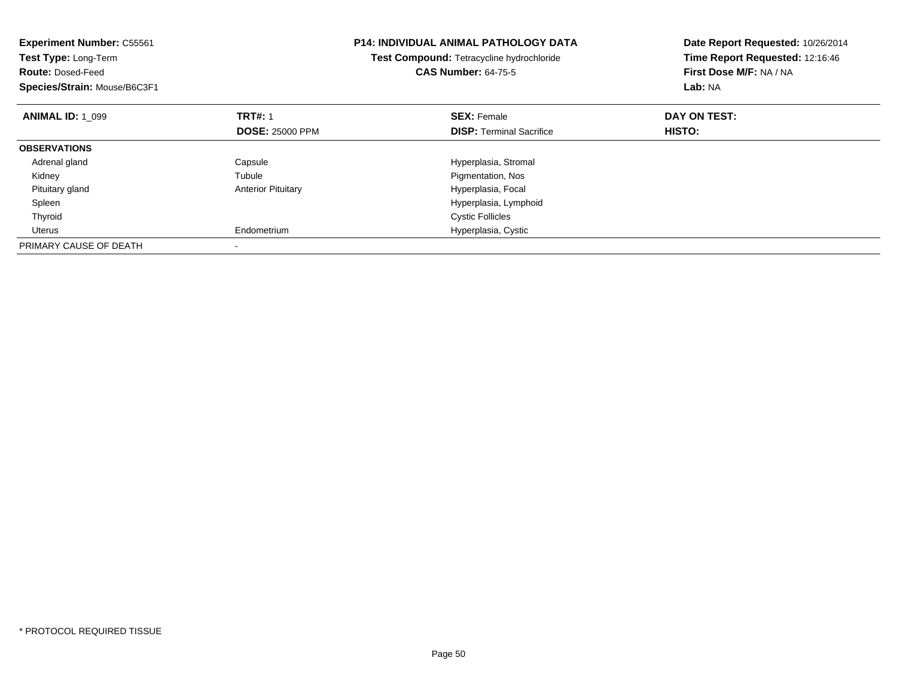| <b>Experiment Number: C55561</b><br>Test Type: Long-Term<br><b>Route: Dosed-Feed</b><br>Species/Strain: Mouse/B6C3F1 |                           | <b>P14: INDIVIDUAL ANIMAL PATHOLOGY DATA</b><br>Test Compound: Tetracycline hydrochloride<br><b>CAS Number: 64-75-5</b> | Date Report Requested: 10/26/2014<br>Time Report Requested: 12:16:46<br>First Dose M/F: NA / NA<br>Lab: NA |
|----------------------------------------------------------------------------------------------------------------------|---------------------------|-------------------------------------------------------------------------------------------------------------------------|------------------------------------------------------------------------------------------------------------|
| <b>ANIMAL ID: 1 099</b>                                                                                              | <b>TRT#: 1</b>            | <b>SEX: Female</b>                                                                                                      | DAY ON TEST:                                                                                               |
|                                                                                                                      | <b>DOSE: 25000 PPM</b>    | <b>DISP:</b> Terminal Sacrifice                                                                                         | HISTO:                                                                                                     |
| <b>OBSERVATIONS</b>                                                                                                  |                           |                                                                                                                         |                                                                                                            |
| Adrenal gland                                                                                                        | Capsule                   | Hyperplasia, Stromal                                                                                                    |                                                                                                            |
| Kidney                                                                                                               | Tubule                    | Pigmentation, Nos                                                                                                       |                                                                                                            |
| Pituitary gland                                                                                                      | <b>Anterior Pituitary</b> | Hyperplasia, Focal                                                                                                      |                                                                                                            |
| Spleen                                                                                                               |                           | Hyperplasia, Lymphoid                                                                                                   |                                                                                                            |
| Thyroid                                                                                                              |                           | <b>Cystic Follicles</b>                                                                                                 |                                                                                                            |
| Uterus                                                                                                               | Endometrium               | Hyperplasia, Cystic                                                                                                     |                                                                                                            |
| PRIMARY CAUSE OF DEATH                                                                                               |                           |                                                                                                                         |                                                                                                            |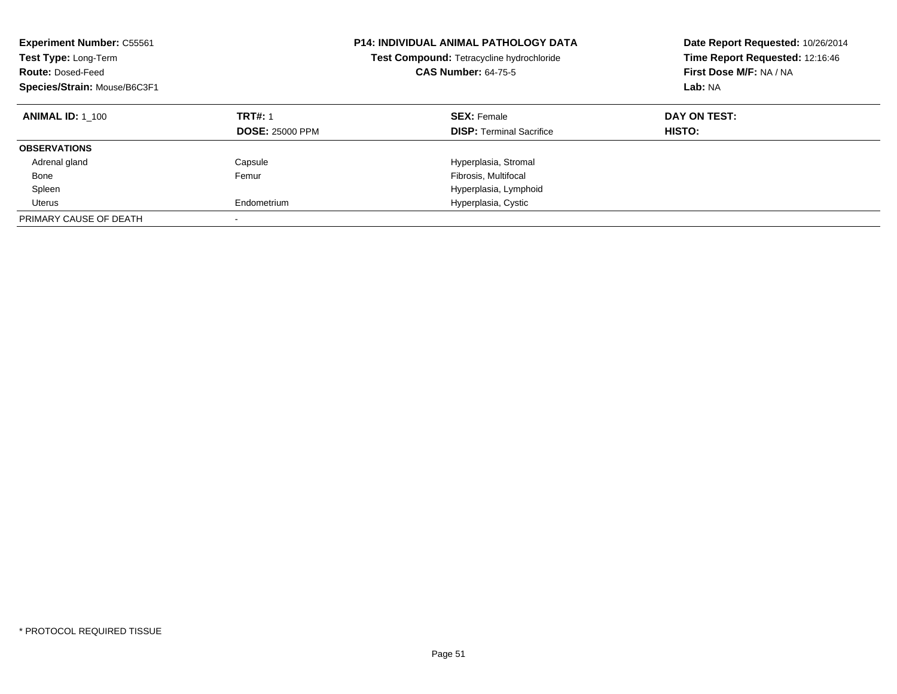| <b>Experiment Number: C55561</b><br>Test Type: Long-Term<br><b>Route: Dosed-Feed</b><br>Species/Strain: Mouse/B6C3F1 |                                          | <b>P14: INDIVIDUAL ANIMAL PATHOLOGY DATA</b><br>Test Compound: Tetracycline hydrochloride<br><b>CAS Number: 64-75-5</b> | Date Report Requested: 10/26/2014<br>Time Report Requested: 12:16:46<br>First Dose M/F: NA / NA<br>Lab: NA |
|----------------------------------------------------------------------------------------------------------------------|------------------------------------------|-------------------------------------------------------------------------------------------------------------------------|------------------------------------------------------------------------------------------------------------|
| <b>ANIMAL ID: 1 100</b>                                                                                              | <b>TRT#: 1</b><br><b>DOSE: 25000 PPM</b> | <b>SEX: Female</b><br><b>DISP:</b> Terminal Sacrifice                                                                   | DAY ON TEST:<br>HISTO:                                                                                     |
| <b>OBSERVATIONS</b>                                                                                                  |                                          |                                                                                                                         |                                                                                                            |
| Adrenal gland                                                                                                        | Capsule                                  | Hyperplasia, Stromal                                                                                                    |                                                                                                            |
| Bone                                                                                                                 | Femur                                    | Fibrosis, Multifocal                                                                                                    |                                                                                                            |
| Spleen                                                                                                               |                                          | Hyperplasia, Lymphoid                                                                                                   |                                                                                                            |
| Uterus                                                                                                               | Endometrium                              | Hyperplasia, Cystic                                                                                                     |                                                                                                            |
| PRIMARY CAUSE OF DEATH                                                                                               |                                          |                                                                                                                         |                                                                                                            |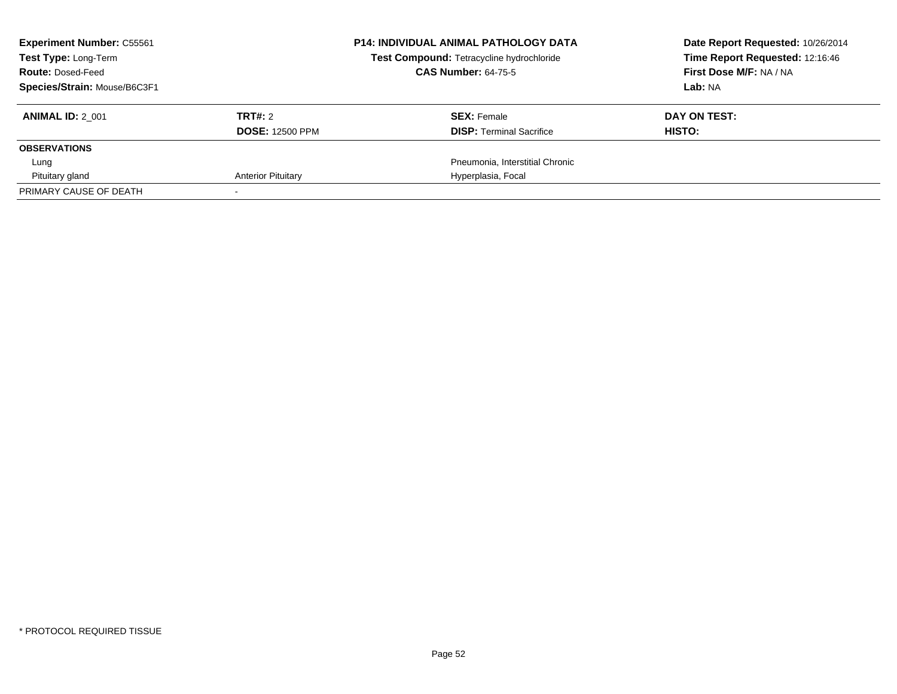| <b>Experiment Number: C55561</b><br><b>Test Type: Long-Term</b> |                           | <b>P14: INDIVIDUAL ANIMAL PATHOLOGY DATA</b><br>Test Compound: Tetracycline hydrochloride | Date Report Requested: 10/26/2014<br>Time Report Requested: 12:16:46 |
|-----------------------------------------------------------------|---------------------------|-------------------------------------------------------------------------------------------|----------------------------------------------------------------------|
| <b>Route: Dosed-Feed</b>                                        |                           | <b>CAS Number: 64-75-5</b>                                                                | First Dose M/F: NA / NA                                              |
| Species/Strain: Mouse/B6C3F1                                    |                           |                                                                                           | Lab: NA                                                              |
| <b>ANIMAL ID: 2 001</b>                                         | TRT#: 2                   | <b>SEX: Female</b>                                                                        | DAY ON TEST:                                                         |
|                                                                 | <b>DOSE: 12500 PPM</b>    | <b>DISP:</b> Terminal Sacrifice                                                           | HISTO:                                                               |
| <b>OBSERVATIONS</b>                                             |                           |                                                                                           |                                                                      |
| Lung                                                            |                           | Pneumonia, Interstitial Chronic                                                           |                                                                      |
| Pituitary gland                                                 | <b>Anterior Pituitary</b> | Hyperplasia, Focal                                                                        |                                                                      |
| PRIMARY CAUSE OF DEATH                                          |                           |                                                                                           |                                                                      |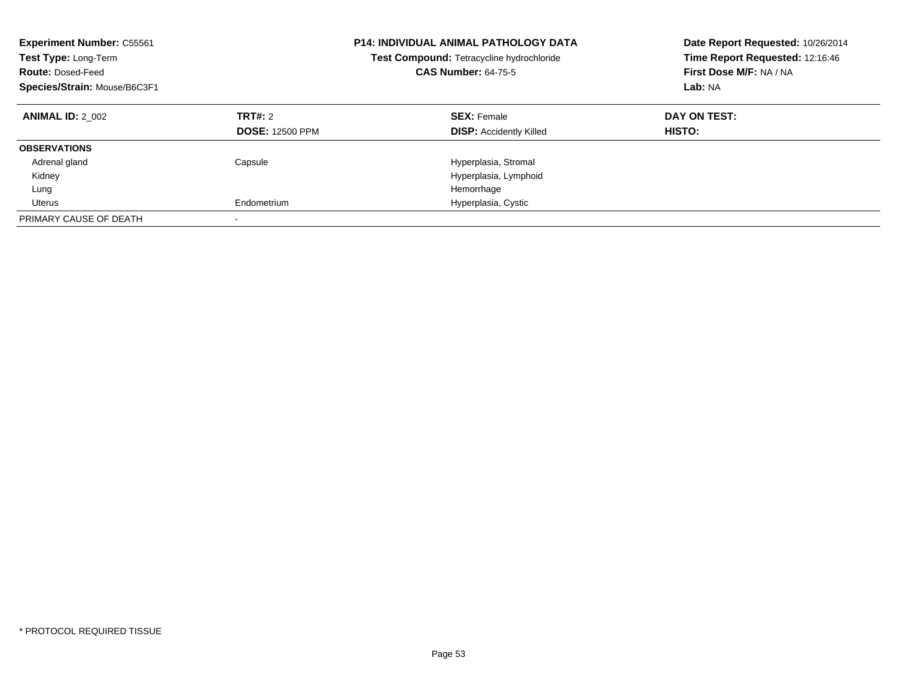| <b>Experiment Number: C55561</b><br>Test Type: Long-Term<br><b>Route: Dosed-Feed</b><br>Species/Strain: Mouse/B6C3F1 |                                   | <b>P14: INDIVIDUAL ANIMAL PATHOLOGY DATA</b><br>Test Compound: Tetracycline hydrochloride<br><b>CAS Number: 64-75-5</b> | Date Report Requested: 10/26/2014<br>Time Report Requested: 12:16:46<br>First Dose M/F: NA / NA<br>Lab: NA |
|----------------------------------------------------------------------------------------------------------------------|-----------------------------------|-------------------------------------------------------------------------------------------------------------------------|------------------------------------------------------------------------------------------------------------|
| <b>ANIMAL ID: 2 002</b>                                                                                              | TRT#: 2<br><b>DOSE: 12500 PPM</b> | <b>SEX: Female</b><br><b>DISP:</b> Accidently Killed                                                                    | DAY ON TEST:<br>HISTO:                                                                                     |
| <b>OBSERVATIONS</b>                                                                                                  |                                   |                                                                                                                         |                                                                                                            |
| Adrenal gland                                                                                                        | Capsule                           | Hyperplasia, Stromal                                                                                                    |                                                                                                            |
| Kidney                                                                                                               |                                   | Hyperplasia, Lymphoid                                                                                                   |                                                                                                            |
| Lung                                                                                                                 |                                   | Hemorrhage                                                                                                              |                                                                                                            |
| Uterus                                                                                                               | Endometrium                       | Hyperplasia, Cystic                                                                                                     |                                                                                                            |
| PRIMARY CAUSE OF DEATH                                                                                               |                                   |                                                                                                                         |                                                                                                            |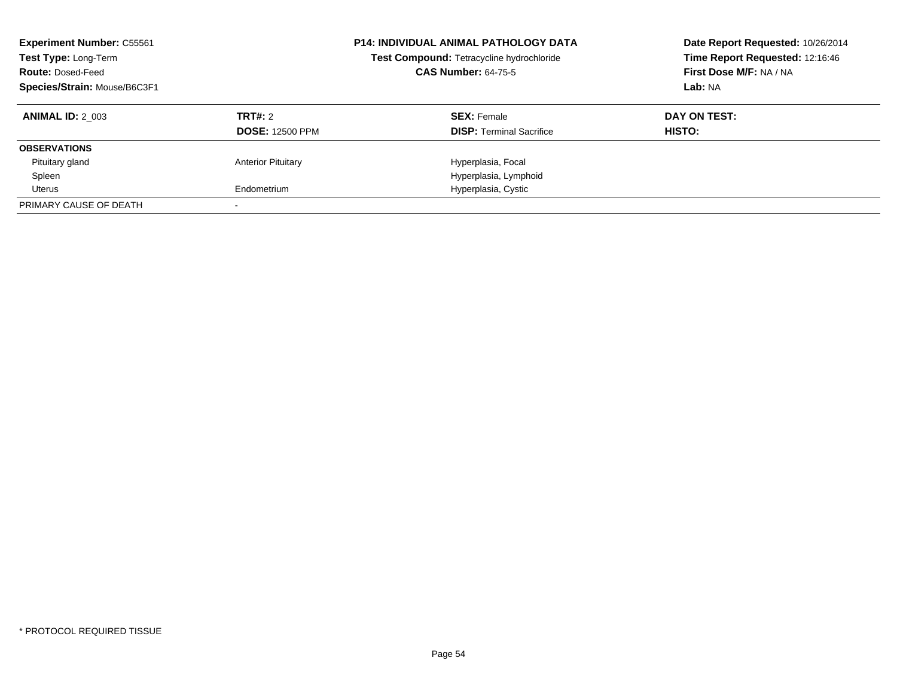| <b>Experiment Number: C55561</b><br>Test Type: Long-Term<br><b>Route: Dosed-Feed</b><br>Species/Strain: Mouse/B6C3F1 |                           | <b>P14: INDIVIDUAL ANIMAL PATHOLOGY DATA</b><br>Test Compound: Tetracycline hydrochloride<br><b>CAS Number: 64-75-5</b> | Date Report Requested: 10/26/2014<br>Time Report Requested: 12:16:46<br>First Dose M/F: NA / NA<br>Lab: NA |
|----------------------------------------------------------------------------------------------------------------------|---------------------------|-------------------------------------------------------------------------------------------------------------------------|------------------------------------------------------------------------------------------------------------|
| <b>ANIMAL ID: 2 003</b>                                                                                              | TRT#: 2                   | <b>SEX: Female</b>                                                                                                      | DAY ON TEST:                                                                                               |
|                                                                                                                      | <b>DOSE: 12500 PPM</b>    | <b>DISP:</b> Terminal Sacrifice                                                                                         | <b>HISTO:</b>                                                                                              |
| <b>OBSERVATIONS</b>                                                                                                  |                           |                                                                                                                         |                                                                                                            |
| Pituitary gland                                                                                                      | <b>Anterior Pituitary</b> | Hyperplasia, Focal                                                                                                      |                                                                                                            |
| Spleen                                                                                                               |                           | Hyperplasia, Lymphoid                                                                                                   |                                                                                                            |
| Uterus                                                                                                               | Endometrium               | Hyperplasia, Cystic                                                                                                     |                                                                                                            |
| PRIMARY CAUSE OF DEATH                                                                                               |                           |                                                                                                                         |                                                                                                            |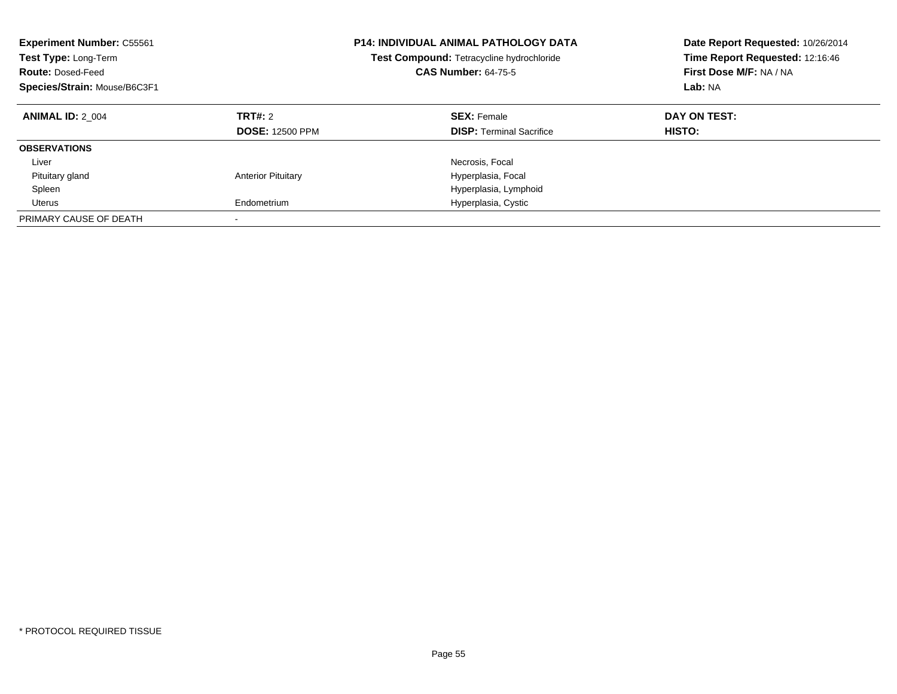| <b>Experiment Number: C55561</b><br>Test Type: Long-Term<br><b>Route: Dosed-Feed</b><br>Species/Strain: Mouse/B6C3F1 |                                   | <b>P14: INDIVIDUAL ANIMAL PATHOLOGY DATA</b><br>Test Compound: Tetracycline hydrochloride<br><b>CAS Number: 64-75-5</b> | Date Report Requested: 10/26/2014<br>Time Report Requested: 12:16:46<br>First Dose M/F: NA / NA<br>Lab: NA |
|----------------------------------------------------------------------------------------------------------------------|-----------------------------------|-------------------------------------------------------------------------------------------------------------------------|------------------------------------------------------------------------------------------------------------|
| <b>ANIMAL ID: 2 004</b>                                                                                              | TRT#: 2<br><b>DOSE: 12500 PPM</b> | <b>SEX: Female</b><br><b>DISP:</b> Terminal Sacrifice                                                                   | DAY ON TEST:<br><b>HISTO:</b>                                                                              |
| <b>OBSERVATIONS</b>                                                                                                  |                                   |                                                                                                                         |                                                                                                            |
| Liver                                                                                                                |                                   | Necrosis, Focal                                                                                                         |                                                                                                            |
| Pituitary gland                                                                                                      | <b>Anterior Pituitary</b>         | Hyperplasia, Focal                                                                                                      |                                                                                                            |
| Spleen                                                                                                               |                                   | Hyperplasia, Lymphoid                                                                                                   |                                                                                                            |
| Uterus                                                                                                               | Endometrium                       | Hyperplasia, Cystic                                                                                                     |                                                                                                            |
| PRIMARY CAUSE OF DEATH                                                                                               |                                   |                                                                                                                         |                                                                                                            |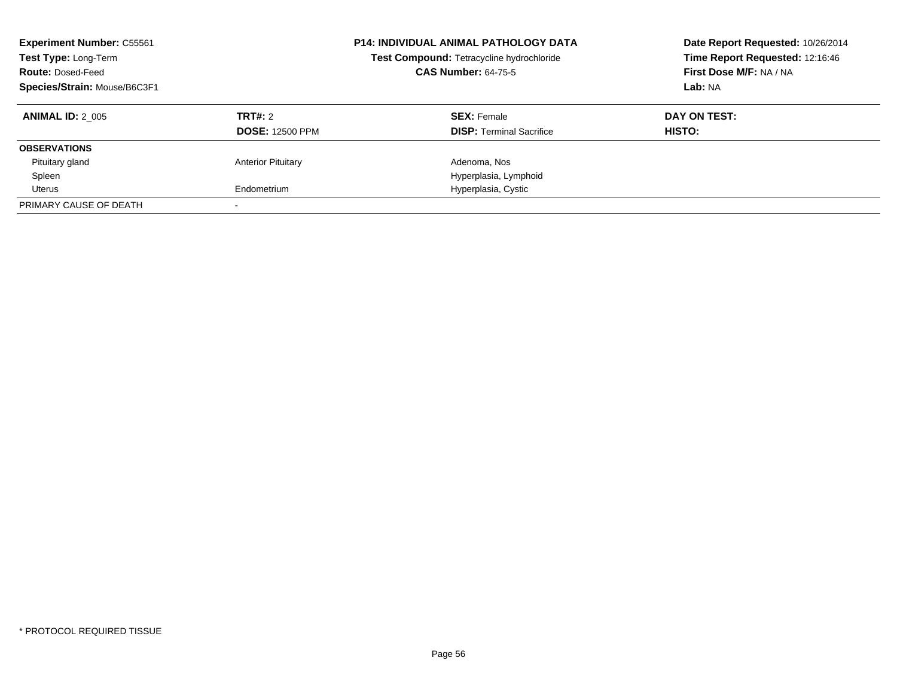| <b>Experiment Number: C55561</b><br>Test Type: Long-Term<br><b>Route: Dosed-Feed</b><br>Species/Strain: Mouse/B6C3F1 |                                   | <b>P14: INDIVIDUAL ANIMAL PATHOLOGY DATA</b><br>Test Compound: Tetracycline hydrochloride<br><b>CAS Number: 64-75-5</b> | Date Report Requested: 10/26/2014<br>Time Report Requested: 12:16:46<br>First Dose M/F: NA / NA<br>Lab: NA |
|----------------------------------------------------------------------------------------------------------------------|-----------------------------------|-------------------------------------------------------------------------------------------------------------------------|------------------------------------------------------------------------------------------------------------|
| <b>ANIMAL ID: 2 005</b>                                                                                              | TRT#: 2<br><b>DOSE: 12500 PPM</b> | <b>SEX: Female</b><br><b>DISP:</b> Terminal Sacrifice                                                                   | DAY ON TEST:<br><b>HISTO:</b>                                                                              |
| <b>OBSERVATIONS</b>                                                                                                  |                                   |                                                                                                                         |                                                                                                            |
| Pituitary gland                                                                                                      | <b>Anterior Pituitary</b>         | Adenoma, Nos                                                                                                            |                                                                                                            |
| Spleen                                                                                                               |                                   | Hyperplasia, Lymphoid                                                                                                   |                                                                                                            |
| Uterus                                                                                                               | Endometrium                       | Hyperplasia, Cystic                                                                                                     |                                                                                                            |
| PRIMARY CAUSE OF DEATH                                                                                               |                                   |                                                                                                                         |                                                                                                            |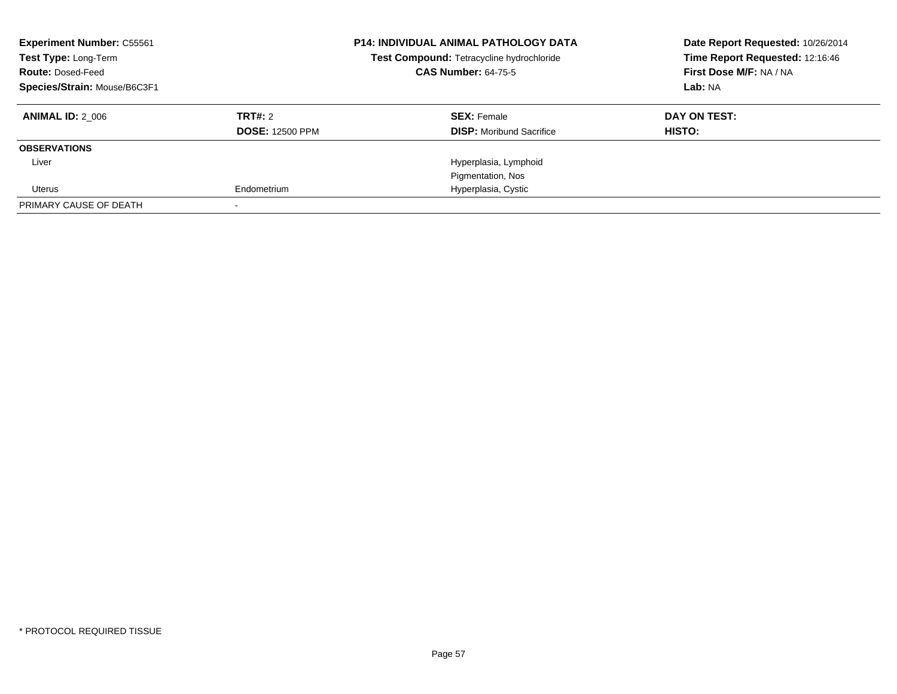| <b>Experiment Number: C55561</b><br>Test Type: Long-Term<br><b>Route: Dosed-Feed</b><br>Species/Strain: Mouse/B6C3F1 |                        | <b>P14: INDIVIDUAL ANIMAL PATHOLOGY DATA</b><br>Test Compound: Tetracycline hydrochloride<br><b>CAS Number: 64-75-5</b> | Date Report Requested: 10/26/2014<br>Time Report Requested: 12:16:46<br>First Dose M/F: NA / NA<br>Lab: NA |
|----------------------------------------------------------------------------------------------------------------------|------------------------|-------------------------------------------------------------------------------------------------------------------------|------------------------------------------------------------------------------------------------------------|
| <b>ANIMAL ID: 2 006</b>                                                                                              | TRT#: 2                | <b>SEX: Female</b>                                                                                                      | DAY ON TEST:                                                                                               |
|                                                                                                                      | <b>DOSE: 12500 PPM</b> | <b>DISP:</b> Moribund Sacrifice                                                                                         | HISTO:                                                                                                     |
| <b>OBSERVATIONS</b>                                                                                                  |                        |                                                                                                                         |                                                                                                            |
| Liver                                                                                                                |                        | Hyperplasia, Lymphoid                                                                                                   |                                                                                                            |
|                                                                                                                      |                        | Pigmentation, Nos                                                                                                       |                                                                                                            |
| Uterus                                                                                                               | Endometrium            | Hyperplasia, Cystic                                                                                                     |                                                                                                            |
| PRIMARY CAUSE OF DEATH                                                                                               |                        |                                                                                                                         |                                                                                                            |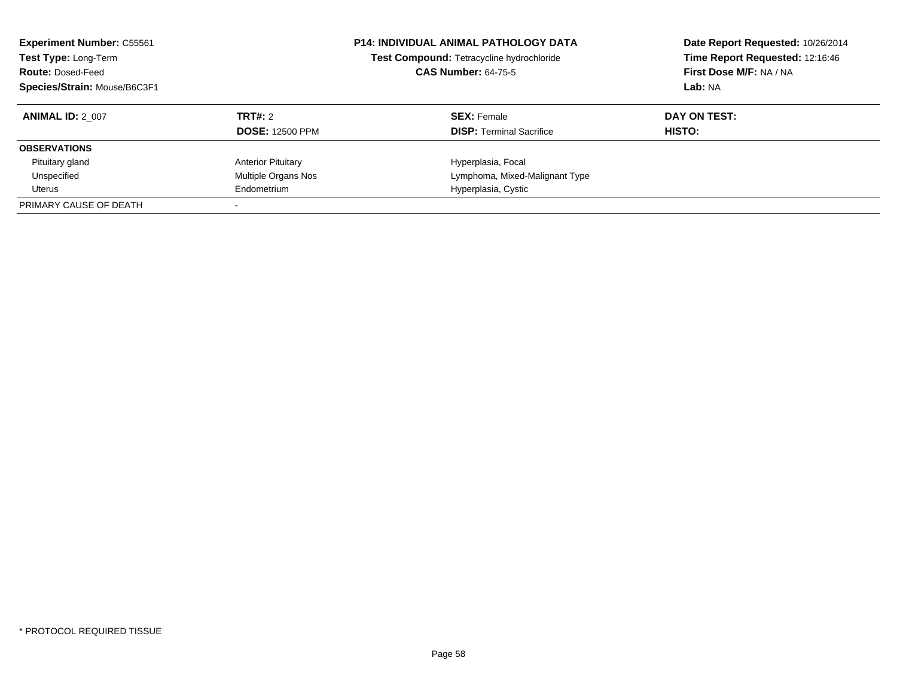| <b>Experiment Number: C55561</b><br>Test Type: Long-Term<br><b>Route: Dosed-Feed</b><br>Species/Strain: Mouse/B6C3F1 |                           | <b>P14: INDIVIDUAL ANIMAL PATHOLOGY DATA</b><br>Test Compound: Tetracycline hydrochloride<br><b>CAS Number: 64-75-5</b> | Date Report Requested: 10/26/2014<br>Time Report Requested: 12:16:46<br>First Dose M/F: NA / NA<br>Lab: NA |
|----------------------------------------------------------------------------------------------------------------------|---------------------------|-------------------------------------------------------------------------------------------------------------------------|------------------------------------------------------------------------------------------------------------|
| <b>ANIMAL ID: 2 007</b>                                                                                              | <b>TRT#: 2</b>            | <b>SEX: Female</b>                                                                                                      | DAY ON TEST:                                                                                               |
|                                                                                                                      | <b>DOSE: 12500 PPM</b>    | <b>DISP:</b> Terminal Sacrifice                                                                                         | HISTO:                                                                                                     |
| <b>OBSERVATIONS</b>                                                                                                  |                           |                                                                                                                         |                                                                                                            |
| Pituitary gland                                                                                                      | <b>Anterior Pituitary</b> | Hyperplasia, Focal                                                                                                      |                                                                                                            |
| Unspecified                                                                                                          | Multiple Organs Nos       | Lymphoma, Mixed-Malignant Type                                                                                          |                                                                                                            |
| Uterus                                                                                                               | Endometrium               | Hyperplasia, Cystic                                                                                                     |                                                                                                            |
| PRIMARY CAUSE OF DEATH                                                                                               |                           |                                                                                                                         |                                                                                                            |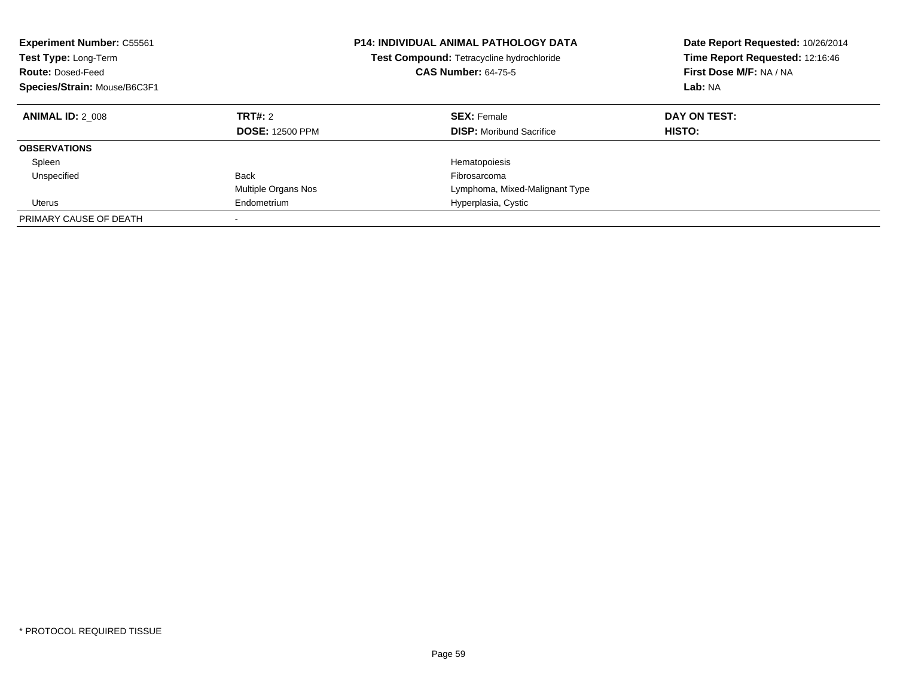| <b>Experiment Number: C55561</b><br>Test Type: Long-Term<br><b>Route: Dosed-Feed</b><br>Species/Strain: Mouse/B6C3F1 |                                   | <b>P14: INDIVIDUAL ANIMAL PATHOLOGY DATA</b><br>Test Compound: Tetracycline hydrochloride<br><b>CAS Number: 64-75-5</b> | Date Report Requested: 10/26/2014<br>Time Report Requested: 12:16:46<br>First Dose M/F: NA / NA<br>Lab: NA |
|----------------------------------------------------------------------------------------------------------------------|-----------------------------------|-------------------------------------------------------------------------------------------------------------------------|------------------------------------------------------------------------------------------------------------|
| <b>ANIMAL ID: 2 008</b>                                                                                              | TRT#: 2<br><b>DOSE: 12500 PPM</b> | <b>SEX: Female</b><br><b>DISP:</b> Moribund Sacrifice                                                                   | DAY ON TEST:<br><b>HISTO:</b>                                                                              |
| <b>OBSERVATIONS</b>                                                                                                  |                                   |                                                                                                                         |                                                                                                            |
| Spleen                                                                                                               |                                   | Hematopoiesis                                                                                                           |                                                                                                            |
| Unspecified                                                                                                          | <b>Back</b>                       | Fibrosarcoma                                                                                                            |                                                                                                            |
|                                                                                                                      | Multiple Organs Nos               | Lymphoma, Mixed-Malignant Type                                                                                          |                                                                                                            |
| Uterus                                                                                                               | Endometrium                       | Hyperplasia, Cystic                                                                                                     |                                                                                                            |
| PRIMARY CAUSE OF DEATH                                                                                               | $\overline{\phantom{a}}$          |                                                                                                                         |                                                                                                            |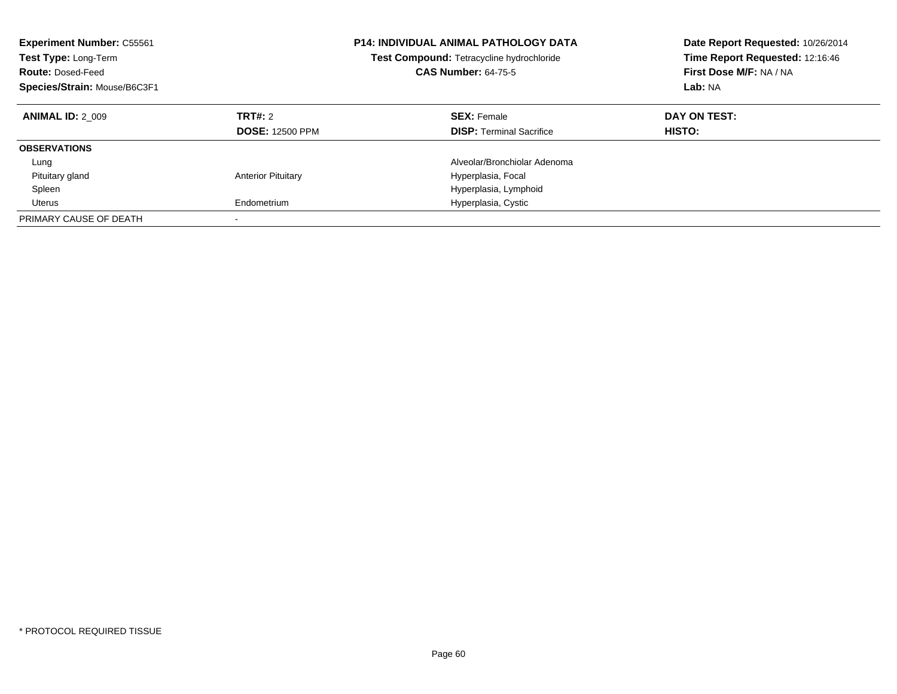| <b>Experiment Number: C55561</b><br>Test Type: Long-Term<br><b>Route: Dosed-Feed</b><br>Species/Strain: Mouse/B6C3F1 |                                   | <b>P14: INDIVIDUAL ANIMAL PATHOLOGY DATA</b><br>Test Compound: Tetracycline hydrochloride<br><b>CAS Number: 64-75-5</b> | Date Report Requested: 10/26/2014<br>Time Report Requested: 12:16:46<br>First Dose M/F: NA / NA<br>Lab: NA |
|----------------------------------------------------------------------------------------------------------------------|-----------------------------------|-------------------------------------------------------------------------------------------------------------------------|------------------------------------------------------------------------------------------------------------|
| <b>ANIMAL ID: 2 009</b>                                                                                              | TRT#: 2<br><b>DOSE: 12500 PPM</b> | <b>SEX: Female</b><br><b>DISP:</b> Terminal Sacrifice                                                                   | DAY ON TEST:<br><b>HISTO:</b>                                                                              |
| <b>OBSERVATIONS</b>                                                                                                  |                                   |                                                                                                                         |                                                                                                            |
| Lung                                                                                                                 |                                   | Alveolar/Bronchiolar Adenoma                                                                                            |                                                                                                            |
| Pituitary gland                                                                                                      | <b>Anterior Pituitary</b>         | Hyperplasia, Focal                                                                                                      |                                                                                                            |
| Spleen                                                                                                               |                                   | Hyperplasia, Lymphoid                                                                                                   |                                                                                                            |
| Uterus                                                                                                               | Endometrium                       | Hyperplasia, Cystic                                                                                                     |                                                                                                            |
| PRIMARY CAUSE OF DEATH                                                                                               |                                   |                                                                                                                         |                                                                                                            |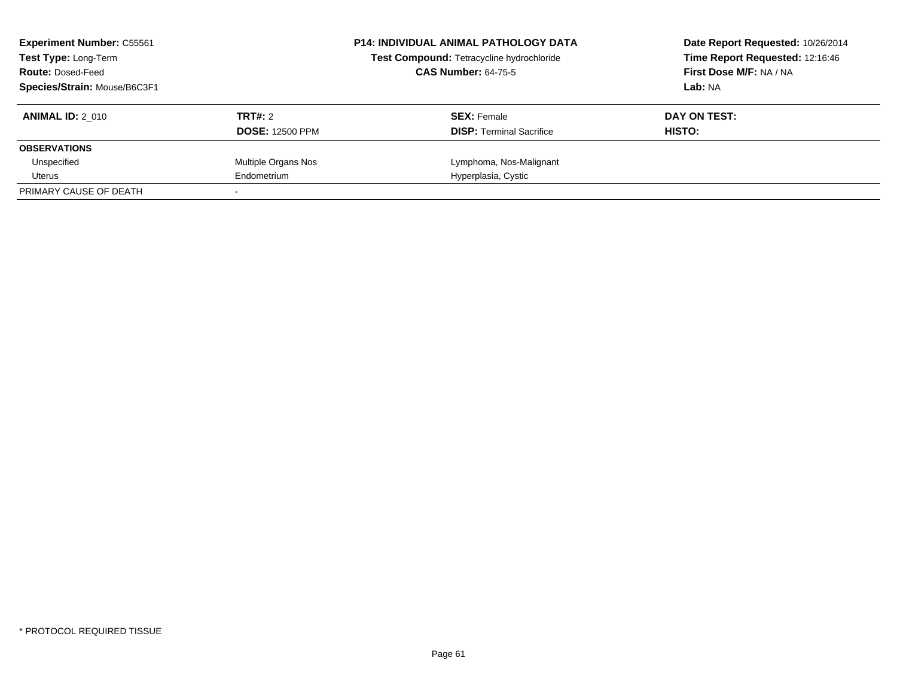| <b>Experiment Number: C55561</b><br><b>Test Type: Long-Term</b><br><b>Route: Dosed-Feed</b><br>Species/Strain: Mouse/B6C3F1 |                                   | <b>P14: INDIVIDUAL ANIMAL PATHOLOGY DATA</b><br>Test Compound: Tetracycline hydrochloride<br><b>CAS Number: 64-75-5</b> | Date Report Requested: 10/26/2014<br>Time Report Requested: 12:16:46<br>First Dose M/F: NA / NA<br>Lab: NA |
|-----------------------------------------------------------------------------------------------------------------------------|-----------------------------------|-------------------------------------------------------------------------------------------------------------------------|------------------------------------------------------------------------------------------------------------|
| <b>ANIMAL ID: 2 010</b>                                                                                                     | TRT#: 2<br><b>DOSE: 12500 PPM</b> | <b>SEX: Female</b><br><b>DISP:</b> Terminal Sacrifice                                                                   | DAY ON TEST:<br>HISTO:                                                                                     |
| <b>OBSERVATIONS</b>                                                                                                         |                                   |                                                                                                                         |                                                                                                            |
| Unspecified                                                                                                                 | Multiple Organs Nos               | Lymphoma, Nos-Malignant                                                                                                 |                                                                                                            |
| Uterus                                                                                                                      | Endometrium                       | Hyperplasia, Cystic                                                                                                     |                                                                                                            |
| PRIMARY CAUSE OF DEATH                                                                                                      |                                   |                                                                                                                         |                                                                                                            |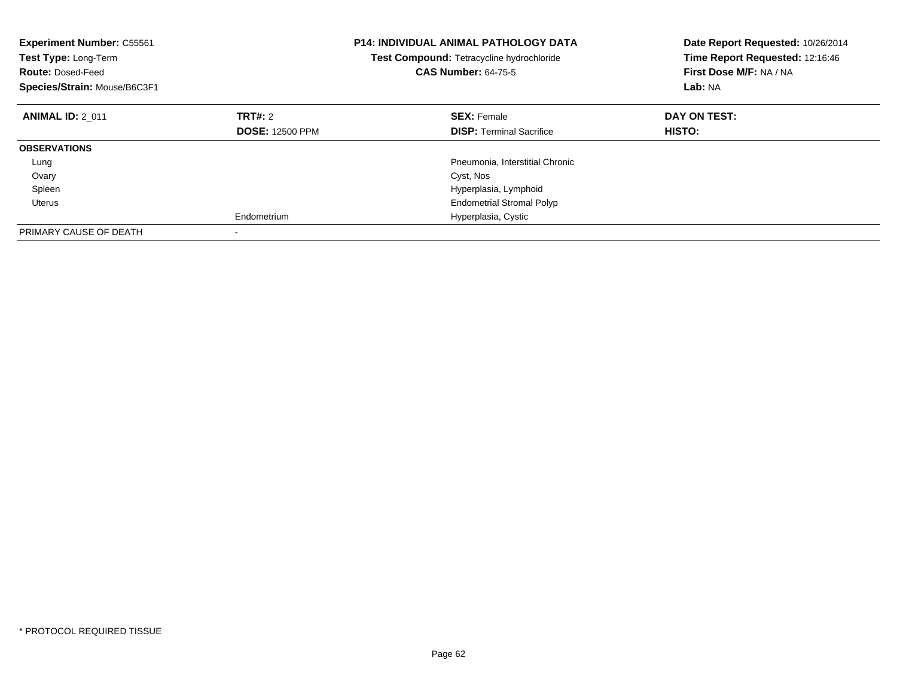| <b>Experiment Number: C55561</b><br>Test Type: Long-Term<br><b>Route: Dosed-Feed</b><br>Species/Strain: Mouse/B6C3F1 |                        | <b>P14: INDIVIDUAL ANIMAL PATHOLOGY DATA</b><br>Test Compound: Tetracycline hydrochloride<br><b>CAS Number: 64-75-5</b> | Date Report Requested: 10/26/2014<br>Time Report Requested: 12:16:46<br>First Dose M/F: NA / NA<br>Lab: NA |
|----------------------------------------------------------------------------------------------------------------------|------------------------|-------------------------------------------------------------------------------------------------------------------------|------------------------------------------------------------------------------------------------------------|
| <b>ANIMAL ID: 2 011</b>                                                                                              | TRT#: 2                | <b>SEX: Female</b>                                                                                                      | DAY ON TEST:                                                                                               |
|                                                                                                                      | <b>DOSE: 12500 PPM</b> | <b>DISP:</b> Terminal Sacrifice                                                                                         | HISTO:                                                                                                     |
| <b>OBSERVATIONS</b>                                                                                                  |                        |                                                                                                                         |                                                                                                            |
| Lung                                                                                                                 |                        | Pneumonia, Interstitial Chronic                                                                                         |                                                                                                            |
| Ovary                                                                                                                |                        | Cyst, Nos                                                                                                               |                                                                                                            |
| Spleen                                                                                                               |                        | Hyperplasia, Lymphoid                                                                                                   |                                                                                                            |
| Uterus                                                                                                               |                        | <b>Endometrial Stromal Polyp</b>                                                                                        |                                                                                                            |
|                                                                                                                      | Endometrium            | Hyperplasia, Cystic                                                                                                     |                                                                                                            |
| PRIMARY CAUSE OF DEATH                                                                                               |                        |                                                                                                                         |                                                                                                            |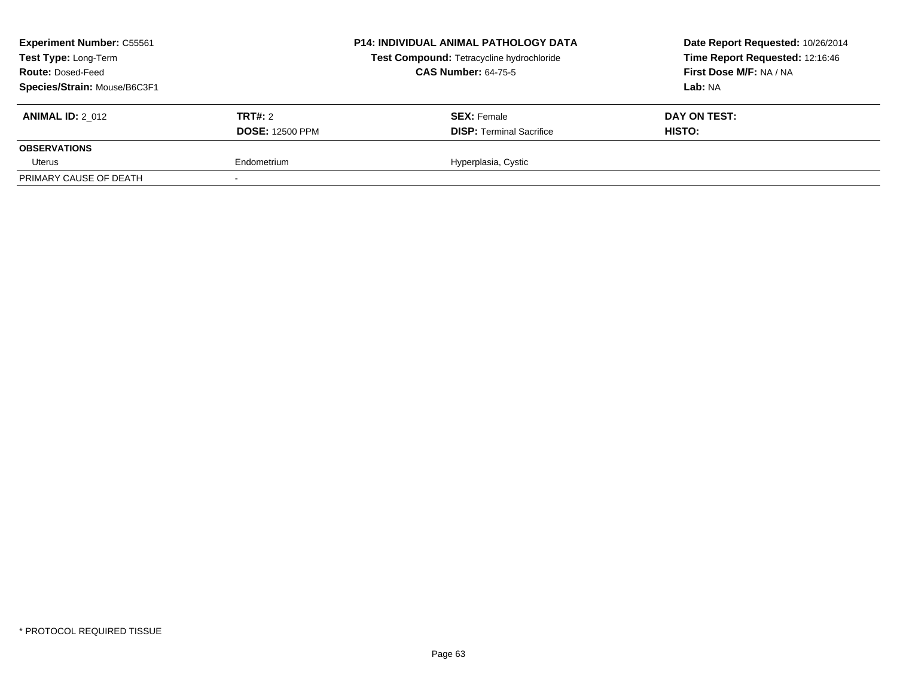| <b>Experiment Number: C55561</b><br>Test Type: Long-Term<br><b>Route: Dosed-Feed</b><br>Species/Strain: Mouse/B6C3F1 |                                   | <b>P14: INDIVIDUAL ANIMAL PATHOLOGY DATA</b><br>Test Compound: Tetracycline hydrochloride<br><b>CAS Number: 64-75-5</b> | Date Report Requested: 10/26/2014<br>Time Report Requested: 12:16:46<br>First Dose M/F: NA / NA<br>Lab: NA |
|----------------------------------------------------------------------------------------------------------------------|-----------------------------------|-------------------------------------------------------------------------------------------------------------------------|------------------------------------------------------------------------------------------------------------|
| <b>ANIMAL ID: 2 012</b>                                                                                              | TRT#: 2<br><b>DOSE: 12500 PPM</b> | <b>SEX: Female</b><br><b>DISP: Terminal Sacrifice</b>                                                                   | DAY ON TEST:<br>HISTO:                                                                                     |
| <b>OBSERVATIONS</b>                                                                                                  |                                   |                                                                                                                         |                                                                                                            |
| Uterus                                                                                                               | Endometrium                       | Hyperplasia, Cystic                                                                                                     |                                                                                                            |
| PRIMARY CAUSE OF DEATH                                                                                               |                                   |                                                                                                                         |                                                                                                            |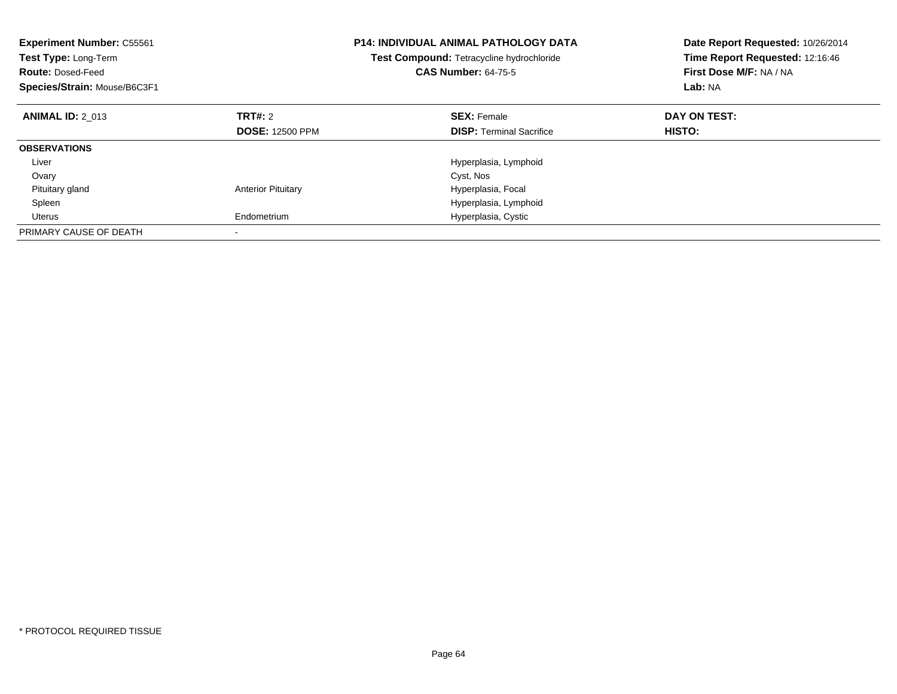| <b>Experiment Number: C55561</b><br><b>Test Type: Long-Term</b><br><b>Route: Dosed-Feed</b><br>Species/Strain: Mouse/B6C3F1 |                           | <b>P14: INDIVIDUAL ANIMAL PATHOLOGY DATA</b><br><b>Test Compound: Tetracycline hydrochloride</b><br><b>CAS Number: 64-75-5</b> | Date Report Requested: 10/26/2014<br>Time Report Requested: 12:16:46<br>First Dose M/F: NA / NA<br>Lab: NA |
|-----------------------------------------------------------------------------------------------------------------------------|---------------------------|--------------------------------------------------------------------------------------------------------------------------------|------------------------------------------------------------------------------------------------------------|
| <b>ANIMAL ID: 2 013</b>                                                                                                     | TRT#: 2                   | <b>SEX: Female</b>                                                                                                             | DAY ON TEST:                                                                                               |
|                                                                                                                             | <b>DOSE: 12500 PPM</b>    | <b>DISP:</b> Terminal Sacrifice                                                                                                | HISTO:                                                                                                     |
| <b>OBSERVATIONS</b>                                                                                                         |                           |                                                                                                                                |                                                                                                            |
| Liver                                                                                                                       |                           | Hyperplasia, Lymphoid                                                                                                          |                                                                                                            |
| Ovary                                                                                                                       |                           | Cyst, Nos                                                                                                                      |                                                                                                            |
| Pituitary gland                                                                                                             | <b>Anterior Pituitary</b> | Hyperplasia, Focal                                                                                                             |                                                                                                            |
| Spleen                                                                                                                      |                           | Hyperplasia, Lymphoid                                                                                                          |                                                                                                            |
| Uterus                                                                                                                      | Endometrium               | Hyperplasia, Cystic                                                                                                            |                                                                                                            |
| PRIMARY CAUSE OF DEATH                                                                                                      |                           |                                                                                                                                |                                                                                                            |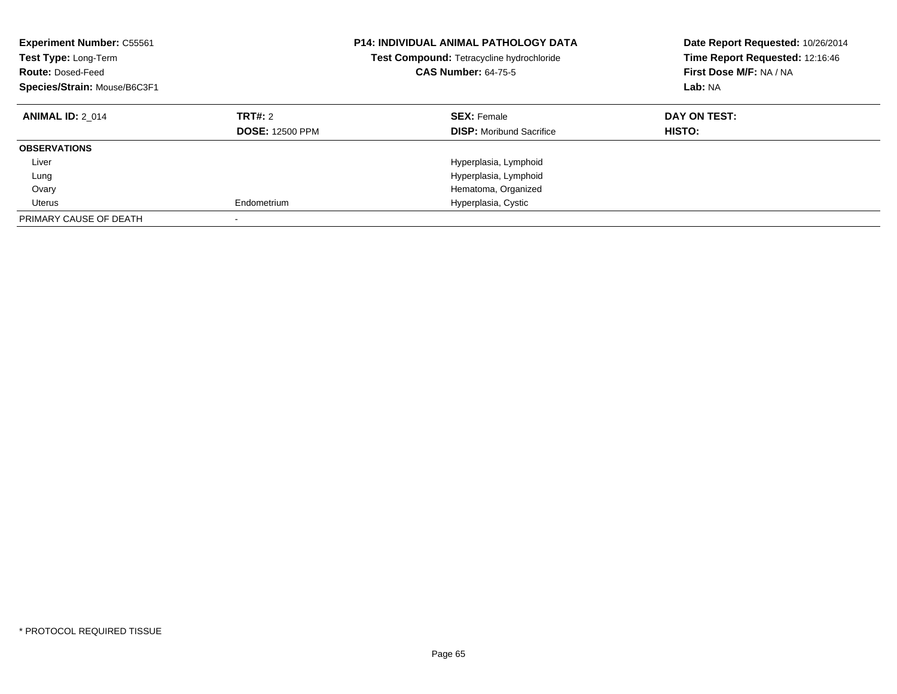| <b>Experiment Number: C55561</b><br>Test Type: Long-Term<br><b>Route: Dosed-Feed</b><br>Species/Strain: Mouse/B6C3F1 |                                          | <b>P14: INDIVIDUAL ANIMAL PATHOLOGY DATA</b><br>Test Compound: Tetracycline hydrochloride<br><b>CAS Number: 64-75-5</b> | Date Report Requested: 10/26/2014<br>Time Report Requested: 12:16:46<br>First Dose M/F: NA / NA<br>Lab: NA |
|----------------------------------------------------------------------------------------------------------------------|------------------------------------------|-------------------------------------------------------------------------------------------------------------------------|------------------------------------------------------------------------------------------------------------|
| <b>ANIMAL ID: 2 014</b>                                                                                              | <b>TRT#: 2</b><br><b>DOSE: 12500 PPM</b> | <b>SEX: Female</b><br><b>DISP:</b> Moribund Sacrifice                                                                   | DAY ON TEST:<br><b>HISTO:</b>                                                                              |
| <b>OBSERVATIONS</b>                                                                                                  |                                          |                                                                                                                         |                                                                                                            |
| Liver                                                                                                                |                                          | Hyperplasia, Lymphoid                                                                                                   |                                                                                                            |
| Lung                                                                                                                 |                                          | Hyperplasia, Lymphoid                                                                                                   |                                                                                                            |
| Ovary                                                                                                                |                                          | Hematoma, Organized                                                                                                     |                                                                                                            |
| Uterus                                                                                                               | Endometrium                              | Hyperplasia, Cystic                                                                                                     |                                                                                                            |
| PRIMARY CAUSE OF DEATH                                                                                               |                                          |                                                                                                                         |                                                                                                            |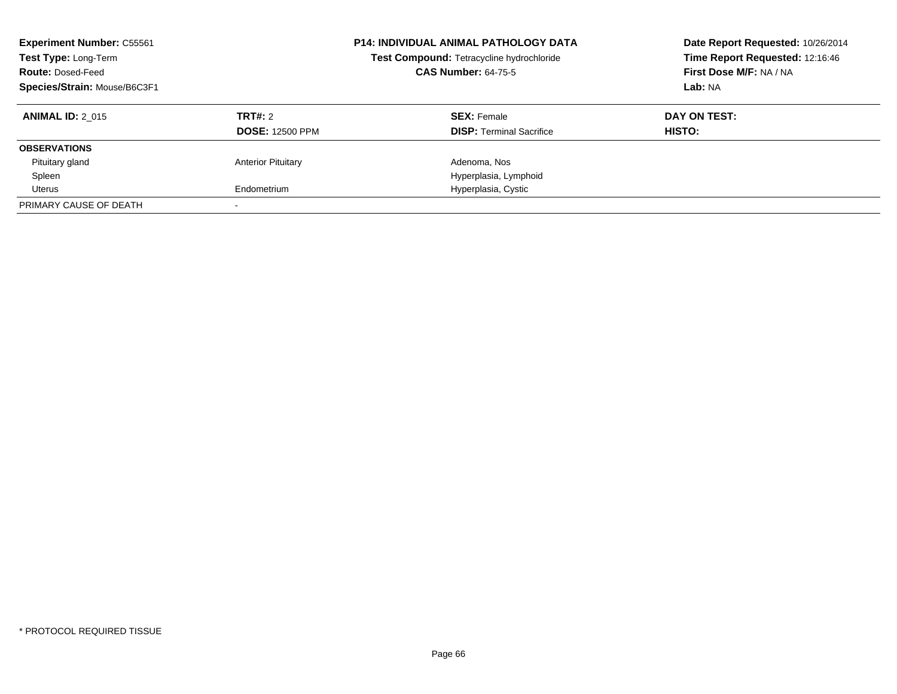| <b>Experiment Number: C55561</b><br>Test Type: Long-Term<br><b>Route: Dosed-Feed</b><br>Species/Strain: Mouse/B6C3F1 |                                   | <b>P14: INDIVIDUAL ANIMAL PATHOLOGY DATA</b><br>Test Compound: Tetracycline hydrochloride<br><b>CAS Number: 64-75-5</b> | Date Report Requested: 10/26/2014<br>Time Report Requested: 12:16:46<br>First Dose M/F: NA / NA<br>Lab: NA |
|----------------------------------------------------------------------------------------------------------------------|-----------------------------------|-------------------------------------------------------------------------------------------------------------------------|------------------------------------------------------------------------------------------------------------|
| <b>ANIMAL ID: 2 015</b>                                                                                              | TRT#: 2<br><b>DOSE: 12500 PPM</b> | <b>SEX: Female</b><br><b>DISP:</b> Terminal Sacrifice                                                                   | DAY ON TEST:<br><b>HISTO:</b>                                                                              |
| <b>OBSERVATIONS</b>                                                                                                  |                                   |                                                                                                                         |                                                                                                            |
| Pituitary gland                                                                                                      | <b>Anterior Pituitary</b>         | Adenoma, Nos                                                                                                            |                                                                                                            |
| Spleen                                                                                                               |                                   | Hyperplasia, Lymphoid                                                                                                   |                                                                                                            |
| Uterus                                                                                                               | Endometrium                       | Hyperplasia, Cystic                                                                                                     |                                                                                                            |
| PRIMARY CAUSE OF DEATH                                                                                               |                                   |                                                                                                                         |                                                                                                            |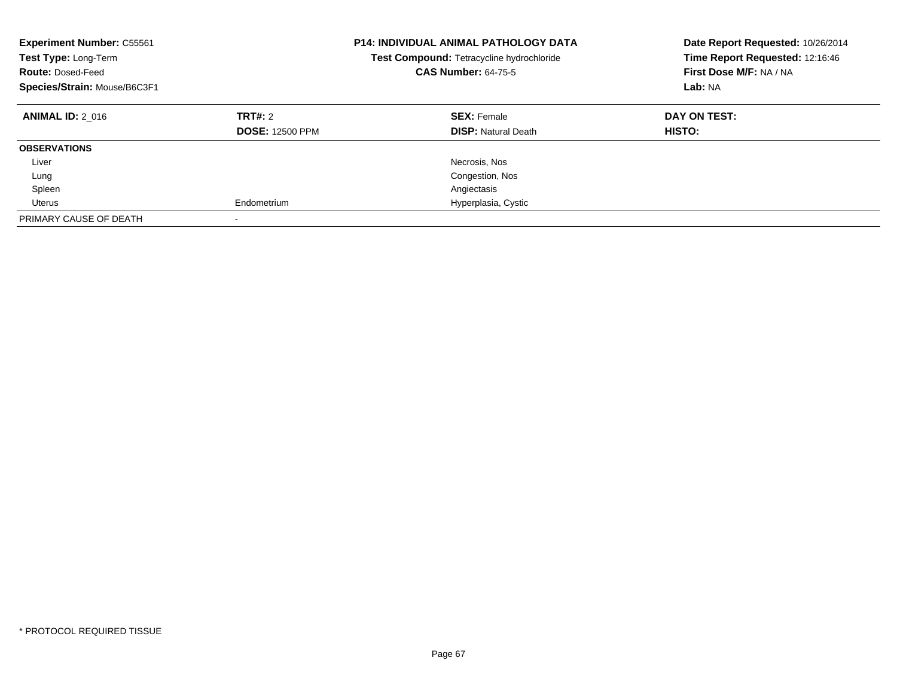| <b>Experiment Number: C55561</b><br>Test Type: Long-Term<br><b>Route: Dosed-Feed</b><br>Species/Strain: Mouse/B6C3F1 |                                   | <b>P14: INDIVIDUAL ANIMAL PATHOLOGY DATA</b><br>Test Compound: Tetracycline hydrochloride<br><b>CAS Number: 64-75-5</b> | Date Report Requested: 10/26/2014<br>Time Report Requested: 12:16:46<br>First Dose M/F: NA / NA<br>Lab: NA |
|----------------------------------------------------------------------------------------------------------------------|-----------------------------------|-------------------------------------------------------------------------------------------------------------------------|------------------------------------------------------------------------------------------------------------|
| <b>ANIMAL ID: 2 016</b>                                                                                              | TRT#: 2<br><b>DOSE: 12500 PPM</b> | <b>SEX: Female</b><br><b>DISP:</b> Natural Death                                                                        | DAY ON TEST:<br><b>HISTO:</b>                                                                              |
| <b>OBSERVATIONS</b>                                                                                                  |                                   |                                                                                                                         |                                                                                                            |
| Liver                                                                                                                |                                   | Necrosis, Nos                                                                                                           |                                                                                                            |
| Lung                                                                                                                 |                                   | Congestion, Nos                                                                                                         |                                                                                                            |
| Spleen                                                                                                               |                                   | Angiectasis                                                                                                             |                                                                                                            |
| Uterus                                                                                                               | Endometrium                       | Hyperplasia, Cystic                                                                                                     |                                                                                                            |
| PRIMARY CAUSE OF DEATH                                                                                               |                                   |                                                                                                                         |                                                                                                            |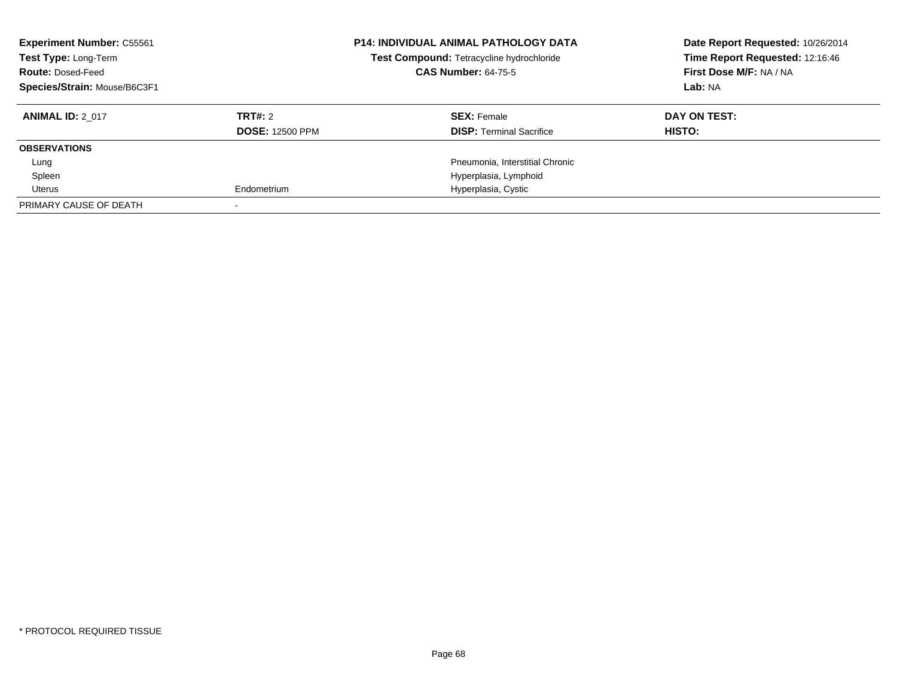| <b>Experiment Number: C55561</b><br>Test Type: Long-Term<br><b>Route: Dosed-Feed</b><br>Species/Strain: Mouse/B6C3F1 |                                   | <b>P14: INDIVIDUAL ANIMAL PATHOLOGY DATA</b><br>Test Compound: Tetracycline hydrochloride<br><b>CAS Number: 64-75-5</b> | Date Report Requested: 10/26/2014<br>Time Report Requested: 12:16:46<br>First Dose M/F: NA / NA<br>Lab: NA |
|----------------------------------------------------------------------------------------------------------------------|-----------------------------------|-------------------------------------------------------------------------------------------------------------------------|------------------------------------------------------------------------------------------------------------|
| <b>ANIMAL ID: 2 017</b>                                                                                              | TRT#: 2<br><b>DOSE: 12500 PPM</b> | <b>SEX: Female</b><br><b>DISP:</b> Terminal Sacrifice                                                                   | DAY ON TEST:<br><b>HISTO:</b>                                                                              |
| <b>OBSERVATIONS</b>                                                                                                  |                                   |                                                                                                                         |                                                                                                            |
| Lung                                                                                                                 |                                   | Pneumonia, Interstitial Chronic                                                                                         |                                                                                                            |
| Spleen                                                                                                               |                                   | Hyperplasia, Lymphoid                                                                                                   |                                                                                                            |
| Uterus                                                                                                               | Endometrium                       | Hyperplasia, Cystic                                                                                                     |                                                                                                            |
| PRIMARY CAUSE OF DEATH                                                                                               |                                   |                                                                                                                         |                                                                                                            |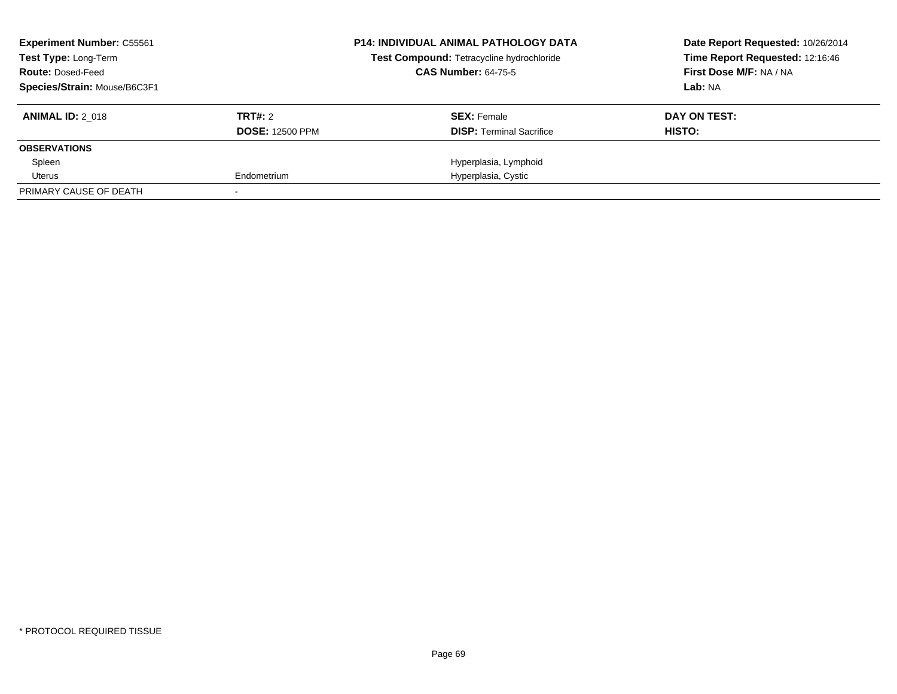| <b>Experiment Number: C55561</b><br><b>Test Type: Long-Term</b> |                        | <b>P14: INDIVIDUAL ANIMAL PATHOLOGY DATA</b><br>Test Compound: Tetracycline hydrochloride | Date Report Requested: 10/26/2014<br>Time Report Requested: 12:16:46 |
|-----------------------------------------------------------------|------------------------|-------------------------------------------------------------------------------------------|----------------------------------------------------------------------|
| <b>Route: Dosed-Feed</b>                                        |                        | <b>CAS Number: 64-75-5</b>                                                                | First Dose M/F: NA / NA                                              |
| Species/Strain: Mouse/B6C3F1                                    |                        |                                                                                           | Lab: NA                                                              |
| <b>ANIMAL ID: 2 018</b>                                         | TRT#: 2                | <b>SEX: Female</b>                                                                        | DAY ON TEST:                                                         |
|                                                                 | <b>DOSE: 12500 PPM</b> | <b>DISP:</b> Terminal Sacrifice                                                           | HISTO:                                                               |
| <b>OBSERVATIONS</b>                                             |                        |                                                                                           |                                                                      |
| Spleen                                                          |                        | Hyperplasia, Lymphoid                                                                     |                                                                      |
| Uterus                                                          | Endometrium            | Hyperplasia, Cystic                                                                       |                                                                      |
| PRIMARY CAUSE OF DEATH                                          |                        |                                                                                           |                                                                      |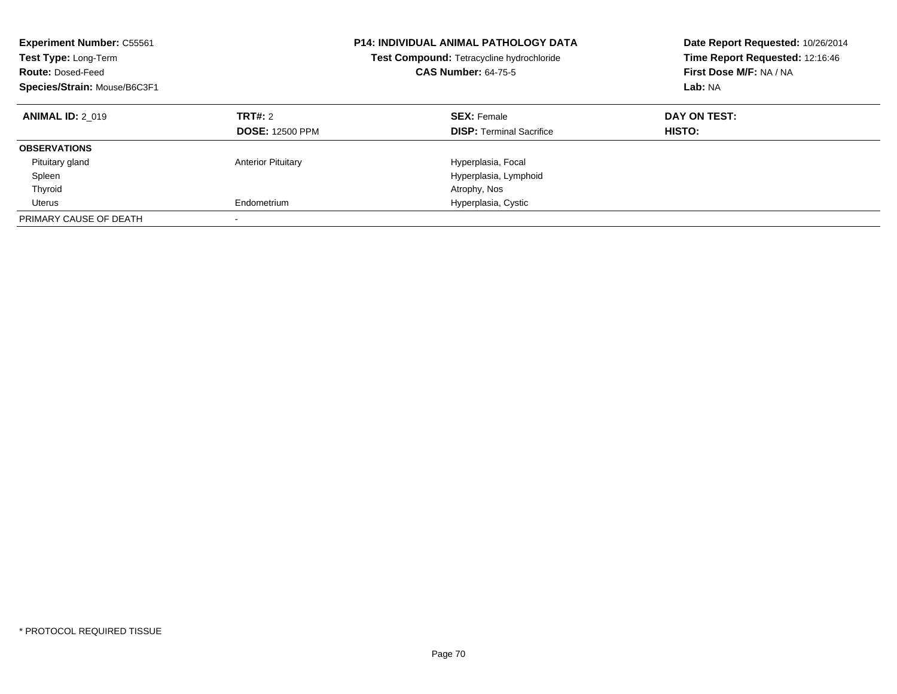| <b>Experiment Number: C55561</b><br>Test Type: Long-Term<br><b>Route: Dosed-Feed</b><br>Species/Strain: Mouse/B6C3F1 |                                          | <b>P14: INDIVIDUAL ANIMAL PATHOLOGY DATA</b><br>Test Compound: Tetracycline hydrochloride<br><b>CAS Number: 64-75-5</b> | Date Report Requested: 10/26/2014<br>Time Report Requested: 12:16:46<br>First Dose M/F: NA / NA<br>Lab: NA |
|----------------------------------------------------------------------------------------------------------------------|------------------------------------------|-------------------------------------------------------------------------------------------------------------------------|------------------------------------------------------------------------------------------------------------|
| <b>ANIMAL ID: 2 019</b>                                                                                              | <b>TRT#: 2</b><br><b>DOSE: 12500 PPM</b> | <b>SEX: Female</b><br><b>DISP:</b> Terminal Sacrifice                                                                   | DAY ON TEST:<br><b>HISTO:</b>                                                                              |
| <b>OBSERVATIONS</b>                                                                                                  |                                          |                                                                                                                         |                                                                                                            |
| Pituitary gland                                                                                                      | <b>Anterior Pituitary</b>                | Hyperplasia, Focal                                                                                                      |                                                                                                            |
| Spleen                                                                                                               |                                          | Hyperplasia, Lymphoid                                                                                                   |                                                                                                            |
| Thyroid                                                                                                              |                                          | Atrophy, Nos                                                                                                            |                                                                                                            |
| Uterus                                                                                                               | Endometrium                              | Hyperplasia, Cystic                                                                                                     |                                                                                                            |
| PRIMARY CAUSE OF DEATH                                                                                               |                                          |                                                                                                                         |                                                                                                            |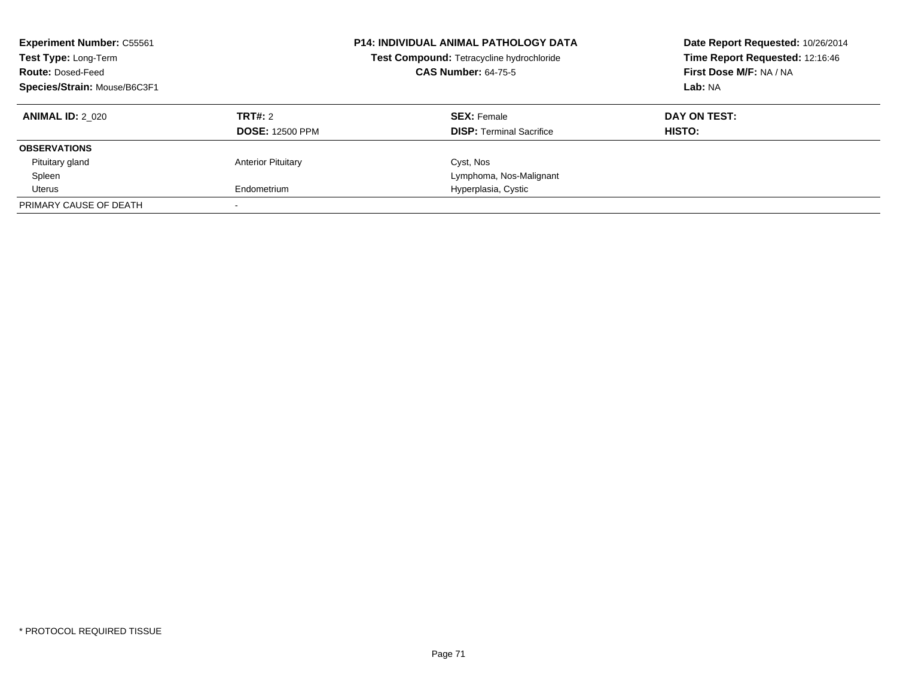| <b>Experiment Number: C55561</b><br>Test Type: Long-Term<br><b>Route: Dosed-Feed</b><br>Species/Strain: Mouse/B6C3F1 |                                   | <b>P14: INDIVIDUAL ANIMAL PATHOLOGY DATA</b><br>Test Compound: Tetracycline hydrochloride<br><b>CAS Number: 64-75-5</b> | Date Report Requested: 10/26/2014<br>Time Report Requested: 12:16:46<br>First Dose M/F: NA / NA<br>Lab: NA |
|----------------------------------------------------------------------------------------------------------------------|-----------------------------------|-------------------------------------------------------------------------------------------------------------------------|------------------------------------------------------------------------------------------------------------|
| <b>ANIMAL ID: 2 020</b>                                                                                              | TRT#: 2<br><b>DOSE: 12500 PPM</b> | <b>SEX: Female</b><br><b>DISP:</b> Terminal Sacrifice                                                                   | DAY ON TEST:<br><b>HISTO:</b>                                                                              |
| <b>OBSERVATIONS</b>                                                                                                  |                                   |                                                                                                                         |                                                                                                            |
| Pituitary gland                                                                                                      | <b>Anterior Pituitary</b>         | Cyst, Nos                                                                                                               |                                                                                                            |
| Spleen                                                                                                               |                                   | Lymphoma, Nos-Malignant                                                                                                 |                                                                                                            |
| Uterus                                                                                                               | Endometrium                       | Hyperplasia, Cystic                                                                                                     |                                                                                                            |
| PRIMARY CAUSE OF DEATH                                                                                               |                                   |                                                                                                                         |                                                                                                            |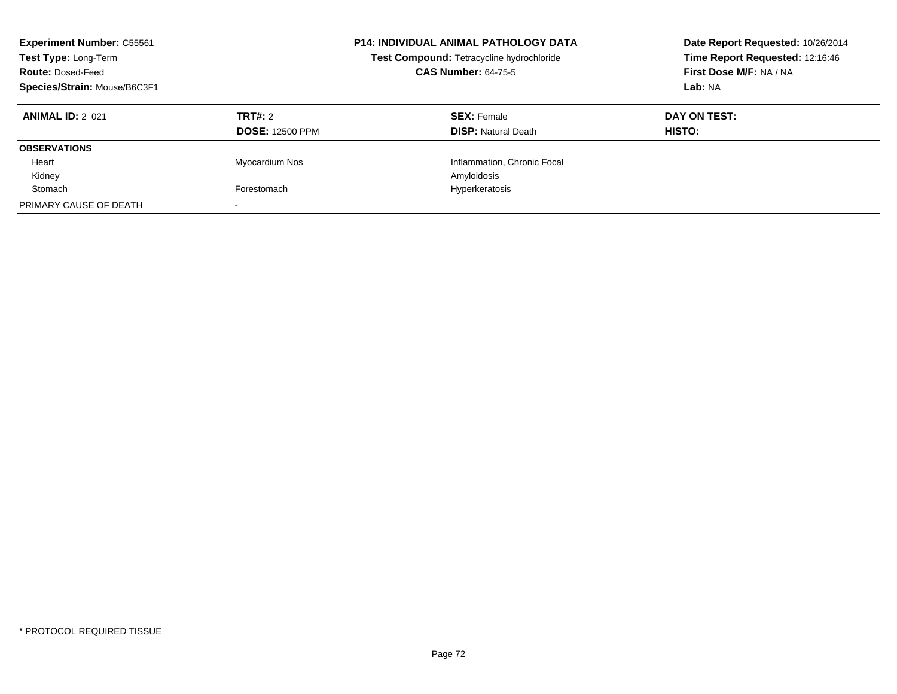| <b>Experiment Number: C55561</b><br>Test Type: Long-Term<br><b>Route: Dosed-Feed</b><br>Species/Strain: Mouse/B6C3F1 |                                   | <b>P14: INDIVIDUAL ANIMAL PATHOLOGY DATA</b><br>Test Compound: Tetracycline hydrochloride<br><b>CAS Number: 64-75-5</b> | Date Report Requested: 10/26/2014<br>Time Report Requested: 12:16:46<br>First Dose M/F: NA / NA<br>Lab: NA |
|----------------------------------------------------------------------------------------------------------------------|-----------------------------------|-------------------------------------------------------------------------------------------------------------------------|------------------------------------------------------------------------------------------------------------|
| <b>ANIMAL ID: 2 021</b>                                                                                              | TRT#: 2<br><b>DOSE: 12500 PPM</b> | <b>SEX:</b> Female<br><b>DISP:</b> Natural Death                                                                        | DAY ON TEST:<br><b>HISTO:</b>                                                                              |
| <b>OBSERVATIONS</b>                                                                                                  |                                   |                                                                                                                         |                                                                                                            |
| Heart                                                                                                                | Myocardium Nos                    | Inflammation, Chronic Focal                                                                                             |                                                                                                            |
| Kidney                                                                                                               |                                   | Amyloidosis                                                                                                             |                                                                                                            |
| Stomach                                                                                                              | Forestomach                       | Hyperkeratosis                                                                                                          |                                                                                                            |
| PRIMARY CAUSE OF DEATH                                                                                               |                                   |                                                                                                                         |                                                                                                            |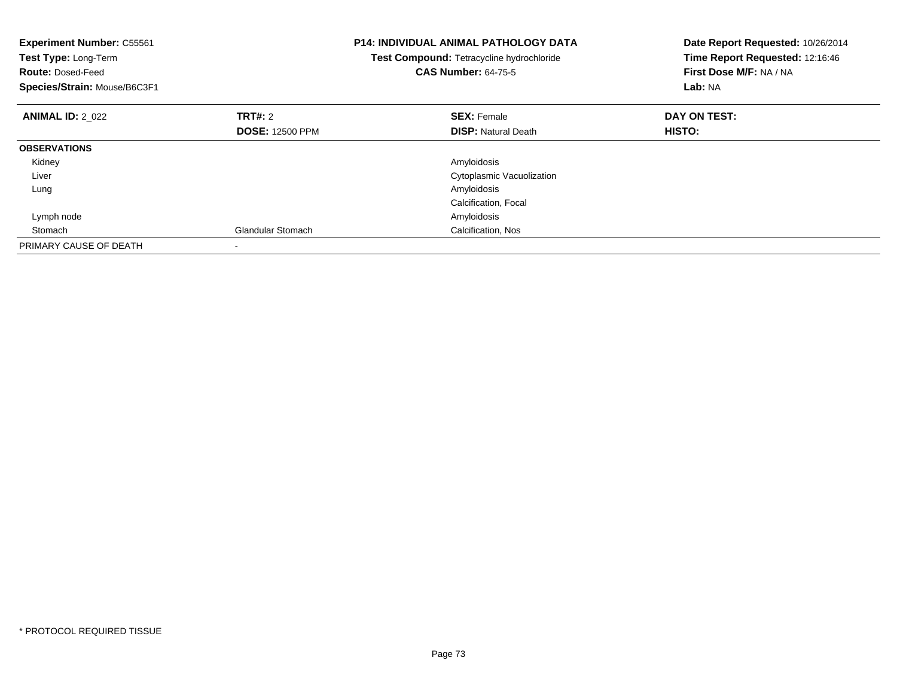| <b>Experiment Number: C55561</b><br>Test Type: Long-Term<br><b>Route: Dosed-Feed</b><br>Species/Strain: Mouse/B6C3F1 |                          | <b>P14: INDIVIDUAL ANIMAL PATHOLOGY DATA</b><br>Test Compound: Tetracycline hydrochloride<br><b>CAS Number: 64-75-5</b> | Date Report Requested: 10/26/2014<br>Time Report Requested: 12:16:46<br>First Dose M/F: NA / NA<br>Lab: NA |
|----------------------------------------------------------------------------------------------------------------------|--------------------------|-------------------------------------------------------------------------------------------------------------------------|------------------------------------------------------------------------------------------------------------|
| <b>ANIMAL ID: 2 022</b>                                                                                              | TRT#: 2                  | <b>SEX: Female</b>                                                                                                      | DAY ON TEST:                                                                                               |
|                                                                                                                      | <b>DOSE: 12500 PPM</b>   | <b>DISP:</b> Natural Death                                                                                              | HISTO:                                                                                                     |
| <b>OBSERVATIONS</b>                                                                                                  |                          |                                                                                                                         |                                                                                                            |
| Kidney                                                                                                               |                          | Amyloidosis                                                                                                             |                                                                                                            |
| Liver                                                                                                                |                          | Cytoplasmic Vacuolization                                                                                               |                                                                                                            |
| Lung                                                                                                                 |                          | Amyloidosis                                                                                                             |                                                                                                            |
|                                                                                                                      |                          | Calcification, Focal                                                                                                    |                                                                                                            |
| Lymph node                                                                                                           |                          | Amyloidosis                                                                                                             |                                                                                                            |
| Stomach                                                                                                              | <b>Glandular Stomach</b> | Calcification, Nos                                                                                                      |                                                                                                            |
| PRIMARY CAUSE OF DEATH                                                                                               |                          |                                                                                                                         |                                                                                                            |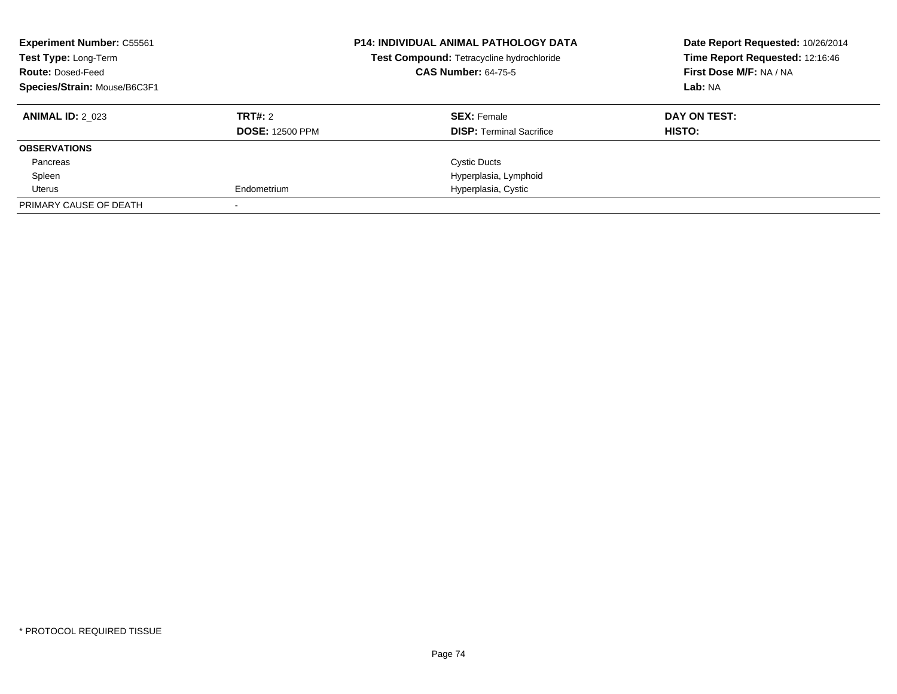| <b>Experiment Number: C55561</b><br>Test Type: Long-Term<br><b>Route: Dosed-Feed</b><br>Species/Strain: Mouse/B6C3F1 |                        | <b>P14: INDIVIDUAL ANIMAL PATHOLOGY DATA</b><br>Test Compound: Tetracycline hydrochloride<br><b>CAS Number: 64-75-5</b> | Date Report Requested: 10/26/2014<br>Time Report Requested: 12:16:46<br>First Dose M/F: NA / NA<br>Lab: NA |
|----------------------------------------------------------------------------------------------------------------------|------------------------|-------------------------------------------------------------------------------------------------------------------------|------------------------------------------------------------------------------------------------------------|
| <b>ANIMAL ID: 2 023</b>                                                                                              | TRT#: 2                | <b>SEX: Female</b>                                                                                                      | DAY ON TEST:                                                                                               |
|                                                                                                                      | <b>DOSE: 12500 PPM</b> | <b>DISP:</b> Terminal Sacrifice                                                                                         | <b>HISTO:</b>                                                                                              |
| <b>OBSERVATIONS</b>                                                                                                  |                        |                                                                                                                         |                                                                                                            |
| Pancreas                                                                                                             |                        | <b>Cystic Ducts</b>                                                                                                     |                                                                                                            |
| Spleen                                                                                                               |                        | Hyperplasia, Lymphoid                                                                                                   |                                                                                                            |
| Uterus                                                                                                               | Endometrium            | Hyperplasia, Cystic                                                                                                     |                                                                                                            |
| PRIMARY CAUSE OF DEATH                                                                                               |                        |                                                                                                                         |                                                                                                            |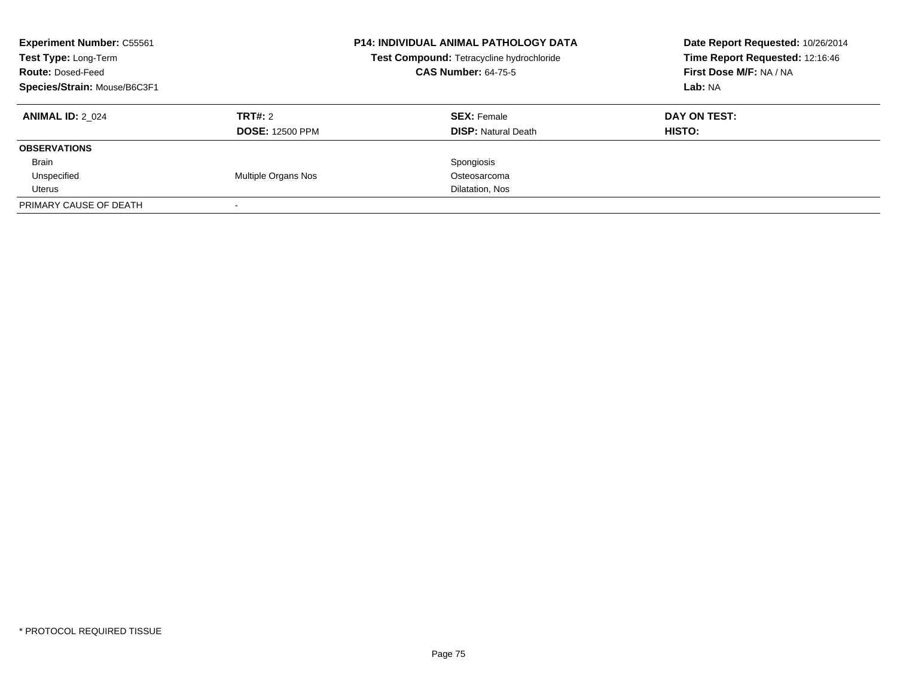| <b>Experiment Number: C55561</b><br>Test Type: Long-Term<br><b>Route: Dosed-Feed</b><br>Species/Strain: Mouse/B6C3F1 |                        | <b>P14: INDIVIDUAL ANIMAL PATHOLOGY DATA</b><br>Test Compound: Tetracycline hydrochloride<br><b>CAS Number: 64-75-5</b> | Date Report Requested: 10/26/2014<br>Time Report Requested: 12:16:46<br>First Dose M/F: NA / NA<br>Lab: NA |
|----------------------------------------------------------------------------------------------------------------------|------------------------|-------------------------------------------------------------------------------------------------------------------------|------------------------------------------------------------------------------------------------------------|
| <b>ANIMAL ID: 2 024</b>                                                                                              | TRT#: 2                | <b>SEX:</b> Female                                                                                                      | DAY ON TEST:                                                                                               |
|                                                                                                                      | <b>DOSE: 12500 PPM</b> | <b>DISP:</b> Natural Death                                                                                              | HISTO:                                                                                                     |
| <b>OBSERVATIONS</b>                                                                                                  |                        |                                                                                                                         |                                                                                                            |
| <b>Brain</b>                                                                                                         |                        | Spongiosis                                                                                                              |                                                                                                            |
| Unspecified                                                                                                          | Multiple Organs Nos    | Osteosarcoma                                                                                                            |                                                                                                            |
| Uterus                                                                                                               |                        | Dilatation, Nos                                                                                                         |                                                                                                            |
| PRIMARY CAUSE OF DEATH                                                                                               |                        |                                                                                                                         |                                                                                                            |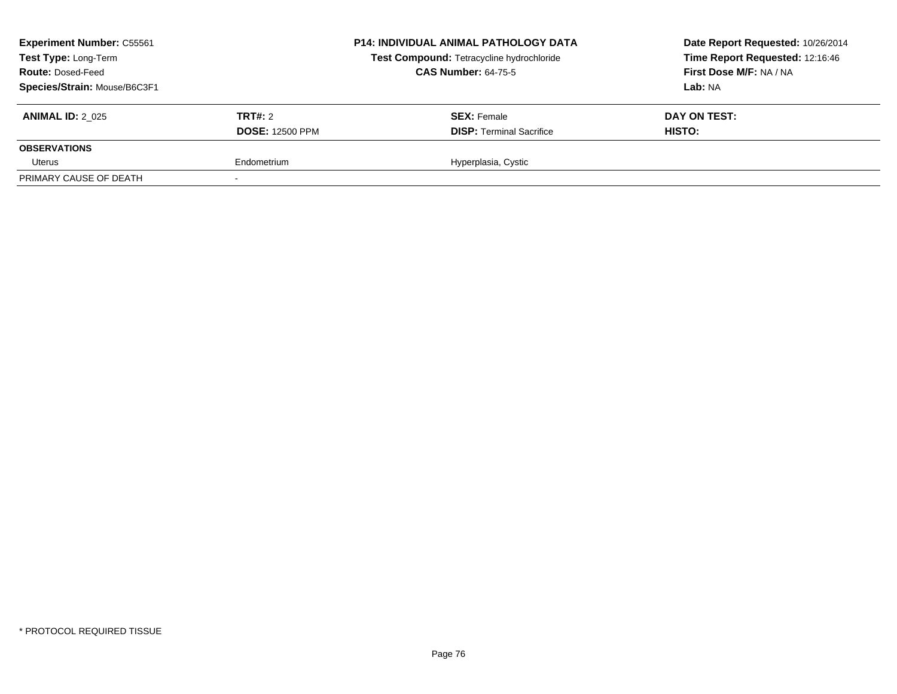| <b>Experiment Number: C55561</b><br>Test Type: Long-Term<br><b>Route: Dosed-Feed</b><br>Species/Strain: Mouse/B6C3F1 |                                   | <b>P14: INDIVIDUAL ANIMAL PATHOLOGY DATA</b><br>Test Compound: Tetracycline hydrochloride<br><b>CAS Number: 64-75-5</b> | Date Report Requested: 10/26/2014<br>Time Report Requested: 12:16:46<br>First Dose M/F: NA / NA<br>Lab: NA |
|----------------------------------------------------------------------------------------------------------------------|-----------------------------------|-------------------------------------------------------------------------------------------------------------------------|------------------------------------------------------------------------------------------------------------|
| <b>ANIMAL ID: 2 025</b>                                                                                              | TRT#: 2<br><b>DOSE: 12500 PPM</b> | <b>SEX: Female</b><br><b>DISP: Terminal Sacrifice</b>                                                                   | DAY ON TEST:<br>HISTO:                                                                                     |
| <b>OBSERVATIONS</b>                                                                                                  |                                   |                                                                                                                         |                                                                                                            |
| Uterus                                                                                                               | Endometrium                       | Hyperplasia, Cystic                                                                                                     |                                                                                                            |
| PRIMARY CAUSE OF DEATH                                                                                               |                                   |                                                                                                                         |                                                                                                            |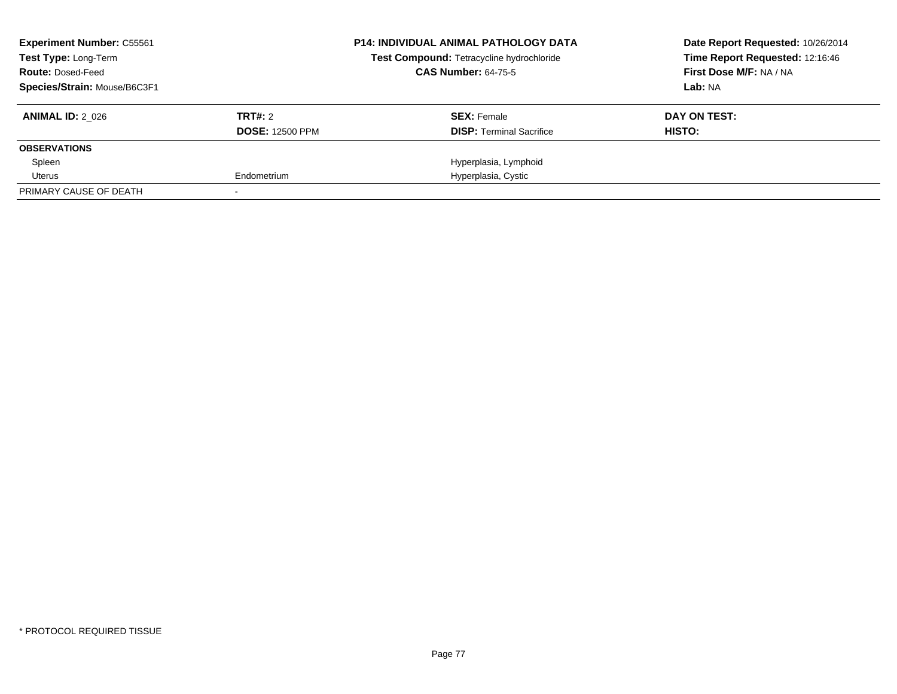| <b>Experiment Number: C55561</b><br><b>Test Type: Long-Term</b> |                        | <b>P14: INDIVIDUAL ANIMAL PATHOLOGY DATA</b><br>Test Compound: Tetracycline hydrochloride | Date Report Requested: 10/26/2014<br>Time Report Requested: 12:16:46 |
|-----------------------------------------------------------------|------------------------|-------------------------------------------------------------------------------------------|----------------------------------------------------------------------|
| <b>Route: Dosed-Feed</b>                                        |                        | <b>CAS Number: 64-75-5</b>                                                                | First Dose M/F: NA / NA                                              |
| Species/Strain: Mouse/B6C3F1                                    |                        |                                                                                           | Lab: NA                                                              |
| <b>ANIMAL ID: 2 026</b>                                         | TRT#: 2                | <b>SEX: Female</b>                                                                        | DAY ON TEST:                                                         |
|                                                                 | <b>DOSE: 12500 PPM</b> | <b>DISP:</b> Terminal Sacrifice                                                           | HISTO:                                                               |
| <b>OBSERVATIONS</b>                                             |                        |                                                                                           |                                                                      |
| Spleen                                                          |                        | Hyperplasia, Lymphoid                                                                     |                                                                      |
| Uterus                                                          | Endometrium            | Hyperplasia, Cystic                                                                       |                                                                      |
| PRIMARY CAUSE OF DEATH                                          |                        |                                                                                           |                                                                      |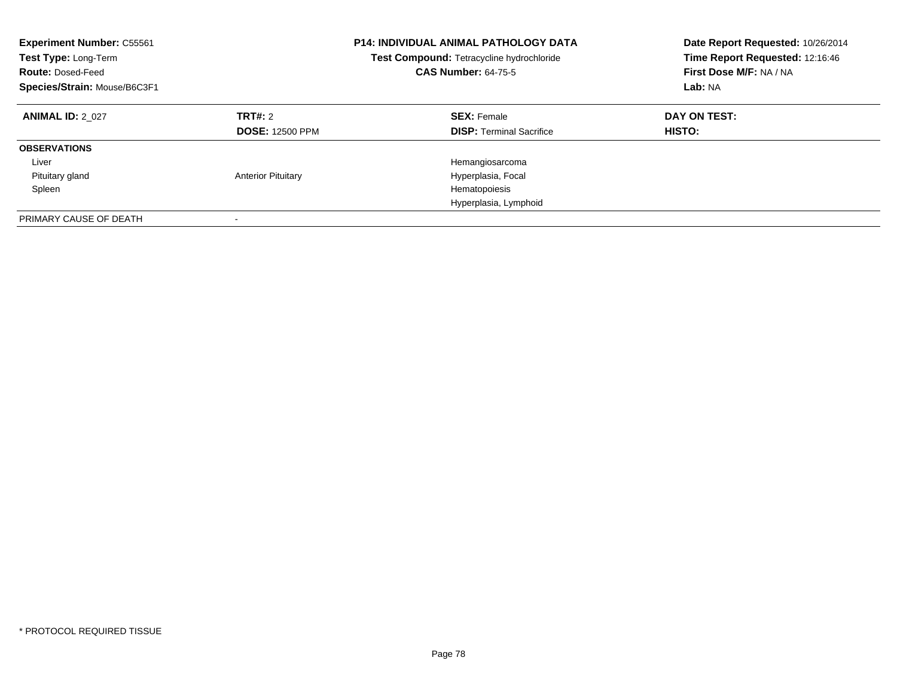| <b>Experiment Number: C55561</b><br>Test Type: Long-Term<br><b>Route: Dosed-Feed</b><br>Species/Strain: Mouse/B6C3F1 |                                          | <b>P14: INDIVIDUAL ANIMAL PATHOLOGY DATA</b><br>Test Compound: Tetracycline hydrochloride<br><b>CAS Number: 64-75-5</b> | Date Report Requested: 10/26/2014<br>Time Report Requested: 12:16:46<br>First Dose M/F: NA / NA<br>Lab: NA |
|----------------------------------------------------------------------------------------------------------------------|------------------------------------------|-------------------------------------------------------------------------------------------------------------------------|------------------------------------------------------------------------------------------------------------|
| <b>ANIMAL ID: 2 027</b>                                                                                              | <b>TRT#: 2</b><br><b>DOSE: 12500 PPM</b> | <b>SEX: Female</b><br><b>DISP:</b> Terminal Sacrifice                                                                   | DAY ON TEST:<br>HISTO:                                                                                     |
| <b>OBSERVATIONS</b>                                                                                                  |                                          |                                                                                                                         |                                                                                                            |
| Liver                                                                                                                |                                          | Hemangiosarcoma                                                                                                         |                                                                                                            |
| Pituitary gland                                                                                                      | <b>Anterior Pituitary</b>                | Hyperplasia, Focal                                                                                                      |                                                                                                            |
| Spleen                                                                                                               |                                          | Hematopoiesis                                                                                                           |                                                                                                            |
|                                                                                                                      |                                          | Hyperplasia, Lymphoid                                                                                                   |                                                                                                            |
| PRIMARY CAUSE OF DEATH                                                                                               |                                          |                                                                                                                         |                                                                                                            |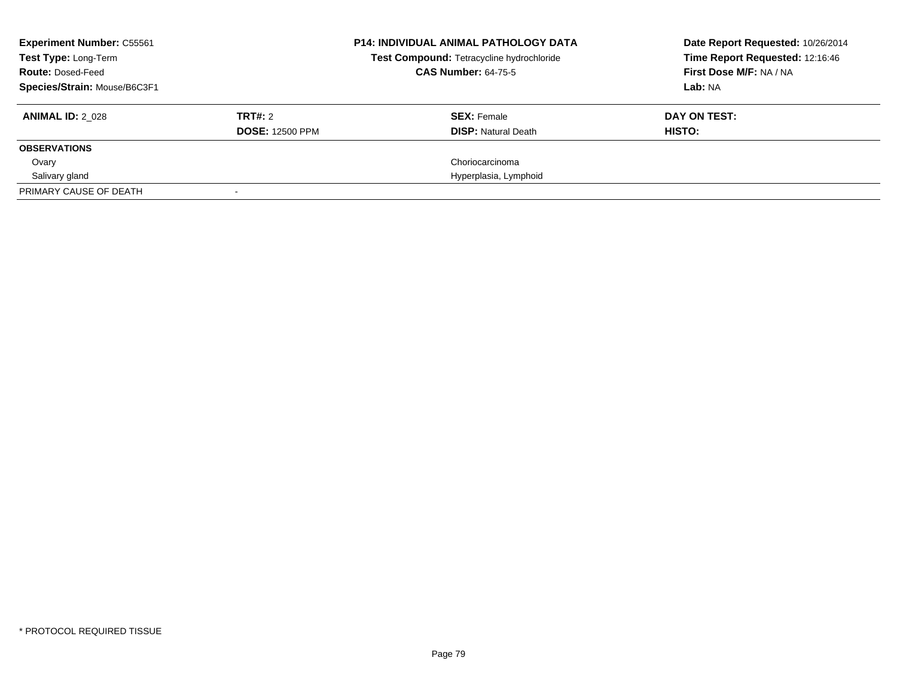| <b>Experiment Number: C55561</b><br>Test Type: Long-Term<br><b>Route: Dosed-Feed</b><br>Species/Strain: Mouse/B6C3F1 |                                   | <b>P14: INDIVIDUAL ANIMAL PATHOLOGY DATA</b><br>Test Compound: Tetracycline hydrochloride<br><b>CAS Number: 64-75-5</b> | Date Report Requested: 10/26/2014<br>Time Report Requested: 12:16:46<br>First Dose M/F: NA / NA<br>Lab: NA |
|----------------------------------------------------------------------------------------------------------------------|-----------------------------------|-------------------------------------------------------------------------------------------------------------------------|------------------------------------------------------------------------------------------------------------|
| <b>ANIMAL ID: 2 028</b>                                                                                              | TRT#: 2<br><b>DOSE: 12500 PPM</b> | <b>SEX: Female</b><br><b>DISP: Natural Death</b>                                                                        | DAY ON TEST:<br>HISTO:                                                                                     |
| <b>OBSERVATIONS</b>                                                                                                  |                                   |                                                                                                                         |                                                                                                            |
| Ovary                                                                                                                |                                   | Choriocarcinoma                                                                                                         |                                                                                                            |
| Salivary gland                                                                                                       |                                   | Hyperplasia, Lymphoid                                                                                                   |                                                                                                            |
| PRIMARY CAUSE OF DEATH                                                                                               |                                   |                                                                                                                         |                                                                                                            |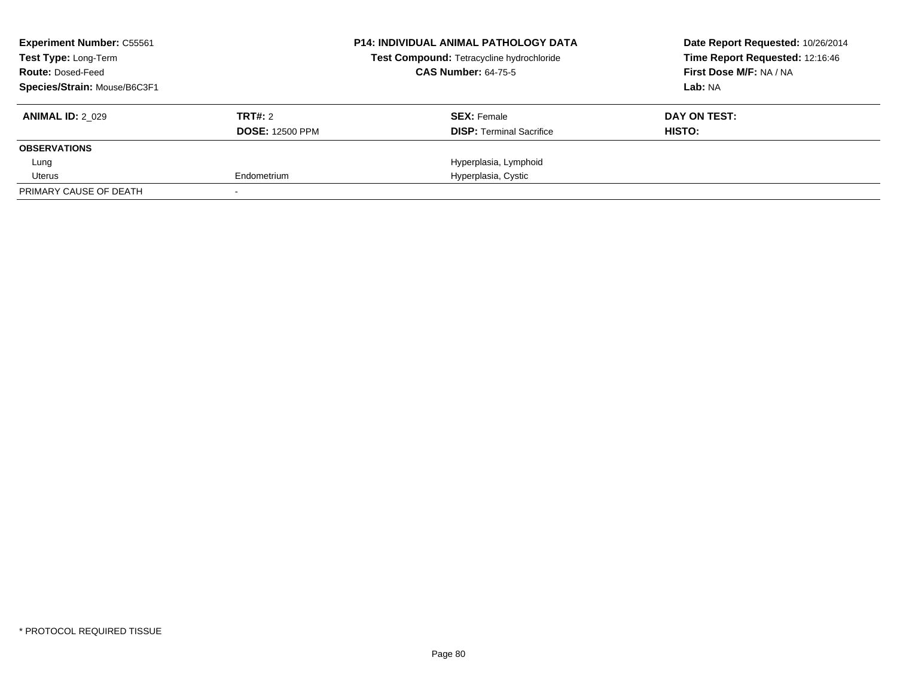| <b>Experiment Number: C55561</b><br><b>Test Type: Long-Term</b> |                        | <b>P14: INDIVIDUAL ANIMAL PATHOLOGY DATA</b><br>Test Compound: Tetracycline hydrochloride | Date Report Requested: 10/26/2014<br>Time Report Requested: 12:16:46 |
|-----------------------------------------------------------------|------------------------|-------------------------------------------------------------------------------------------|----------------------------------------------------------------------|
| <b>Route: Dosed-Feed</b>                                        |                        | <b>CAS Number: 64-75-5</b>                                                                | First Dose M/F: NA / NA                                              |
| Species/Strain: Mouse/B6C3F1                                    |                        |                                                                                           | Lab: NA                                                              |
| <b>ANIMAL ID: 2 029</b>                                         | TRT#: 2                | <b>SEX: Female</b>                                                                        | DAY ON TEST:                                                         |
|                                                                 | <b>DOSE: 12500 PPM</b> | <b>DISP:</b> Terminal Sacrifice                                                           | HISTO:                                                               |
| <b>OBSERVATIONS</b>                                             |                        |                                                                                           |                                                                      |
| Lung                                                            |                        | Hyperplasia, Lymphoid                                                                     |                                                                      |
| Uterus                                                          | Endometrium            | Hyperplasia, Cystic                                                                       |                                                                      |
| PRIMARY CAUSE OF DEATH                                          |                        |                                                                                           |                                                                      |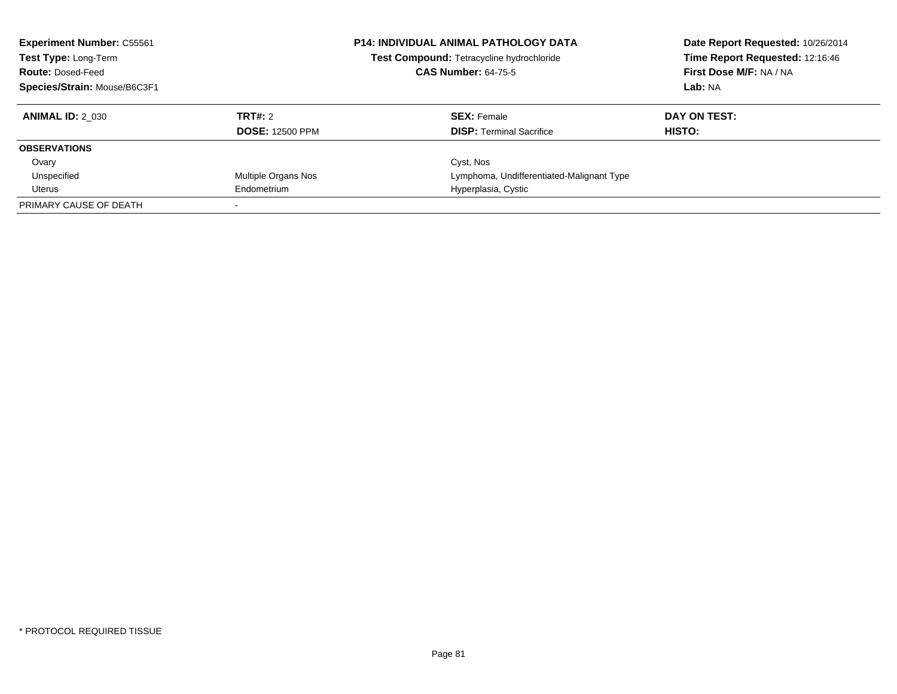| <b>Experiment Number: C55561</b><br>Test Type: Long-Term<br><b>Route: Dosed-Feed</b><br>Species/Strain: Mouse/B6C3F1 |                        | <b>P14: INDIVIDUAL ANIMAL PATHOLOGY DATA</b><br>Test Compound: Tetracycline hydrochloride<br><b>CAS Number: 64-75-5</b> | Date Report Requested: 10/26/2014<br>Time Report Requested: 12:16:46<br>First Dose M/F: NA / NA<br>Lab: NA |
|----------------------------------------------------------------------------------------------------------------------|------------------------|-------------------------------------------------------------------------------------------------------------------------|------------------------------------------------------------------------------------------------------------|
| <b>ANIMAL ID: 2 030</b>                                                                                              | TRT#: 2                | <b>SEX: Female</b>                                                                                                      | DAY ON TEST:                                                                                               |
|                                                                                                                      | <b>DOSE: 12500 PPM</b> | <b>DISP: Terminal Sacrifice</b>                                                                                         | <b>HISTO:</b>                                                                                              |
| <b>OBSERVATIONS</b>                                                                                                  |                        |                                                                                                                         |                                                                                                            |
| Ovary                                                                                                                |                        | Cyst, Nos                                                                                                               |                                                                                                            |
| Unspecified                                                                                                          | Multiple Organs Nos    | Lymphoma, Undifferentiated-Malignant Type                                                                               |                                                                                                            |
| Uterus                                                                                                               | Endometrium            | Hyperplasia, Cystic                                                                                                     |                                                                                                            |
| PRIMARY CAUSE OF DEATH                                                                                               |                        |                                                                                                                         |                                                                                                            |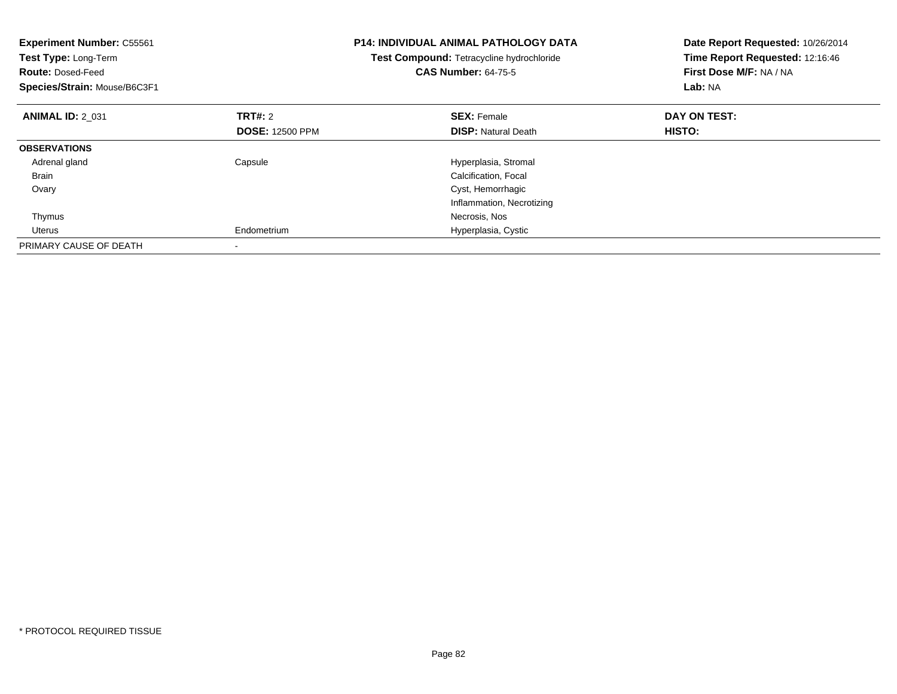| <b>Experiment Number: C55561</b><br>Test Type: Long-Term<br><b>Route: Dosed-Feed</b><br>Species/Strain: Mouse/B6C3F1 |                        | <b>P14: INDIVIDUAL ANIMAL PATHOLOGY DATA</b><br>Test Compound: Tetracycline hydrochloride<br><b>CAS Number: 64-75-5</b> | Date Report Requested: 10/26/2014<br>Time Report Requested: 12:16:46<br>First Dose M/F: NA / NA<br>Lab: NA |
|----------------------------------------------------------------------------------------------------------------------|------------------------|-------------------------------------------------------------------------------------------------------------------------|------------------------------------------------------------------------------------------------------------|
| <b>ANIMAL ID: 2 031</b>                                                                                              | TRT#: 2                | <b>SEX: Female</b>                                                                                                      | DAY ON TEST:                                                                                               |
|                                                                                                                      | <b>DOSE: 12500 PPM</b> | <b>DISP: Natural Death</b>                                                                                              | <b>HISTO:</b>                                                                                              |
| <b>OBSERVATIONS</b>                                                                                                  |                        |                                                                                                                         |                                                                                                            |
| Adrenal gland                                                                                                        | Capsule                | Hyperplasia, Stromal                                                                                                    |                                                                                                            |
| <b>Brain</b>                                                                                                         |                        | Calcification, Focal                                                                                                    |                                                                                                            |
| Ovary                                                                                                                |                        | Cyst, Hemorrhagic                                                                                                       |                                                                                                            |
|                                                                                                                      |                        | Inflammation, Necrotizing                                                                                               |                                                                                                            |
| Thymus                                                                                                               |                        | Necrosis, Nos                                                                                                           |                                                                                                            |
| Uterus                                                                                                               | Endometrium            | Hyperplasia, Cystic                                                                                                     |                                                                                                            |
| PRIMARY CAUSE OF DEATH                                                                                               |                        |                                                                                                                         |                                                                                                            |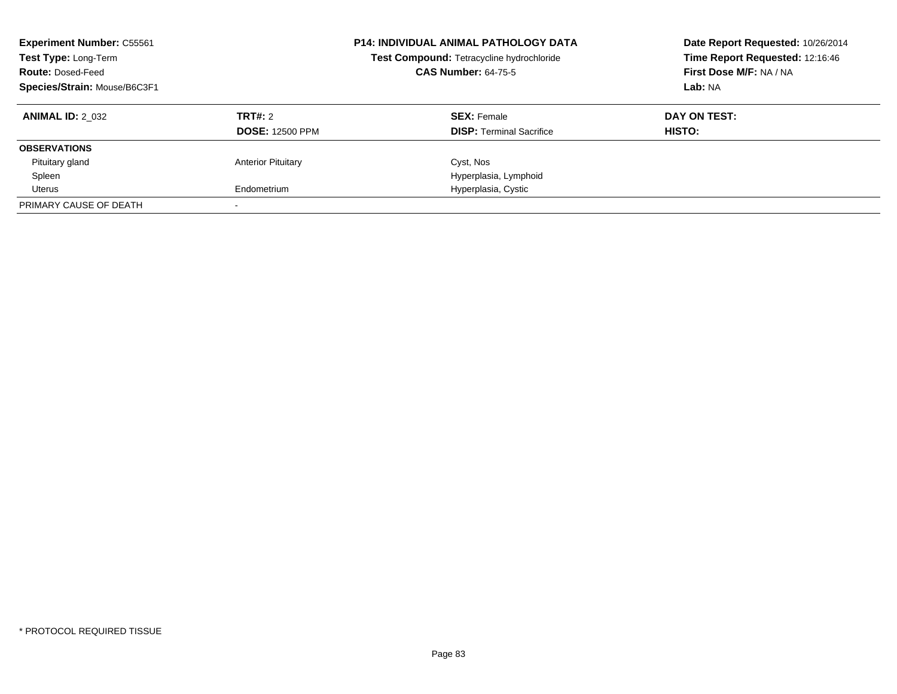| <b>Experiment Number: C55561</b><br>Test Type: Long-Term<br><b>Route: Dosed-Feed</b><br>Species/Strain: Mouse/B6C3F1 |                                   | <b>P14: INDIVIDUAL ANIMAL PATHOLOGY DATA</b><br>Test Compound: Tetracycline hydrochloride<br><b>CAS Number: 64-75-5</b> | Date Report Requested: 10/26/2014<br>Time Report Requested: 12:16:46<br>First Dose M/F: NA / NA<br>Lab: NA |
|----------------------------------------------------------------------------------------------------------------------|-----------------------------------|-------------------------------------------------------------------------------------------------------------------------|------------------------------------------------------------------------------------------------------------|
| <b>ANIMAL ID: 2 032</b>                                                                                              | TRT#: 2<br><b>DOSE: 12500 PPM</b> | <b>SEX: Female</b><br><b>DISP:</b> Terminal Sacrifice                                                                   | DAY ON TEST:<br><b>HISTO:</b>                                                                              |
| <b>OBSERVATIONS</b>                                                                                                  |                                   |                                                                                                                         |                                                                                                            |
| Pituitary gland                                                                                                      | <b>Anterior Pituitary</b>         | Cyst, Nos                                                                                                               |                                                                                                            |
| Spleen                                                                                                               |                                   | Hyperplasia, Lymphoid                                                                                                   |                                                                                                            |
| Uterus                                                                                                               | Endometrium                       | Hyperplasia, Cystic                                                                                                     |                                                                                                            |
| PRIMARY CAUSE OF DEATH                                                                                               |                                   |                                                                                                                         |                                                                                                            |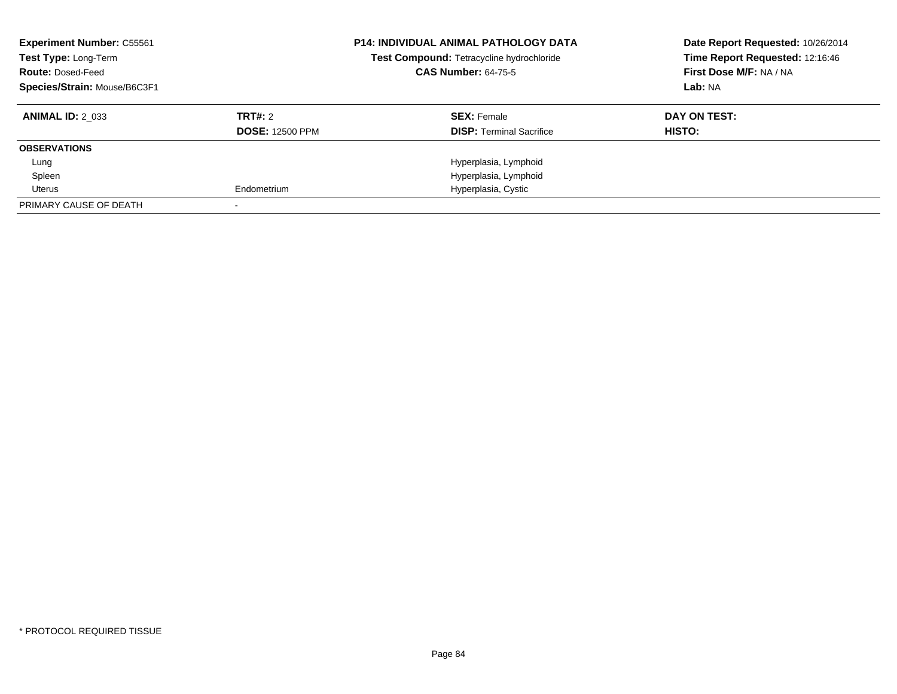| <b>Experiment Number: C55561</b><br>Test Type: Long-Term<br><b>Route: Dosed-Feed</b><br>Species/Strain: Mouse/B6C3F1 |                        | <b>P14: INDIVIDUAL ANIMAL PATHOLOGY DATA</b><br>Test Compound: Tetracycline hydrochloride<br><b>CAS Number: 64-75-5</b> | Date Report Requested: 10/26/2014<br>Time Report Requested: 12:16:46<br>First Dose M/F: NA / NA<br>Lab: NA |
|----------------------------------------------------------------------------------------------------------------------|------------------------|-------------------------------------------------------------------------------------------------------------------------|------------------------------------------------------------------------------------------------------------|
| <b>ANIMAL ID: 2 033</b>                                                                                              | TRT#: 2                | <b>SEX: Female</b>                                                                                                      | DAY ON TEST:                                                                                               |
|                                                                                                                      | <b>DOSE: 12500 PPM</b> | <b>DISP:</b> Terminal Sacrifice                                                                                         | <b>HISTO:</b>                                                                                              |
| <b>OBSERVATIONS</b>                                                                                                  |                        |                                                                                                                         |                                                                                                            |
| Lung                                                                                                                 |                        | Hyperplasia, Lymphoid                                                                                                   |                                                                                                            |
| Spleen                                                                                                               |                        | Hyperplasia, Lymphoid                                                                                                   |                                                                                                            |
| Uterus                                                                                                               | Endometrium            | Hyperplasia, Cystic                                                                                                     |                                                                                                            |
| PRIMARY CAUSE OF DEATH                                                                                               |                        |                                                                                                                         |                                                                                                            |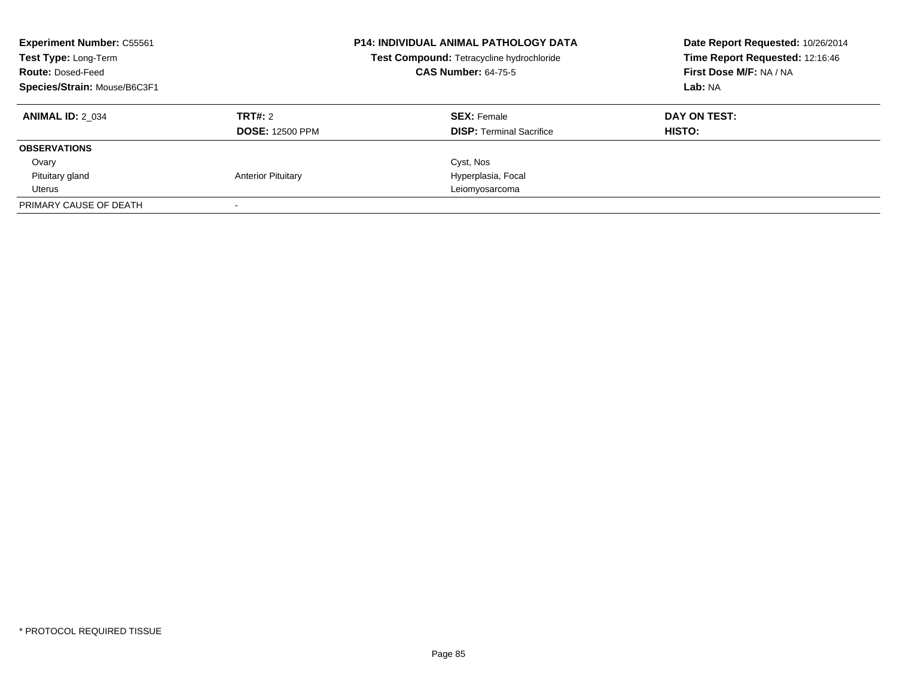| <b>Experiment Number: C55561</b><br>Test Type: Long-Term<br><b>Route: Dosed-Feed</b><br>Species/Strain: Mouse/B6C3F1 |                                   | <b>P14: INDIVIDUAL ANIMAL PATHOLOGY DATA</b><br>Test Compound: Tetracycline hydrochloride<br><b>CAS Number: 64-75-5</b> | Date Report Requested: 10/26/2014<br>Time Report Requested: 12:16:46<br>First Dose M/F: NA / NA<br>Lab: NA |
|----------------------------------------------------------------------------------------------------------------------|-----------------------------------|-------------------------------------------------------------------------------------------------------------------------|------------------------------------------------------------------------------------------------------------|
| <b>ANIMAL ID: 2 034</b>                                                                                              | TRT#: 2<br><b>DOSE: 12500 PPM</b> | <b>SEX: Female</b><br><b>DISP:</b> Terminal Sacrifice                                                                   | DAY ON TEST:<br><b>HISTO:</b>                                                                              |
| <b>OBSERVATIONS</b>                                                                                                  |                                   |                                                                                                                         |                                                                                                            |
| Ovary                                                                                                                |                                   | Cyst, Nos                                                                                                               |                                                                                                            |
| Pituitary gland                                                                                                      | <b>Anterior Pituitary</b>         | Hyperplasia, Focal                                                                                                      |                                                                                                            |
| Uterus                                                                                                               |                                   | Leiomyosarcoma                                                                                                          |                                                                                                            |
| PRIMARY CAUSE OF DEATH                                                                                               |                                   |                                                                                                                         |                                                                                                            |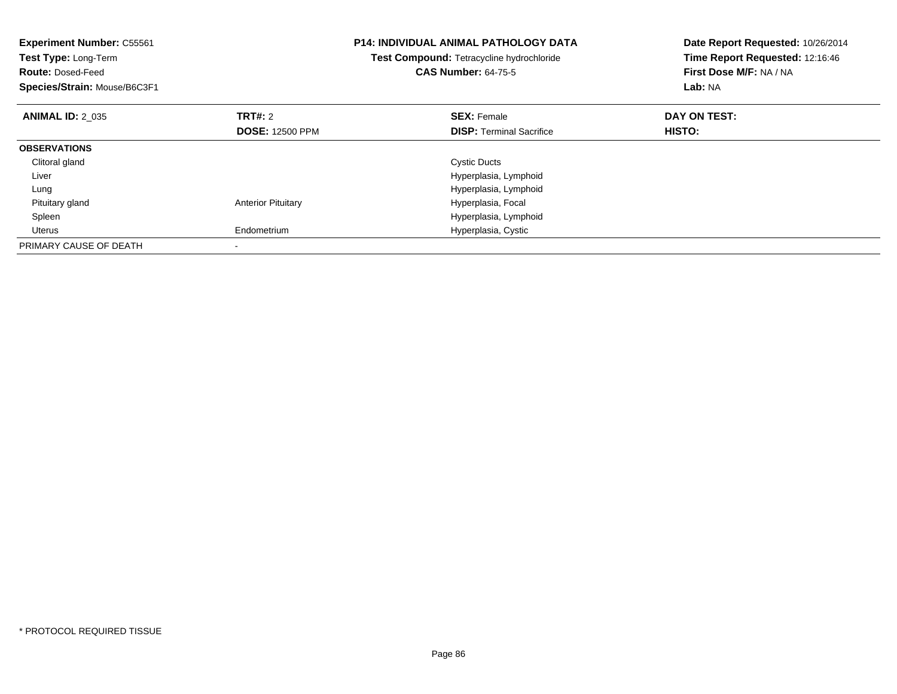| <b>Experiment Number: C55561</b><br>Test Type: Long-Term<br><b>Route: Dosed-Feed</b><br>Species/Strain: Mouse/B6C3F1 |                           | <b>P14: INDIVIDUAL ANIMAL PATHOLOGY DATA</b><br>Test Compound: Tetracycline hydrochloride<br><b>CAS Number: 64-75-5</b> | Date Report Requested: 10/26/2014<br>Time Report Requested: 12:16:46<br>First Dose M/F: NA / NA<br>Lab: NA |
|----------------------------------------------------------------------------------------------------------------------|---------------------------|-------------------------------------------------------------------------------------------------------------------------|------------------------------------------------------------------------------------------------------------|
| <b>ANIMAL ID: 2 035</b>                                                                                              | TRT#: 2                   | <b>SEX: Female</b>                                                                                                      | DAY ON TEST:                                                                                               |
|                                                                                                                      | <b>DOSE: 12500 PPM</b>    | <b>DISP:</b> Terminal Sacrifice                                                                                         | <b>HISTO:</b>                                                                                              |
| <b>OBSERVATIONS</b>                                                                                                  |                           |                                                                                                                         |                                                                                                            |
| Clitoral gland                                                                                                       |                           | <b>Cystic Ducts</b>                                                                                                     |                                                                                                            |
| Liver                                                                                                                |                           | Hyperplasia, Lymphoid                                                                                                   |                                                                                                            |
| Lung                                                                                                                 |                           | Hyperplasia, Lymphoid                                                                                                   |                                                                                                            |
| Pituitary gland                                                                                                      | <b>Anterior Pituitary</b> | Hyperplasia, Focal                                                                                                      |                                                                                                            |
| Spleen                                                                                                               |                           | Hyperplasia, Lymphoid                                                                                                   |                                                                                                            |
| Uterus                                                                                                               | Endometrium               | Hyperplasia, Cystic                                                                                                     |                                                                                                            |
| PRIMARY CAUSE OF DEATH                                                                                               |                           |                                                                                                                         |                                                                                                            |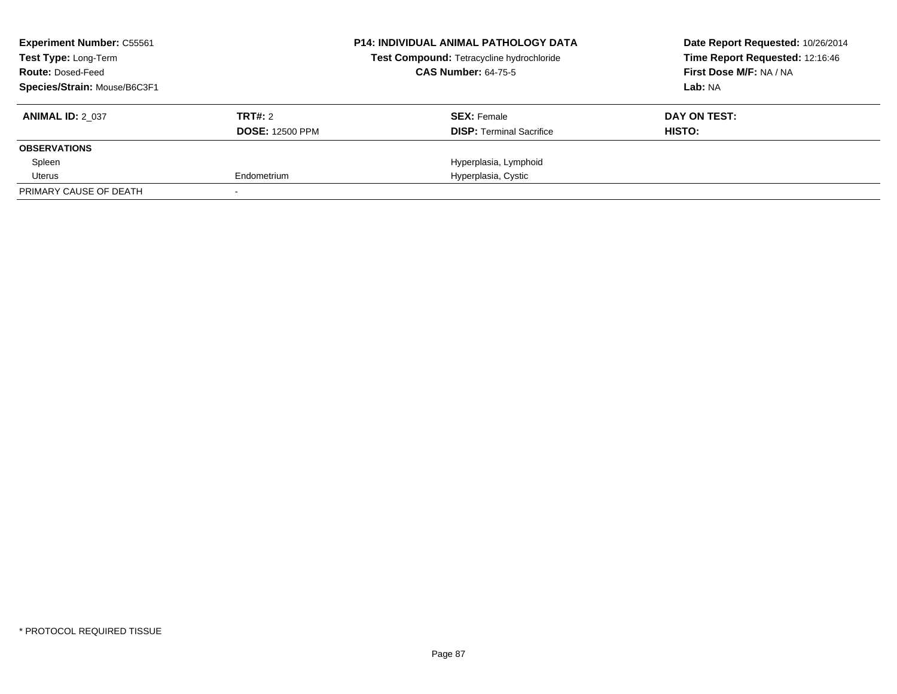| <b>Experiment Number: C55561</b><br><b>Test Type: Long-Term</b> |                        | <b>P14: INDIVIDUAL ANIMAL PATHOLOGY DATA</b><br>Test Compound: Tetracycline hydrochloride | Date Report Requested: 10/26/2014<br>Time Report Requested: 12:16:46 |
|-----------------------------------------------------------------|------------------------|-------------------------------------------------------------------------------------------|----------------------------------------------------------------------|
| <b>Route: Dosed-Feed</b>                                        |                        | <b>CAS Number: 64-75-5</b>                                                                | First Dose M/F: NA / NA                                              |
| Species/Strain: Mouse/B6C3F1                                    |                        |                                                                                           | Lab: NA                                                              |
| <b>ANIMAL ID: 2 037</b>                                         | TRT#: 2                | <b>SEX: Female</b>                                                                        | DAY ON TEST:                                                         |
|                                                                 | <b>DOSE: 12500 PPM</b> | <b>DISP:</b> Terminal Sacrifice                                                           | HISTO:                                                               |
| <b>OBSERVATIONS</b>                                             |                        |                                                                                           |                                                                      |
| Spleen                                                          |                        | Hyperplasia, Lymphoid                                                                     |                                                                      |
| Uterus                                                          | Endometrium            | Hyperplasia, Cystic                                                                       |                                                                      |
| PRIMARY CAUSE OF DEATH                                          |                        |                                                                                           |                                                                      |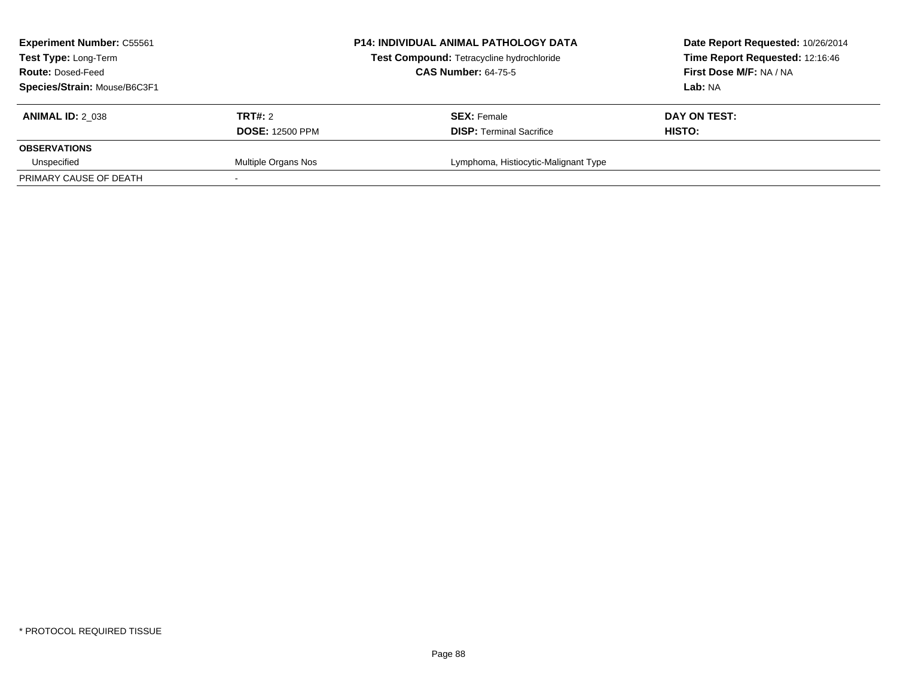| <b>Experiment Number: C55561</b><br><b>Test Type: Long-Term</b><br><b>Route: Dosed-Feed</b><br>Species/Strain: Mouse/B6C3F1 |                                   | <b>P14: INDIVIDUAL ANIMAL PATHOLOGY DATA</b><br>Test Compound: Tetracycline hydrochloride<br><b>CAS Number: 64-75-5</b> | Date Report Requested: 10/26/2014<br>Time Report Requested: 12:16:46<br>First Dose M/F: NA / NA<br>Lab: NA |
|-----------------------------------------------------------------------------------------------------------------------------|-----------------------------------|-------------------------------------------------------------------------------------------------------------------------|------------------------------------------------------------------------------------------------------------|
| <b>ANIMAL ID: 2 038</b>                                                                                                     | TRT#: 2<br><b>DOSE: 12500 PPM</b> | <b>SEX: Female</b><br><b>DISP: Terminal Sacrifice</b>                                                                   | DAY ON TEST:<br>HISTO:                                                                                     |
| <b>OBSERVATIONS</b><br>Unspecified                                                                                          | Multiple Organs Nos               | Lymphoma, Histiocytic-Malignant Type                                                                                    |                                                                                                            |
| PRIMARY CAUSE OF DEATH                                                                                                      |                                   |                                                                                                                         |                                                                                                            |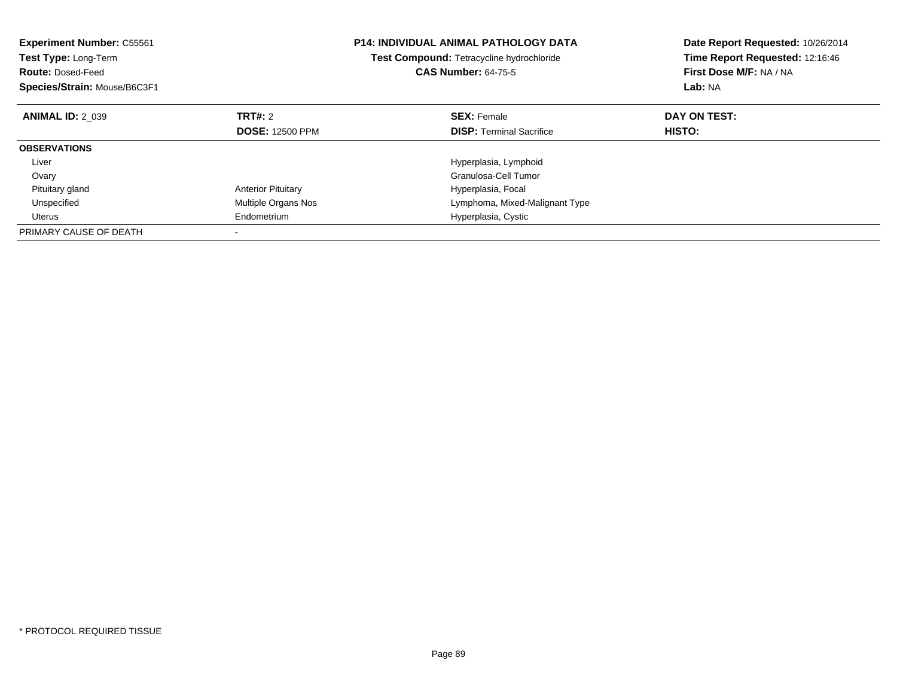| <b>Experiment Number: C55561</b><br>Test Type: Long-Term<br><b>Route: Dosed-Feed</b><br>Species/Strain: Mouse/B6C3F1 |                           | <b>P14: INDIVIDUAL ANIMAL PATHOLOGY DATA</b><br><b>Test Compound: Tetracycline hydrochloride</b><br><b>CAS Number: 64-75-5</b> | Date Report Requested: 10/26/2014<br>Time Report Requested: 12:16:46<br>First Dose M/F: NA / NA<br>Lab: NA |
|----------------------------------------------------------------------------------------------------------------------|---------------------------|--------------------------------------------------------------------------------------------------------------------------------|------------------------------------------------------------------------------------------------------------|
| <b>ANIMAL ID: 2 039</b>                                                                                              | TRT#: 2                   | <b>SEX: Female</b>                                                                                                             | DAY ON TEST:                                                                                               |
|                                                                                                                      | <b>DOSE: 12500 PPM</b>    | <b>DISP:</b> Terminal Sacrifice                                                                                                | HISTO:                                                                                                     |
| <b>OBSERVATIONS</b>                                                                                                  |                           |                                                                                                                                |                                                                                                            |
| Liver                                                                                                                |                           | Hyperplasia, Lymphoid                                                                                                          |                                                                                                            |
| Ovary                                                                                                                |                           | Granulosa-Cell Tumor                                                                                                           |                                                                                                            |
| Pituitary gland                                                                                                      | <b>Anterior Pituitary</b> | Hyperplasia, Focal                                                                                                             |                                                                                                            |
| Unspecified                                                                                                          | Multiple Organs Nos       | Lymphoma, Mixed-Malignant Type                                                                                                 |                                                                                                            |
| Uterus                                                                                                               | Endometrium               | Hyperplasia, Cystic                                                                                                            |                                                                                                            |
| PRIMARY CAUSE OF DEATH                                                                                               |                           |                                                                                                                                |                                                                                                            |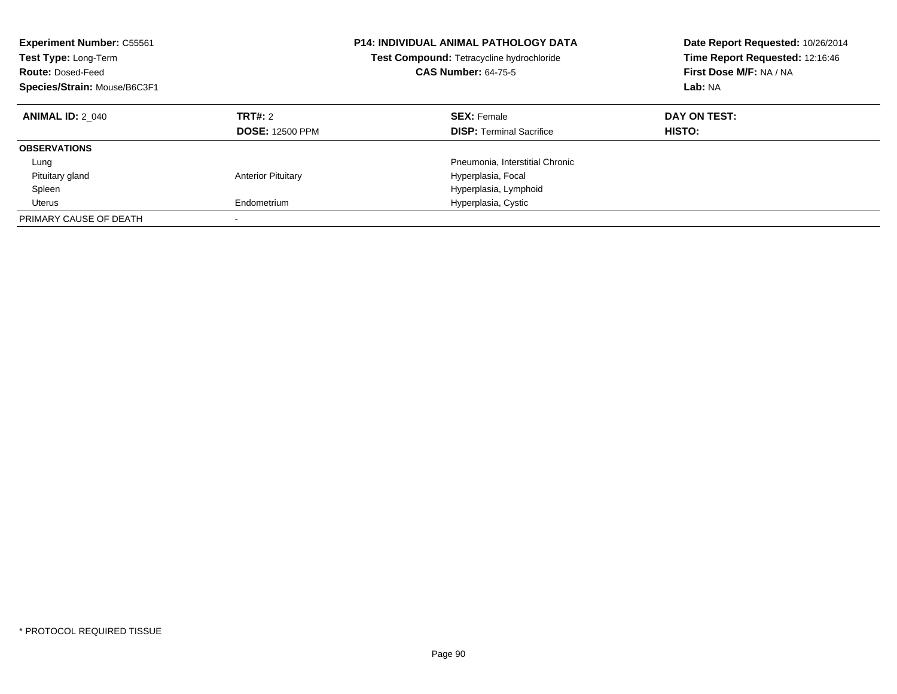| <b>Experiment Number: C55561</b><br>Test Type: Long-Term<br><b>Route: Dosed-Feed</b><br>Species/Strain: Mouse/B6C3F1 |                                          | <b>P14: INDIVIDUAL ANIMAL PATHOLOGY DATA</b><br>Test Compound: Tetracycline hydrochloride<br><b>CAS Number: 64-75-5</b> | Date Report Requested: 10/26/2014<br>Time Report Requested: 12:16:46<br>First Dose M/F: NA / NA<br>Lab: NA |
|----------------------------------------------------------------------------------------------------------------------|------------------------------------------|-------------------------------------------------------------------------------------------------------------------------|------------------------------------------------------------------------------------------------------------|
| <b>ANIMAL ID: 2 040</b>                                                                                              | <b>TRT#: 2</b><br><b>DOSE: 12500 PPM</b> | <b>SEX: Female</b><br><b>DISP:</b> Terminal Sacrifice                                                                   | DAY ON TEST:<br>HISTO:                                                                                     |
| <b>OBSERVATIONS</b>                                                                                                  |                                          |                                                                                                                         |                                                                                                            |
| Lung                                                                                                                 |                                          | Pneumonia, Interstitial Chronic                                                                                         |                                                                                                            |
| Pituitary gland                                                                                                      | <b>Anterior Pituitary</b>                | Hyperplasia, Focal                                                                                                      |                                                                                                            |
| Spleen                                                                                                               |                                          | Hyperplasia, Lymphoid                                                                                                   |                                                                                                            |
| Uterus                                                                                                               | Endometrium                              | Hyperplasia, Cystic                                                                                                     |                                                                                                            |
| PRIMARY CAUSE OF DEATH                                                                                               |                                          |                                                                                                                         |                                                                                                            |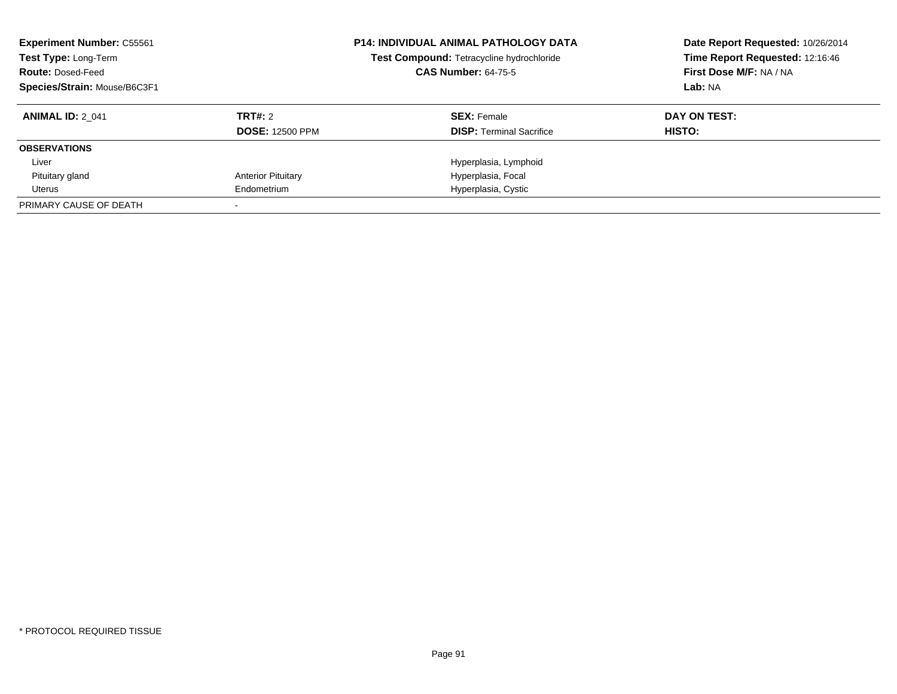| <b>Experiment Number: C55561</b><br>Test Type: Long-Term<br><b>Route: Dosed-Feed</b><br>Species/Strain: Mouse/B6C3F1 |                           | <b>P14: INDIVIDUAL ANIMAL PATHOLOGY DATA</b><br>Test Compound: Tetracycline hydrochloride<br><b>CAS Number: 64-75-5</b> | Date Report Requested: 10/26/2014<br>Time Report Requested: 12:16:46<br>First Dose M/F: NA / NA<br>Lab: NA |
|----------------------------------------------------------------------------------------------------------------------|---------------------------|-------------------------------------------------------------------------------------------------------------------------|------------------------------------------------------------------------------------------------------------|
| <b>ANIMAL ID: 2 041</b>                                                                                              | TRT#: 2                   | <b>SEX: Female</b>                                                                                                      | DAY ON TEST:                                                                                               |
|                                                                                                                      | <b>DOSE: 12500 PPM</b>    | <b>DISP:</b> Terminal Sacrifice                                                                                         | <b>HISTO:</b>                                                                                              |
| <b>OBSERVATIONS</b>                                                                                                  |                           |                                                                                                                         |                                                                                                            |
| Liver                                                                                                                |                           | Hyperplasia, Lymphoid                                                                                                   |                                                                                                            |
| Pituitary gland                                                                                                      | <b>Anterior Pituitary</b> | Hyperplasia, Focal                                                                                                      |                                                                                                            |
| Uterus                                                                                                               | Endometrium               | Hyperplasia, Cystic                                                                                                     |                                                                                                            |
| PRIMARY CAUSE OF DEATH                                                                                               |                           |                                                                                                                         |                                                                                                            |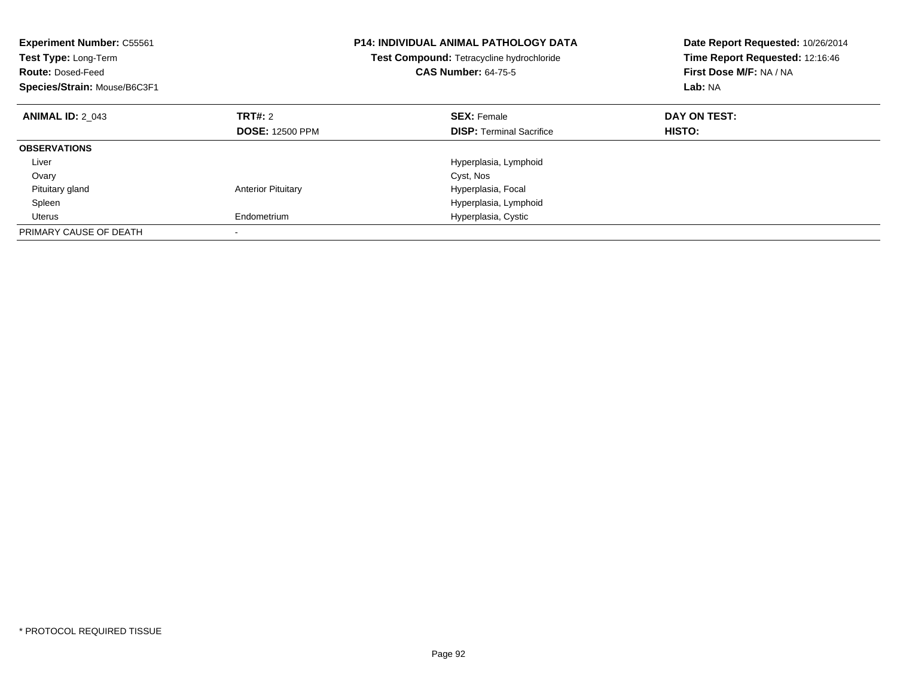| <b>Experiment Number: C55561</b><br>Test Type: Long-Term<br><b>Route: Dosed-Feed</b><br>Species/Strain: Mouse/B6C3F1 |                           | <b>P14: INDIVIDUAL ANIMAL PATHOLOGY DATA</b><br>Test Compound: Tetracycline hydrochloride<br><b>CAS Number: 64-75-5</b> | Date Report Requested: 10/26/2014<br>Time Report Requested: 12:16:46<br>First Dose M/F: NA / NA<br>Lab: NA |
|----------------------------------------------------------------------------------------------------------------------|---------------------------|-------------------------------------------------------------------------------------------------------------------------|------------------------------------------------------------------------------------------------------------|
| <b>ANIMAL ID: 2 043</b>                                                                                              | TRT#: 2                   | <b>SEX: Female</b>                                                                                                      | DAY ON TEST:                                                                                               |
|                                                                                                                      | <b>DOSE: 12500 PPM</b>    | <b>DISP:</b> Terminal Sacrifice                                                                                         | HISTO:                                                                                                     |
| <b>OBSERVATIONS</b>                                                                                                  |                           |                                                                                                                         |                                                                                                            |
| Liver                                                                                                                |                           | Hyperplasia, Lymphoid                                                                                                   |                                                                                                            |
| Ovary                                                                                                                |                           | Cyst, Nos                                                                                                               |                                                                                                            |
| Pituitary gland                                                                                                      | <b>Anterior Pituitary</b> | Hyperplasia, Focal                                                                                                      |                                                                                                            |
| Spleen                                                                                                               |                           | Hyperplasia, Lymphoid                                                                                                   |                                                                                                            |
| Uterus                                                                                                               | Endometrium               | Hyperplasia, Cystic                                                                                                     |                                                                                                            |
| PRIMARY CAUSE OF DEATH                                                                                               |                           |                                                                                                                         |                                                                                                            |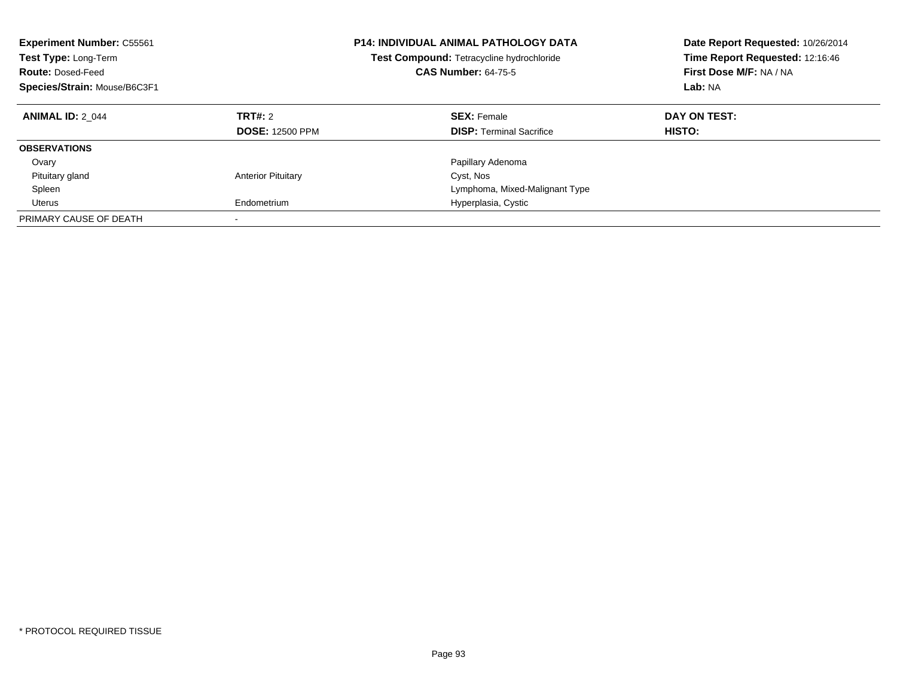| <b>Experiment Number: C55561</b><br>Test Type: Long-Term<br><b>Route: Dosed-Feed</b><br>Species/Strain: Mouse/B6C3F1 |                                   | <b>P14: INDIVIDUAL ANIMAL PATHOLOGY DATA</b><br>Test Compound: Tetracycline hydrochloride<br><b>CAS Number: 64-75-5</b> | Date Report Requested: 10/26/2014<br>Time Report Requested: 12:16:46<br>First Dose M/F: NA / NA<br>Lab: NA |
|----------------------------------------------------------------------------------------------------------------------|-----------------------------------|-------------------------------------------------------------------------------------------------------------------------|------------------------------------------------------------------------------------------------------------|
| <b>ANIMAL ID: 2 044</b>                                                                                              | TRT#: 2<br><b>DOSE: 12500 PPM</b> | <b>SEX: Female</b><br><b>DISP:</b> Terminal Sacrifice                                                                   | DAY ON TEST:<br><b>HISTO:</b>                                                                              |
| <b>OBSERVATIONS</b>                                                                                                  |                                   |                                                                                                                         |                                                                                                            |
| Ovary                                                                                                                |                                   | Papillary Adenoma                                                                                                       |                                                                                                            |
| Pituitary gland                                                                                                      | <b>Anterior Pituitary</b>         | Cyst, Nos                                                                                                               |                                                                                                            |
| Spleen                                                                                                               |                                   | Lymphoma, Mixed-Malignant Type                                                                                          |                                                                                                            |
| Uterus                                                                                                               | Endometrium                       | Hyperplasia, Cystic                                                                                                     |                                                                                                            |
| PRIMARY CAUSE OF DEATH                                                                                               |                                   |                                                                                                                         |                                                                                                            |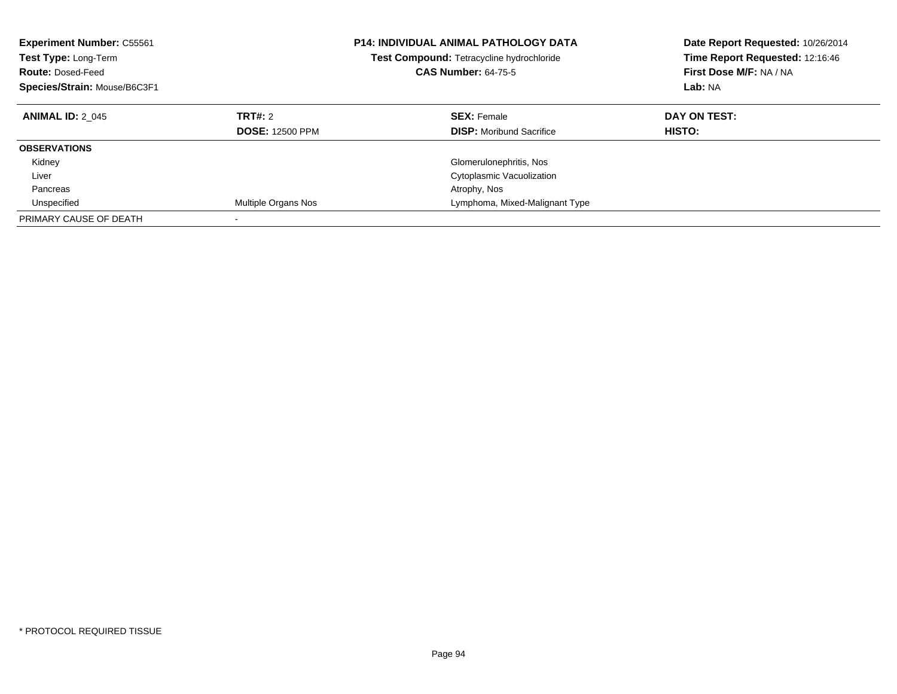| <b>Experiment Number: C55561</b><br>Test Type: Long-Term<br><b>Route: Dosed-Feed</b><br>Species/Strain: Mouse/B6C3F1 |                                          | <b>P14: INDIVIDUAL ANIMAL PATHOLOGY DATA</b><br><b>Test Compound: Tetracycline hydrochloride</b><br><b>CAS Number: 64-75-5</b> | Date Report Requested: 10/26/2014<br>Time Report Requested: 12:16:46<br>First Dose M/F: NA / NA<br>Lab: NA |
|----------------------------------------------------------------------------------------------------------------------|------------------------------------------|--------------------------------------------------------------------------------------------------------------------------------|------------------------------------------------------------------------------------------------------------|
| <b>ANIMAL ID: 2 045</b>                                                                                              | <b>TRT#: 2</b><br><b>DOSE: 12500 PPM</b> | <b>SEX: Female</b><br><b>DISP:</b> Moribund Sacrifice                                                                          | DAY ON TEST:<br>HISTO:                                                                                     |
| <b>OBSERVATIONS</b>                                                                                                  |                                          |                                                                                                                                |                                                                                                            |
| Kidney                                                                                                               |                                          | Glomerulonephritis, Nos                                                                                                        |                                                                                                            |
| Liver                                                                                                                |                                          | Cytoplasmic Vacuolization                                                                                                      |                                                                                                            |
| Pancreas                                                                                                             |                                          | Atrophy, Nos                                                                                                                   |                                                                                                            |
| Unspecified                                                                                                          | Multiple Organs Nos                      | Lymphoma, Mixed-Malignant Type                                                                                                 |                                                                                                            |
| PRIMARY CAUSE OF DEATH                                                                                               |                                          |                                                                                                                                |                                                                                                            |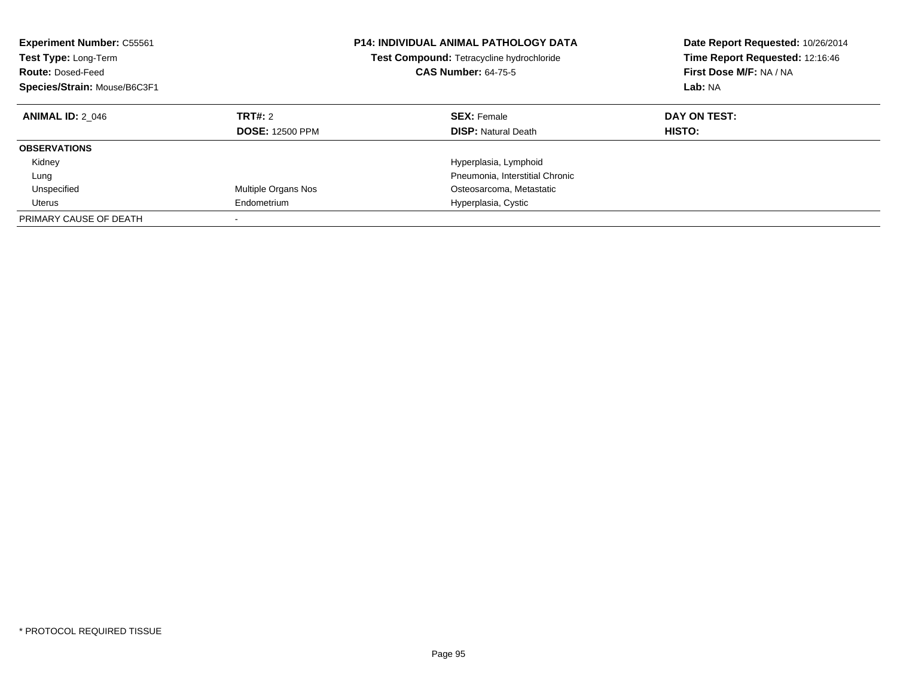| <b>Experiment Number: C55561</b><br>Test Type: Long-Term<br><b>Route: Dosed-Feed</b><br>Species/Strain: Mouse/B6C3F1 |                                   | <b>P14: INDIVIDUAL ANIMAL PATHOLOGY DATA</b><br>Test Compound: Tetracycline hydrochloride<br><b>CAS Number: 64-75-5</b> | Date Report Requested: 10/26/2014<br>Time Report Requested: 12:16:46<br>First Dose M/F: NA / NA<br>Lab: NA |
|----------------------------------------------------------------------------------------------------------------------|-----------------------------------|-------------------------------------------------------------------------------------------------------------------------|------------------------------------------------------------------------------------------------------------|
| <b>ANIMAL ID: 2 046</b>                                                                                              | TRT#: 2<br><b>DOSE: 12500 PPM</b> | <b>SEX: Female</b><br><b>DISP:</b> Natural Death                                                                        | DAY ON TEST:<br><b>HISTO:</b>                                                                              |
| <b>OBSERVATIONS</b>                                                                                                  |                                   |                                                                                                                         |                                                                                                            |
| Kidney                                                                                                               |                                   | Hyperplasia, Lymphoid                                                                                                   |                                                                                                            |
| Lung                                                                                                                 |                                   | Pneumonia, Interstitial Chronic                                                                                         |                                                                                                            |
| Unspecified                                                                                                          | Multiple Organs Nos               | Osteosarcoma, Metastatic                                                                                                |                                                                                                            |
| Uterus                                                                                                               | Endometrium                       | Hyperplasia, Cystic                                                                                                     |                                                                                                            |
| PRIMARY CAUSE OF DEATH                                                                                               |                                   |                                                                                                                         |                                                                                                            |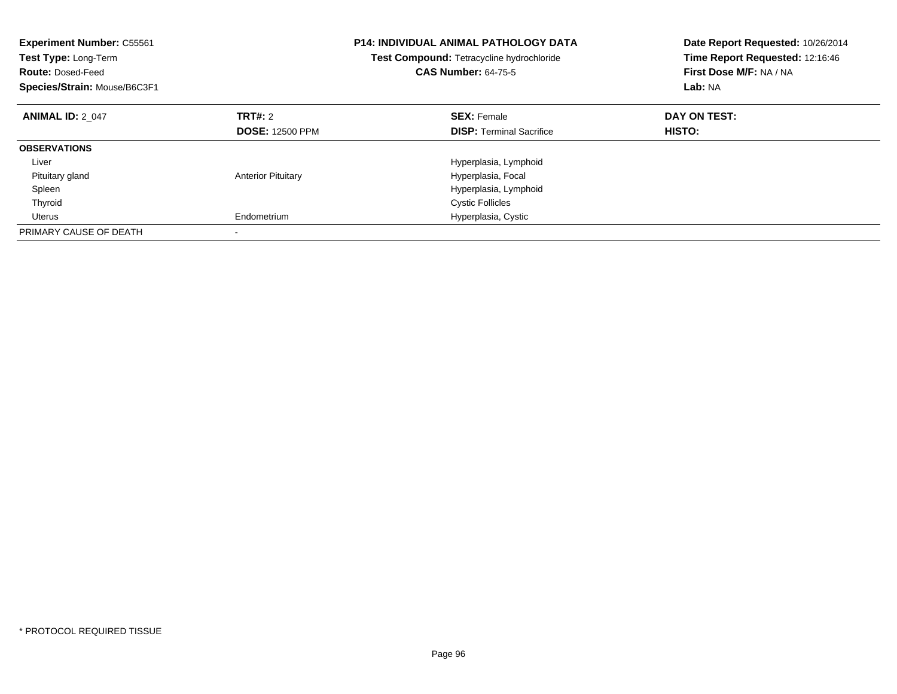| <b>Experiment Number: C55561</b><br><b>Test Type: Long-Term</b><br><b>Route: Dosed-Feed</b><br>Species/Strain: Mouse/B6C3F1 |                           | <b>P14: INDIVIDUAL ANIMAL PATHOLOGY DATA</b><br><b>Test Compound: Tetracycline hydrochloride</b><br><b>CAS Number: 64-75-5</b> | Date Report Requested: 10/26/2014<br>Time Report Requested: 12:16:46<br>First Dose M/F: NA / NA<br>Lab: NA |
|-----------------------------------------------------------------------------------------------------------------------------|---------------------------|--------------------------------------------------------------------------------------------------------------------------------|------------------------------------------------------------------------------------------------------------|
| <b>ANIMAL ID: 2 047</b>                                                                                                     | TRT#: 2                   | <b>SEX: Female</b>                                                                                                             | DAY ON TEST:                                                                                               |
|                                                                                                                             | <b>DOSE: 12500 PPM</b>    | <b>DISP:</b> Terminal Sacrifice                                                                                                | HISTO:                                                                                                     |
| <b>OBSERVATIONS</b>                                                                                                         |                           |                                                                                                                                |                                                                                                            |
| Liver                                                                                                                       |                           | Hyperplasia, Lymphoid                                                                                                          |                                                                                                            |
| Pituitary gland                                                                                                             | <b>Anterior Pituitary</b> | Hyperplasia, Focal                                                                                                             |                                                                                                            |
| Spleen                                                                                                                      |                           | Hyperplasia, Lymphoid                                                                                                          |                                                                                                            |
| Thyroid                                                                                                                     |                           | <b>Cystic Follicles</b>                                                                                                        |                                                                                                            |
| Uterus                                                                                                                      | Endometrium               | Hyperplasia, Cystic                                                                                                            |                                                                                                            |
| PRIMARY CAUSE OF DEATH                                                                                                      |                           |                                                                                                                                |                                                                                                            |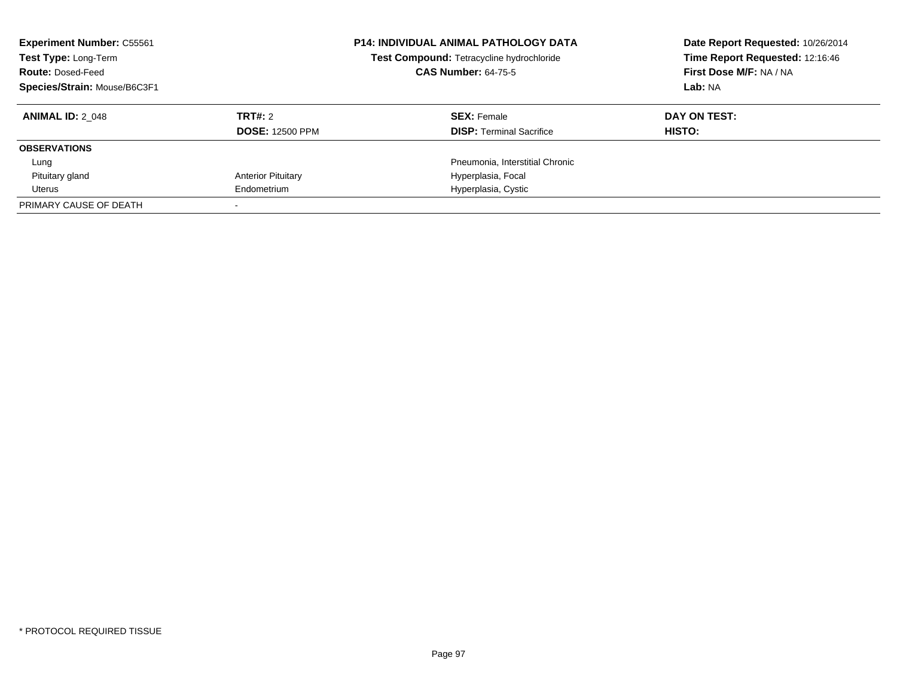| <b>Experiment Number: C55561</b><br>Test Type: Long-Term<br><b>Route: Dosed-Feed</b><br>Species/Strain: Mouse/B6C3F1 |                           | <b>P14: INDIVIDUAL ANIMAL PATHOLOGY DATA</b><br>Test Compound: Tetracycline hydrochloride<br><b>CAS Number: 64-75-5</b> | Date Report Requested: 10/26/2014<br>Time Report Requested: 12:16:46<br>First Dose M/F: NA / NA<br>Lab: NA |
|----------------------------------------------------------------------------------------------------------------------|---------------------------|-------------------------------------------------------------------------------------------------------------------------|------------------------------------------------------------------------------------------------------------|
| <b>ANIMAL ID: 2 048</b>                                                                                              | TRT#: 2                   | <b>SEX: Female</b>                                                                                                      | DAY ON TEST:                                                                                               |
|                                                                                                                      | <b>DOSE: 12500 PPM</b>    | <b>DISP:</b> Terminal Sacrifice                                                                                         | <b>HISTO:</b>                                                                                              |
| <b>OBSERVATIONS</b>                                                                                                  |                           |                                                                                                                         |                                                                                                            |
| Lung                                                                                                                 |                           | Pneumonia. Interstitial Chronic                                                                                         |                                                                                                            |
| Pituitary gland                                                                                                      | <b>Anterior Pituitary</b> | Hyperplasia, Focal                                                                                                      |                                                                                                            |
| Uterus                                                                                                               | Endometrium               | Hyperplasia, Cystic                                                                                                     |                                                                                                            |
| PRIMARY CAUSE OF DEATH                                                                                               |                           |                                                                                                                         |                                                                                                            |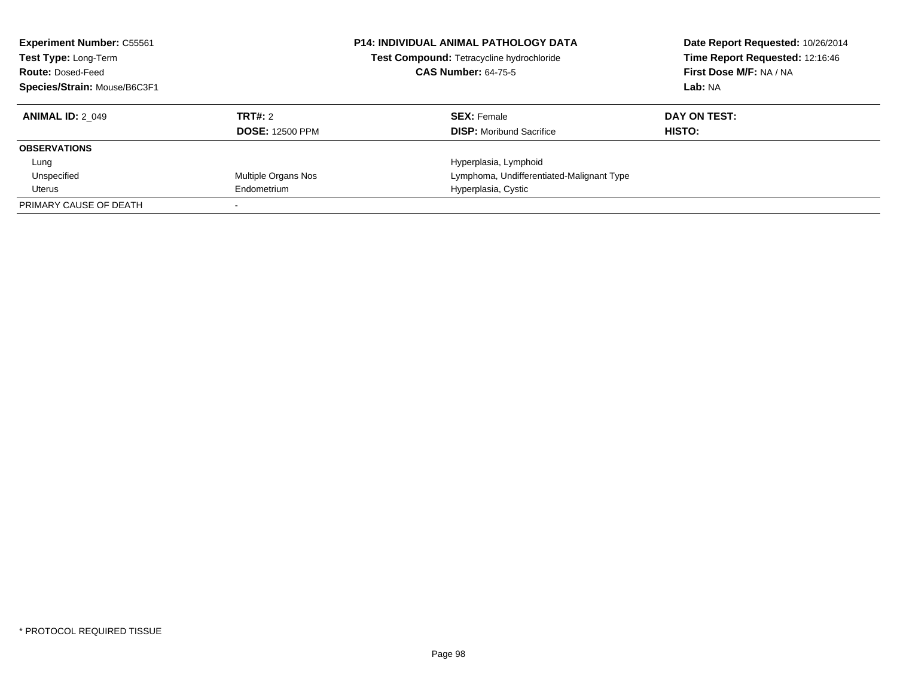| <b>Experiment Number: C55561</b><br>Test Type: Long-Term<br><b>Route: Dosed-Feed</b><br>Species/Strain: Mouse/B6C3F1 |                        | <b>P14: INDIVIDUAL ANIMAL PATHOLOGY DATA</b><br>Test Compound: Tetracycline hydrochloride<br><b>CAS Number: 64-75-5</b> | Date Report Requested: 10/26/2014<br>Time Report Requested: 12:16:46<br>First Dose M/F: NA / NA<br>Lab: NA |
|----------------------------------------------------------------------------------------------------------------------|------------------------|-------------------------------------------------------------------------------------------------------------------------|------------------------------------------------------------------------------------------------------------|
| <b>ANIMAL ID: 2 049</b>                                                                                              | TRT#: 2                | <b>SEX: Female</b>                                                                                                      | DAY ON TEST:                                                                                               |
|                                                                                                                      | <b>DOSE: 12500 PPM</b> | <b>DISP:</b> Moribund Sacrifice                                                                                         | HISTO:                                                                                                     |
| <b>OBSERVATIONS</b>                                                                                                  |                        |                                                                                                                         |                                                                                                            |
| Lung                                                                                                                 |                        | Hyperplasia, Lymphoid                                                                                                   |                                                                                                            |
| Unspecified                                                                                                          | Multiple Organs Nos    | Lymphoma, Undifferentiated-Malignant Type                                                                               |                                                                                                            |
| Uterus                                                                                                               | Endometrium            | Hyperplasia, Cystic                                                                                                     |                                                                                                            |
| PRIMARY CAUSE OF DEATH                                                                                               |                        |                                                                                                                         |                                                                                                            |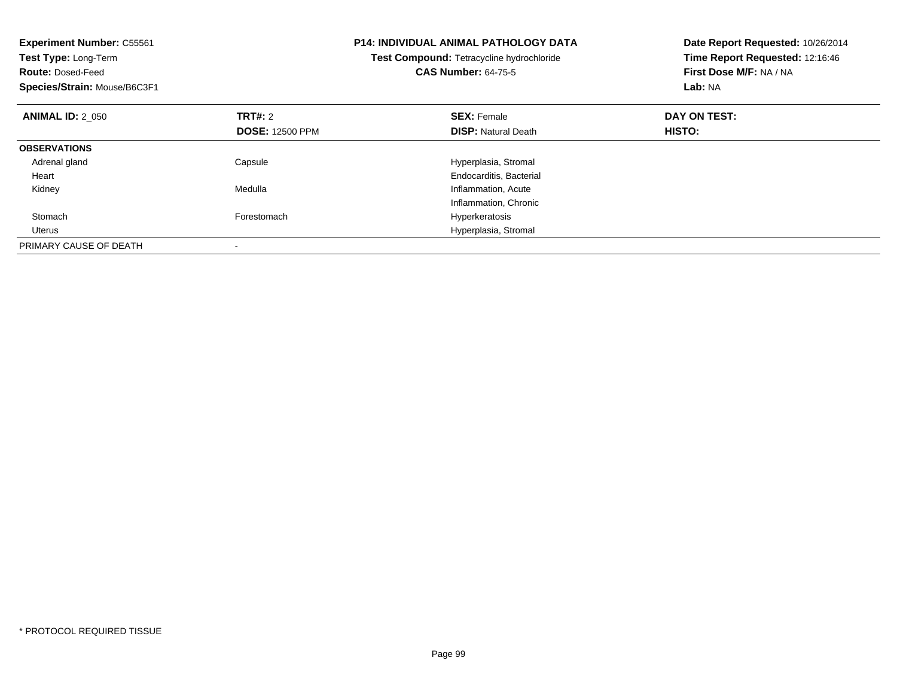| <b>Experiment Number: C55561</b><br>Test Type: Long-Term<br><b>Route: Dosed-Feed</b><br>Species/Strain: Mouse/B6C3F1 |                        | <b>P14: INDIVIDUAL ANIMAL PATHOLOGY DATA</b><br>Test Compound: Tetracycline hydrochloride<br><b>CAS Number: 64-75-5</b> | Date Report Requested: 10/26/2014<br>Time Report Requested: 12:16:46<br>First Dose M/F: NA / NA<br>Lab: NA |
|----------------------------------------------------------------------------------------------------------------------|------------------------|-------------------------------------------------------------------------------------------------------------------------|------------------------------------------------------------------------------------------------------------|
| <b>ANIMAL ID: 2_050</b>                                                                                              | TRT#: 2                | <b>SEX: Female</b>                                                                                                      | DAY ON TEST:                                                                                               |
|                                                                                                                      | <b>DOSE: 12500 PPM</b> | <b>DISP:</b> Natural Death                                                                                              | HISTO:                                                                                                     |
| <b>OBSERVATIONS</b>                                                                                                  |                        |                                                                                                                         |                                                                                                            |
| Adrenal gland                                                                                                        | Capsule                | Hyperplasia, Stromal                                                                                                    |                                                                                                            |
| Heart                                                                                                                |                        | Endocarditis, Bacterial                                                                                                 |                                                                                                            |
| Kidney                                                                                                               | Medulla                | Inflammation, Acute                                                                                                     |                                                                                                            |
|                                                                                                                      |                        | Inflammation, Chronic                                                                                                   |                                                                                                            |
| Stomach                                                                                                              | Forestomach            | Hyperkeratosis                                                                                                          |                                                                                                            |
| Uterus                                                                                                               |                        | Hyperplasia, Stromal                                                                                                    |                                                                                                            |
| PRIMARY CAUSE OF DEATH                                                                                               |                        |                                                                                                                         |                                                                                                            |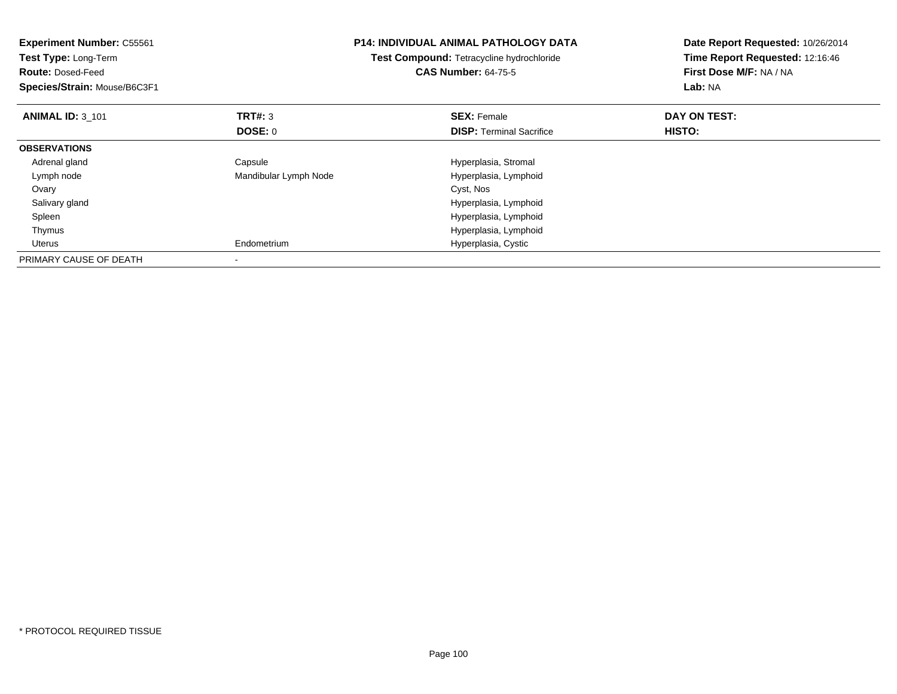| <b>Experiment Number: C55561</b><br>Test Type: Long-Term<br><b>Route: Dosed-Feed</b><br>Species/Strain: Mouse/B6C3F1 |                       | <b>P14: INDIVIDUAL ANIMAL PATHOLOGY DATA</b><br>Test Compound: Tetracycline hydrochloride<br><b>CAS Number: 64-75-5</b> | Date Report Requested: 10/26/2014<br>Time Report Requested: 12:16:46<br>First Dose M/F: NA / NA<br>Lab: NA |
|----------------------------------------------------------------------------------------------------------------------|-----------------------|-------------------------------------------------------------------------------------------------------------------------|------------------------------------------------------------------------------------------------------------|
| <b>ANIMAL ID: 3 101</b>                                                                                              | <b>TRT#: 3</b>        | <b>SEX: Female</b>                                                                                                      | DAY ON TEST:                                                                                               |
|                                                                                                                      | <b>DOSE: 0</b>        | <b>DISP:</b> Terminal Sacrifice                                                                                         | HISTO:                                                                                                     |
| <b>OBSERVATIONS</b>                                                                                                  |                       |                                                                                                                         |                                                                                                            |
| Adrenal gland                                                                                                        | Capsule               | Hyperplasia, Stromal                                                                                                    |                                                                                                            |
| Lymph node                                                                                                           | Mandibular Lymph Node | Hyperplasia, Lymphoid                                                                                                   |                                                                                                            |
| Ovary                                                                                                                |                       | Cyst, Nos                                                                                                               |                                                                                                            |
| Salivary gland                                                                                                       |                       | Hyperplasia, Lymphoid                                                                                                   |                                                                                                            |
| Spleen                                                                                                               |                       | Hyperplasia, Lymphoid                                                                                                   |                                                                                                            |
| Thymus                                                                                                               |                       | Hyperplasia, Lymphoid                                                                                                   |                                                                                                            |
| Uterus                                                                                                               | Endometrium           | Hyperplasia, Cystic                                                                                                     |                                                                                                            |
| PRIMARY CAUSE OF DEATH                                                                                               |                       |                                                                                                                         |                                                                                                            |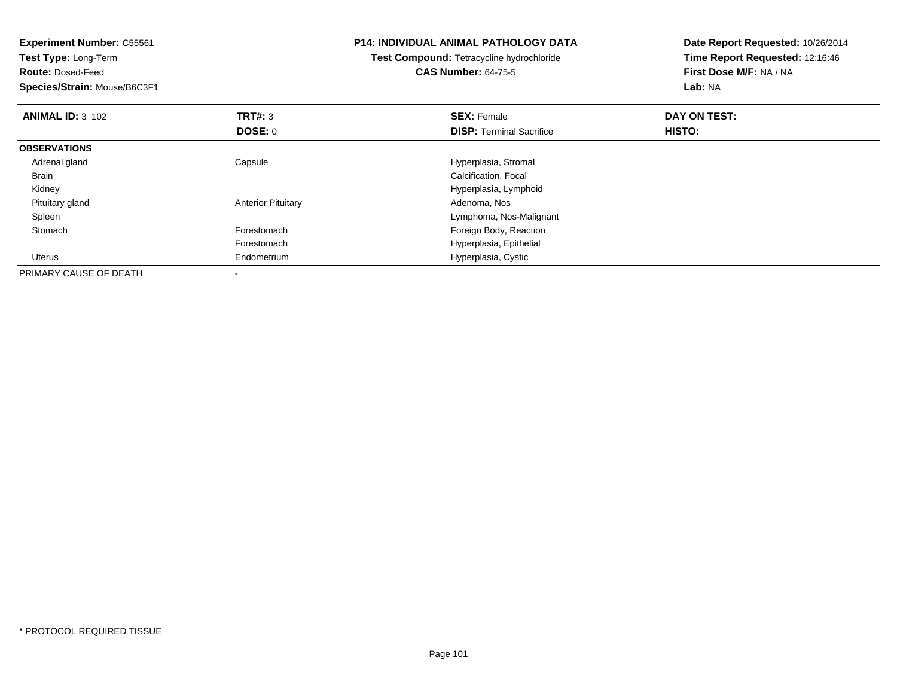| <b>Experiment Number: C55561</b> |                           | <b>P14: INDIVIDUAL ANIMAL PATHOLOGY DATA</b> | Date Report Requested: 10/26/2014<br>Time Report Requested: 12:16:46 |
|----------------------------------|---------------------------|----------------------------------------------|----------------------------------------------------------------------|
| Test Type: Long-Term             |                           | Test Compound: Tetracycline hydrochloride    |                                                                      |
| <b>Route: Dosed-Feed</b>         |                           | <b>CAS Number: 64-75-5</b>                   | First Dose M/F: NA / NA                                              |
| Species/Strain: Mouse/B6C3F1     |                           |                                              | Lab: NA                                                              |
| <b>ANIMAL ID: 3 102</b>          | TRT#: 3                   | <b>SEX: Female</b>                           | DAY ON TEST:                                                         |
|                                  | DOSE: 0                   | <b>DISP: Terminal Sacrifice</b>              | HISTO:                                                               |
| <b>OBSERVATIONS</b>              |                           |                                              |                                                                      |
| Adrenal gland                    | Capsule                   | Hyperplasia, Stromal                         |                                                                      |
| Brain                            |                           | Calcification, Focal                         |                                                                      |
| Kidney                           |                           | Hyperplasia, Lymphoid                        |                                                                      |
| Pituitary gland                  | <b>Anterior Pituitary</b> | Adenoma, Nos                                 |                                                                      |
| Spleen                           |                           | Lymphoma, Nos-Malignant                      |                                                                      |
| Stomach                          | Forestomach               | Foreign Body, Reaction                       |                                                                      |
|                                  | Forestomach               | Hyperplasia, Epithelial                      |                                                                      |
| Uterus                           | Endometrium               | Hyperplasia, Cystic                          |                                                                      |
| PRIMARY CAUSE OF DEATH           |                           |                                              |                                                                      |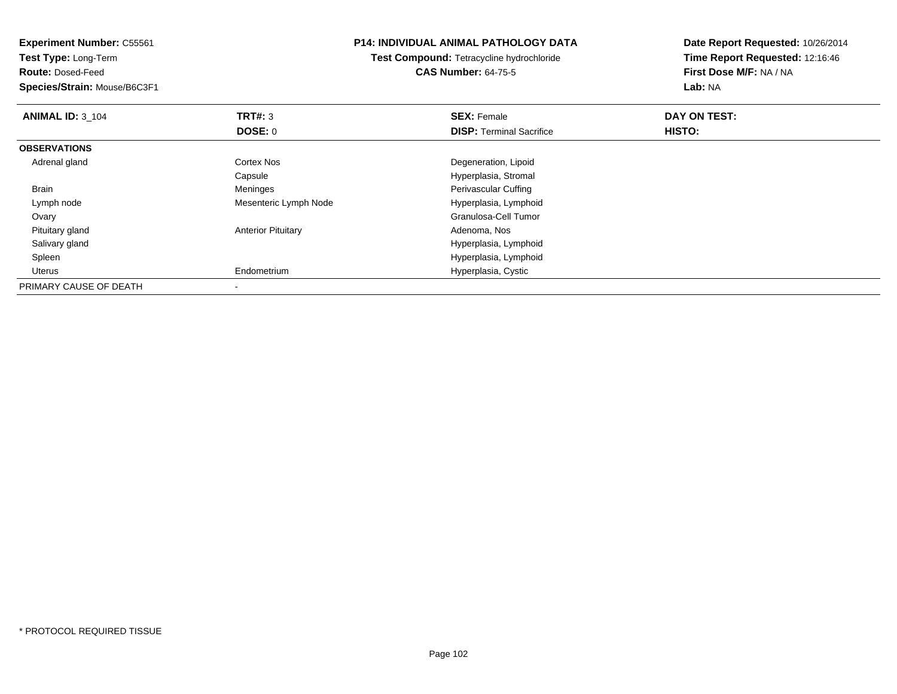| <b>Experiment Number: C55561</b> | <b>P14: INDIVIDUAL ANIMAL PATHOLOGY DATA</b><br>Test Compound: Tetracycline hydrochloride |                                 | Date Report Requested: 10/26/2014<br>Time Report Requested: 12:16:46 |
|----------------------------------|-------------------------------------------------------------------------------------------|---------------------------------|----------------------------------------------------------------------|
| <b>Test Type: Long-Term</b>      |                                                                                           |                                 |                                                                      |
| <b>Route: Dosed-Feed</b>         |                                                                                           | <b>CAS Number: 64-75-5</b>      | First Dose M/F: NA / NA                                              |
| Species/Strain: Mouse/B6C3F1     |                                                                                           |                                 | Lab: NA                                                              |
| <b>ANIMAL ID: 3 104</b>          | <b>TRT#:</b> 3                                                                            | <b>SEX: Female</b>              | DAY ON TEST:                                                         |
|                                  | <b>DOSE: 0</b>                                                                            | <b>DISP:</b> Terminal Sacrifice | HISTO:                                                               |
| <b>OBSERVATIONS</b>              |                                                                                           |                                 |                                                                      |
| Adrenal gland                    | Cortex Nos                                                                                | Degeneration, Lipoid            |                                                                      |
|                                  | Capsule                                                                                   | Hyperplasia, Stromal            |                                                                      |
| Brain                            | Meninges                                                                                  | Perivascular Cuffing            |                                                                      |
| Lymph node                       | Mesenteric Lymph Node                                                                     | Hyperplasia, Lymphoid           |                                                                      |
| Ovary                            |                                                                                           | Granulosa-Cell Tumor            |                                                                      |
| Pituitary gland                  | <b>Anterior Pituitary</b>                                                                 | Adenoma, Nos                    |                                                                      |
| Salivary gland                   |                                                                                           | Hyperplasia, Lymphoid           |                                                                      |
| Spleen                           |                                                                                           | Hyperplasia, Lymphoid           |                                                                      |
| Uterus                           | Endometrium                                                                               | Hyperplasia, Cystic             |                                                                      |
| PRIMARY CAUSE OF DEATH           |                                                                                           |                                 |                                                                      |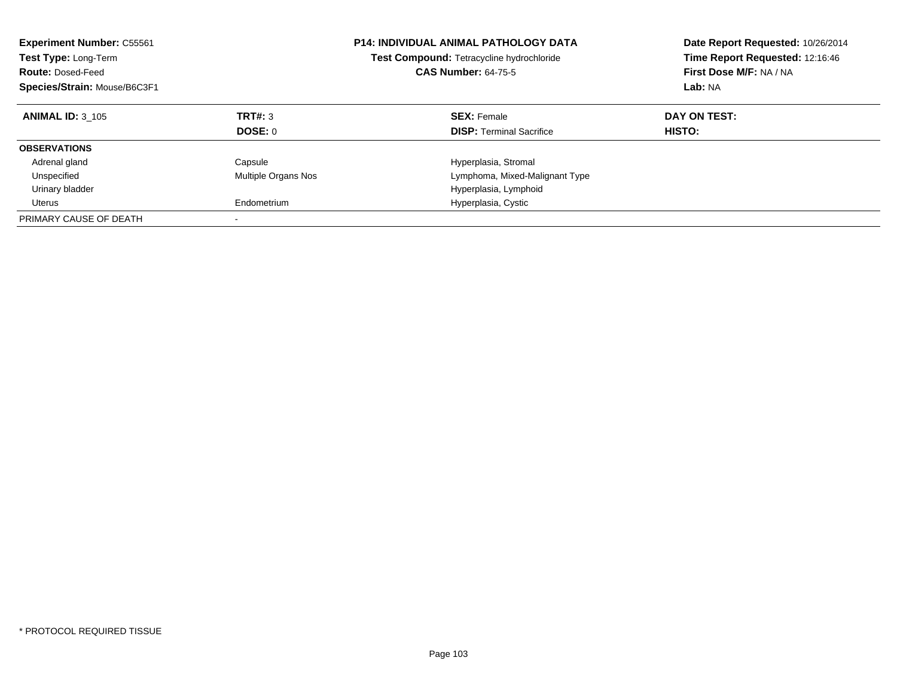| <b>Experiment Number: C55561</b><br>Test Type: Long-Term<br><b>Route: Dosed-Feed</b><br>Species/Strain: Mouse/B6C3F1 |                     | <b>P14: INDIVIDUAL ANIMAL PATHOLOGY DATA</b><br>Test Compound: Tetracycline hydrochloride<br><b>CAS Number: 64-75-5</b> | Date Report Requested: 10/26/2014<br>Time Report Requested: 12:16:46<br>First Dose M/F: NA / NA<br>Lab: NA |
|----------------------------------------------------------------------------------------------------------------------|---------------------|-------------------------------------------------------------------------------------------------------------------------|------------------------------------------------------------------------------------------------------------|
| <b>ANIMAL ID: 3 105</b>                                                                                              | TRT#: 3             | <b>SEX: Female</b>                                                                                                      | DAY ON TEST:                                                                                               |
|                                                                                                                      | <b>DOSE: 0</b>      | <b>DISP:</b> Terminal Sacrifice                                                                                         | HISTO:                                                                                                     |
| <b>OBSERVATIONS</b>                                                                                                  |                     |                                                                                                                         |                                                                                                            |
| Adrenal gland                                                                                                        | Capsule             | Hyperplasia, Stromal                                                                                                    |                                                                                                            |
| Unspecified                                                                                                          | Multiple Organs Nos | Lymphoma, Mixed-Malignant Type                                                                                          |                                                                                                            |
| Urinary bladder                                                                                                      |                     | Hyperplasia, Lymphoid                                                                                                   |                                                                                                            |
| Uterus                                                                                                               | Endometrium         | Hyperplasia, Cystic                                                                                                     |                                                                                                            |
| PRIMARY CAUSE OF DEATH                                                                                               |                     |                                                                                                                         |                                                                                                            |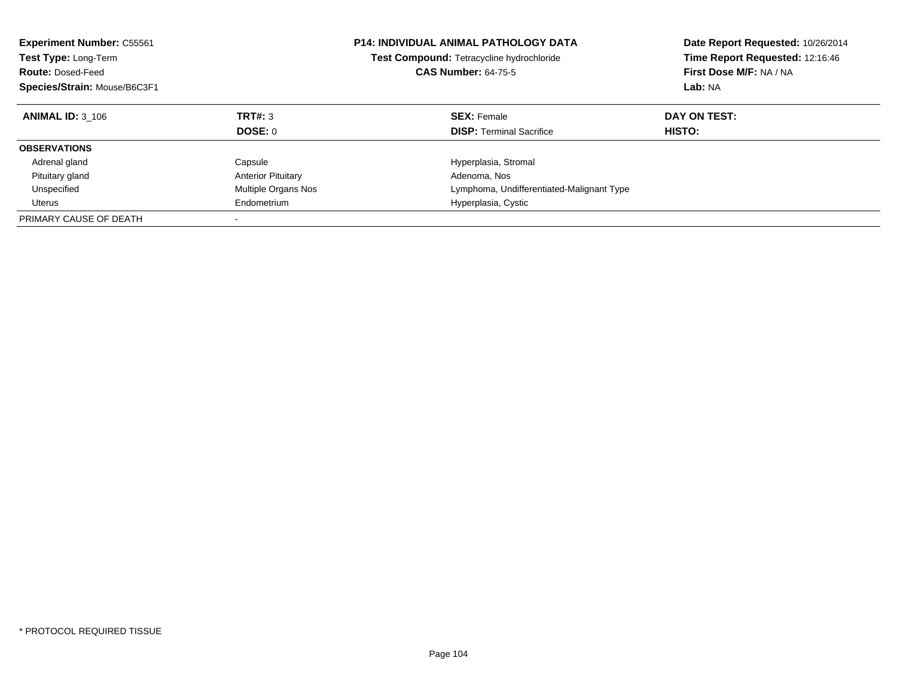| <b>Experiment Number: C55561</b><br><b>Test Type: Long-Term</b><br><b>Route: Dosed-Feed</b><br>Species/Strain: Mouse/B6C3F1 |                           | <b>P14: INDIVIDUAL ANIMAL PATHOLOGY DATA</b><br><b>Test Compound: Tetracycline hydrochloride</b><br><b>CAS Number: 64-75-5</b> | Date Report Requested: 10/26/2014<br>Time Report Requested: 12:16:46<br>First Dose M/F: NA / NA<br>Lab: NA |
|-----------------------------------------------------------------------------------------------------------------------------|---------------------------|--------------------------------------------------------------------------------------------------------------------------------|------------------------------------------------------------------------------------------------------------|
| <b>ANIMAL ID: 3 106</b>                                                                                                     | TRT#: 3<br>DOSE: 0        | <b>SEX: Female</b><br><b>DISP:</b> Terminal Sacrifice                                                                          | DAY ON TEST:<br><b>HISTO:</b>                                                                              |
|                                                                                                                             |                           |                                                                                                                                |                                                                                                            |
| <b>OBSERVATIONS</b>                                                                                                         |                           |                                                                                                                                |                                                                                                            |
| Adrenal gland                                                                                                               | Capsule                   | Hyperplasia, Stromal                                                                                                           |                                                                                                            |
| Pituitary gland                                                                                                             | <b>Anterior Pituitary</b> | Adenoma, Nos                                                                                                                   |                                                                                                            |
| Unspecified                                                                                                                 | Multiple Organs Nos       | Lymphoma, Undifferentiated-Malignant Type                                                                                      |                                                                                                            |
| Uterus                                                                                                                      | Endometrium               | Hyperplasia, Cystic                                                                                                            |                                                                                                            |
| PRIMARY CAUSE OF DEATH                                                                                                      |                           |                                                                                                                                |                                                                                                            |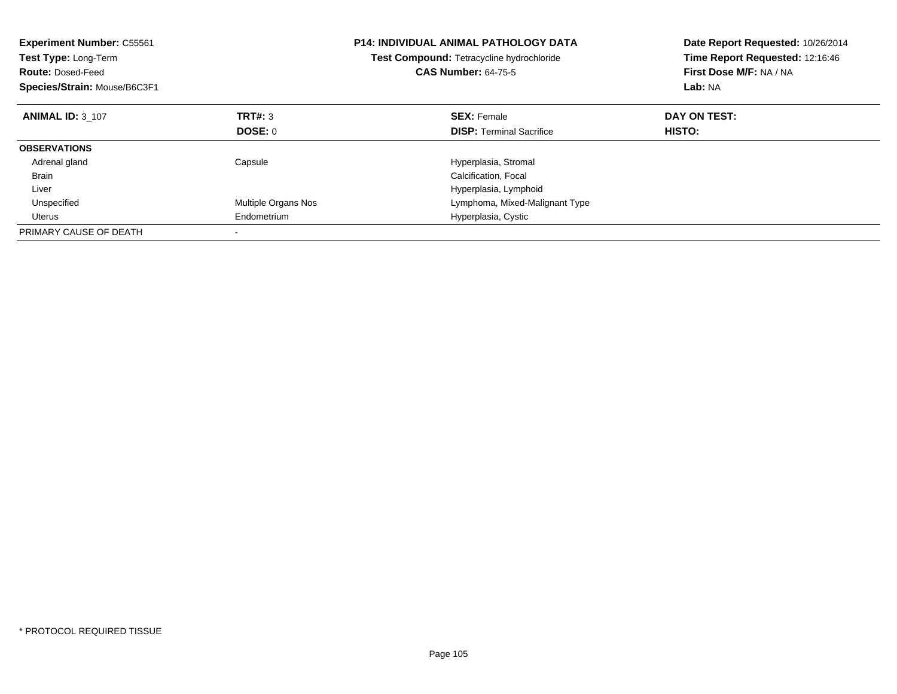| <b>Experiment Number: C55561</b><br>Test Type: Long-Term<br><b>Route: Dosed-Feed</b><br>Species/Strain: Mouse/B6C3F1 |                     | <b>P14: INDIVIDUAL ANIMAL PATHOLOGY DATA</b><br><b>Test Compound: Tetracycline hydrochloride</b><br><b>CAS Number: 64-75-5</b> | Date Report Requested: 10/26/2014<br>Time Report Requested: 12:16:46<br>First Dose M/F: NA / NA<br>Lab: NA |
|----------------------------------------------------------------------------------------------------------------------|---------------------|--------------------------------------------------------------------------------------------------------------------------------|------------------------------------------------------------------------------------------------------------|
| <b>ANIMAL ID: 3 107</b>                                                                                              | TRT#: 3             | <b>SEX: Female</b>                                                                                                             | DAY ON TEST:                                                                                               |
|                                                                                                                      | DOSE: 0             | <b>DISP:</b> Terminal Sacrifice                                                                                                | HISTO:                                                                                                     |
| <b>OBSERVATIONS</b>                                                                                                  |                     |                                                                                                                                |                                                                                                            |
| Adrenal gland                                                                                                        | Capsule             | Hyperplasia, Stromal                                                                                                           |                                                                                                            |
| <b>Brain</b>                                                                                                         |                     | Calcification, Focal                                                                                                           |                                                                                                            |
| Liver                                                                                                                |                     | Hyperplasia, Lymphoid                                                                                                          |                                                                                                            |
| Unspecified                                                                                                          | Multiple Organs Nos | Lymphoma, Mixed-Malignant Type                                                                                                 |                                                                                                            |
| Uterus                                                                                                               | Endometrium         | Hyperplasia, Cystic                                                                                                            |                                                                                                            |
| PRIMARY CAUSE OF DEATH                                                                                               |                     |                                                                                                                                |                                                                                                            |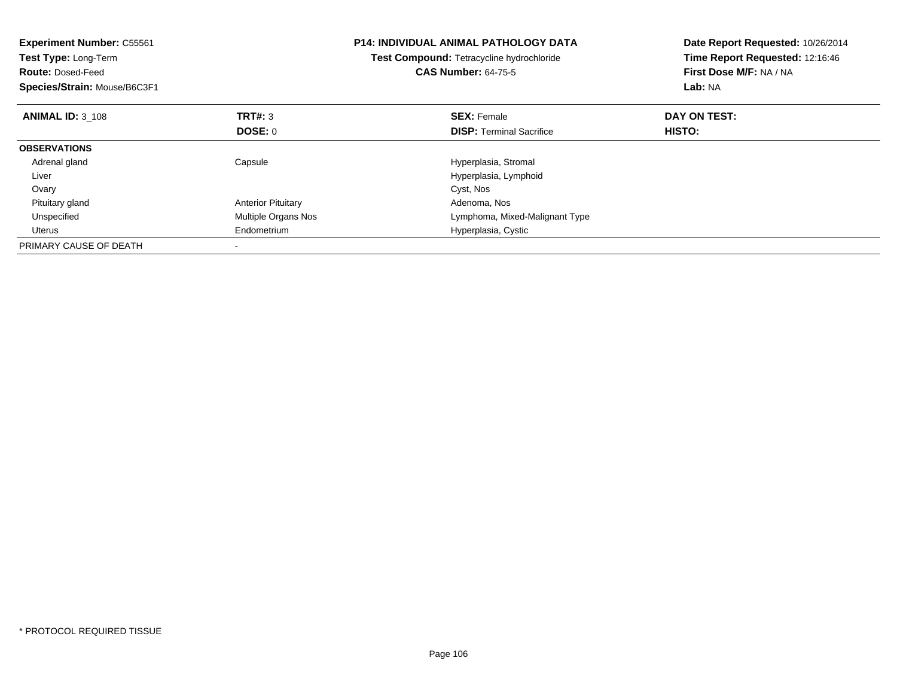| <b>Experiment Number: C55561</b><br>Test Type: Long-Term<br><b>Route: Dosed-Feed</b><br>Species/Strain: Mouse/B6C3F1 |                           | <b>P14: INDIVIDUAL ANIMAL PATHOLOGY DATA</b><br>Test Compound: Tetracycline hydrochloride<br><b>CAS Number: 64-75-5</b> | Date Report Requested: 10/26/2014<br>Time Report Requested: 12:16:46<br>First Dose M/F: NA / NA<br>Lab: NA |
|----------------------------------------------------------------------------------------------------------------------|---------------------------|-------------------------------------------------------------------------------------------------------------------------|------------------------------------------------------------------------------------------------------------|
| <b>ANIMAL ID: 3 108</b>                                                                                              | TRT#: 3                   | <b>SEX: Female</b>                                                                                                      | DAY ON TEST:                                                                                               |
|                                                                                                                      | <b>DOSE: 0</b>            | <b>DISP:</b> Terminal Sacrifice                                                                                         | HISTO:                                                                                                     |
| <b>OBSERVATIONS</b>                                                                                                  |                           |                                                                                                                         |                                                                                                            |
| Adrenal gland                                                                                                        | Capsule                   | Hyperplasia, Stromal                                                                                                    |                                                                                                            |
| Liver                                                                                                                |                           | Hyperplasia, Lymphoid                                                                                                   |                                                                                                            |
| Ovary                                                                                                                |                           | Cyst, Nos                                                                                                               |                                                                                                            |
| Pituitary gland                                                                                                      | <b>Anterior Pituitary</b> | Adenoma, Nos                                                                                                            |                                                                                                            |
| Unspecified                                                                                                          | Multiple Organs Nos       | Lymphoma, Mixed-Malignant Type                                                                                          |                                                                                                            |
| Uterus                                                                                                               | Endometrium               | Hyperplasia, Cystic                                                                                                     |                                                                                                            |
| PRIMARY CAUSE OF DEATH                                                                                               |                           |                                                                                                                         |                                                                                                            |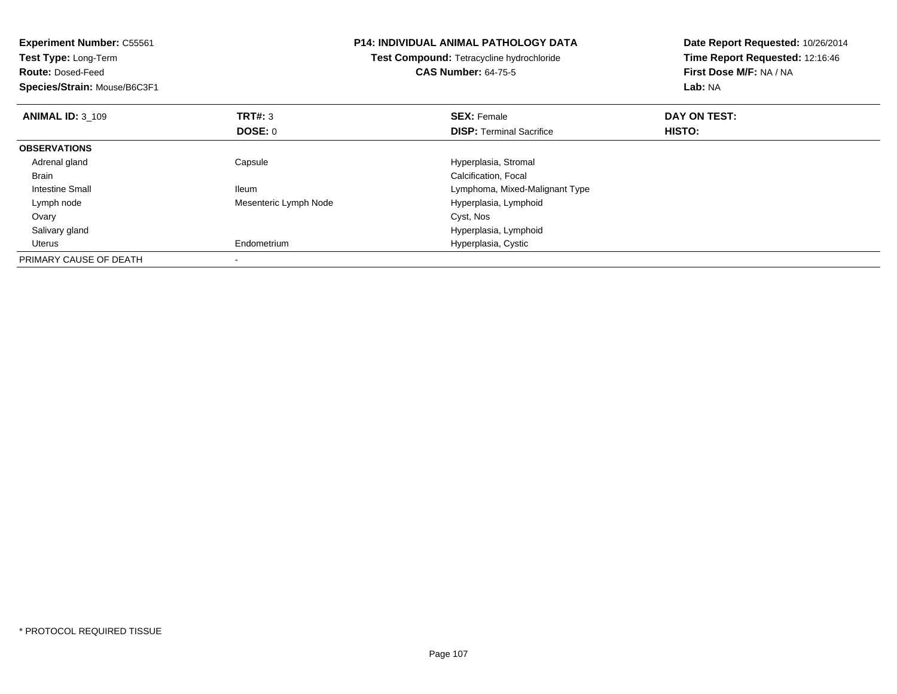| <b>Experiment Number: C55561</b><br><b>Test Type: Long-Term</b><br><b>Route: Dosed-Feed</b> |                       | <b>P14: INDIVIDUAL ANIMAL PATHOLOGY DATA</b><br>Test Compound: Tetracycline hydrochloride<br><b>CAS Number: 64-75-5</b> | Date Report Requested: 10/26/2014<br>Time Report Requested: 12:16:46<br>First Dose M/F: NA / NA |
|---------------------------------------------------------------------------------------------|-----------------------|-------------------------------------------------------------------------------------------------------------------------|-------------------------------------------------------------------------------------------------|
| Species/Strain: Mouse/B6C3F1                                                                |                       |                                                                                                                         | Lab: NA                                                                                         |
| <b>ANIMAL ID: 3 109</b>                                                                     | <b>TRT#: 3</b>        | <b>SEX: Female</b>                                                                                                      | DAY ON TEST:                                                                                    |
|                                                                                             | DOSE: 0               | <b>DISP:</b> Terminal Sacrifice                                                                                         | HISTO:                                                                                          |
| <b>OBSERVATIONS</b>                                                                         |                       |                                                                                                                         |                                                                                                 |
| Adrenal gland                                                                               | Capsule               | Hyperplasia, Stromal                                                                                                    |                                                                                                 |
| Brain                                                                                       |                       | Calcification, Focal                                                                                                    |                                                                                                 |
| Intestine Small                                                                             | <b>Ileum</b>          | Lymphoma, Mixed-Malignant Type                                                                                          |                                                                                                 |
| Lymph node                                                                                  | Mesenteric Lymph Node | Hyperplasia, Lymphoid                                                                                                   |                                                                                                 |
| Ovary                                                                                       |                       | Cyst, Nos                                                                                                               |                                                                                                 |
| Salivary gland                                                                              |                       | Hyperplasia, Lymphoid                                                                                                   |                                                                                                 |
| Uterus                                                                                      | Endometrium           | Hyperplasia, Cystic                                                                                                     |                                                                                                 |
| PRIMARY CAUSE OF DEATH                                                                      |                       |                                                                                                                         |                                                                                                 |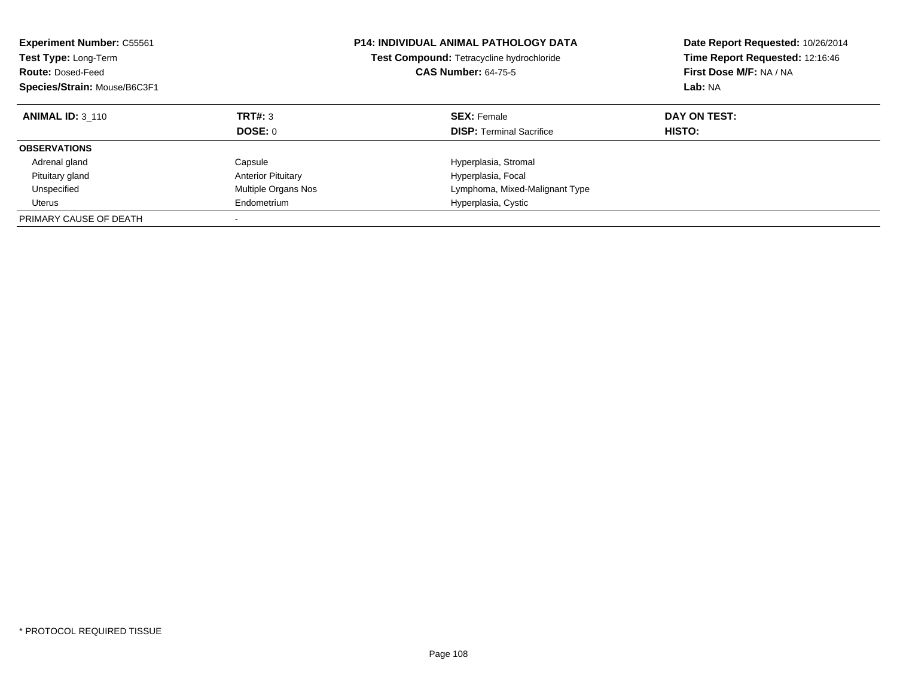| <b>Experiment Number: C55561</b><br><b>Test Type: Long-Term</b><br><b>Route: Dosed-Feed</b><br>Species/Strain: Mouse/B6C3F1 |                           | <b>P14: INDIVIDUAL ANIMAL PATHOLOGY DATA</b><br><b>Test Compound: Tetracycline hydrochloride</b><br><b>CAS Number: 64-75-5</b> | Date Report Requested: 10/26/2014<br>Time Report Requested: 12:16:46<br>First Dose M/F: NA / NA<br>Lab: NA |
|-----------------------------------------------------------------------------------------------------------------------------|---------------------------|--------------------------------------------------------------------------------------------------------------------------------|------------------------------------------------------------------------------------------------------------|
| <b>ANIMAL ID: 3 110</b>                                                                                                     | <b>TRT#: 3</b><br>DOSE: 0 | <b>SEX: Female</b><br><b>DISP:</b> Terminal Sacrifice                                                                          | DAY ON TEST:<br>HISTO:                                                                                     |
| <b>OBSERVATIONS</b>                                                                                                         |                           |                                                                                                                                |                                                                                                            |
| Adrenal gland                                                                                                               | Capsule                   | Hyperplasia, Stromal                                                                                                           |                                                                                                            |
| Pituitary gland                                                                                                             | <b>Anterior Pituitary</b> | Hyperplasia, Focal                                                                                                             |                                                                                                            |
| Unspecified                                                                                                                 | Multiple Organs Nos       | Lymphoma, Mixed-Malignant Type                                                                                                 |                                                                                                            |
| Uterus                                                                                                                      | Endometrium               | Hyperplasia, Cystic                                                                                                            |                                                                                                            |
| PRIMARY CAUSE OF DEATH                                                                                                      |                           |                                                                                                                                |                                                                                                            |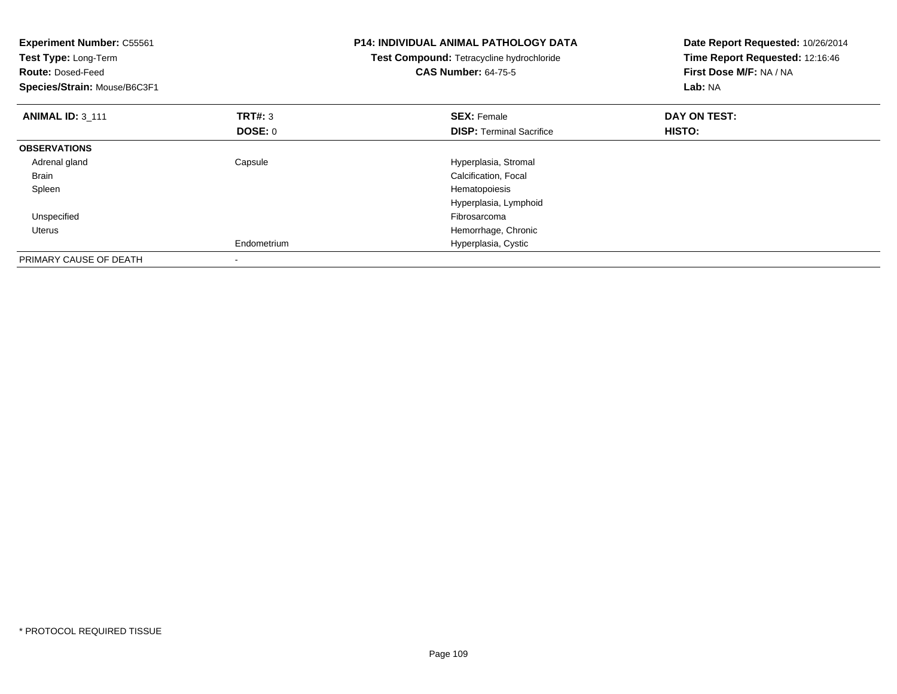| <b>Experiment Number: C55561</b><br>Test Type: Long-Term<br><b>Route: Dosed-Feed</b><br>Species/Strain: Mouse/B6C3F1 |                                  | <b>P14: INDIVIDUAL ANIMAL PATHOLOGY DATA</b><br>Test Compound: Tetracycline hydrochloride<br><b>CAS Number: 64-75-5</b> | Date Report Requested: 10/26/2014<br>Time Report Requested: 12:16:46<br>First Dose M/F: NA / NA<br>Lab: NA |
|----------------------------------------------------------------------------------------------------------------------|----------------------------------|-------------------------------------------------------------------------------------------------------------------------|------------------------------------------------------------------------------------------------------------|
| <b>ANIMAL ID: 3 111</b>                                                                                              | <b>TRT#: 3</b><br><b>DOSE: 0</b> | <b>SEX: Female</b><br><b>DISP:</b> Terminal Sacrifice                                                                   | DAY ON TEST:<br>HISTO:                                                                                     |
| <b>OBSERVATIONS</b>                                                                                                  |                                  |                                                                                                                         |                                                                                                            |
| Adrenal gland                                                                                                        | Capsule                          | Hyperplasia, Stromal                                                                                                    |                                                                                                            |
| <b>Brain</b>                                                                                                         |                                  | Calcification, Focal                                                                                                    |                                                                                                            |
| Spleen                                                                                                               |                                  | Hematopoiesis                                                                                                           |                                                                                                            |
|                                                                                                                      |                                  | Hyperplasia, Lymphoid                                                                                                   |                                                                                                            |
| Unspecified                                                                                                          |                                  | Fibrosarcoma                                                                                                            |                                                                                                            |
| Uterus                                                                                                               |                                  | Hemorrhage, Chronic                                                                                                     |                                                                                                            |
|                                                                                                                      | Endometrium                      | Hyperplasia, Cystic                                                                                                     |                                                                                                            |
| PRIMARY CAUSE OF DEATH                                                                                               | $\overline{\phantom{a}}$         |                                                                                                                         |                                                                                                            |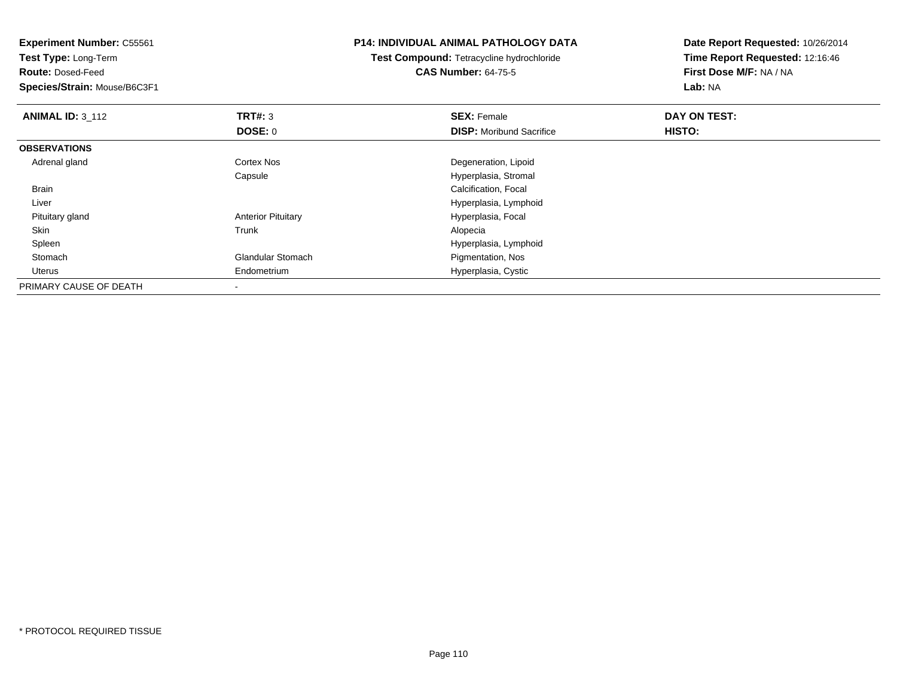**Experiment Number:** C55561**Test Type:** Long-Term**Route:** Dosed-Feed **Species/Strain:** Mouse/B6C3F1**P14: INDIVIDUAL ANIMAL PATHOLOGY DATATest Compound:** Tetracycline hydrochloride**CAS Number:** 64-75-5**Date Report Requested:** 10/26/2014**Time Report Requested:** 12:16:46**First Dose M/F:** NA / NA**Lab:** NA**ANIMAL ID: 3 112 TRT#:** <sup>3</sup> **SEX:** Female **DAY ON TEST: DOSE:** 0**DISP:** Moribund Sacrifice **HISTO: OBSERVATIONS** Adrenal glandCortex Nos **Degeneration**, Lipoid Capsule Hyperplasia, Stromal Brain Calcification, Focal Liver Hyperplasia, Lymphoid Pituitary glandAnterior Pituitary **Anterior Pituitary** Hyperplasia, Focal Trunk Skinn and the control of the control of the control of the control of the control of the control of the control of the control of the control of the control of the control of the control of the control of the control of the co SpleenHyperplasia, Lymphoid<br>
Glandular Stomach<br>
Figmentation, Nos StomachPigmentation, Nos Uterus Endometrium Hyperplasia, Cystic PRIMARY CAUSE OF DEATH-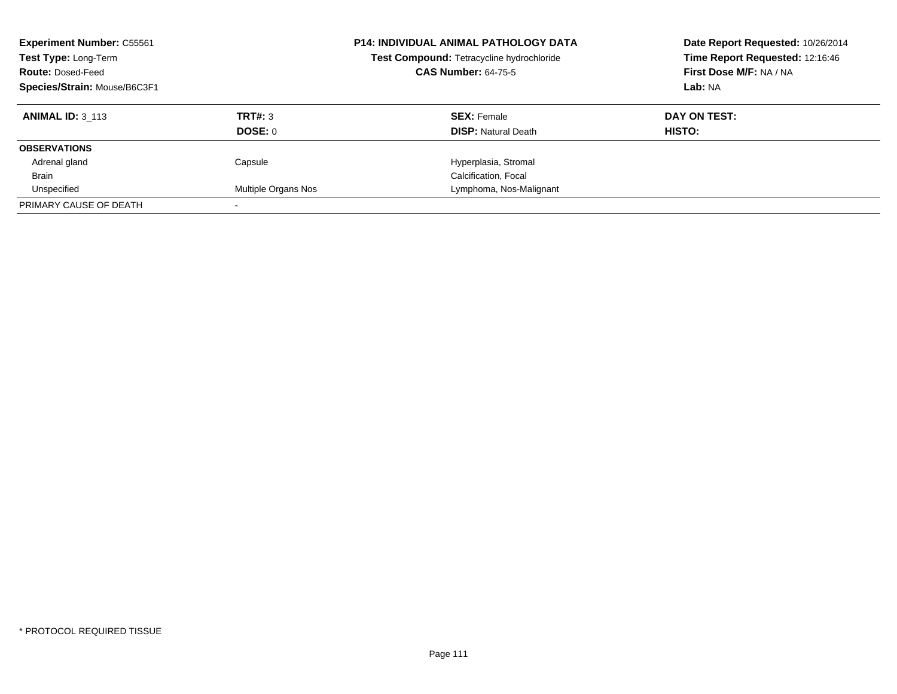| <b>Experiment Number: C55561</b><br>Test Type: Long-Term<br><b>Route: Dosed-Feed</b><br>Species/Strain: Mouse/B6C3F1 |                     | <b>P14: INDIVIDUAL ANIMAL PATHOLOGY DATA</b><br>Test Compound: Tetracycline hydrochloride<br><b>CAS Number: 64-75-5</b> | Date Report Requested: 10/26/2014<br>Time Report Requested: 12:16:46<br>First Dose M/F: NA / NA<br>Lab: NA |
|----------------------------------------------------------------------------------------------------------------------|---------------------|-------------------------------------------------------------------------------------------------------------------------|------------------------------------------------------------------------------------------------------------|
| <b>ANIMAL ID: 3 113</b>                                                                                              | TRT#: 3             | <b>SEX: Female</b>                                                                                                      | DAY ON TEST:                                                                                               |
|                                                                                                                      | DOSE: 0             | <b>DISP:</b> Natural Death                                                                                              | <b>HISTO:</b>                                                                                              |
| <b>OBSERVATIONS</b>                                                                                                  |                     |                                                                                                                         |                                                                                                            |
| Adrenal gland                                                                                                        | Capsule             | Hyperplasia, Stromal                                                                                                    |                                                                                                            |
| <b>Brain</b>                                                                                                         |                     | Calcification, Focal                                                                                                    |                                                                                                            |
| Unspecified                                                                                                          | Multiple Organs Nos | Lymphoma, Nos-Malignant                                                                                                 |                                                                                                            |
| PRIMARY CAUSE OF DEATH                                                                                               |                     |                                                                                                                         |                                                                                                            |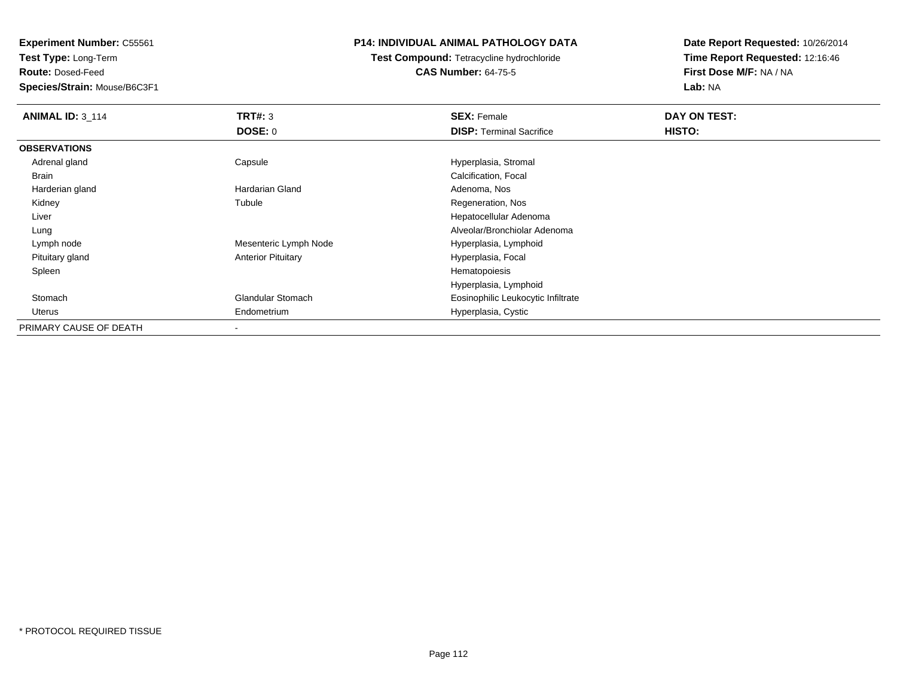**Test Type:** Long-Term

**Route:** Dosed-Feed

**Species/Strain:** Mouse/B6C3F1

## **P14: INDIVIDUAL ANIMAL PATHOLOGY DATA**

**Test Compound:** Tetracycline hydrochloride**CAS Number:** 64-75-5

| <b>ANIMAL ID: 3_114</b> | TRT#: 3                   | <b>SEX: Female</b>                 | DAY ON TEST: |  |
|-------------------------|---------------------------|------------------------------------|--------------|--|
|                         | <b>DOSE: 0</b>            | <b>DISP: Terminal Sacrifice</b>    | HISTO:       |  |
| <b>OBSERVATIONS</b>     |                           |                                    |              |  |
| Adrenal gland           | Capsule                   | Hyperplasia, Stromal               |              |  |
| Brain                   |                           | Calcification, Focal               |              |  |
| Harderian gland         | Hardarian Gland           | Adenoma, Nos                       |              |  |
| Kidney                  | Tubule                    | Regeneration, Nos                  |              |  |
| Liver                   |                           | Hepatocellular Adenoma             |              |  |
| Lung                    |                           | Alveolar/Bronchiolar Adenoma       |              |  |
| Lymph node              | Mesenteric Lymph Node     | Hyperplasia, Lymphoid              |              |  |
| Pituitary gland         | <b>Anterior Pituitary</b> | Hyperplasia, Focal                 |              |  |
| Spleen                  |                           | Hematopoiesis                      |              |  |
|                         |                           | Hyperplasia, Lymphoid              |              |  |
| Stomach                 | <b>Glandular Stomach</b>  | Eosinophilic Leukocytic Infiltrate |              |  |
| Uterus                  | Endometrium               | Hyperplasia, Cystic                |              |  |
| PRIMARY CAUSE OF DEATH  |                           |                                    |              |  |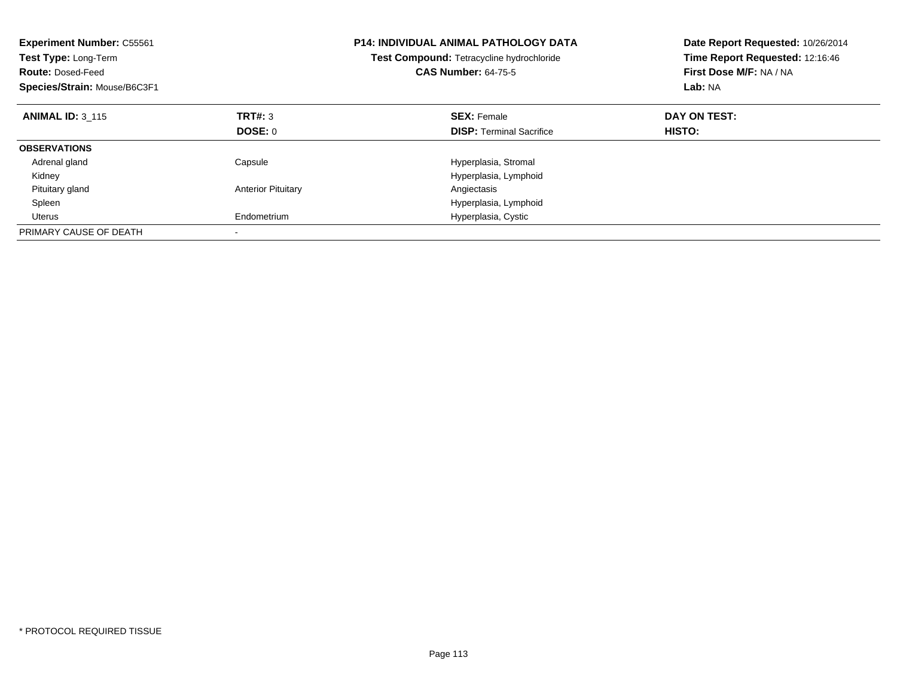| <b>Experiment Number: C55561</b><br>Test Type: Long-Term<br><b>Route: Dosed-Feed</b><br>Species/Strain: Mouse/B6C3F1 |                           | <b>P14: INDIVIDUAL ANIMAL PATHOLOGY DATA</b><br>Test Compound: Tetracycline hydrochloride<br><b>CAS Number: 64-75-5</b> | Date Report Requested: 10/26/2014<br>Time Report Requested: 12:16:46<br>First Dose M/F: NA / NA<br>Lab: NA |
|----------------------------------------------------------------------------------------------------------------------|---------------------------|-------------------------------------------------------------------------------------------------------------------------|------------------------------------------------------------------------------------------------------------|
| <b>ANIMAL ID: 3 115</b>                                                                                              | TRT#: 3                   | <b>SEX: Female</b>                                                                                                      | DAY ON TEST:                                                                                               |
|                                                                                                                      | DOSE: 0                   | <b>DISP:</b> Terminal Sacrifice                                                                                         | <b>HISTO:</b>                                                                                              |
| <b>OBSERVATIONS</b>                                                                                                  |                           |                                                                                                                         |                                                                                                            |
| Adrenal gland                                                                                                        | Capsule                   | Hyperplasia, Stromal                                                                                                    |                                                                                                            |
| Kidney                                                                                                               |                           | Hyperplasia, Lymphoid                                                                                                   |                                                                                                            |
| Pituitary gland                                                                                                      | <b>Anterior Pituitary</b> | Angiectasis                                                                                                             |                                                                                                            |
| Spleen                                                                                                               |                           | Hyperplasia, Lymphoid                                                                                                   |                                                                                                            |
| <b>Uterus</b>                                                                                                        | Endometrium               | Hyperplasia, Cystic                                                                                                     |                                                                                                            |
| PRIMARY CAUSE OF DEATH                                                                                               |                           |                                                                                                                         |                                                                                                            |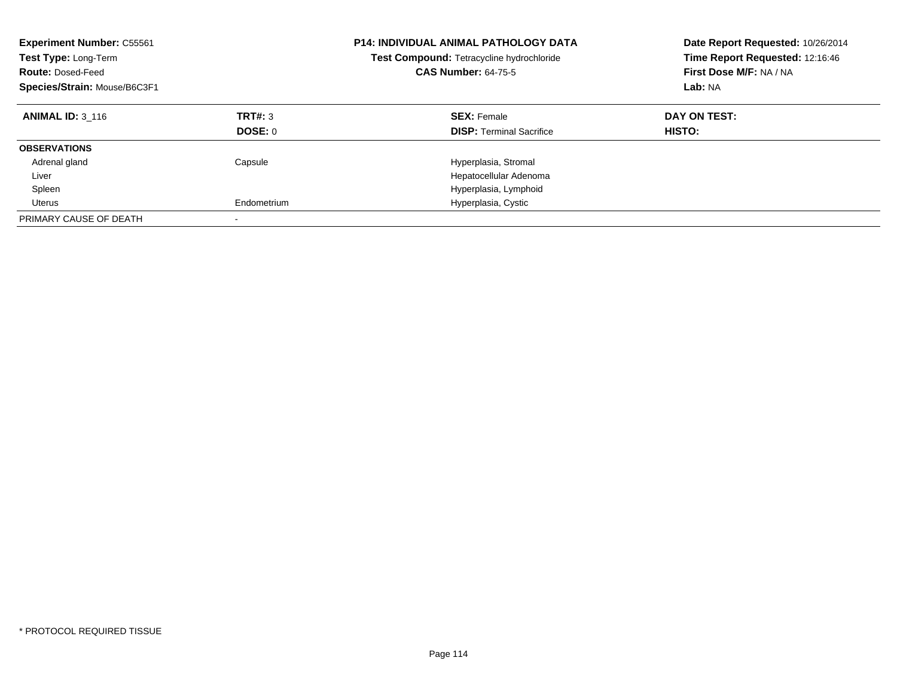| <b>Experiment Number: C55561</b><br><b>Test Type: Long-Term</b><br><b>Route: Dosed-Feed</b><br>Species/Strain: Mouse/B6C3F1 |                    | <b>P14: INDIVIDUAL ANIMAL PATHOLOGY DATA</b><br>Test Compound: Tetracycline hydrochloride<br><b>CAS Number: 64-75-5</b> | Date Report Requested: 10/26/2014<br>Time Report Requested: 12:16:46<br>First Dose M/F: NA / NA<br>Lab: NA |
|-----------------------------------------------------------------------------------------------------------------------------|--------------------|-------------------------------------------------------------------------------------------------------------------------|------------------------------------------------------------------------------------------------------------|
| <b>ANIMAL ID: 3 116</b>                                                                                                     | TRT#: 3<br>DOSE: 0 | <b>SEX: Female</b><br><b>DISP:</b> Terminal Sacrifice                                                                   | DAY ON TEST:<br><b>HISTO:</b>                                                                              |
| <b>OBSERVATIONS</b>                                                                                                         |                    |                                                                                                                         |                                                                                                            |
| Adrenal gland                                                                                                               | Capsule            | Hyperplasia, Stromal                                                                                                    |                                                                                                            |
| Liver                                                                                                                       |                    | Hepatocellular Adenoma                                                                                                  |                                                                                                            |
| Spleen                                                                                                                      |                    | Hyperplasia, Lymphoid                                                                                                   |                                                                                                            |
| Uterus                                                                                                                      | Endometrium        | Hyperplasia, Cystic                                                                                                     |                                                                                                            |
| PRIMARY CAUSE OF DEATH                                                                                                      |                    |                                                                                                                         |                                                                                                            |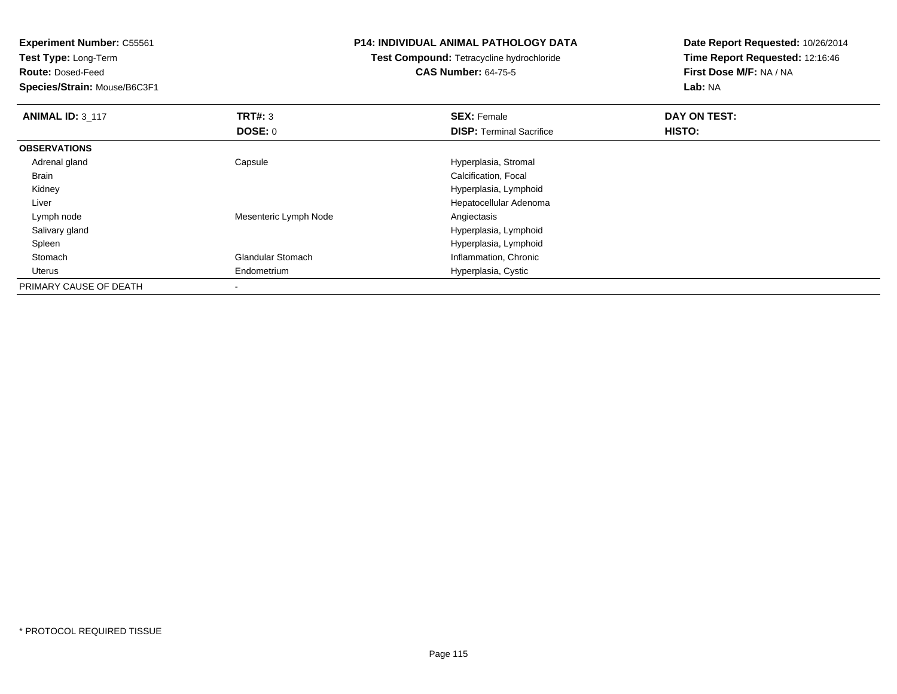**Test Type:** Long-Term

**Route:** Dosed-Feed

**Species/Strain:** Mouse/B6C3F1

## **P14: INDIVIDUAL ANIMAL PATHOLOGY DATA**

# **Test Compound:** Tetracycline hydrochloride**CAS Number:** 64-75-5

| <b>ANIMAL ID: 3 117</b> | TRT#: 3                  | <b>SEX: Female</b>              | DAY ON TEST: |  |
|-------------------------|--------------------------|---------------------------------|--------------|--|
|                         | <b>DOSE: 0</b>           | <b>DISP: Terminal Sacrifice</b> | HISTO:       |  |
| <b>OBSERVATIONS</b>     |                          |                                 |              |  |
| Adrenal gland           | Capsule                  | Hyperplasia, Stromal            |              |  |
| <b>Brain</b>            |                          | Calcification, Focal            |              |  |
| Kidney                  |                          | Hyperplasia, Lymphoid           |              |  |
| Liver                   |                          | Hepatocellular Adenoma          |              |  |
| Lymph node              | Mesenteric Lymph Node    | Angiectasis                     |              |  |
| Salivary gland          |                          | Hyperplasia, Lymphoid           |              |  |
| Spleen                  |                          | Hyperplasia, Lymphoid           |              |  |
| Stomach                 | <b>Glandular Stomach</b> | Inflammation, Chronic           |              |  |
| Uterus                  | Endometrium              | Hyperplasia, Cystic             |              |  |
| PRIMARY CAUSE OF DEATH  |                          |                                 |              |  |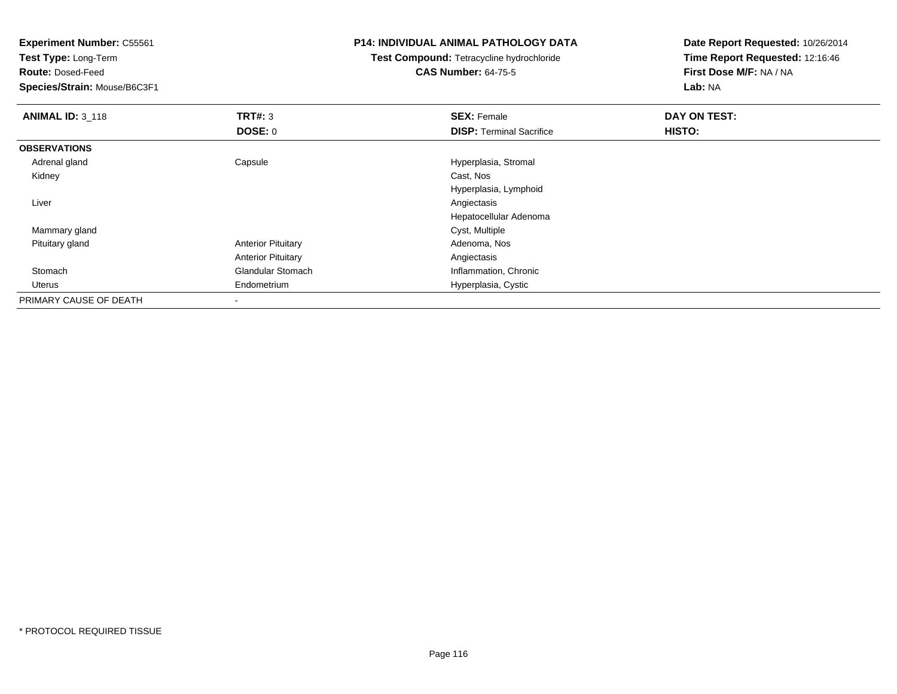**Test Type:** Long-Term

**Route:** Dosed-Feed

**Species/Strain:** Mouse/B6C3F1

## **P14: INDIVIDUAL ANIMAL PATHOLOGY DATA**

**Test Compound:** Tetracycline hydrochloride**CAS Number:** 64-75-5

| <b>ANIMAL ID: 3 118</b> | TRT#: 3                   | <b>SEX: Female</b>              | DAY ON TEST: |
|-------------------------|---------------------------|---------------------------------|--------------|
|                         | DOSE: 0                   | <b>DISP: Terminal Sacrifice</b> | HISTO:       |
| <b>OBSERVATIONS</b>     |                           |                                 |              |
| Adrenal gland           | Capsule                   | Hyperplasia, Stromal            |              |
| Kidney                  |                           | Cast, Nos                       |              |
|                         |                           | Hyperplasia, Lymphoid           |              |
| Liver                   |                           | Angiectasis                     |              |
|                         |                           | Hepatocellular Adenoma          |              |
| Mammary gland           |                           | Cyst, Multiple                  |              |
| Pituitary gland         | <b>Anterior Pituitary</b> | Adenoma, Nos                    |              |
|                         | <b>Anterior Pituitary</b> | Angiectasis                     |              |
| Stomach                 | <b>Glandular Stomach</b>  | Inflammation, Chronic           |              |
| Uterus                  | Endometrium               | Hyperplasia, Cystic             |              |
| PRIMARY CAUSE OF DEATH  |                           |                                 |              |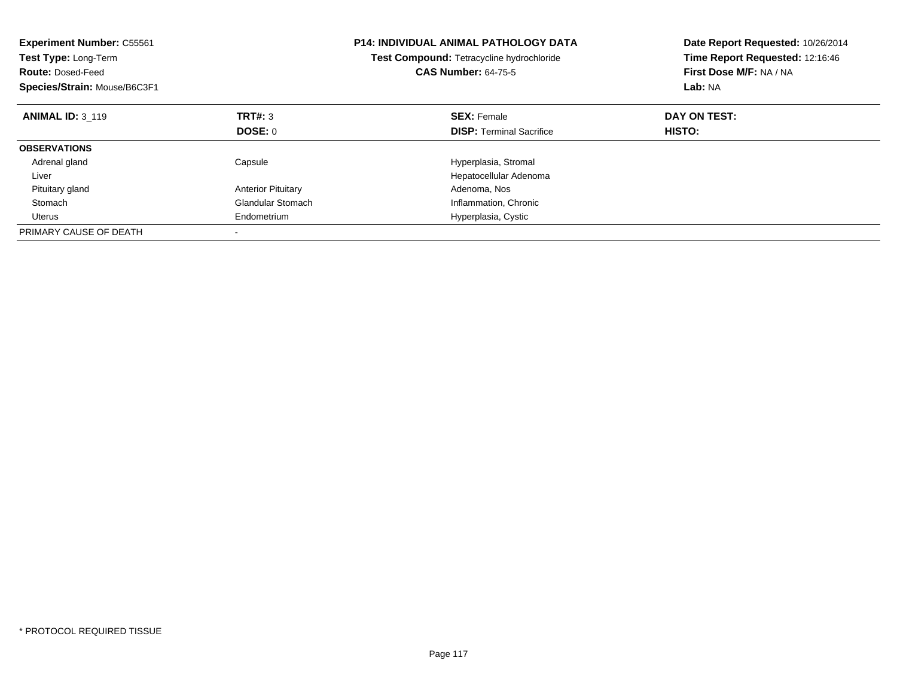| <b>Experiment Number: C55561</b><br>Test Type: Long-Term<br><b>Route: Dosed-Feed</b><br>Species/Strain: Mouse/B6C3F1 |                           | <b>P14: INDIVIDUAL ANIMAL PATHOLOGY DATA</b><br>Test Compound: Tetracycline hydrochloride<br><b>CAS Number: 64-75-5</b> | Date Report Requested: 10/26/2014<br>Time Report Requested: 12:16:46<br>First Dose M/F: NA / NA<br>Lab: NA |
|----------------------------------------------------------------------------------------------------------------------|---------------------------|-------------------------------------------------------------------------------------------------------------------------|------------------------------------------------------------------------------------------------------------|
| <b>ANIMAL ID: 3 119</b>                                                                                              | TRT#: 3                   | <b>SEX: Female</b>                                                                                                      | DAY ON TEST:                                                                                               |
|                                                                                                                      | <b>DOSE: 0</b>            | <b>DISP:</b> Terminal Sacrifice                                                                                         | HISTO:                                                                                                     |
| <b>OBSERVATIONS</b>                                                                                                  |                           |                                                                                                                         |                                                                                                            |
| Adrenal gland                                                                                                        | Capsule                   | Hyperplasia, Stromal                                                                                                    |                                                                                                            |
| Liver                                                                                                                |                           | Hepatocellular Adenoma                                                                                                  |                                                                                                            |
| Pituitary gland                                                                                                      | <b>Anterior Pituitary</b> | Adenoma, Nos                                                                                                            |                                                                                                            |
| Stomach                                                                                                              | <b>Glandular Stomach</b>  | Inflammation, Chronic                                                                                                   |                                                                                                            |
| Uterus                                                                                                               | Endometrium               | Hyperplasia, Cystic                                                                                                     |                                                                                                            |
| PRIMARY CAUSE OF DEATH                                                                                               |                           |                                                                                                                         |                                                                                                            |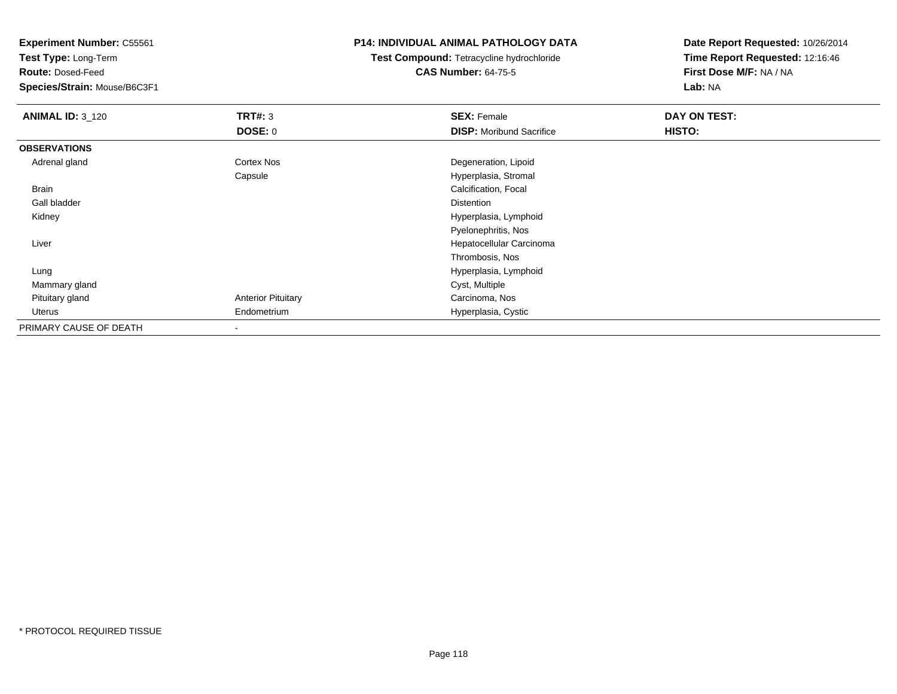**Test Type:** Long-Term

**Route:** Dosed-Feed

**Species/Strain:** Mouse/B6C3F1

## **P14: INDIVIDUAL ANIMAL PATHOLOGY DATA**

**Test Compound:** Tetracycline hydrochloride**CAS Number:** 64-75-5

| <b>ANIMAL ID: 3_120</b> | TRT#: 3                   | <b>SEX: Female</b>              | DAY ON TEST: |  |
|-------------------------|---------------------------|---------------------------------|--------------|--|
|                         | <b>DOSE: 0</b>            | <b>DISP:</b> Moribund Sacrifice | HISTO:       |  |
| <b>OBSERVATIONS</b>     |                           |                                 |              |  |
| Adrenal gland           | Cortex Nos                | Degeneration, Lipoid            |              |  |
|                         | Capsule                   | Hyperplasia, Stromal            |              |  |
| Brain                   |                           | Calcification, Focal            |              |  |
| Gall bladder            |                           | <b>Distention</b>               |              |  |
| Kidney                  |                           | Hyperplasia, Lymphoid           |              |  |
|                         |                           | Pyelonephritis, Nos             |              |  |
| Liver                   |                           | Hepatocellular Carcinoma        |              |  |
|                         |                           | Thrombosis, Nos                 |              |  |
| Lung                    |                           | Hyperplasia, Lymphoid           |              |  |
| Mammary gland           |                           | Cyst, Multiple                  |              |  |
| Pituitary gland         | <b>Anterior Pituitary</b> | Carcinoma, Nos                  |              |  |
| Uterus                  | Endometrium               | Hyperplasia, Cystic             |              |  |
| PRIMARY CAUSE OF DEATH  |                           |                                 |              |  |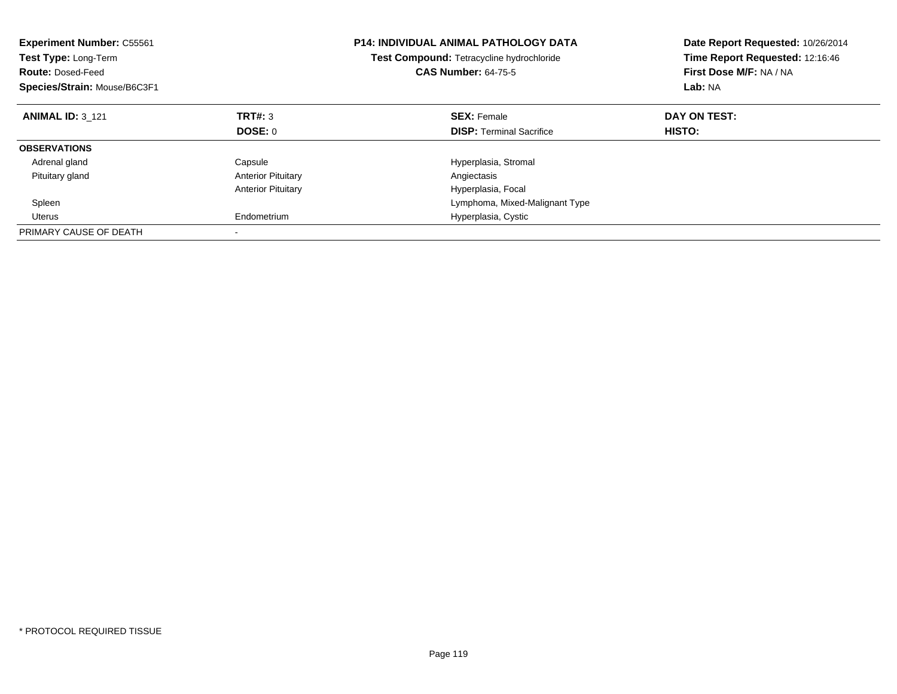| <b>Experiment Number: C55561</b><br>Test Type: Long-Term<br><b>Route: Dosed-Feed</b><br>Species/Strain: Mouse/B6C3F1 |                           | <b>P14: INDIVIDUAL ANIMAL PATHOLOGY DATA</b><br>Test Compound: Tetracycline hydrochloride<br><b>CAS Number: 64-75-5</b> | Date Report Requested: 10/26/2014<br>Time Report Requested: 12:16:46<br>First Dose M/F: NA / NA<br>Lab: NA |
|----------------------------------------------------------------------------------------------------------------------|---------------------------|-------------------------------------------------------------------------------------------------------------------------|------------------------------------------------------------------------------------------------------------|
| <b>ANIMAL ID: 3 121</b>                                                                                              | TRT#: 3                   | <b>SEX:</b> Female                                                                                                      | DAY ON TEST:                                                                                               |
|                                                                                                                      | DOSE: 0                   | <b>DISP:</b> Terminal Sacrifice                                                                                         | HISTO:                                                                                                     |
| <b>OBSERVATIONS</b>                                                                                                  |                           |                                                                                                                         |                                                                                                            |
| Adrenal gland                                                                                                        | Capsule                   | Hyperplasia, Stromal                                                                                                    |                                                                                                            |
| Pituitary gland                                                                                                      | <b>Anterior Pituitary</b> | Angiectasis                                                                                                             |                                                                                                            |
|                                                                                                                      | <b>Anterior Pituitary</b> | Hyperplasia, Focal                                                                                                      |                                                                                                            |
| Spleen                                                                                                               |                           | Lymphoma, Mixed-Malignant Type                                                                                          |                                                                                                            |
| Uterus                                                                                                               | Endometrium               | Hyperplasia, Cystic                                                                                                     |                                                                                                            |
| PRIMARY CAUSE OF DEATH                                                                                               |                           |                                                                                                                         |                                                                                                            |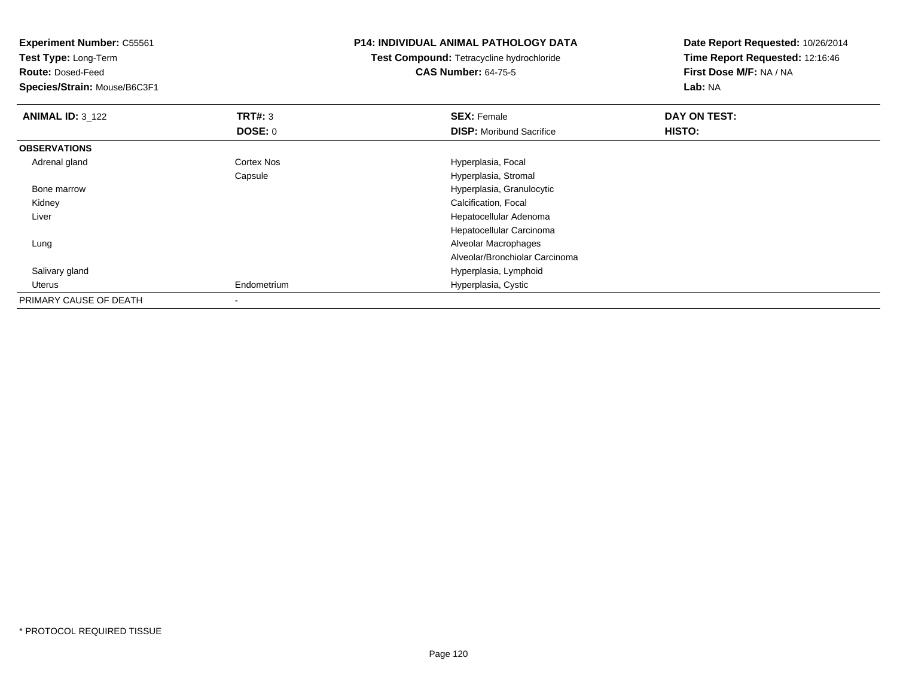**Experiment Number:** C55561**Test Type:** Long-Term**Route:** Dosed-Feed **Species/Strain:** Mouse/B6C3F1**P14: INDIVIDUAL ANIMAL PATHOLOGY DATATest Compound:** Tetracycline hydrochloride**CAS Number:** 64-75-5**Date Report Requested:** 10/26/2014**Time Report Requested:** 12:16:46**First Dose M/F:** NA / NA**Lab:** NA**ANIMAL ID:** 3\_122 **TRT#:** <sup>3</sup> **SEX:** Female **DAY ON TEST: DOSE:** 0**DISP:** Moribund Sacrifice **HISTO: OBSERVATIONS** Adrenal glandCortex Nos **Exercise Serverse Exercise Serverse Exercise Serverse Exercise Serverse Exercise Serverse Exercise** Capsule Hyperplasia, Stromal Bone marrow Hyperplasia, Granulocytic Kidney Calcification, Focal Liver Hepatocellular Adenoma Hepatocellular Carcinoma Lung Alveolar Macrophages Alveolar/Bronchiolar Carcinoma Salivary gland Hyperplasia, Lymphoid Uterus Endometrium Hyperplasia, Cystic PRIMARY CAUSE OF DEATH-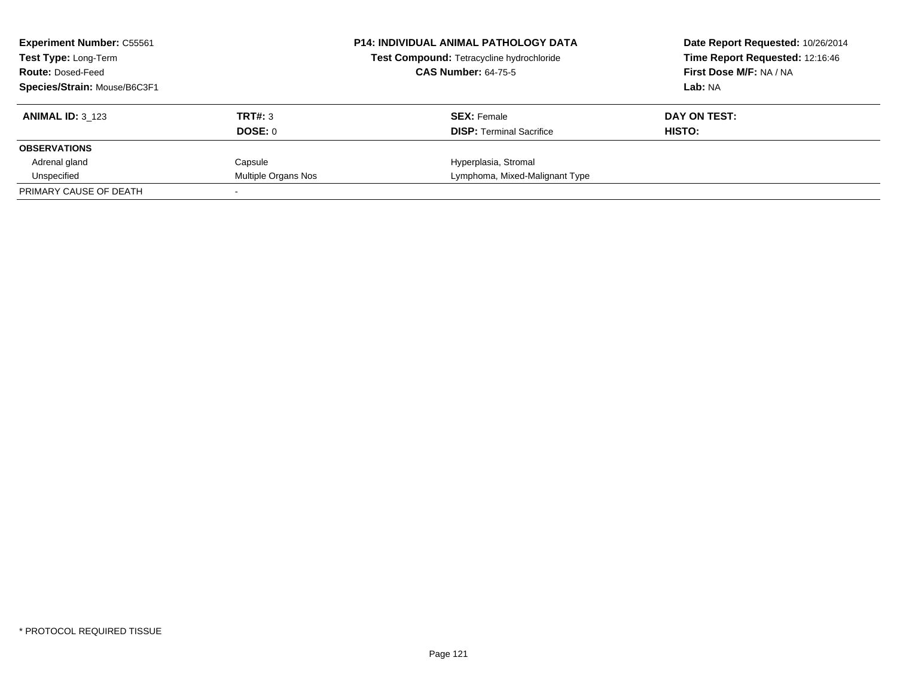| <b>Experiment Number: C55561</b><br><b>Test Type: Long-Term</b> |                     | <b>P14: INDIVIDUAL ANIMAL PATHOLOGY DATA</b><br>Test Compound: Tetracycline hydrochloride | Date Report Requested: 10/26/2014<br>Time Report Requested: 12:16:46 |
|-----------------------------------------------------------------|---------------------|-------------------------------------------------------------------------------------------|----------------------------------------------------------------------|
| <b>Route: Dosed-Feed</b>                                        |                     | <b>CAS Number: 64-75-5</b>                                                                | First Dose M/F: NA / NA                                              |
| Species/Strain: Mouse/B6C3F1                                    |                     |                                                                                           | Lab: NA                                                              |
| <b>ANIMAL ID: 3_123</b>                                         | TRT#: 3             | <b>SEX: Female</b>                                                                        | DAY ON TEST:                                                         |
|                                                                 | DOSE: 0             | <b>DISP:</b> Terminal Sacrifice                                                           | HISTO:                                                               |
| <b>OBSERVATIONS</b>                                             |                     |                                                                                           |                                                                      |
| Adrenal gland                                                   | Capsule             | Hyperplasia, Stromal                                                                      |                                                                      |
| Unspecified                                                     | Multiple Organs Nos | Lymphoma, Mixed-Malignant Type                                                            |                                                                      |
| PRIMARY CAUSE OF DEATH                                          |                     |                                                                                           |                                                                      |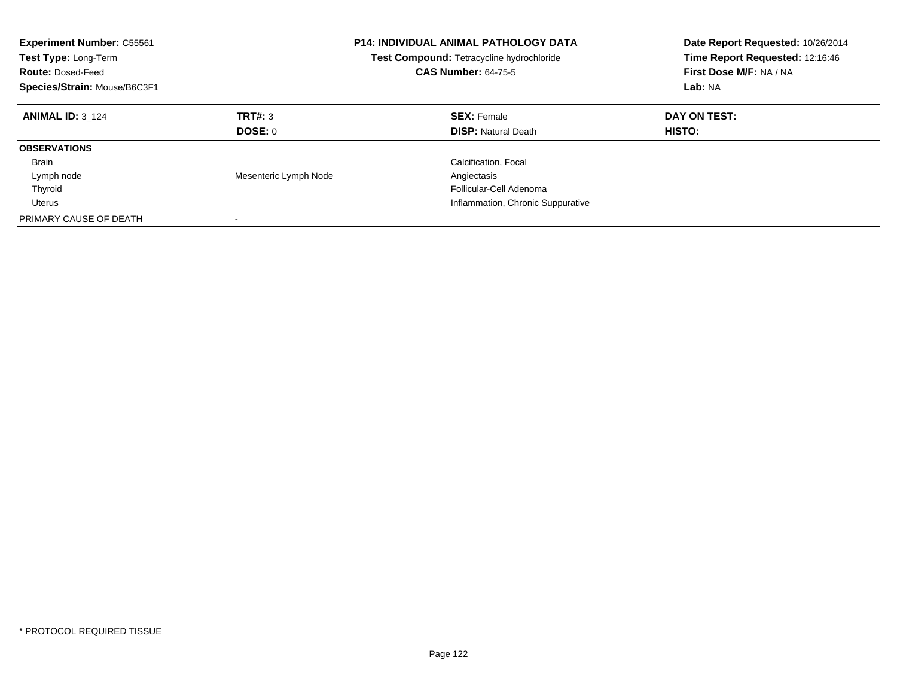| <b>Experiment Number: C55561</b><br>Test Type: Long-Term<br><b>Route: Dosed-Feed</b><br>Species/Strain: Mouse/B6C3F1 |                       | <b>P14: INDIVIDUAL ANIMAL PATHOLOGY DATA</b><br>Test Compound: Tetracycline hydrochloride<br><b>CAS Number: 64-75-5</b> | Date Report Requested: 10/26/2014<br>Time Report Requested: 12:16:46<br>First Dose M/F: NA / NA<br>Lab: NA |
|----------------------------------------------------------------------------------------------------------------------|-----------------------|-------------------------------------------------------------------------------------------------------------------------|------------------------------------------------------------------------------------------------------------|
| <b>ANIMAL ID: 3 124</b>                                                                                              | TRT#: 3               | <b>SEX: Female</b>                                                                                                      | DAY ON TEST:                                                                                               |
|                                                                                                                      | DOSE: 0               | <b>DISP:</b> Natural Death                                                                                              | HISTO:                                                                                                     |
| <b>OBSERVATIONS</b>                                                                                                  |                       |                                                                                                                         |                                                                                                            |
| <b>Brain</b>                                                                                                         |                       | Calcification, Focal                                                                                                    |                                                                                                            |
| Lymph node                                                                                                           | Mesenteric Lymph Node | Angiectasis                                                                                                             |                                                                                                            |
| Thyroid                                                                                                              |                       | Follicular-Cell Adenoma                                                                                                 |                                                                                                            |
| Uterus                                                                                                               |                       | Inflammation, Chronic Suppurative                                                                                       |                                                                                                            |
| PRIMARY CAUSE OF DEATH                                                                                               |                       |                                                                                                                         |                                                                                                            |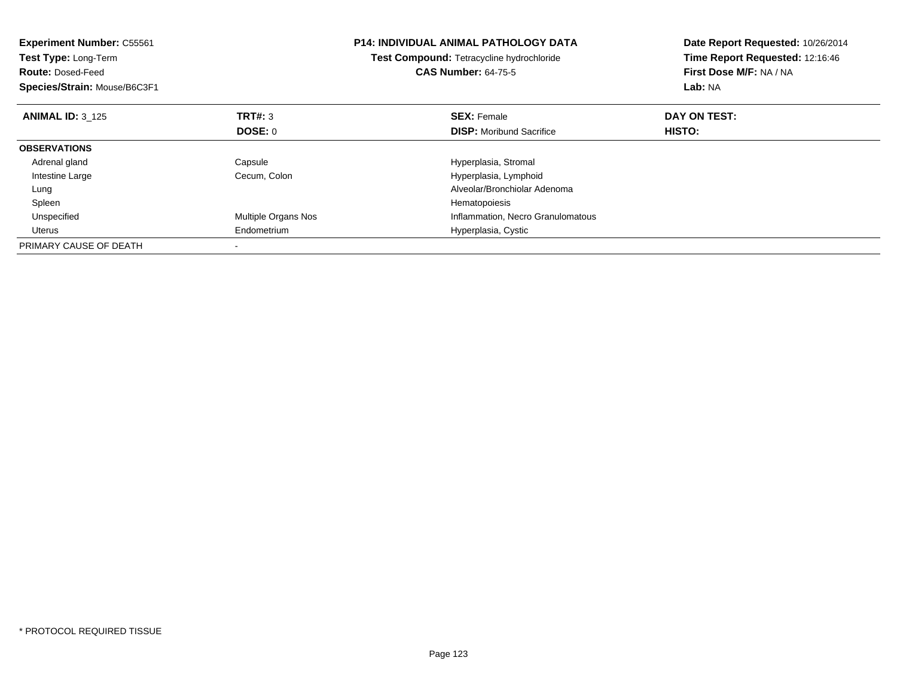| <b>Experiment Number: C55561</b><br>Test Type: Long-Term<br><b>Route: Dosed-Feed</b><br>Species/Strain: Mouse/B6C3F1 |                     | <b>P14: INDIVIDUAL ANIMAL PATHOLOGY DATA</b><br>Test Compound: Tetracycline hydrochloride<br><b>CAS Number: 64-75-5</b> | Date Report Requested: 10/26/2014<br>Time Report Requested: 12:16:46<br>First Dose M/F: NA / NA<br>Lab: NA |
|----------------------------------------------------------------------------------------------------------------------|---------------------|-------------------------------------------------------------------------------------------------------------------------|------------------------------------------------------------------------------------------------------------|
| <b>ANIMAL ID: 3 125</b>                                                                                              | <b>TRT#: 3</b>      | <b>SEX: Female</b>                                                                                                      | DAY ON TEST:                                                                                               |
|                                                                                                                      | <b>DOSE: 0</b>      | <b>DISP:</b> Moribund Sacrifice                                                                                         | HISTO:                                                                                                     |
| <b>OBSERVATIONS</b>                                                                                                  |                     |                                                                                                                         |                                                                                                            |
| Adrenal gland                                                                                                        | Capsule             | Hyperplasia, Stromal                                                                                                    |                                                                                                            |
| Intestine Large                                                                                                      | Cecum, Colon        | Hyperplasia, Lymphoid                                                                                                   |                                                                                                            |
| Lung                                                                                                                 |                     | Alveolar/Bronchiolar Adenoma                                                                                            |                                                                                                            |
| Spleen                                                                                                               |                     | Hematopoiesis                                                                                                           |                                                                                                            |
| Unspecified                                                                                                          | Multiple Organs Nos | Inflammation, Necro Granulomatous                                                                                       |                                                                                                            |
| Uterus                                                                                                               | Endometrium         | Hyperplasia, Cystic                                                                                                     |                                                                                                            |
| PRIMARY CAUSE OF DEATH                                                                                               |                     |                                                                                                                         |                                                                                                            |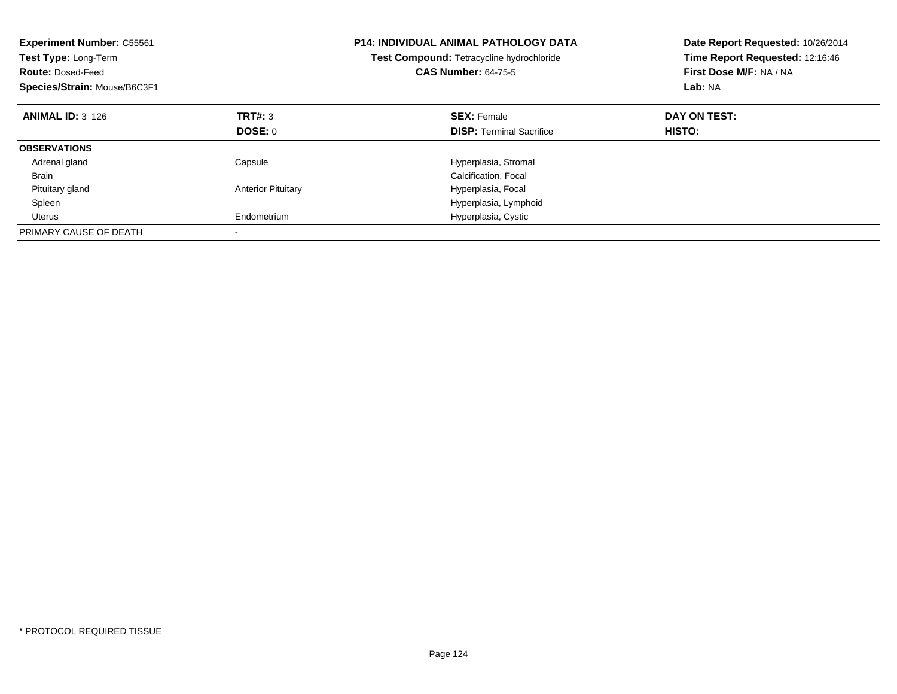| <b>Experiment Number: C55561</b><br>Test Type: Long-Term<br><b>Route: Dosed-Feed</b><br>Species/Strain: Mouse/B6C3F1 |                           | <b>P14: INDIVIDUAL ANIMAL PATHOLOGY DATA</b><br>Test Compound: Tetracycline hydrochloride<br><b>CAS Number: 64-75-5</b> | Date Report Requested: 10/26/2014<br>Time Report Requested: 12:16:46<br>First Dose M/F: NA / NA<br>Lab: NA |
|----------------------------------------------------------------------------------------------------------------------|---------------------------|-------------------------------------------------------------------------------------------------------------------------|------------------------------------------------------------------------------------------------------------|
| <b>ANIMAL ID: 3 126</b>                                                                                              | TRT#: 3                   | <b>SEX: Female</b>                                                                                                      | DAY ON TEST:                                                                                               |
|                                                                                                                      | DOSE: 0                   | <b>DISP:</b> Terminal Sacrifice                                                                                         | HISTO:                                                                                                     |
| <b>OBSERVATIONS</b>                                                                                                  |                           |                                                                                                                         |                                                                                                            |
| Adrenal gland                                                                                                        | Capsule                   | Hyperplasia, Stromal                                                                                                    |                                                                                                            |
| <b>Brain</b>                                                                                                         |                           | Calcification, Focal                                                                                                    |                                                                                                            |
| Pituitary gland                                                                                                      | <b>Anterior Pituitary</b> | Hyperplasia, Focal                                                                                                      |                                                                                                            |
| Spleen                                                                                                               |                           | Hyperplasia, Lymphoid                                                                                                   |                                                                                                            |
| <b>Uterus</b>                                                                                                        | Endometrium               | Hyperplasia, Cystic                                                                                                     |                                                                                                            |
| PRIMARY CAUSE OF DEATH                                                                                               |                           |                                                                                                                         |                                                                                                            |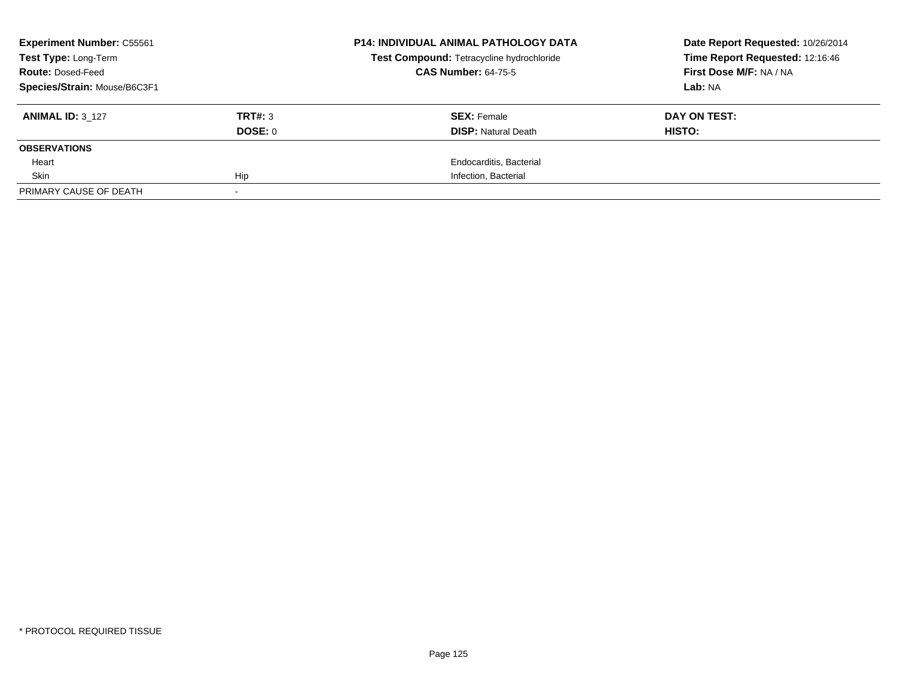| <b>Experiment Number: C55561</b> |         | <b>P14: INDIVIDUAL ANIMAL PATHOLOGY DATA</b> | Date Report Requested: 10/26/2014 |
|----------------------------------|---------|----------------------------------------------|-----------------------------------|
| Test Type: Long-Term             |         | Test Compound: Tetracycline hydrochloride    | Time Report Requested: 12:16:46   |
| <b>Route: Dosed-Feed</b>         |         | <b>CAS Number: 64-75-5</b>                   | First Dose M/F: NA / NA           |
| Species/Strain: Mouse/B6C3F1     |         |                                              | Lab: NA                           |
| <b>ANIMAL ID: 3 127</b>          | TRT#: 3 | <b>SEX: Female</b>                           | DAY ON TEST:                      |
|                                  | DOSE: 0 | <b>DISP:</b> Natural Death                   | HISTO:                            |
| <b>OBSERVATIONS</b>              |         |                                              |                                   |
| Heart                            |         | Endocarditis, Bacterial                      |                                   |
| Skin                             | Hip     | Infection, Bacterial                         |                                   |
| PRIMARY CAUSE OF DEATH           |         |                                              |                                   |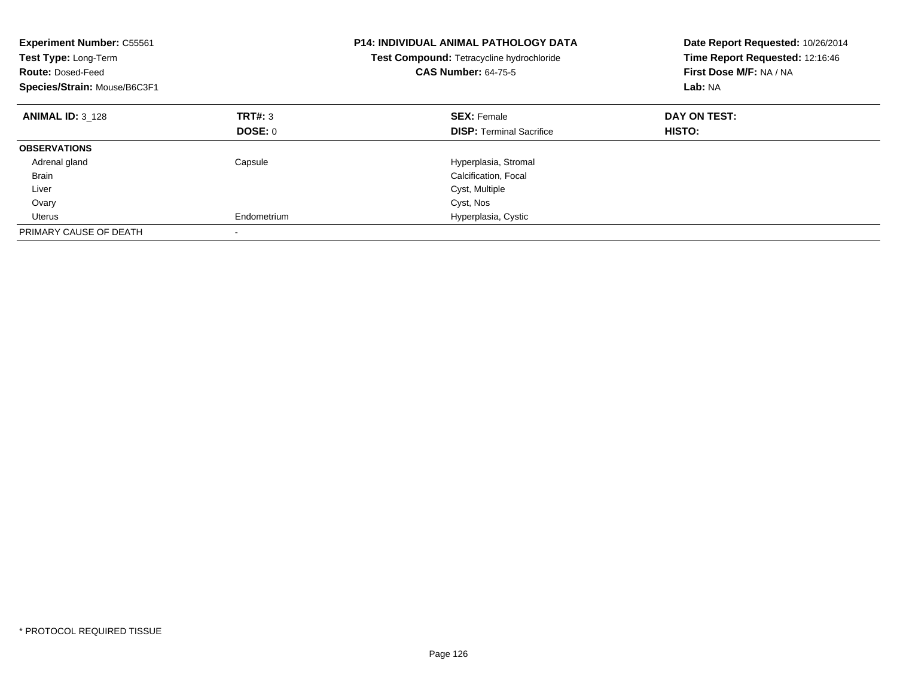| <b>Experiment Number: C55561</b><br>Test Type: Long-Term<br><b>Route: Dosed-Feed</b><br>Species/Strain: Mouse/B6C3F1 |             | <b>P14: INDIVIDUAL ANIMAL PATHOLOGY DATA</b><br>Test Compound: Tetracycline hydrochloride<br><b>CAS Number: 64-75-5</b> | Date Report Requested: 10/26/2014<br>Time Report Requested: 12:16:46<br>First Dose M/F: NA / NA<br>Lab: NA |
|----------------------------------------------------------------------------------------------------------------------|-------------|-------------------------------------------------------------------------------------------------------------------------|------------------------------------------------------------------------------------------------------------|
| <b>ANIMAL ID: 3 128</b>                                                                                              | TRT#: 3     | <b>SEX: Female</b>                                                                                                      | DAY ON TEST:                                                                                               |
|                                                                                                                      | DOSE: 0     | <b>DISP:</b> Terminal Sacrifice                                                                                         | HISTO:                                                                                                     |
| <b>OBSERVATIONS</b>                                                                                                  |             |                                                                                                                         |                                                                                                            |
| Adrenal gland                                                                                                        | Capsule     | Hyperplasia, Stromal                                                                                                    |                                                                                                            |
| <b>Brain</b>                                                                                                         |             | Calcification, Focal                                                                                                    |                                                                                                            |
| Liver                                                                                                                |             | Cyst, Multiple                                                                                                          |                                                                                                            |
| Ovary                                                                                                                |             | Cyst, Nos                                                                                                               |                                                                                                            |
| Uterus                                                                                                               | Endometrium | Hyperplasia, Cystic                                                                                                     |                                                                                                            |
| PRIMARY CAUSE OF DEATH                                                                                               |             |                                                                                                                         |                                                                                                            |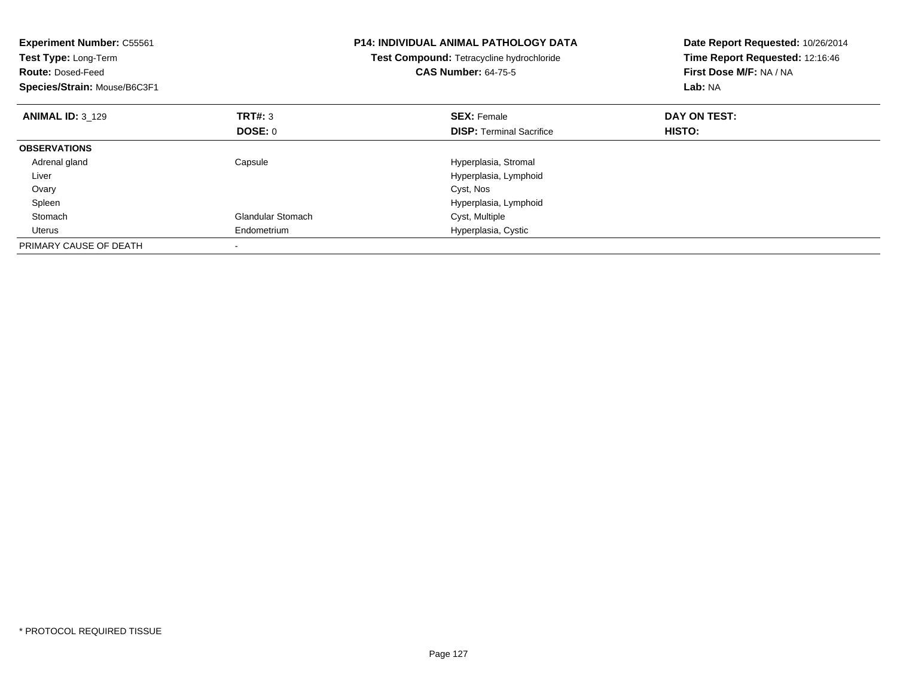| <b>Experiment Number: C55561</b><br>Test Type: Long-Term<br><b>Route: Dosed-Feed</b><br>Species/Strain: Mouse/B6C3F1 |                          | <b>P14: INDIVIDUAL ANIMAL PATHOLOGY DATA</b><br>Test Compound: Tetracycline hydrochloride<br><b>CAS Number: 64-75-5</b> | Date Report Requested: 10/26/2014<br>Time Report Requested: 12:16:46<br>First Dose M/F: NA / NA<br>Lab: NA |
|----------------------------------------------------------------------------------------------------------------------|--------------------------|-------------------------------------------------------------------------------------------------------------------------|------------------------------------------------------------------------------------------------------------|
| <b>ANIMAL ID: 3 129</b>                                                                                              | TRT#: 3                  | <b>SEX: Female</b>                                                                                                      | DAY ON TEST:                                                                                               |
|                                                                                                                      | <b>DOSE: 0</b>           | <b>DISP:</b> Terminal Sacrifice                                                                                         | HISTO:                                                                                                     |
| <b>OBSERVATIONS</b>                                                                                                  |                          |                                                                                                                         |                                                                                                            |
| Adrenal gland                                                                                                        | Capsule                  | Hyperplasia, Stromal                                                                                                    |                                                                                                            |
| Liver                                                                                                                |                          | Hyperplasia, Lymphoid                                                                                                   |                                                                                                            |
| Ovary                                                                                                                |                          | Cyst, Nos                                                                                                               |                                                                                                            |
| Spleen                                                                                                               |                          | Hyperplasia, Lymphoid                                                                                                   |                                                                                                            |
| Stomach                                                                                                              | <b>Glandular Stomach</b> | Cyst, Multiple                                                                                                          |                                                                                                            |
| Uterus                                                                                                               | Endometrium              | Hyperplasia, Cystic                                                                                                     |                                                                                                            |
| PRIMARY CAUSE OF DEATH                                                                                               |                          |                                                                                                                         |                                                                                                            |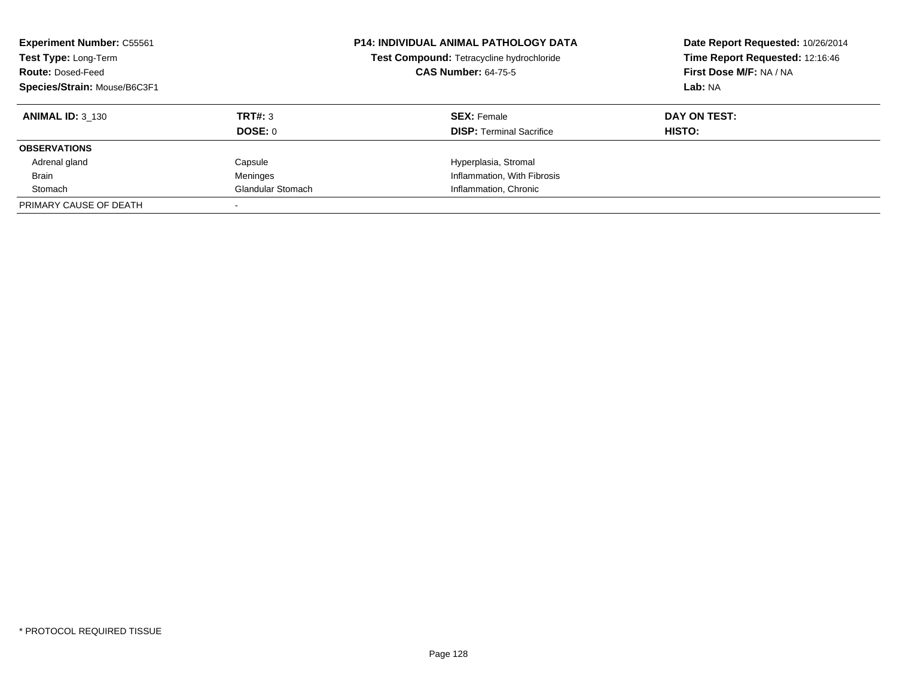| <b>Experiment Number: C55561</b><br>Test Type: Long-Term<br><b>Route: Dosed-Feed</b><br>Species/Strain: Mouse/B6C3F1 |                   | <b>P14: INDIVIDUAL ANIMAL PATHOLOGY DATA</b><br>Test Compound: Tetracycline hydrochloride<br><b>CAS Number: 64-75-5</b> | Date Report Requested: 10/26/2014<br>Time Report Requested: 12:16:46<br>First Dose M/F: NA / NA<br>Lab: NA |
|----------------------------------------------------------------------------------------------------------------------|-------------------|-------------------------------------------------------------------------------------------------------------------------|------------------------------------------------------------------------------------------------------------|
| <b>ANIMAL ID: 3 130</b>                                                                                              | TRT#: 3           | <b>SEX: Female</b>                                                                                                      | DAY ON TEST:                                                                                               |
|                                                                                                                      | DOSE: 0           | <b>DISP:</b> Terminal Sacrifice                                                                                         | <b>HISTO:</b>                                                                                              |
| <b>OBSERVATIONS</b>                                                                                                  |                   |                                                                                                                         |                                                                                                            |
| Adrenal gland                                                                                                        | Capsule           | Hyperplasia, Stromal                                                                                                    |                                                                                                            |
| <b>Brain</b>                                                                                                         | Meninges          | Inflammation, With Fibrosis                                                                                             |                                                                                                            |
| Stomach                                                                                                              | Glandular Stomach | Inflammation, Chronic                                                                                                   |                                                                                                            |
| PRIMARY CAUSE OF DEATH                                                                                               |                   |                                                                                                                         |                                                                                                            |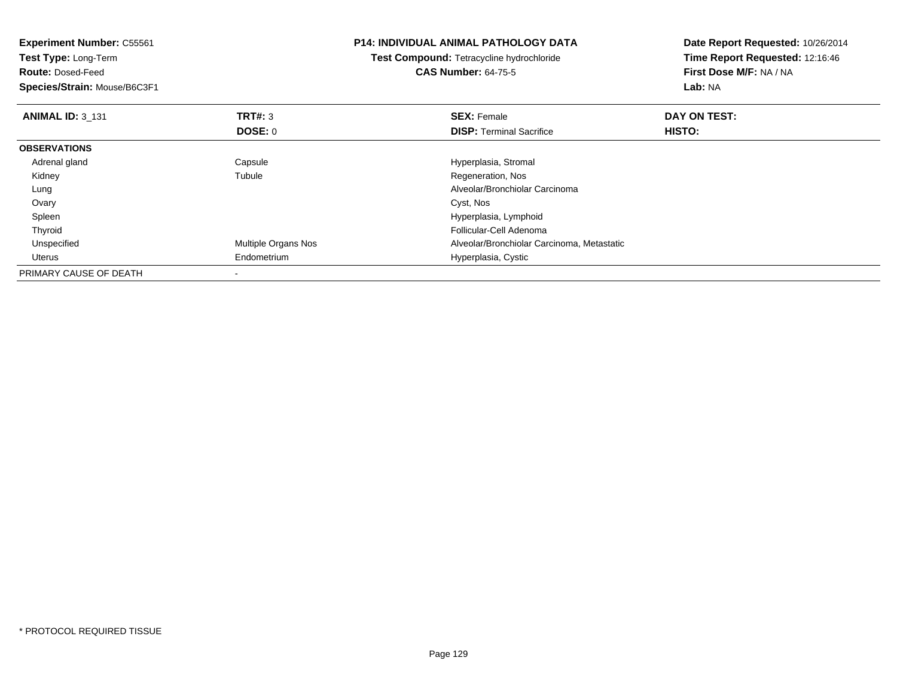| <b>Experiment Number: C55561</b><br>Test Type: Long-Term<br><b>Route: Dosed-Feed</b><br>Species/Strain: Mouse/B6C3F1 |                     | <b>P14: INDIVIDUAL ANIMAL PATHOLOGY DATA</b><br><b>Test Compound: Tetracycline hydrochloride</b><br><b>CAS Number: 64-75-5</b> | Date Report Requested: 10/26/2014<br>Time Report Requested: 12:16:46<br>First Dose M/F: NA / NA<br>Lab: NA |
|----------------------------------------------------------------------------------------------------------------------|---------------------|--------------------------------------------------------------------------------------------------------------------------------|------------------------------------------------------------------------------------------------------------|
| <b>ANIMAL ID: 3 131</b>                                                                                              | TRT#: 3<br>DOSE: 0  | <b>SEX: Female</b><br><b>DISP:</b> Terminal Sacrifice                                                                          | DAY ON TEST:<br>HISTO:                                                                                     |
| <b>OBSERVATIONS</b>                                                                                                  |                     |                                                                                                                                |                                                                                                            |
| Adrenal gland                                                                                                        | Capsule             | Hyperplasia, Stromal                                                                                                           |                                                                                                            |
| Kidney                                                                                                               | Tubule              | Regeneration, Nos                                                                                                              |                                                                                                            |
| Lung                                                                                                                 |                     | Alveolar/Bronchiolar Carcinoma                                                                                                 |                                                                                                            |
| Ovary                                                                                                                |                     | Cyst, Nos                                                                                                                      |                                                                                                            |
| Spleen                                                                                                               |                     | Hyperplasia, Lymphoid                                                                                                          |                                                                                                            |
| Thyroid                                                                                                              |                     | Follicular-Cell Adenoma                                                                                                        |                                                                                                            |
| Unspecified                                                                                                          | Multiple Organs Nos | Alveolar/Bronchiolar Carcinoma, Metastatic                                                                                     |                                                                                                            |
| Uterus                                                                                                               | Endometrium         | Hyperplasia, Cystic                                                                                                            |                                                                                                            |
| PRIMARY CAUSE OF DEATH                                                                                               |                     |                                                                                                                                |                                                                                                            |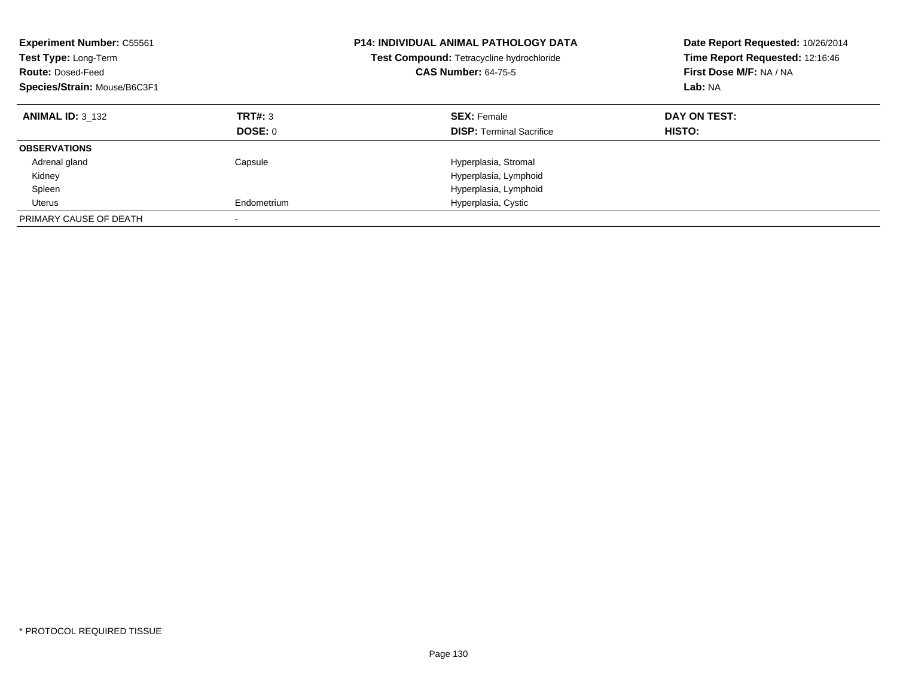| <b>Experiment Number: C55561</b><br><b>Test Type: Long-Term</b><br><b>Route: Dosed-Feed</b><br>Species/Strain: Mouse/B6C3F1 |                           | <b>P14: INDIVIDUAL ANIMAL PATHOLOGY DATA</b><br>Test Compound: Tetracycline hydrochloride<br><b>CAS Number: 64-75-5</b> | Date Report Requested: 10/26/2014<br>Time Report Requested: 12:16:46<br>First Dose M/F: NA / NA<br>Lab: NA |
|-----------------------------------------------------------------------------------------------------------------------------|---------------------------|-------------------------------------------------------------------------------------------------------------------------|------------------------------------------------------------------------------------------------------------|
| <b>ANIMAL ID: 3 132</b>                                                                                                     | TRT#: 3<br><b>DOSE: 0</b> | <b>SEX: Female</b><br><b>DISP:</b> Terminal Sacrifice                                                                   | DAY ON TEST:<br>HISTO:                                                                                     |
| <b>OBSERVATIONS</b>                                                                                                         |                           |                                                                                                                         |                                                                                                            |
| Adrenal gland                                                                                                               | Capsule                   | Hyperplasia, Stromal                                                                                                    |                                                                                                            |
| Kidney                                                                                                                      |                           | Hyperplasia, Lymphoid                                                                                                   |                                                                                                            |
| Spleen                                                                                                                      |                           | Hyperplasia, Lymphoid                                                                                                   |                                                                                                            |
| Uterus                                                                                                                      | Endometrium               | Hyperplasia, Cystic                                                                                                     |                                                                                                            |
| PRIMARY CAUSE OF DEATH                                                                                                      |                           |                                                                                                                         |                                                                                                            |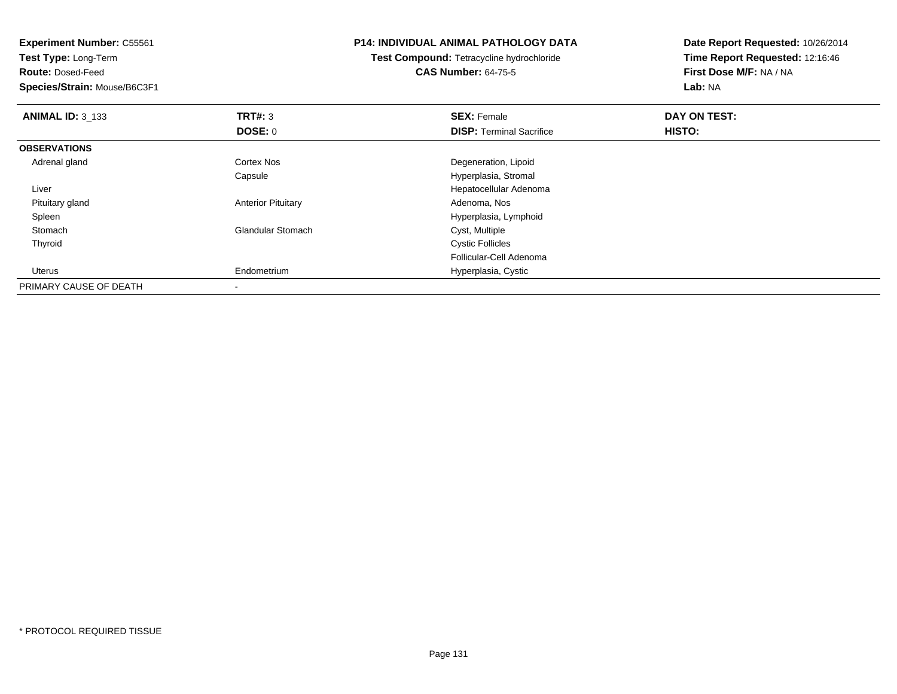**Experiment Number:** C55561**Test Type:** Long-Term**Route:** Dosed-Feed **Species/Strain:** Mouse/B6C3F1**P14: INDIVIDUAL ANIMAL PATHOLOGY DATATest Compound:** Tetracycline hydrochloride**CAS Number:** 64-75-5**Date Report Requested:** 10/26/2014**Time Report Requested:** 12:16:46**First Dose M/F:** NA / NA**Lab:** NA**ANIMAL ID:** 3\_133**TRT#:** 3 **SEX:** Female **DAY ON TEST: DOSE:** 0**DISP:** Terminal Sacrifice **HISTO: OBSERVATIONS** Adrenal glandCortex Nos **Degeneration**, Lipoid Capsule Hyperplasia, Stromal Liver Hepatocellular Adenoma Pituitary glandAnterior Pituitary **Adenoma, Nos** Adenoma, Nos Spleen Hyperplasia, Lymphoid StomachGlandular Stomach Thyroid Cystic Follicles Follicular-Cell Adenoma Uterus Endometrium Hyperplasia, Cystic PRIMARY CAUSE OF DEATH-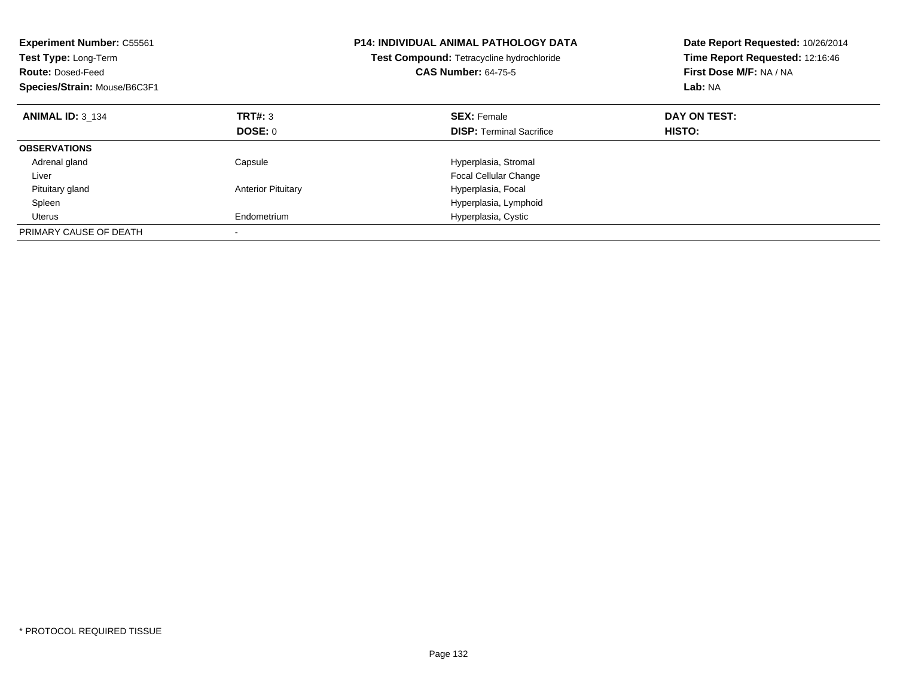| <b>Experiment Number: C55561</b><br>Test Type: Long-Term<br><b>Route: Dosed-Feed</b><br>Species/Strain: Mouse/B6C3F1 |                           | <b>P14: INDIVIDUAL ANIMAL PATHOLOGY DATA</b><br>Test Compound: Tetracycline hydrochloride<br><b>CAS Number: 64-75-5</b> | Date Report Requested: 10/26/2014<br>Time Report Requested: 12:16:46<br>First Dose M/F: NA / NA<br>Lab: NA |
|----------------------------------------------------------------------------------------------------------------------|---------------------------|-------------------------------------------------------------------------------------------------------------------------|------------------------------------------------------------------------------------------------------------|
| <b>ANIMAL ID: 3 134</b>                                                                                              | TRT#: 3                   | <b>SEX: Female</b>                                                                                                      | DAY ON TEST:                                                                                               |
|                                                                                                                      | DOSE: 0                   | <b>DISP:</b> Terminal Sacrifice                                                                                         | HISTO:                                                                                                     |
| <b>OBSERVATIONS</b>                                                                                                  |                           |                                                                                                                         |                                                                                                            |
| Adrenal gland                                                                                                        | Capsule                   | Hyperplasia, Stromal                                                                                                    |                                                                                                            |
| Liver                                                                                                                |                           | <b>Focal Cellular Change</b>                                                                                            |                                                                                                            |
| Pituitary gland                                                                                                      | <b>Anterior Pituitary</b> | Hyperplasia, Focal                                                                                                      |                                                                                                            |
| Spleen                                                                                                               |                           | Hyperplasia, Lymphoid                                                                                                   |                                                                                                            |
| <b>Uterus</b>                                                                                                        | Endometrium               | Hyperplasia, Cystic                                                                                                     |                                                                                                            |
| PRIMARY CAUSE OF DEATH                                                                                               |                           |                                                                                                                         |                                                                                                            |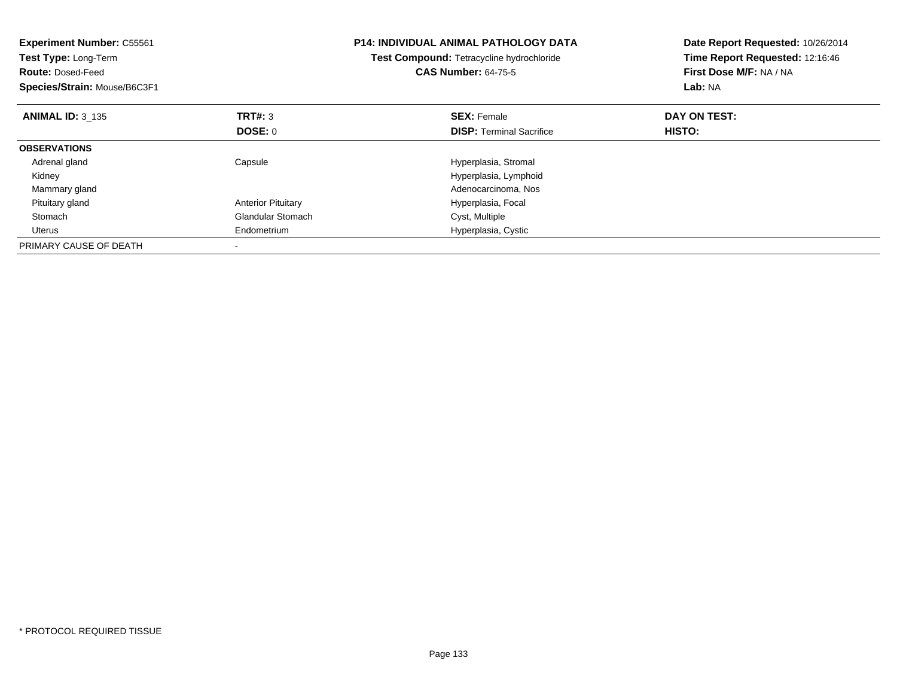| <b>Experiment Number: C55561</b><br>Test Type: Long-Term<br><b>Route: Dosed-Feed</b><br>Species/Strain: Mouse/B6C3F1 |                           | <b>P14: INDIVIDUAL ANIMAL PATHOLOGY DATA</b><br>Test Compound: Tetracycline hydrochloride<br><b>CAS Number: 64-75-5</b> | Date Report Requested: 10/26/2014<br>Time Report Requested: 12:16:46<br>First Dose M/F: NA / NA<br>Lab: NA |
|----------------------------------------------------------------------------------------------------------------------|---------------------------|-------------------------------------------------------------------------------------------------------------------------|------------------------------------------------------------------------------------------------------------|
| <b>ANIMAL ID: 3 135</b>                                                                                              | <b>TRT#: 3</b>            | <b>SEX: Female</b>                                                                                                      | DAY ON TEST:                                                                                               |
|                                                                                                                      | DOSE: 0                   | <b>DISP:</b> Terminal Sacrifice                                                                                         | HISTO:                                                                                                     |
| <b>OBSERVATIONS</b>                                                                                                  |                           |                                                                                                                         |                                                                                                            |
| Adrenal gland                                                                                                        | Capsule                   | Hyperplasia, Stromal                                                                                                    |                                                                                                            |
| Kidney                                                                                                               |                           | Hyperplasia, Lymphoid                                                                                                   |                                                                                                            |
| Mammary gland                                                                                                        |                           | Adenocarcinoma, Nos                                                                                                     |                                                                                                            |
| Pituitary gland                                                                                                      | <b>Anterior Pituitary</b> | Hyperplasia, Focal                                                                                                      |                                                                                                            |
| Stomach                                                                                                              | <b>Glandular Stomach</b>  | Cyst, Multiple                                                                                                          |                                                                                                            |
| Uterus                                                                                                               | Endometrium               | Hyperplasia, Cystic                                                                                                     |                                                                                                            |
| PRIMARY CAUSE OF DEATH                                                                                               |                           |                                                                                                                         |                                                                                                            |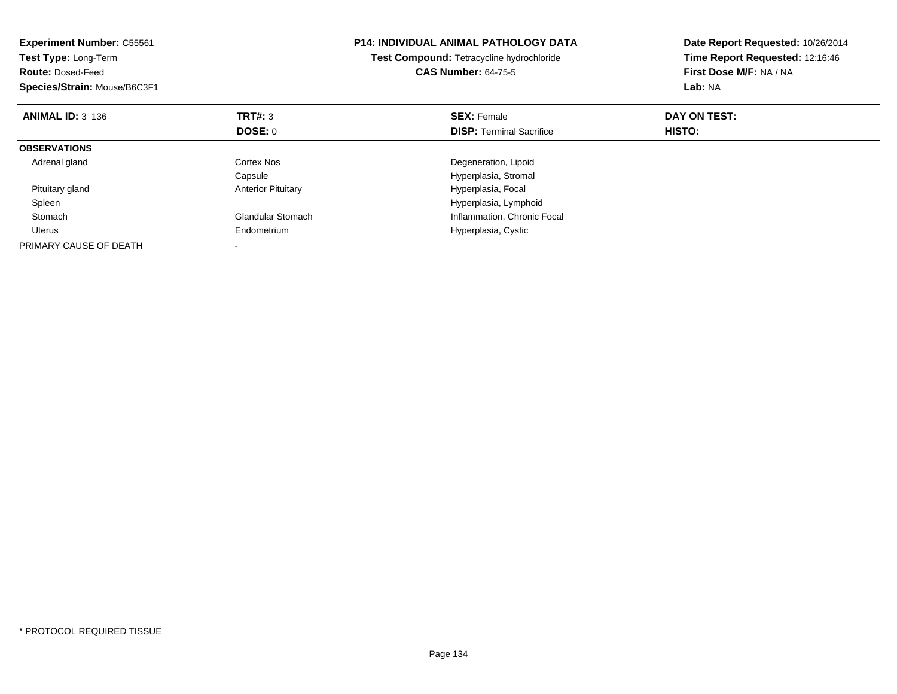| <b>Experiment Number: C55561</b><br>Test Type: Long-Term<br><b>Route: Dosed-Feed</b><br>Species/Strain: Mouse/B6C3F1 |                           | <b>P14: INDIVIDUAL ANIMAL PATHOLOGY DATA</b><br>Test Compound: Tetracycline hydrochloride<br><b>CAS Number: 64-75-5</b> | Date Report Requested: 10/26/2014<br>Time Report Requested: 12:16:46<br>First Dose M/F: NA / NA<br>Lab: NA |
|----------------------------------------------------------------------------------------------------------------------|---------------------------|-------------------------------------------------------------------------------------------------------------------------|------------------------------------------------------------------------------------------------------------|
| <b>ANIMAL ID: 3 136</b>                                                                                              | TRT#: 3                   | <b>SEX: Female</b>                                                                                                      | DAY ON TEST:                                                                                               |
|                                                                                                                      | <b>DOSE: 0</b>            | <b>DISP:</b> Terminal Sacrifice                                                                                         | HISTO:                                                                                                     |
| <b>OBSERVATIONS</b>                                                                                                  |                           |                                                                                                                         |                                                                                                            |
| Adrenal gland                                                                                                        | Cortex Nos                | Degeneration, Lipoid                                                                                                    |                                                                                                            |
|                                                                                                                      | Capsule                   | Hyperplasia, Stromal                                                                                                    |                                                                                                            |
| Pituitary gland                                                                                                      | <b>Anterior Pituitary</b> | Hyperplasia, Focal                                                                                                      |                                                                                                            |
| Spleen                                                                                                               |                           | Hyperplasia, Lymphoid                                                                                                   |                                                                                                            |
| Stomach                                                                                                              | <b>Glandular Stomach</b>  | Inflammation, Chronic Focal                                                                                             |                                                                                                            |
| Uterus                                                                                                               | Endometrium               | Hyperplasia, Cystic                                                                                                     |                                                                                                            |
| PRIMARY CAUSE OF DEATH                                                                                               |                           |                                                                                                                         |                                                                                                            |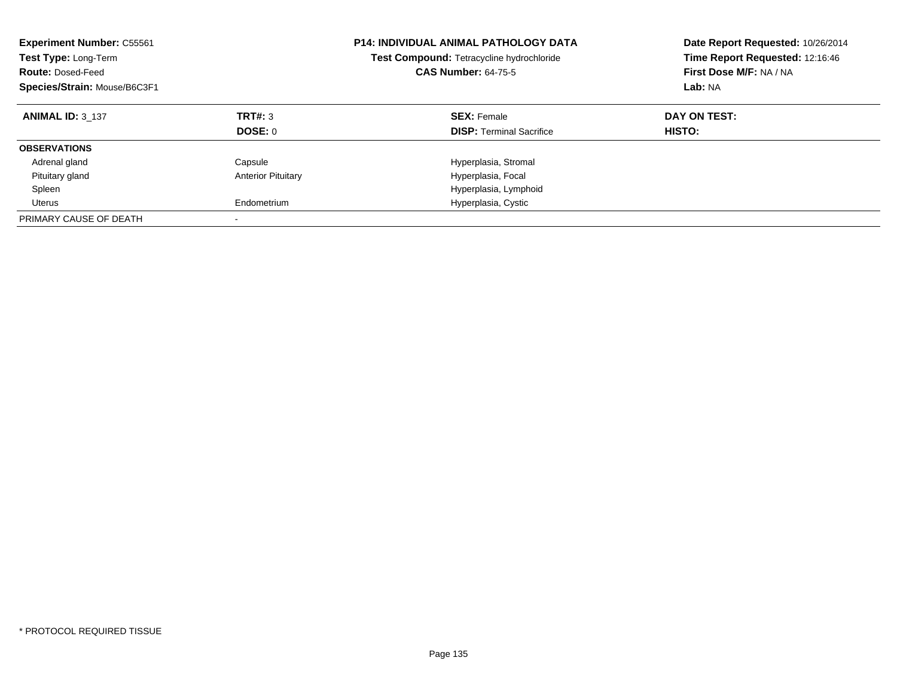| <b>Experiment Number: C55561</b><br>Test Type: Long-Term<br><b>Route: Dosed-Feed</b><br>Species/Strain: Mouse/B6C3F1 |                           | <b>P14: INDIVIDUAL ANIMAL PATHOLOGY DATA</b><br>Test Compound: Tetracycline hydrochloride<br><b>CAS Number: 64-75-5</b> | Date Report Requested: 10/26/2014<br>Time Report Requested: 12:16:46<br>First Dose M/F: NA / NA<br>Lab: NA |
|----------------------------------------------------------------------------------------------------------------------|---------------------------|-------------------------------------------------------------------------------------------------------------------------|------------------------------------------------------------------------------------------------------------|
| <b>ANIMAL ID: 3 137</b>                                                                                              | TRT#: 3<br>DOSE: 0        | <b>SEX: Female</b><br><b>DISP:</b> Terminal Sacrifice                                                                   | DAY ON TEST:<br><b>HISTO:</b>                                                                              |
| <b>OBSERVATIONS</b>                                                                                                  |                           |                                                                                                                         |                                                                                                            |
| Adrenal gland                                                                                                        | Capsule                   | Hyperplasia, Stromal                                                                                                    |                                                                                                            |
| Pituitary gland                                                                                                      | <b>Anterior Pituitary</b> | Hyperplasia, Focal                                                                                                      |                                                                                                            |
| Spleen                                                                                                               |                           | Hyperplasia, Lymphoid                                                                                                   |                                                                                                            |
| Uterus                                                                                                               | Endometrium               | Hyperplasia, Cystic                                                                                                     |                                                                                                            |
| PRIMARY CAUSE OF DEATH                                                                                               |                           |                                                                                                                         |                                                                                                            |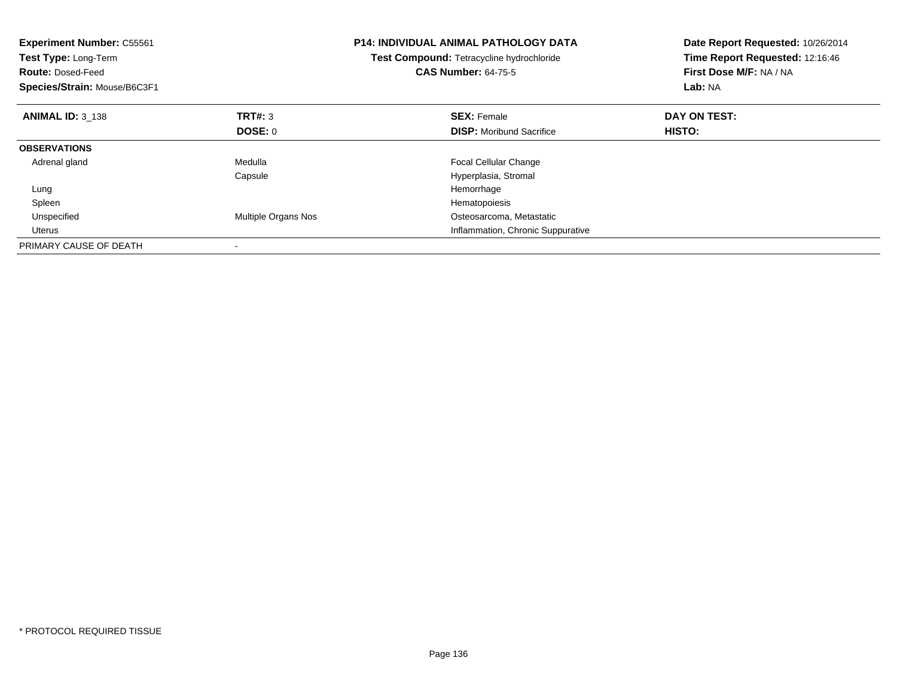| <b>Experiment Number: C55561</b><br>Test Type: Long-Term<br><b>Route: Dosed-Feed</b><br>Species/Strain: Mouse/B6C3F1 |                     | <b>P14: INDIVIDUAL ANIMAL PATHOLOGY DATA</b><br>Test Compound: Tetracycline hydrochloride<br><b>CAS Number: 64-75-5</b> | Date Report Requested: 10/26/2014<br>Time Report Requested: 12:16:46<br>First Dose M/F: NA / NA<br>Lab: NA |
|----------------------------------------------------------------------------------------------------------------------|---------------------|-------------------------------------------------------------------------------------------------------------------------|------------------------------------------------------------------------------------------------------------|
| <b>ANIMAL ID: 3 138</b>                                                                                              | TRT#: 3             | <b>SEX: Female</b>                                                                                                      | DAY ON TEST:                                                                                               |
|                                                                                                                      | DOSE: 0             | <b>DISP:</b> Moribund Sacrifice                                                                                         | HISTO:                                                                                                     |
| <b>OBSERVATIONS</b>                                                                                                  |                     |                                                                                                                         |                                                                                                            |
| Adrenal gland                                                                                                        | Medulla             | <b>Focal Cellular Change</b>                                                                                            |                                                                                                            |
|                                                                                                                      | Capsule             | Hyperplasia, Stromal                                                                                                    |                                                                                                            |
| Lung                                                                                                                 |                     | Hemorrhage                                                                                                              |                                                                                                            |
| Spleen                                                                                                               |                     | Hematopoiesis                                                                                                           |                                                                                                            |
| Unspecified                                                                                                          | Multiple Organs Nos | Osteosarcoma, Metastatic                                                                                                |                                                                                                            |
| Uterus                                                                                                               |                     | Inflammation, Chronic Suppurative                                                                                       |                                                                                                            |
| PRIMARY CAUSE OF DEATH                                                                                               |                     |                                                                                                                         |                                                                                                            |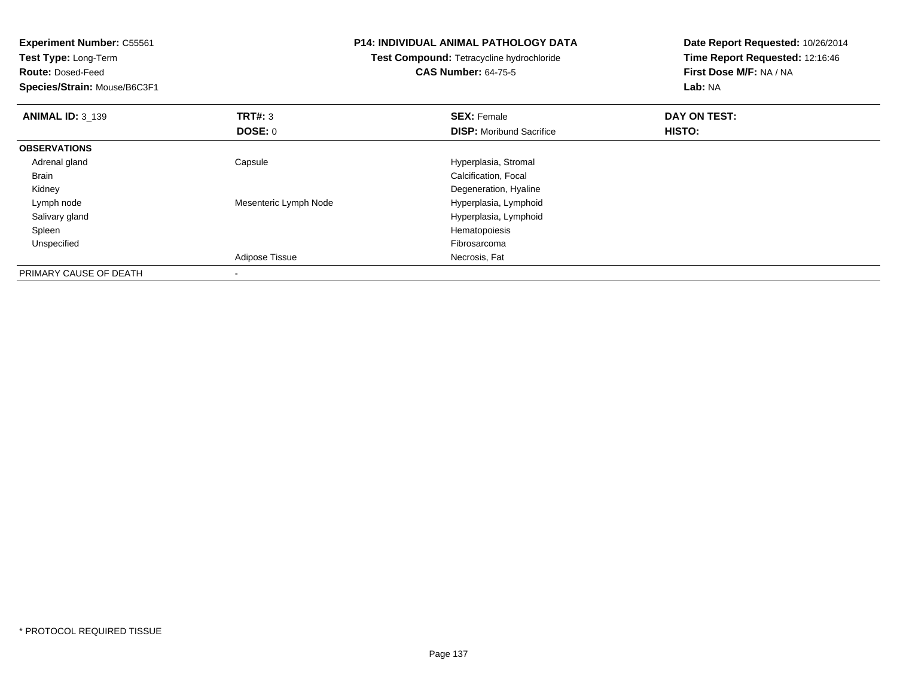| <b>Experiment Number: C55561</b><br>Test Type: Long-Term<br><b>Route: Dosed-Feed</b><br>Species/Strain: Mouse/B6C3F1 |                       | <b>P14: INDIVIDUAL ANIMAL PATHOLOGY DATA</b><br>Test Compound: Tetracycline hydrochloride<br><b>CAS Number: 64-75-5</b> | Date Report Requested: 10/26/2014<br>Time Report Requested: 12:16:46<br>First Dose M/F: NA / NA<br><b>Lab: NA</b> |
|----------------------------------------------------------------------------------------------------------------------|-----------------------|-------------------------------------------------------------------------------------------------------------------------|-------------------------------------------------------------------------------------------------------------------|
| <b>ANIMAL ID: 3 139</b>                                                                                              | TRT#: 3               | <b>SEX: Female</b>                                                                                                      | DAY ON TEST:                                                                                                      |
|                                                                                                                      | DOSE: 0               | <b>DISP:</b> Moribund Sacrifice                                                                                         | HISTO:                                                                                                            |
| <b>OBSERVATIONS</b>                                                                                                  |                       |                                                                                                                         |                                                                                                                   |
| Adrenal gland                                                                                                        | Capsule               | Hyperplasia, Stromal                                                                                                    |                                                                                                                   |
| Brain                                                                                                                |                       | Calcification, Focal                                                                                                    |                                                                                                                   |
| Kidney                                                                                                               |                       | Degeneration, Hyaline                                                                                                   |                                                                                                                   |
| Lymph node                                                                                                           | Mesenteric Lymph Node | Hyperplasia, Lymphoid                                                                                                   |                                                                                                                   |
| Salivary gland                                                                                                       |                       | Hyperplasia, Lymphoid                                                                                                   |                                                                                                                   |
| Spleen                                                                                                               |                       | Hematopoiesis                                                                                                           |                                                                                                                   |
| Unspecified                                                                                                          |                       | Fibrosarcoma                                                                                                            |                                                                                                                   |
|                                                                                                                      | Adipose Tissue        | Necrosis, Fat                                                                                                           |                                                                                                                   |
| PRIMARY CAUSE OF DEATH                                                                                               |                       |                                                                                                                         |                                                                                                                   |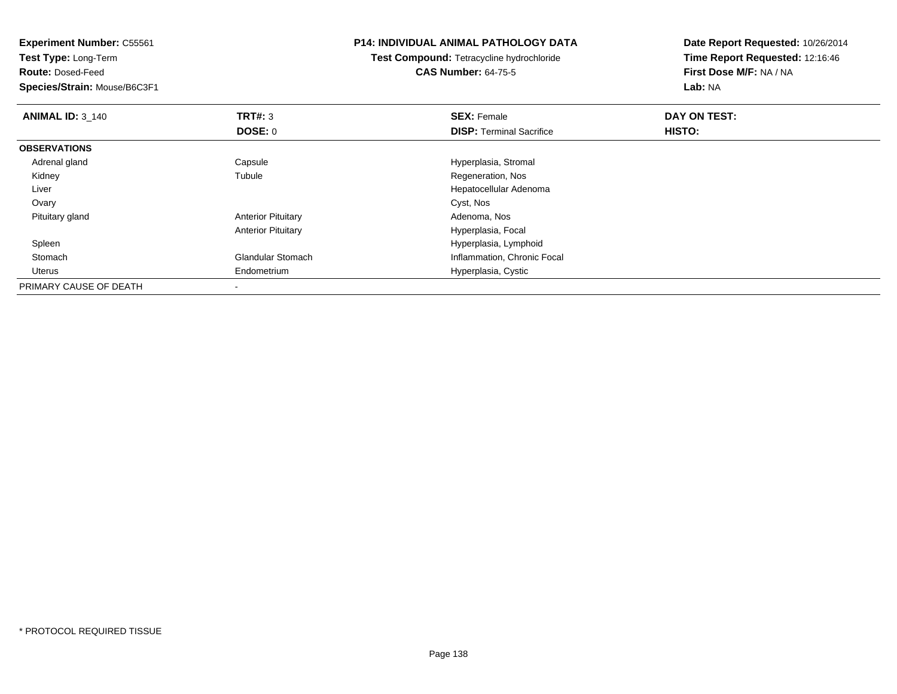**Test Type:** Long-Term

**Route:** Dosed-Feed

**Species/Strain:** Mouse/B6C3F1

## **P14: INDIVIDUAL ANIMAL PATHOLOGY DATA**

**Test Compound:** Tetracycline hydrochloride**CAS Number:** 64-75-5

| <b>ANIMAL ID: 3_140</b> | TRT#: 3                   | <b>SEX: Female</b>              | DAY ON TEST: |  |
|-------------------------|---------------------------|---------------------------------|--------------|--|
|                         | <b>DOSE: 0</b>            | <b>DISP: Terminal Sacrifice</b> | HISTO:       |  |
| <b>OBSERVATIONS</b>     |                           |                                 |              |  |
| Adrenal gland           | Capsule                   | Hyperplasia, Stromal            |              |  |
| Kidney                  | Tubule                    | Regeneration, Nos               |              |  |
| Liver                   |                           | Hepatocellular Adenoma          |              |  |
| Ovary                   |                           | Cyst, Nos                       |              |  |
| Pituitary gland         | <b>Anterior Pituitary</b> | Adenoma, Nos                    |              |  |
|                         | <b>Anterior Pituitary</b> | Hyperplasia, Focal              |              |  |
| Spleen                  |                           | Hyperplasia, Lymphoid           |              |  |
| Stomach                 | <b>Glandular Stomach</b>  | Inflammation, Chronic Focal     |              |  |
| Uterus                  | Endometrium               | Hyperplasia, Cystic             |              |  |
| PRIMARY CAUSE OF DEATH  |                           |                                 |              |  |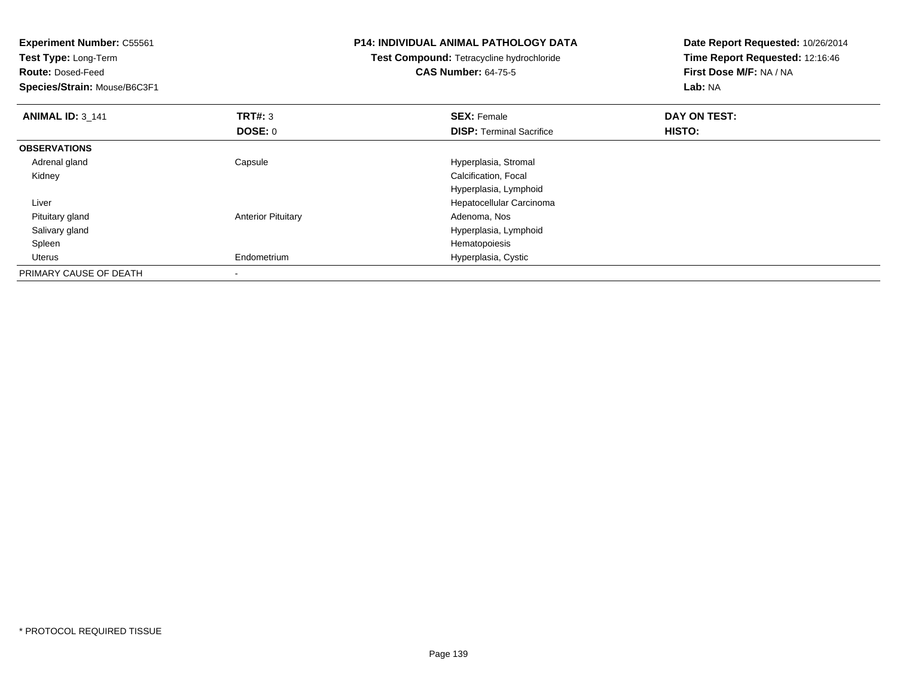| <b>Experiment Number: C55561</b> |                           | P14: INDIVIDUAL ANIMAL PATHOLOGY DATA     | Date Report Requested: 10/26/2014 |  |
|----------------------------------|---------------------------|-------------------------------------------|-----------------------------------|--|
| Test Type: Long-Term             |                           | Test Compound: Tetracycline hydrochloride | Time Report Requested: 12:16:46   |  |
| <b>Route: Dosed-Feed</b>         |                           | <b>CAS Number: 64-75-5</b>                | First Dose M/F: NA / NA           |  |
| Species/Strain: Mouse/B6C3F1     |                           |                                           | Lab: NA                           |  |
| <b>ANIMAL ID: 3_141</b>          | TRT#: 3                   | <b>SEX: Female</b>                        | DAY ON TEST:                      |  |
|                                  | DOSE: 0                   | <b>DISP:</b> Terminal Sacrifice           | HISTO:                            |  |
| <b>OBSERVATIONS</b>              |                           |                                           |                                   |  |
| Adrenal gland                    | Capsule                   | Hyperplasia, Stromal                      |                                   |  |
| Kidney                           |                           | Calcification, Focal                      |                                   |  |
|                                  |                           | Hyperplasia, Lymphoid                     |                                   |  |
| Liver                            |                           | Hepatocellular Carcinoma                  |                                   |  |
| Pituitary gland                  | <b>Anterior Pituitary</b> | Adenoma, Nos                              |                                   |  |
| Salivary gland                   |                           | Hyperplasia, Lymphoid                     |                                   |  |
| Spleen                           |                           | Hematopoiesis                             |                                   |  |
| Uterus                           | Endometrium               | Hyperplasia, Cystic                       |                                   |  |
| PRIMARY CAUSE OF DEATH           |                           |                                           |                                   |  |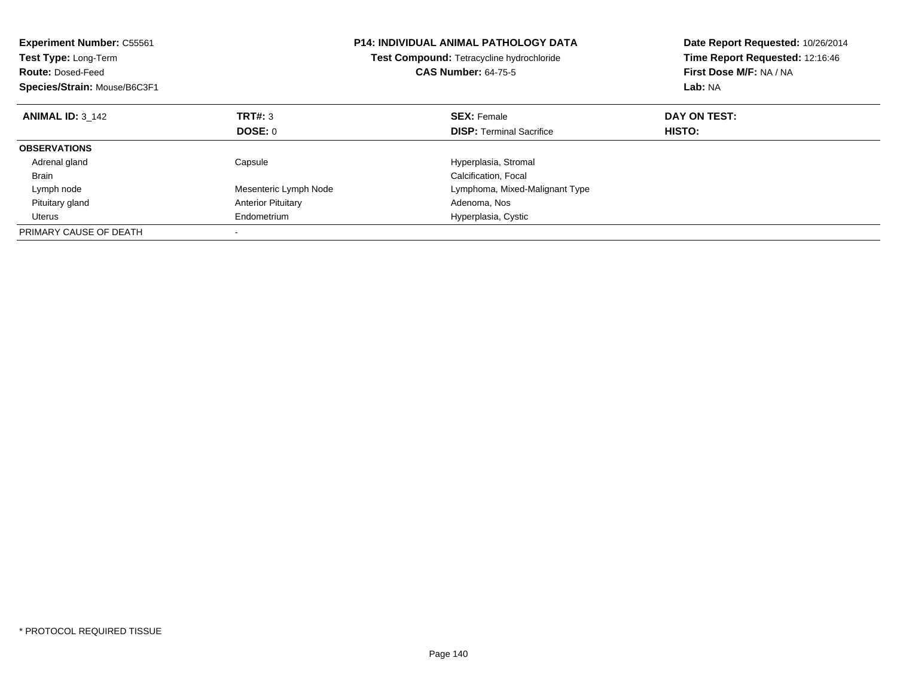| <b>Experiment Number: C55561</b><br><b>Test Type: Long-Term</b><br><b>Route: Dosed-Feed</b><br>Species/Strain: Mouse/B6C3F1 |                           | <b>P14: INDIVIDUAL ANIMAL PATHOLOGY DATA</b><br>Test Compound: Tetracycline hydrochloride<br><b>CAS Number: 64-75-5</b> | Date Report Requested: 10/26/2014<br>Time Report Requested: 12:16:46<br>First Dose M/F: NA / NA<br>Lab: NA |
|-----------------------------------------------------------------------------------------------------------------------------|---------------------------|-------------------------------------------------------------------------------------------------------------------------|------------------------------------------------------------------------------------------------------------|
| <b>ANIMAL ID: 3 142</b>                                                                                                     | TRT#: 3                   | <b>SEX: Female</b>                                                                                                      | DAY ON TEST:                                                                                               |
|                                                                                                                             | DOSE: 0                   | <b>DISP:</b> Terminal Sacrifice                                                                                         | HISTO:                                                                                                     |
| <b>OBSERVATIONS</b>                                                                                                         |                           |                                                                                                                         |                                                                                                            |
| Adrenal gland                                                                                                               | Capsule                   | Hyperplasia, Stromal                                                                                                    |                                                                                                            |
| <b>Brain</b>                                                                                                                |                           | Calcification, Focal                                                                                                    |                                                                                                            |
| Lymph node                                                                                                                  | Mesenteric Lymph Node     | Lymphoma, Mixed-Malignant Type                                                                                          |                                                                                                            |
| Pituitary gland                                                                                                             | <b>Anterior Pituitary</b> | Adenoma, Nos                                                                                                            |                                                                                                            |
| Uterus                                                                                                                      | Endometrium               | Hyperplasia, Cystic                                                                                                     |                                                                                                            |
| PRIMARY CAUSE OF DEATH                                                                                                      |                           |                                                                                                                         |                                                                                                            |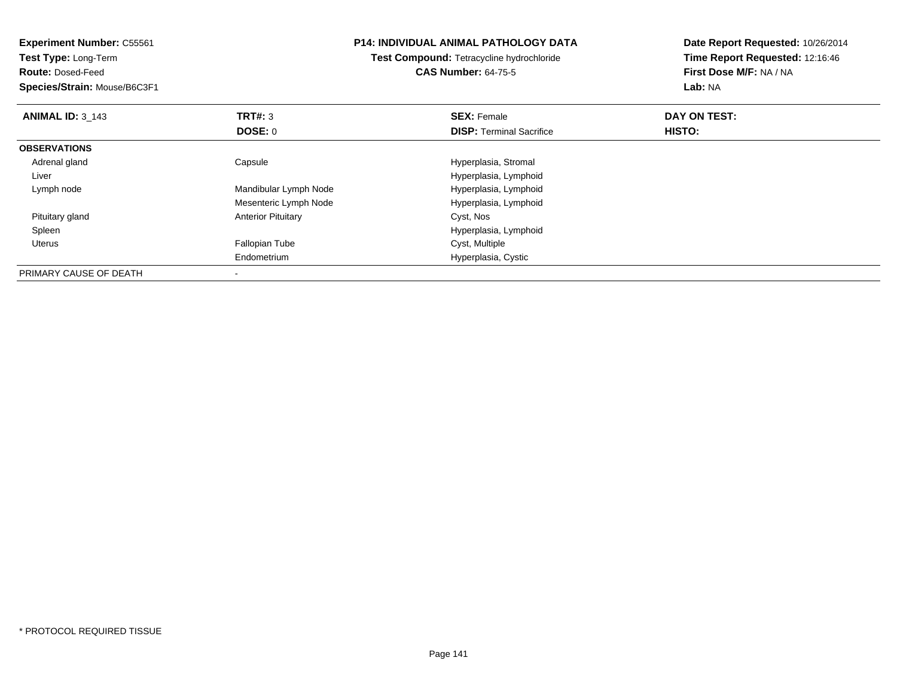| <b>Experiment Number: C55561</b> |                                           | P14: INDIVIDUAL ANIMAL PATHOLOGY DATA | Date Report Requested: 10/26/2014 |  |
|----------------------------------|-------------------------------------------|---------------------------------------|-----------------------------------|--|
| Test Type: Long-Term             | Test Compound: Tetracycline hydrochloride |                                       | Time Report Requested: 12:16:46   |  |
| <b>Route: Dosed-Feed</b>         |                                           | <b>CAS Number: 64-75-5</b>            | First Dose M/F: NA / NA           |  |
| Species/Strain: Mouse/B6C3F1     |                                           |                                       | Lab: NA                           |  |
| <b>ANIMAL ID: 3_143</b>          | TRT#: 3                                   | <b>SEX: Female</b>                    | DAY ON TEST:                      |  |
|                                  | <b>DOSE: 0</b>                            | <b>DISP:</b> Terminal Sacrifice       | HISTO:                            |  |
| <b>OBSERVATIONS</b>              |                                           |                                       |                                   |  |
| Adrenal gland                    | Capsule                                   | Hyperplasia, Stromal                  |                                   |  |
| Liver                            |                                           | Hyperplasia, Lymphoid                 |                                   |  |
| Lymph node                       | Mandibular Lymph Node                     | Hyperplasia, Lymphoid                 |                                   |  |
|                                  | Mesenteric Lymph Node                     | Hyperplasia, Lymphoid                 |                                   |  |
| Pituitary gland                  | <b>Anterior Pituitary</b>                 | Cyst, Nos                             |                                   |  |
| Spleen                           |                                           | Hyperplasia, Lymphoid                 |                                   |  |
| Uterus                           | Fallopian Tube                            | Cyst, Multiple                        |                                   |  |
|                                  | Endometrium                               | Hyperplasia, Cystic                   |                                   |  |
| PRIMARY CAUSE OF DEATH           |                                           |                                       |                                   |  |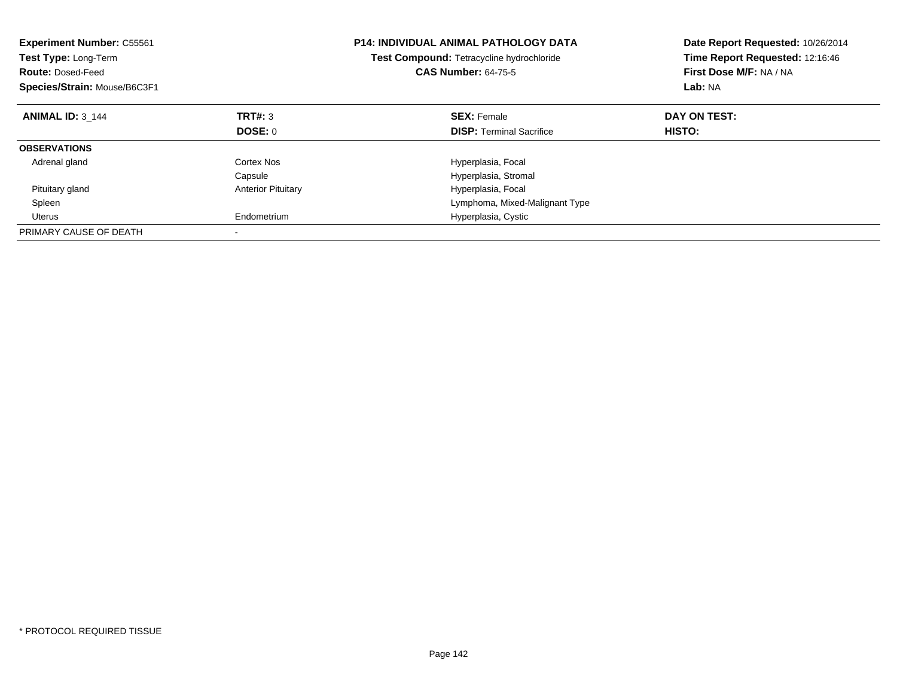| <b>Experiment Number: C55561</b><br>Test Type: Long-Term<br><b>Route: Dosed-Feed</b><br>Species/Strain: Mouse/B6C3F1 |                           | <b>P14: INDIVIDUAL ANIMAL PATHOLOGY DATA</b><br>Test Compound: Tetracycline hydrochloride<br><b>CAS Number: 64-75-5</b> | Date Report Requested: 10/26/2014<br>Time Report Requested: 12:16:46<br>First Dose M/F: NA / NA<br>Lab: NA |
|----------------------------------------------------------------------------------------------------------------------|---------------------------|-------------------------------------------------------------------------------------------------------------------------|------------------------------------------------------------------------------------------------------------|
| <b>ANIMAL ID: 3 144</b>                                                                                              | TRT#: 3                   | <b>SEX: Female</b>                                                                                                      | DAY ON TEST:                                                                                               |
|                                                                                                                      | DOSE: 0                   | <b>DISP: Terminal Sacrifice</b>                                                                                         | HISTO:                                                                                                     |
| <b>OBSERVATIONS</b>                                                                                                  |                           |                                                                                                                         |                                                                                                            |
| Adrenal gland                                                                                                        | Cortex Nos                | Hyperplasia, Focal                                                                                                      |                                                                                                            |
|                                                                                                                      | Capsule                   | Hyperplasia, Stromal                                                                                                    |                                                                                                            |
| Pituitary gland                                                                                                      | <b>Anterior Pituitary</b> | Hyperplasia, Focal                                                                                                      |                                                                                                            |
| Spleen                                                                                                               |                           | Lymphoma, Mixed-Malignant Type                                                                                          |                                                                                                            |
| Uterus                                                                                                               | Endometrium               | Hyperplasia, Cystic                                                                                                     |                                                                                                            |
| PRIMARY CAUSE OF DEATH                                                                                               |                           |                                                                                                                         |                                                                                                            |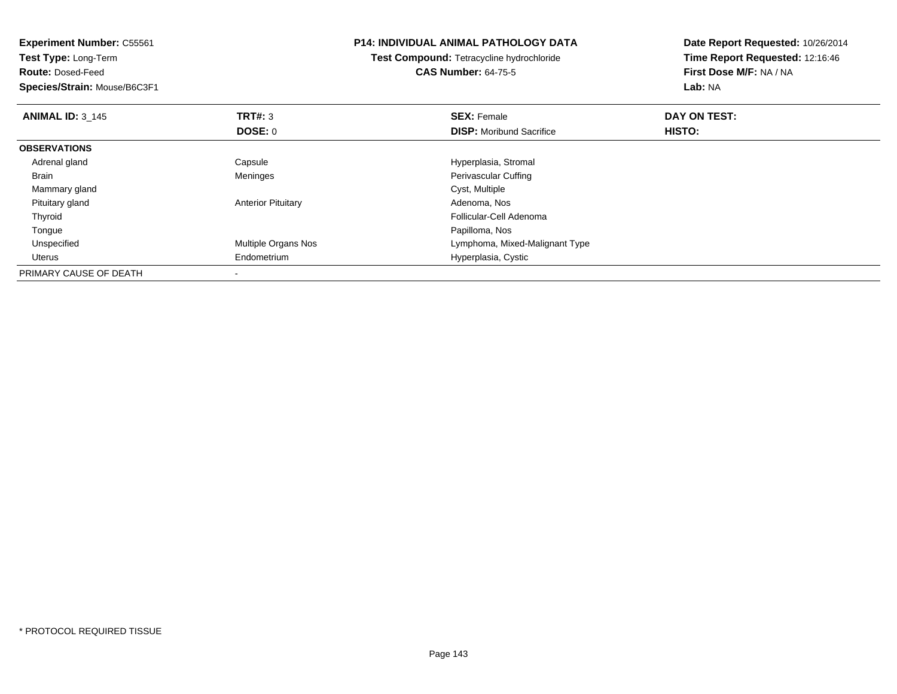| <b>Experiment Number: C55561</b> |                           | <b>P14: INDIVIDUAL ANIMAL PATHOLOGY DATA</b> | Date Report Requested: 10/26/2014 |  |
|----------------------------------|---------------------------|----------------------------------------------|-----------------------------------|--|
| Test Type: Long-Term             |                           | Test Compound: Tetracycline hydrochloride    | Time Report Requested: 12:16:46   |  |
| <b>Route: Dosed-Feed</b>         |                           | <b>CAS Number: 64-75-5</b>                   | First Dose M/F: NA / NA           |  |
| Species/Strain: Mouse/B6C3F1     |                           |                                              | <b>Lab: NA</b>                    |  |
| <b>ANIMAL ID: 3 145</b>          | TRT#: 3                   | <b>SEX: Female</b>                           | DAY ON TEST:                      |  |
|                                  | DOSE: 0                   | <b>DISP:</b> Moribund Sacrifice              | HISTO:                            |  |
| <b>OBSERVATIONS</b>              |                           |                                              |                                   |  |
| Adrenal gland                    | Capsule                   | Hyperplasia, Stromal                         |                                   |  |
| Brain                            | Meninges                  | Perivascular Cuffing                         |                                   |  |
| Mammary gland                    |                           | Cyst, Multiple                               |                                   |  |
| Pituitary gland                  | <b>Anterior Pituitary</b> | Adenoma, Nos                                 |                                   |  |
| Thyroid                          |                           | Follicular-Cell Adenoma                      |                                   |  |
| Tongue                           |                           | Papilloma, Nos                               |                                   |  |
| Unspecified                      | Multiple Organs Nos       | Lymphoma, Mixed-Malignant Type               |                                   |  |
| Uterus                           | Endometrium               | Hyperplasia, Cystic                          |                                   |  |
| PRIMARY CAUSE OF DEATH           |                           |                                              |                                   |  |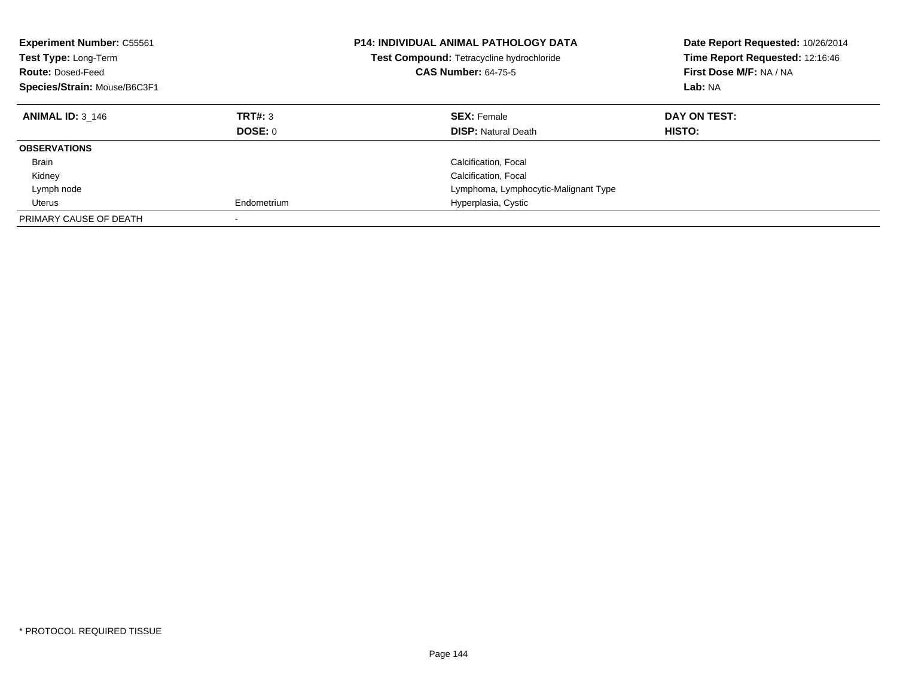| <b>Experiment Number: C55561</b><br><b>Test Type: Long-Term</b><br><b>Route: Dosed-Feed</b><br>Species/Strain: Mouse/B6C3F1 |                           | <b>P14: INDIVIDUAL ANIMAL PATHOLOGY DATA</b><br><b>Test Compound: Tetracycline hydrochloride</b><br><b>CAS Number: 64-75-5</b> | Date Report Requested: 10/26/2014<br>Time Report Requested: 12:16:46<br>First Dose M/F: NA / NA<br>Lab: NA |
|-----------------------------------------------------------------------------------------------------------------------------|---------------------------|--------------------------------------------------------------------------------------------------------------------------------|------------------------------------------------------------------------------------------------------------|
| <b>ANIMAL ID: 3 146</b>                                                                                                     | TRT#: 3<br><b>DOSE: 0</b> | <b>SEX: Female</b><br><b>DISP:</b> Natural Death                                                                               | DAY ON TEST:<br><b>HISTO:</b>                                                                              |
| <b>OBSERVATIONS</b>                                                                                                         |                           |                                                                                                                                |                                                                                                            |
| Brain                                                                                                                       |                           | Calcification, Focal                                                                                                           |                                                                                                            |
| Kidney                                                                                                                      |                           | Calcification, Focal                                                                                                           |                                                                                                            |
| Lymph node                                                                                                                  |                           | Lymphoma, Lymphocytic-Malignant Type                                                                                           |                                                                                                            |
| Uterus                                                                                                                      | Endometrium               | Hyperplasia, Cystic                                                                                                            |                                                                                                            |
| PRIMARY CAUSE OF DEATH                                                                                                      | $\overline{\phantom{a}}$  |                                                                                                                                |                                                                                                            |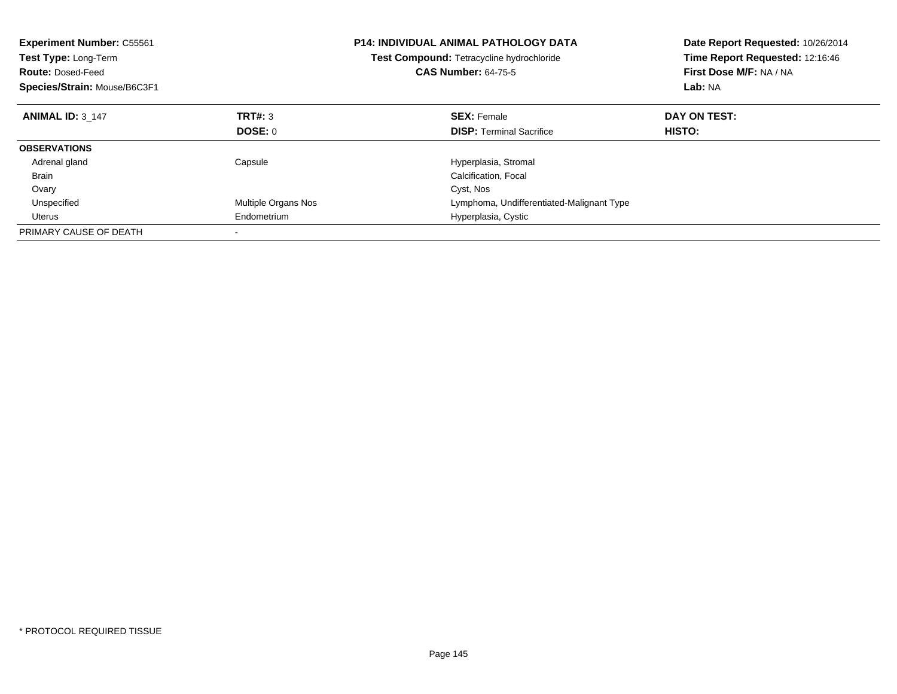| <b>Experiment Number: C55561</b><br>Test Type: Long-Term<br><b>Route: Dosed-Feed</b><br>Species/Strain: Mouse/B6C3F1 |                     | <b>P14: INDIVIDUAL ANIMAL PATHOLOGY DATA</b><br>Test Compound: Tetracycline hydrochloride<br><b>CAS Number: 64-75-5</b> | Date Report Requested: 10/26/2014<br>Time Report Requested: 12:16:46<br>First Dose M/F: NA / NA<br>Lab: NA |
|----------------------------------------------------------------------------------------------------------------------|---------------------|-------------------------------------------------------------------------------------------------------------------------|------------------------------------------------------------------------------------------------------------|
| <b>ANIMAL ID: 3 147</b>                                                                                              | TRT#: 3             | <b>SEX: Female</b>                                                                                                      | DAY ON TEST:                                                                                               |
|                                                                                                                      | DOSE: 0             | <b>DISP:</b> Terminal Sacrifice                                                                                         | HISTO:                                                                                                     |
| <b>OBSERVATIONS</b>                                                                                                  |                     |                                                                                                                         |                                                                                                            |
| Adrenal gland                                                                                                        | Capsule             | Hyperplasia, Stromal                                                                                                    |                                                                                                            |
| <b>Brain</b>                                                                                                         |                     | Calcification, Focal                                                                                                    |                                                                                                            |
| Ovary                                                                                                                |                     | Cyst, Nos                                                                                                               |                                                                                                            |
| Unspecified                                                                                                          | Multiple Organs Nos | Lymphoma, Undifferentiated-Malignant Type                                                                               |                                                                                                            |
| Uterus                                                                                                               | Endometrium         | Hyperplasia, Cystic                                                                                                     |                                                                                                            |
| PRIMARY CAUSE OF DEATH                                                                                               |                     |                                                                                                                         |                                                                                                            |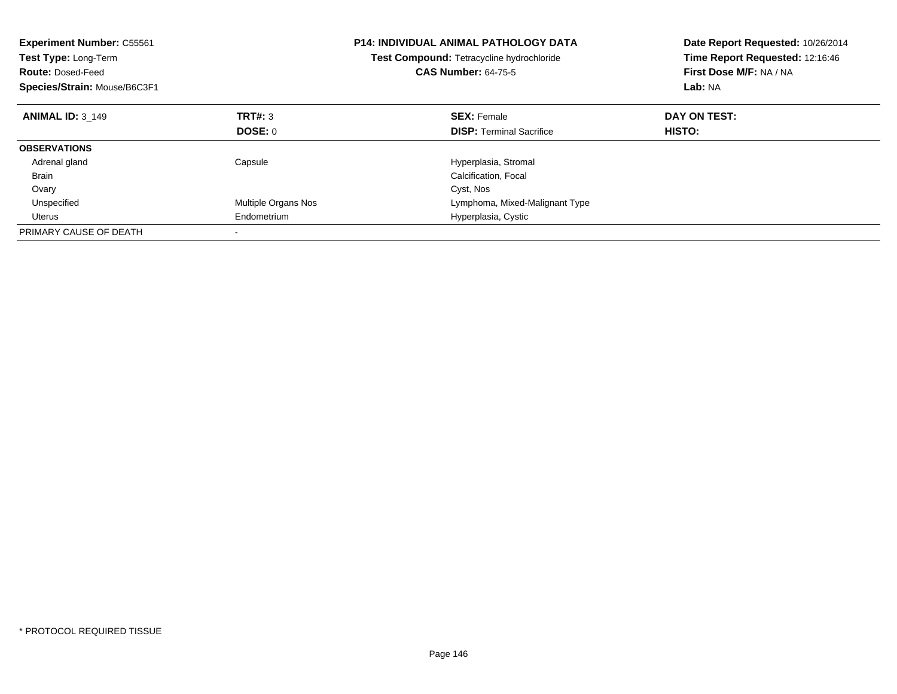| <b>Experiment Number: C55561</b><br>Test Type: Long-Term<br><b>Route: Dosed-Feed</b><br>Species/Strain: Mouse/B6C3F1 |                     | <b>P14: INDIVIDUAL ANIMAL PATHOLOGY DATA</b><br>Test Compound: Tetracycline hydrochloride<br><b>CAS Number: 64-75-5</b> | Date Report Requested: 10/26/2014<br>Time Report Requested: 12:16:46<br>First Dose M/F: NA / NA<br>Lab: NA |
|----------------------------------------------------------------------------------------------------------------------|---------------------|-------------------------------------------------------------------------------------------------------------------------|------------------------------------------------------------------------------------------------------------|
| <b>ANIMAL ID: 3 149</b>                                                                                              | TRT#: 3             | <b>SEX: Female</b>                                                                                                      | DAY ON TEST:                                                                                               |
|                                                                                                                      | DOSE: 0             | <b>DISP: Terminal Sacrifice</b>                                                                                         | <b>HISTO:</b>                                                                                              |
| <b>OBSERVATIONS</b>                                                                                                  |                     |                                                                                                                         |                                                                                                            |
| Adrenal gland                                                                                                        | Capsule             | Hyperplasia, Stromal                                                                                                    |                                                                                                            |
| <b>Brain</b>                                                                                                         |                     | Calcification, Focal                                                                                                    |                                                                                                            |
| Ovary                                                                                                                |                     | Cyst, Nos                                                                                                               |                                                                                                            |
| Unspecified                                                                                                          | Multiple Organs Nos | Lymphoma, Mixed-Malignant Type                                                                                          |                                                                                                            |
| Uterus                                                                                                               | Endometrium         | Hyperplasia, Cystic                                                                                                     |                                                                                                            |
| PRIMARY CAUSE OF DEATH                                                                                               |                     |                                                                                                                         |                                                                                                            |